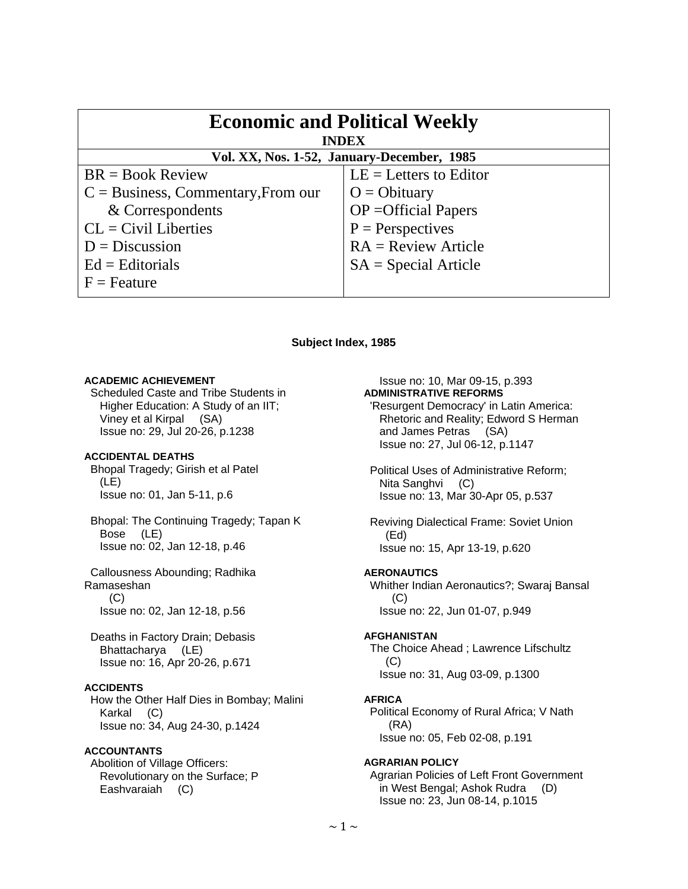| <b>Economic and Political Weekly</b><br><b>INDEX</b> |                               |
|------------------------------------------------------|-------------------------------|
| Vol. XX, Nos. 1-52, January-December, 1985           |                               |
| $BR = Book Review$                                   | $LE = Letters to Editor$      |
| $C = Business$ , Commentary, From our                | $O = Obituary$                |
| & Correspondents                                     | $OP = \text{Official Papers}$ |
| $CL = Civil Libraries$                               | $P =$ Perspectives            |
| $D = Discussion$                                     | $RA = Review Article$         |
| $Ed =$ Editorials                                    | $SA = Special Article$        |
| $F =$ Feature                                        |                               |

## **Subject Index, 1985**

### **ACADEMIC ACHIEVEMENT**

 Scheduled Caste and Tribe Students in Higher Education: A Study of an IIT; Viney et al Kirpal (SA) Issue no: 29, Jul 20-26, p.1238

# **ACCIDENTAL DEATHS**

 Bhopal Tragedy; Girish et al Patel (LE) Issue no: 01, Jan 5-11, p.6

 Bhopal: The Continuing Tragedy; Tapan K Bose (LE) Issue no: 02, Jan 12-18, p.46

 Callousness Abounding; Radhika Ramaseshan (C) Issue no: 02, Jan 12-18, p.56

 Deaths in Factory Drain; Debasis Bhattacharya (LE) Issue no: 16, Apr 20-26, p.671

### **ACCIDENTS**

 How the Other Half Dies in Bombay; Malini Karkal (C) Issue no: 34, Aug 24-30, p.1424

# **ACCOUNTANTS**

 Abolition of Village Officers: Revolutionary on the Surface; P Eashvaraiah (C)

# Issue no: 10, Mar 09-15, p.393

**ADMINISTRATIVE REFORMS** 

- 'Resurgent Democracy' in Latin America: Rhetoric and Reality; Edword S Herman and James Petras (SA) Issue no: 27, Jul 06-12, p.1147
- Political Uses of Administrative Reform; Nita Sanghyi (C) Issue no: 13, Mar 30-Apr 05, p.537
- Reviving Dialectical Frame: Soviet Union (Ed) Issue no: 15, Apr 13-19, p.620

### **AERONAUTICS**

 Whither Indian Aeronautics?; Swaraj Bansal (C) Issue no: 22, Jun 01-07, p.949

### **AFGHANISTAN**

 The Choice Ahead ; Lawrence Lifschultz  $(C)$ Issue no: 31, Aug 03-09, p.1300

#### **AFRICA**

 Political Economy of Rural Africa; V Nath (RA) Issue no: 05, Feb 02-08, p.191

### **AGRARIAN POLICY**

 Agrarian Policies of Left Front Government in West Bengal; Ashok Rudra (D) Issue no: 23, Jun 08-14, p.1015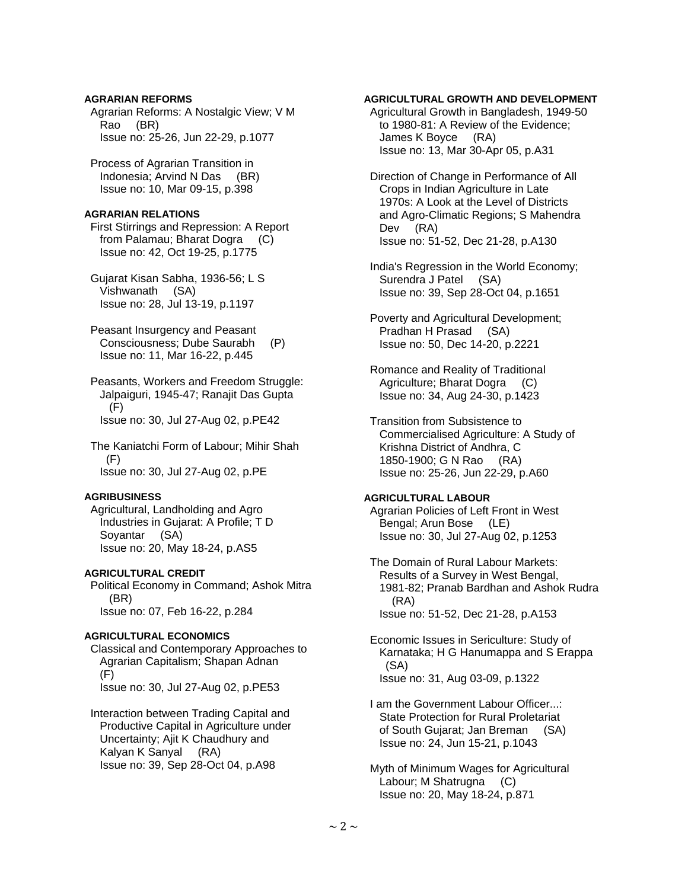# **AGRARIAN REFORMS**

 Agrarian Reforms: A Nostalgic View; V M Rao (BR) Issue no: 25-26, Jun 22-29, p.1077

 Process of Agrarian Transition in Indonesia; Arvind N Das (BR) Issue no: 10, Mar 09-15, p.398

## **AGRARIAN RELATIONS**

 First Stirrings and Repression: A Report from Palamau; Bharat Dogra (C) Issue no: 42, Oct 19-25, p.1775

 Gujarat Kisan Sabha, 1936-56; L S Vishwanath (SA) Issue no: 28, Jul 13-19, p.1197

 Peasant Insurgency and Peasant Consciousness; Dube Saurabh (P) Issue no: 11, Mar 16-22, p.445

 Peasants, Workers and Freedom Struggle: Jalpaiguri, 1945-47; Ranajit Das Gupta (F) Issue no: 30, Jul 27-Aug 02, p.PE42

 The Kaniatchi Form of Labour; Mihir Shah (F) Issue no: 30, Jul 27-Aug 02, p.PE

### **AGRIBUSINESS**

 Agricultural, Landholding and Agro Industries in Gujarat: A Profile; T D Soyantar (SA) Issue no: 20, May 18-24, p.AS5

### **AGRICULTURAL CREDIT**

 Political Economy in Command; Ashok Mitra (BR) Issue no: 07, Feb 16-22, p.284

# **AGRICULTURAL ECONOMICS**

 Classical and Contemporary Approaches to Agrarian Capitalism; Shapan Adnan (F) Issue no: 30, Jul 27-Aug 02, p.PE53

 Interaction between Trading Capital and Productive Capital in Agriculture under Uncertainty; Ajit K Chaudhury and Kalyan K Sanyal (RA) Issue no: 39, Sep 28-Oct 04, p.A98

# **AGRICULTURAL GROWTH AND DEVELOPMENT**

 Agricultural Growth in Bangladesh, 1949-50 to 1980-81: A Review of the Evidence; James K Boyce (RA) Issue no: 13, Mar 30-Apr 05, p.A31

 Direction of Change in Performance of All Crops in Indian Agriculture in Late 1970s: A Look at the Level of Districts and Agro-Climatic Regions; S Mahendra Dev (RA) Issue no: 51-52, Dec 21-28, p.A130

 India's Regression in the World Economy; Surendra J Patel (SA) Issue no: 39, Sep 28-Oct 04, p.1651

 Poverty and Agricultural Development; Pradhan H Prasad (SA) Issue no: 50, Dec 14-20, p.2221

 Romance and Reality of Traditional Agriculture; Bharat Dogra (C) Issue no: 34, Aug 24-30, p.1423

 Transition from Subsistence to Commercialised Agriculture: A Study of Krishna District of Andhra, C 1850-1900; G N Rao (RA) Issue no: 25-26, Jun 22-29, p.A60

# **AGRICULTURAL LABOUR**

 Agrarian Policies of Left Front in West Bengal; Arun Bose (LE) Issue no: 30, Jul 27-Aug 02, p.1253

 The Domain of Rural Labour Markets: Results of a Survey in West Bengal, 1981-82; Pranab Bardhan and Ashok Rudra (RA) Issue no: 51-52, Dec 21-28, p.A153

 Economic Issues in Sericulture: Study of Karnataka; H G Hanumappa and S Erappa (SA) Issue no: 31, Aug 03-09, p.1322

 I am the Government Labour Officer...: State Protection for Rural Proletariat of South Gujarat; Jan Breman (SA) Issue no: 24, Jun 15-21, p.1043

 Myth of Minimum Wages for Agricultural Labour; M Shatrugna (C) Issue no: 20, May 18-24, p.871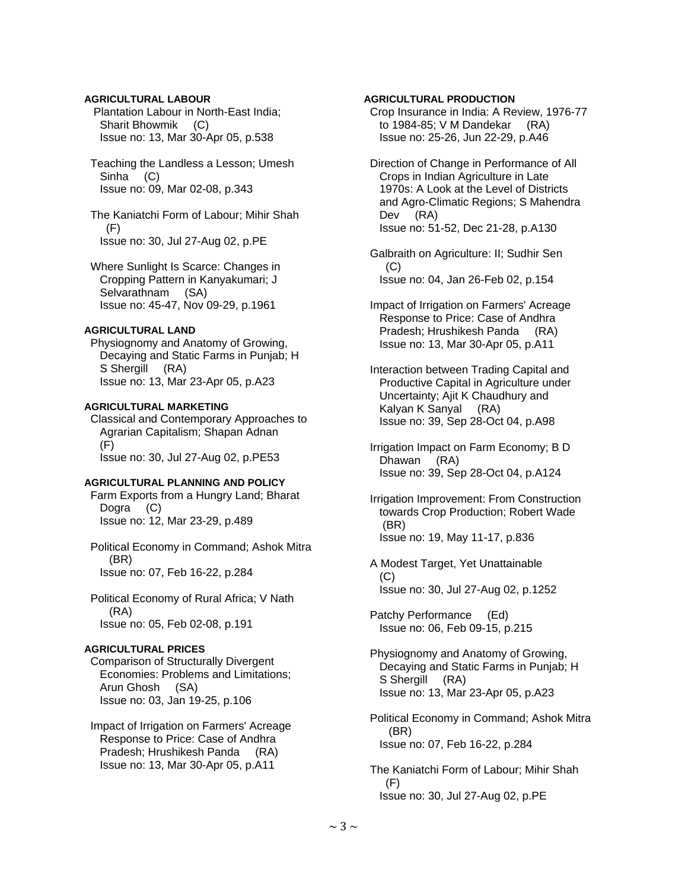# **AGRICULTURAL LABOUR**

 Plantation Labour in North-East India; Sharit Bhowmik (C) Issue no: 13, Mar 30-Apr 05, p.538

 Teaching the Landless a Lesson; Umesh Sinha (C) Issue no: 09, Mar 02-08, p.343

 The Kaniatchi Form of Labour; Mihir Shah (F) Issue no: 30, Jul 27-Aug 02, p.PE

 Where Sunlight Is Scarce: Changes in Cropping Pattern in Kanyakumari; J Selvarathnam (SA) Issue no: 45-47, Nov 09-29, p.1961

## **AGRICULTURAL LAND**

 Physiognomy and Anatomy of Growing, Decaying and Static Farms in Punjab; H S Shergill (RA) Issue no: 13, Mar 23-Apr 05, p.A23

# **AGRICULTURAL MARKETING**

 Classical and Contemporary Approaches to Agrarian Capitalism; Shapan Adnan (F) Issue no: 30, Jul 27-Aug 02, p.PE53

### **AGRICULTURAL PLANNING AND POLICY**

 Farm Exports from a Hungry Land; Bharat Dogra (C) Issue no: 12, Mar 23-29, p.489

 Political Economy in Command; Ashok Mitra (BR) Issue no: 07, Feb 16-22, p.284

 Political Economy of Rural Africa; V Nath (RA) Issue no: 05, Feb 02-08, p.191

### **AGRICULTURAL PRICES**

 Comparison of Structurally Divergent Economies: Problems and Limitations; Arun Ghosh (SA) Issue no: 03, Jan 19-25, p.106

 Impact of Irrigation on Farmers' Acreage Response to Price: Case of Andhra Pradesh; Hrushikesh Panda (RA) Issue no: 13, Mar 30-Apr 05, p.A11

# **AGRICULTURAL PRODUCTION**

 Crop Insurance in India: A Review, 1976-77 to 1984-85; V M Dandekar (RA) Issue no: 25-26, Jun 22-29, p.A46

 Direction of Change in Performance of All Crops in Indian Agriculture in Late 1970s: A Look at the Level of Districts and Agro-Climatic Regions; S Mahendra Dev (RA) Issue no: 51-52, Dec 21-28, p.A130

 Galbraith on Agriculture: II; Sudhir Sen  $(C)$ Issue no: 04, Jan 26-Feb 02, p.154

 Impact of Irrigation on Farmers' Acreage Response to Price: Case of Andhra Pradesh; Hrushikesh Panda (RA) Issue no: 13, Mar 30-Apr 05, p.A11

 Interaction between Trading Capital and Productive Capital in Agriculture under Uncertainty; Ajit K Chaudhury and Kalyan K Sanyal (RA) Issue no: 39, Sep 28-Oct 04, p.A98

 Irrigation Impact on Farm Economy; B D Dhawan (RA) Issue no: 39, Sep 28-Oct 04, p.A124

 Irrigation Improvement: From Construction towards Crop Production; Robert Wade (BR) Issue no: 19, May 11-17, p.836

 A Modest Target, Yet Unattainable  $(C)$ Issue no: 30, Jul 27-Aug 02, p.1252

 Patchy Performance (Ed) Issue no: 06, Feb 09-15, p.215

 Physiognomy and Anatomy of Growing, Decaying and Static Farms in Punjab; H S Shergill (RA) Issue no: 13, Mar 23-Apr 05, p.A23

 Political Economy in Command; Ashok Mitra (BR) Issue no: 07, Feb 16-22, p.284

 The Kaniatchi Form of Labour; Mihir Shah (F) Issue no: 30, Jul 27-Aug 02, p.PE

 $\sim$  3  $\sim$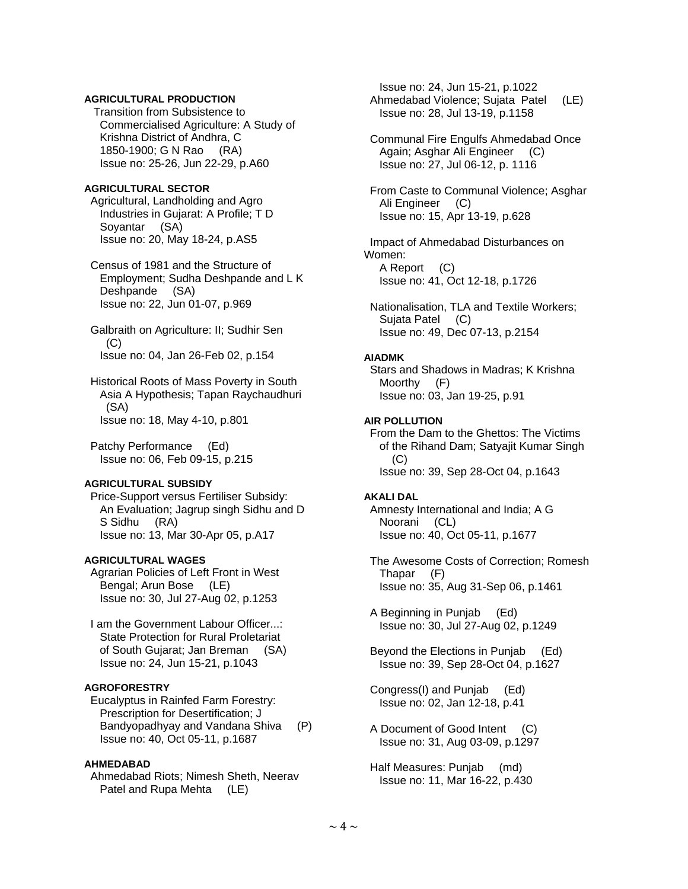# **AGRICULTURAL PRODUCTION**

 Transition from Subsistence to Commercialised Agriculture: A Study of Krishna District of Andhra, C 1850-1900; G N Rao (RA) Issue no: 25-26, Jun 22-29, p.A60

# **AGRICULTURAL SECTOR**

 Agricultural, Landholding and Agro Industries in Gujarat: A Profile; T D Soyantar (SA) Issue no: 20, May 18-24, p.AS5

 Census of 1981 and the Structure of Employment; Sudha Deshpande and L K Deshpande (SA) Issue no: 22, Jun 01-07, p.969

 Galbraith on Agriculture: II; Sudhir Sen (C) Issue no: 04, Jan 26-Feb 02, p.154

 Historical Roots of Mass Poverty in South Asia A Hypothesis; Tapan Raychaudhuri (SA) Issue no: 18, May 4-10, p.801

 Patchy Performance (Ed) Issue no: 06, Feb 09-15, p.215

### **AGRICULTURAL SUBSIDY**

 Price-Support versus Fertiliser Subsidy: An Evaluation; Jagrup singh Sidhu and D S Sidhu (RA) Issue no: 13, Mar 30-Apr 05, p.A17

#### **AGRICULTURAL WAGES**

 Agrarian Policies of Left Front in West Bengal; Arun Bose (LE) Issue no: 30, Jul 27-Aug 02, p.1253

 I am the Government Labour Officer...: State Protection for Rural Proletariat of South Gujarat; Jan Breman (SA) Issue no: 24, Jun 15-21, p.1043

# **AGROFORESTRY**

 Eucalyptus in Rainfed Farm Forestry: Prescription for Desertification; J Bandyopadhyay and Vandana Shiva (P) Issue no: 40, Oct 05-11, p.1687

### **AHMEDABAD**

 Ahmedabad Riots; Nimesh Sheth, Neerav Patel and Rupa Mehta (LE)

 Issue no: 24, Jun 15-21, p.1022 Ahmedabad Violence; Sujata Patel (LE) Issue no: 28, Jul 13-19, p.1158 Communal Fire Engulfs Ahmedabad Once Again; Asghar Ali Engineer (C) Issue no: 27, Jul 06-12, p. 1116 From Caste to Communal Violence; Asghar Ali Engineer (C) Issue no: 15, Apr 13-19, p.628 Impact of Ahmedabad Disturbances on Women: A Report (C) Issue no: 41, Oct 12-18, p.1726 Nationalisation, TLA and Textile Workers; Sujata Patel (C) Issue no: 49, Dec 07-13, p.2154 **AIADMK**  Stars and Shadows in Madras; K Krishna Moorthy (F) Issue no: 03, Jan 19-25, p.91 **AIR POLLUTION**  From the Dam to the Ghettos: The Victims of the Rihand Dam; Satyajit Kumar Singh (C) Issue no: 39, Sep 28-Oct 04, p.1643 **AKALI DAL**  Amnesty International and India; A G Noorani (CL) Issue no: 40, Oct 05-11, p.1677 The Awesome Costs of Correction; Romesh Thapar (F) Issue no: 35, Aug 31-Sep 06, p.1461 A Beginning in Punjab (Ed) Issue no: 30, Jul 27-Aug 02, p.1249 Beyond the Elections in Punjab (Ed) Issue no: 39, Sep 28-Oct 04, p.1627 Congress(I) and Punjab (Ed) Issue no: 02, Jan 12-18, p.41

- A Document of Good Intent (C) Issue no: 31, Aug 03-09, p.1297
- Half Measures: Punjab (md) Issue no: 11, Mar 16-22, p.430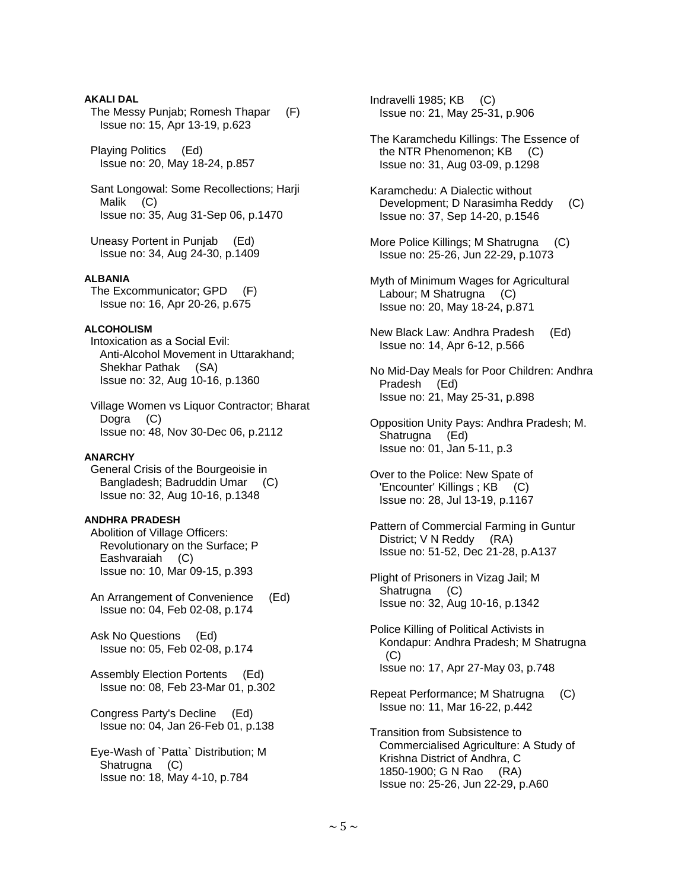# **AKALI DAL**

 The Messy Punjab; Romesh Thapar (F) Issue no: 15, Apr 13-19, p.623

 Playing Politics (Ed) Issue no: 20, May 18-24, p.857

 Sant Longowal: Some Recollections; Harji Malik (C) Issue no: 35, Aug 31-Sep 06, p.1470

 Uneasy Portent in Punjab (Ed) Issue no: 34, Aug 24-30, p.1409

# **ALBANIA**

 The Excommunicator; GPD (F) Issue no: 16, Apr 20-26, p.675

# **ALCOHOLISM**

 Intoxication as a Social Evil: Anti-Alcohol Movement in Uttarakhand; Shekhar Pathak (SA) Issue no: 32, Aug 10-16, p.1360

 Village Women vs Liquor Contractor; Bharat Dogra (C) Issue no: 48, Nov 30-Dec 06, p.2112

### **ANARCHY**

 General Crisis of the Bourgeoisie in Bangladesh; Badruddin Umar (C) Issue no: 32, Aug 10-16, p.1348

# **ANDHRA PRADESH**

 Abolition of Village Officers: Revolutionary on the Surface; P Eashvaraiah (C) Issue no: 10, Mar 09-15, p.393

 An Arrangement of Convenience (Ed) Issue no: 04, Feb 02-08, p.174

 Ask No Questions (Ed) Issue no: 05, Feb 02-08, p.174

 Assembly Election Portents (Ed) Issue no: 08, Feb 23-Mar 01, p.302

 Congress Party's Decline (Ed) Issue no: 04, Jan 26-Feb 01, p.138

 Eye-Wash of `Patta` Distribution; M Shatrugna (C) Issue no: 18, May 4-10, p.784

 Indravelli 1985; KB (C) Issue no: 21, May 25-31, p.906

- The Karamchedu Killings: The Essence of the NTR Phenomenon; KB (C) Issue no: 31, Aug 03-09, p.1298
- Karamchedu: A Dialectic without Development; D Narasimha Reddy (C) Issue no: 37, Sep 14-20, p.1546
- More Police Killings; M Shatrugna (C) Issue no: 25-26, Jun 22-29, p.1073
- Myth of Minimum Wages for Agricultural Labour; M Shatrugna (C) Issue no: 20, May 18-24, p.871
- New Black Law: Andhra Pradesh (Ed) Issue no: 14, Apr 6-12, p.566
- No Mid-Day Meals for Poor Children: Andhra Pradesh (Ed) Issue no: 21, May 25-31, p.898
- Opposition Unity Pays: Andhra Pradesh; M. Shatrugna (Ed) Issue no: 01, Jan 5-11, p.3
- Over to the Police: New Spate of 'Encounter' Killings ; KB (C) Issue no: 28, Jul 13-19, p.1167
- Pattern of Commercial Farming in Guntur District; V N Reddy (RA) Issue no: 51-52, Dec 21-28, p.A137
- Plight of Prisoners in Vizag Jail; M Shatrugna (C) Issue no: 32, Aug 10-16, p.1342
- Police Killing of Political Activists in Kondapur: Andhra Pradesh; M Shatrugna (C) Issue no: 17, Apr 27-May 03, p.748
- Repeat Performance; M Shatrugna (C) Issue no: 11, Mar 16-22, p.442
- Transition from Subsistence to Commercialised Agriculture: A Study of Krishna District of Andhra, C 1850-1900; G N Rao (RA) Issue no: 25-26, Jun 22-29, p.A60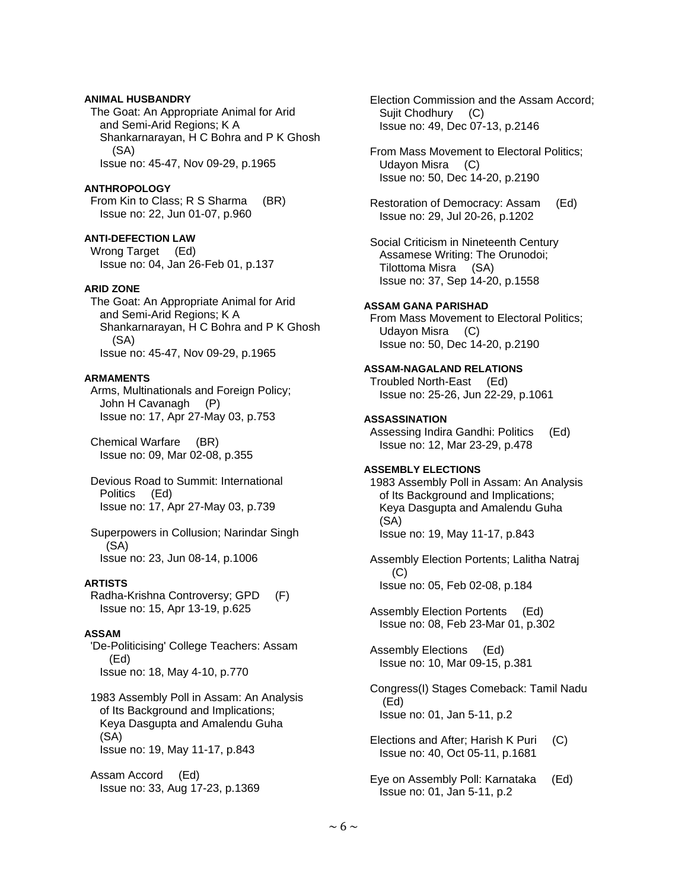# **ANIMAL HUSBANDRY**

 The Goat: An Appropriate Animal for Arid and Semi-Arid Regions; K A Shankarnarayan, H C Bohra and P K Ghosh (SA) Issue no: 45-47, Nov 09-29, p.1965

# **ANTHROPOLOGY**

 From Kin to Class; R S Sharma (BR) Issue no: 22, Jun 01-07, p.960

**ANTI-DEFECTION LAW** 

 Wrong Target (Ed) Issue no: 04, Jan 26-Feb 01, p.137

# **ARID ZONE**

 The Goat: An Appropriate Animal for Arid and Semi-Arid Regions; K A Shankarnarayan, H C Bohra and P K Ghosh (SA) Issue no: 45-47, Nov 09-29, p.1965

#### **ARMAMENTS**

 Arms, Multinationals and Foreign Policy; John H Cavanagh (P) Issue no: 17, Apr 27-May 03, p.753

 Chemical Warfare (BR) Issue no: 09, Mar 02-08, p.355

 Devious Road to Summit: International Politics (Ed) Issue no: 17, Apr 27-May 03, p.739

 Superpowers in Collusion; Narindar Singh (SA) Issue no: 23, Jun 08-14, p.1006

### **ARTISTS**

 Radha-Krishna Controversy; GPD (F) Issue no: 15, Apr 13-19, p.625

### **ASSAM**

 'De-Politicising' College Teachers: Assam (Ed) Issue no: 18, May 4-10, p.770

 1983 Assembly Poll in Assam: An Analysis of Its Background and Implications; Keya Dasgupta and Amalendu Guha (SA) Issue no: 19, May 11-17, p.843

 Assam Accord (Ed) Issue no: 33, Aug 17-23, p.1369  Election Commission and the Assam Accord; Sujit Chodhury (C) Issue no: 49, Dec 07-13, p.2146

 From Mass Movement to Electoral Politics; Udayon Misra (C) Issue no: 50, Dec 14-20, p.2190

 Restoration of Democracy: Assam (Ed) Issue no: 29, Jul 20-26, p.1202

 Social Criticism in Nineteenth Century Assamese Writing: The Orunodoi; Tilottoma Misra (SA) Issue no: 37, Sep 14-20, p.1558

# **ASSAM GANA PARISHAD**

 From Mass Movement to Electoral Politics; Udayon Misra (C) Issue no: 50, Dec 14-20, p.2190

**ASSAM-NAGALAND RELATIONS**  Troubled North-East (Ed)

Issue no: 25-26, Jun 22-29, p.1061

## **ASSASSINATION**

 Assessing Indira Gandhi: Politics (Ed) Issue no: 12, Mar 23-29, p.478

# **ASSEMBLY ELECTIONS**

 1983 Assembly Poll in Assam: An Analysis of Its Background and Implications; Keya Dasgupta and Amalendu Guha (SA) Issue no: 19, May 11-17, p.843

 Assembly Election Portents; Lalitha Natraj (C) Issue no: 05, Feb 02-08, p.184

 Assembly Election Portents (Ed) Issue no: 08, Feb 23-Mar 01, p.302

 Assembly Elections (Ed) Issue no: 10, Mar 09-15, p.381

 Congress(I) Stages Comeback: Tamil Nadu (Ed) Issue no: 01, Jan 5-11, p.2

 Elections and After; Harish K Puri (C) Issue no: 40, Oct 05-11, p.1681

 Eye on Assembly Poll: Karnataka (Ed) Issue no: 01, Jan 5-11, p.2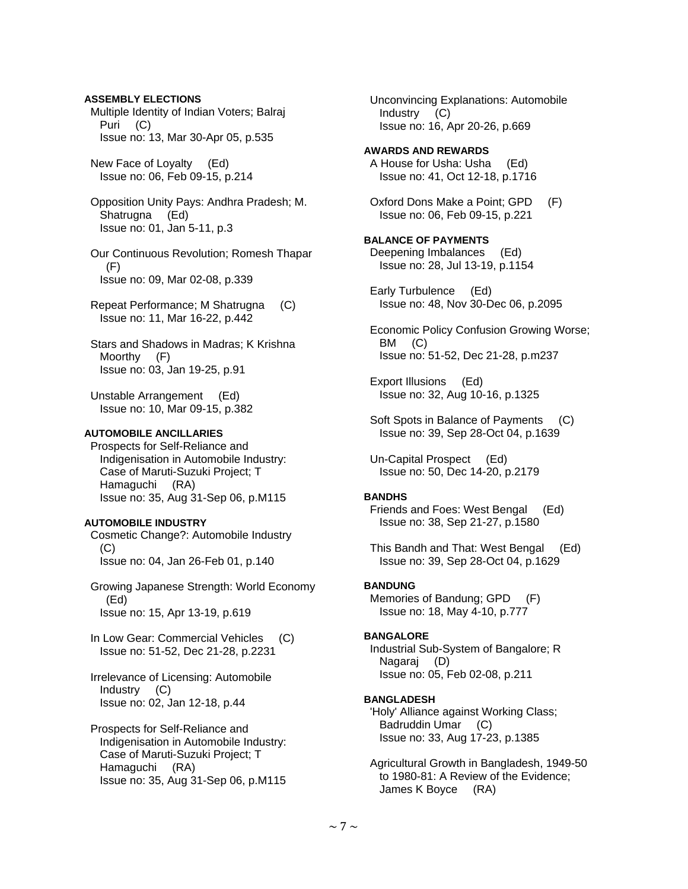Multiple Identity of Indian Voters; Balraj Puri (C) Issue no: 13, Mar 30-Apr 05, p.535 New Face of Loyalty (Ed) Issue no: 06, Feb 09-15, p.214 Opposition Unity Pays: Andhra Pradesh; M. Shatrugna (Ed) Issue no: 01, Jan 5-11, p.3 Our Continuous Revolution; Romesh Thapar  $(F)$  Issue no: 09, Mar 02-08, p.339 Repeat Performance; M Shatrugna (C) Issue no: 11, Mar 16-22, p.442 Stars and Shadows in Madras; K Krishna Moorthy (F) Issue no: 03, Jan 19-25, p.91 Unstable Arrangement (Ed) Issue no: 10, Mar 09-15, p.382

# **AUTOMOBILE ANCILLARIES**

**ASSEMBLY ELECTIONS** 

 Prospects for Self-Reliance and Indigenisation in Automobile Industry: Case of Maruti-Suzuki Project; T Hamaguchi (RA) Issue no: 35, Aug 31-Sep 06, p.M115

# **AUTOMOBILE INDUSTRY**

 Cosmetic Change?: Automobile Industry (C) Issue no: 04, Jan 26-Feb 01, p.140

 Growing Japanese Strength: World Economy (Ed) Issue no: 15, Apr 13-19, p.619

In Low Gear: Commercial Vehicles (C) Issue no: 51-52, Dec 21-28, p.2231

 Irrelevance of Licensing: Automobile Industry (C) Issue no: 02, Jan 12-18, p.44

 Prospects for Self-Reliance and Indigenisation in Automobile Industry: Case of Maruti-Suzuki Project; T Hamaguchi (RA) Issue no: 35, Aug 31-Sep 06, p.M115

 Unconvincing Explanations: Automobile Industry (C) Issue no: 16, Apr 20-26, p.669

**AWARDS AND REWARDS**  A House for Usha: Usha (Ed) Issue no: 41, Oct 12-18, p.1716

 Oxford Dons Make a Point; GPD (F) Issue no: 06, Feb 09-15, p.221

**BALANCE OF PAYMENTS**  Deepening Imbalances (Ed) Issue no: 28, Jul 13-19, p.1154

 Early Turbulence (Ed) Issue no: 48, Nov 30-Dec 06, p.2095

 Economic Policy Confusion Growing Worse; BM (C) Issue no: 51-52, Dec 21-28, p.m237

 Export Illusions (Ed) Issue no: 32, Aug 10-16, p.1325

Soft Spots in Balance of Payments (C) Issue no: 39, Sep 28-Oct 04, p.1639

 Un-Capital Prospect (Ed) Issue no: 50, Dec 14-20, p.2179

#### **BANDHS**

 Friends and Foes: West Bengal (Ed) Issue no: 38, Sep 21-27, p.1580

 This Bandh and That: West Bengal (Ed) Issue no: 39, Sep 28-Oct 04, p.1629

# **BANDUNG**

 Memories of Bandung; GPD (F) Issue no: 18, May 4-10, p.777

# **BANGALORE**

 Industrial Sub-System of Bangalore; R Nagaraj (D) Issue no: 05, Feb 02-08, p.211

#### **BANGLADESH**

 'Holy' Alliance against Working Class; Badruddin Umar (C) Issue no: 33, Aug 17-23, p.1385

 Agricultural Growth in Bangladesh, 1949-50 to 1980-81: A Review of the Evidence; James K Boyce (RA)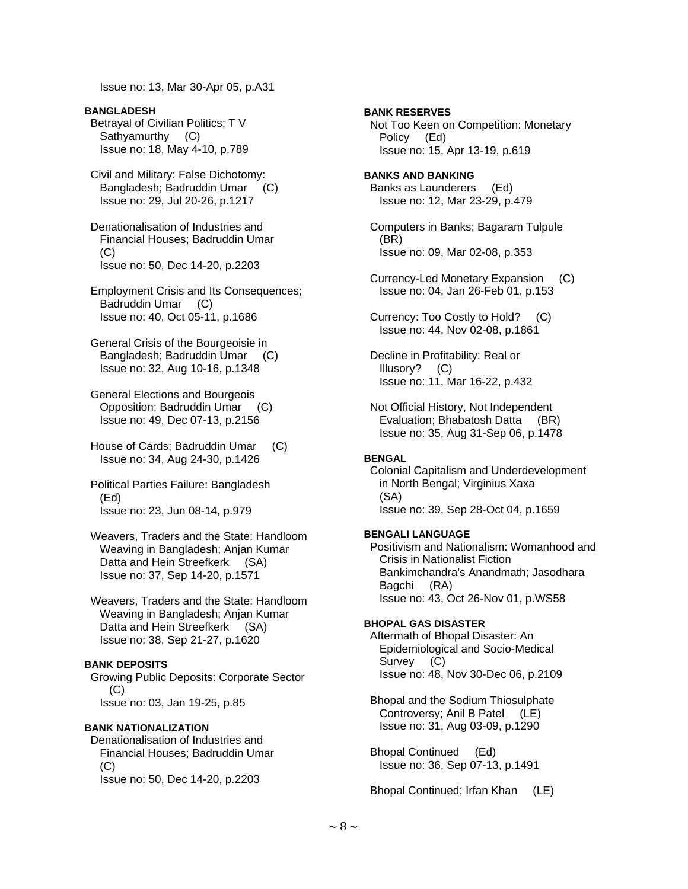Issue no: 13, Mar 30-Apr 05, p.A31

**BANGLADESH**  Betrayal of Civilian Politics; T V Sathyamurthy (C) Issue no: 18, May 4-10, p.789

 Civil and Military: False Dichotomy: Bangladesh; Badruddin Umar (C) Issue no: 29, Jul 20-26, p.1217

 Denationalisation of Industries and Financial Houses; Badruddin Umar  $(C)$ Issue no: 50, Dec 14-20, p.2203

 Employment Crisis and Its Consequences; Badruddin Umar (C) Issue no: 40, Oct 05-11, p.1686

 General Crisis of the Bourgeoisie in Bangladesh; Badruddin Umar (C) Issue no: 32, Aug 10-16, p.1348

 General Elections and Bourgeois Opposition; Badruddin Umar (C) Issue no: 49, Dec 07-13, p.2156

 House of Cards; Badruddin Umar (C) Issue no: 34, Aug 24-30, p.1426

 Political Parties Failure: Bangladesh (Ed) Issue no: 23, Jun 08-14, p.979

 Weavers, Traders and the State: Handloom Weaving in Bangladesh; Anjan Kumar Datta and Hein Streefkerk (SA) Issue no: 37, Sep 14-20, p.1571

 Weavers, Traders and the State: Handloom Weaving in Bangladesh; Anjan Kumar Datta and Hein Streefkerk (SA) Issue no: 38, Sep 21-27, p.1620

### **BANK DEPOSITS**

 Growing Public Deposits: Corporate Sector  $(C)$ Issue no: 03, Jan 19-25, p.85

# **BANK NATIONALIZATION**

 Denationalisation of Industries and Financial Houses; Badruddin Umar (C) Issue no: 50, Dec 14-20, p.2203

**BANK RESERVES**  Not Too Keen on Competition: Monetary Policy (Ed) Issue no: 15, Apr 13-19, p.619 **BANKS AND BANKING**  Banks as Launderers (Ed) Issue no: 12, Mar 23-29, p.479 Computers in Banks; Bagaram Tulpule (BR) Issue no: 09, Mar 02-08, p.353 Currency-Led Monetary Expansion (C) Issue no: 04, Jan 26-Feb 01, p.153 Currency: Too Costly to Hold? (C) Issue no: 44, Nov 02-08, p.1861 Decline in Profitability: Real or Illusory? (C) Issue no: 11, Mar 16-22, p.432 Not Official History, Not Independent Evaluation; Bhabatosh Datta (BR) Issue no: 35, Aug 31-Sep 06, p.1478 **BENGAL**  Colonial Capitalism and Underdevelopment in North Bengal; Virginius Xaxa (SA) Issue no: 39, Sep 28-Oct 04, p.1659 **BENGALI LANGUAGE**  Positivism and Nationalism: Womanhood and Crisis in Nationalist Fiction

 Bankimchandra's Anandmath; Jasodhara Bagchi (RA) Issue no: 43, Oct 26-Nov 01, p.WS58

# **BHOPAL GAS DISASTER**

 Aftermath of Bhopal Disaster: An Epidemiological and Socio-Medical Survey (C) Issue no: 48, Nov 30-Dec 06, p.2109

 Bhopal and the Sodium Thiosulphate Controversy; Anil B Patel (LE) Issue no: 31, Aug 03-09, p.1290

 Bhopal Continued (Ed) Issue no: 36, Sep 07-13, p.1491

Bhopal Continued; Irfan Khan (LE)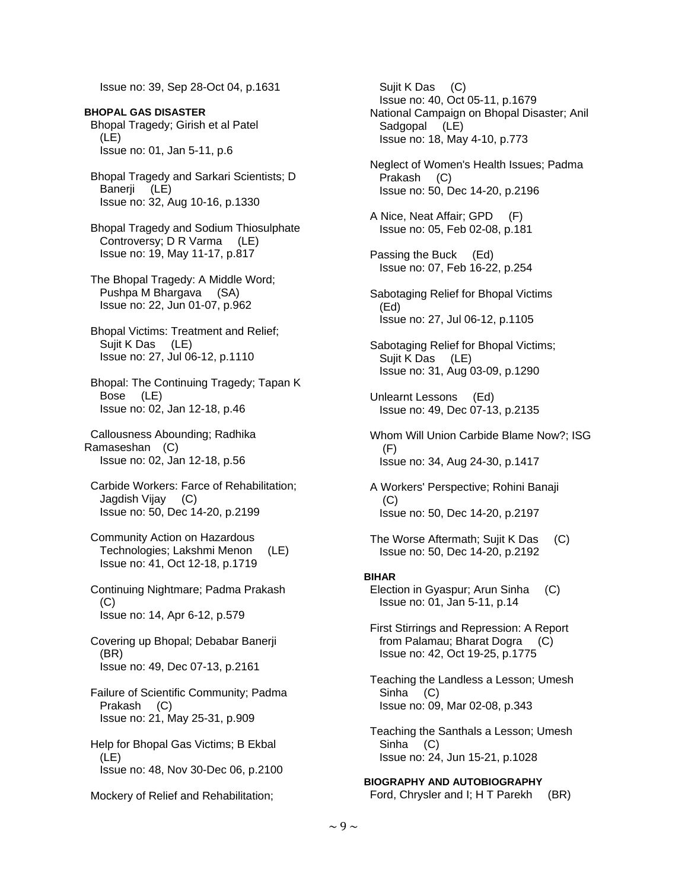Issue no: 39, Sep 28-Oct 04, p.1631

- **BHOPAL GAS DISASTER**  Bhopal Tragedy; Girish et al Patel (LE) Issue no: 01, Jan 5-11, p.6
- Bhopal Tragedy and Sarkari Scientists; D Banerji (LE) Issue no: 32, Aug 10-16, p.1330
- Bhopal Tragedy and Sodium Thiosulphate Controversy; D R Varma (LE) Issue no: 19, May 11-17, p.817
- The Bhopal Tragedy: A Middle Word; Pushpa M Bhargava (SA) Issue no: 22, Jun 01-07, p.962
- Bhopal Victims: Treatment and Relief; Sujit K Das (LE) Issue no: 27, Jul 06-12, p.1110
- Bhopal: The Continuing Tragedy; Tapan K Bose (LE) Issue no: 02, Jan 12-18, p.46
- Callousness Abounding; Radhika Ramaseshan (C) Issue no: 02, Jan 12-18, p.56
- Carbide Workers: Farce of Rehabilitation; Jagdish Vijay (C) Issue no: 50, Dec 14-20, p.2199
- Community Action on Hazardous Technologies; Lakshmi Menon (LE) Issue no: 41, Oct 12-18, p.1719
- Continuing Nightmare; Padma Prakash (C) Issue no: 14, Apr 6-12, p.579
- Covering up Bhopal; Debabar Banerji (BR) Issue no: 49, Dec 07-13, p.2161
- Failure of Scientific Community; Padma Prakash (C) Issue no: 21, May 25-31, p.909
- Help for Bhopal Gas Victims; B Ekbal (LE) Issue no: 48, Nov 30-Dec 06, p.2100
- Mockery of Relief and Rehabilitation;

 Sujit K Das (C) Issue no: 40, Oct 05-11, p.1679 National Campaign on Bhopal Disaster; Anil Sadgopal (LE) Issue no: 18, May 4-10, p.773 Neglect of Women's Health Issues; Padma Prakash (C) Issue no: 50, Dec 14-20, p.2196 A Nice, Neat Affair; GPD (F) Issue no: 05, Feb 02-08, p.181 Passing the Buck (Ed) Issue no: 07, Feb 16-22, p.254 Sabotaging Relief for Bhopal Victims (Ed) Issue no: 27, Jul 06-12, p.1105 Sabotaging Relief for Bhopal Victims; Sujit K Das (LE) Issue no: 31, Aug 03-09, p.1290 Unlearnt Lessons (Ed) Issue no: 49, Dec 07-13, p.2135 Whom Will Union Carbide Blame Now?; ISG (F) Issue no: 34, Aug 24-30, p.1417 A Workers' Perspective; Rohini Banaji (C) Issue no: 50, Dec 14-20, p.2197 The Worse Aftermath; Sujit K Das (C) Issue no: 50, Dec 14-20, p.2192 **BIHAR**  Election in Gyaspur; Arun Sinha (C) Issue no: 01, Jan 5-11, p.14 First Stirrings and Repression: A Report from Palamau; Bharat Dogra (C) Issue no: 42, Oct 19-25, p.1775 Teaching the Landless a Lesson; Umesh Sinha (C) Issue no: 09, Mar 02-08, p.343 Teaching the Santhals a Lesson; Umesh Sinha (C) Issue no: 24, Jun 15-21, p.1028 **BIOGRAPHY AND AUTOBIOGRAPHY** 

Ford, Chrysler and I; H T Parekh (BR)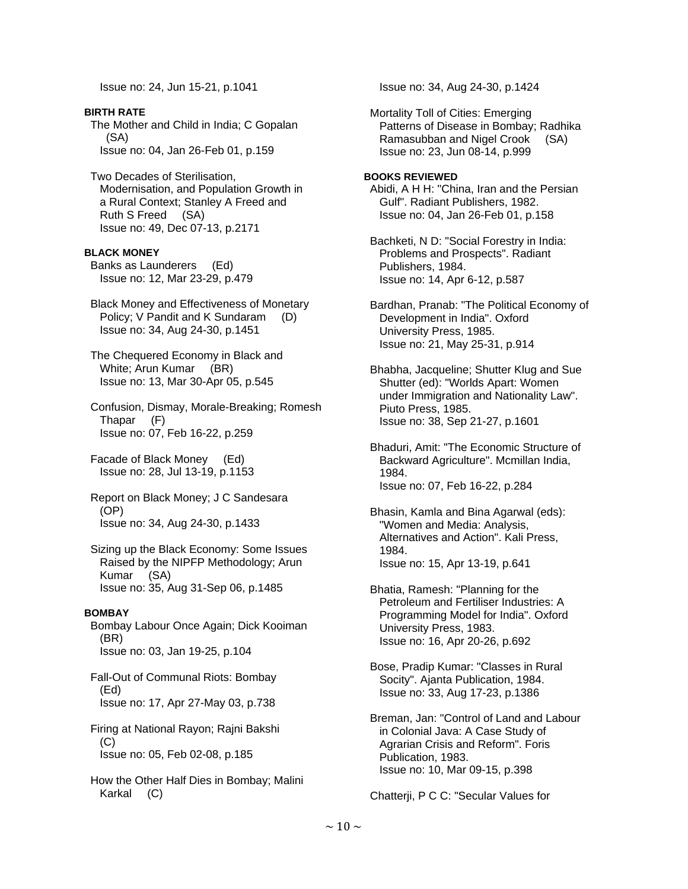Issue no: 24, Jun 15-21, p.1041

**BIRTH RATE**  The Mother and Child in India; C Gopalan (SA) Issue no: 04, Jan 26-Feb 01, p.159 Two Decades of Sterilisation, Modernisation, and Population Growth in a Rural Context; Stanley A Freed and Ruth S Freed (SA) Issue no: 49, Dec 07-13, p.2171 **BLACK MONEY**  Banks as Launderers (Ed) Issue no: 12, Mar 23-29, p.479 Black Money and Effectiveness of Monetary Policy; V Pandit and K Sundaram (D) Issue no: 34, Aug 24-30, p.1451 The Chequered Economy in Black and White; Arun Kumar (BR) Issue no: 13, Mar 30-Apr 05, p.545 Confusion, Dismay, Morale-Breaking; Romesh Thapar (F) Issue no: 07, Feb 16-22, p.259 Facade of Black Money (Ed) Issue no: 28, Jul 13-19, p.1153 Report on Black Money; J C Sandesara (OP) Issue no: 34, Aug 24-30, p.1433 Sizing up the Black Economy: Some Issues Raised by the NIPFP Methodology; Arun Kumar (SA) Issue no: 35, Aug 31-Sep 06, p.1485 **BOMBAY**  Bombay Labour Once Again; Dick Kooiman (BR) Issue no: 03, Jan 19-25, p.104 Fall-Out of Communal Riots: Bombay (Ed) Issue no: 17, Apr 27-May 03, p.738 Firing at National Rayon; Rajni Bakshi (C) Issue no: 05, Feb 02-08, p.185 How the Other Half Dies in Bombay; Malini

Karkal (C)

Issue no: 34, Aug 24-30, p.1424

 Mortality Toll of Cities: Emerging Patterns of Disease in Bombay; Radhika Ramasubban and Nigel Crook (SA) Issue no: 23, Jun 08-14, p.999

# **BOOKS REVIEWED**

 Abidi, A H H: "China, Iran and the Persian Gulf". Radiant Publishers, 1982. Issue no: 04, Jan 26-Feb 01, p.158

 Bachketi, N D: "Social Forestry in India: Problems and Prospects". Radiant Publishers, 1984. Issue no: 14, Apr 6-12, p.587

 Bardhan, Pranab: "The Political Economy of Development in India". Oxford University Press, 1985. Issue no: 21, May 25-31, p.914

 Bhabha, Jacqueline; Shutter Klug and Sue Shutter (ed): "Worlds Apart: Women under Immigration and Nationality Law". Piuto Press, 1985. Issue no: 38, Sep 21-27, p.1601

 Bhaduri, Amit: "The Economic Structure of Backward Agriculture". Mcmillan India, 1984. Issue no: 07, Feb 16-22, p.284

 Bhasin, Kamla and Bina Agarwal (eds): "Women and Media: Analysis, Alternatives and Action". Kali Press, 1984. Issue no: 15, Apr 13-19, p.641

 Bhatia, Ramesh: "Planning for the Petroleum and Fertiliser Industries: A Programming Model for India". Oxford University Press, 1983. Issue no: 16, Apr 20-26, p.692

 Bose, Pradip Kumar: "Classes in Rural Socity". Ajanta Publication, 1984. Issue no: 33, Aug 17-23, p.1386

 Breman, Jan: "Control of Land and Labour in Colonial Java: A Case Study of Agrarian Crisis and Reform". Foris Publication, 1983. Issue no: 10, Mar 09-15, p.398

Chatterji, P C C: "Secular Values for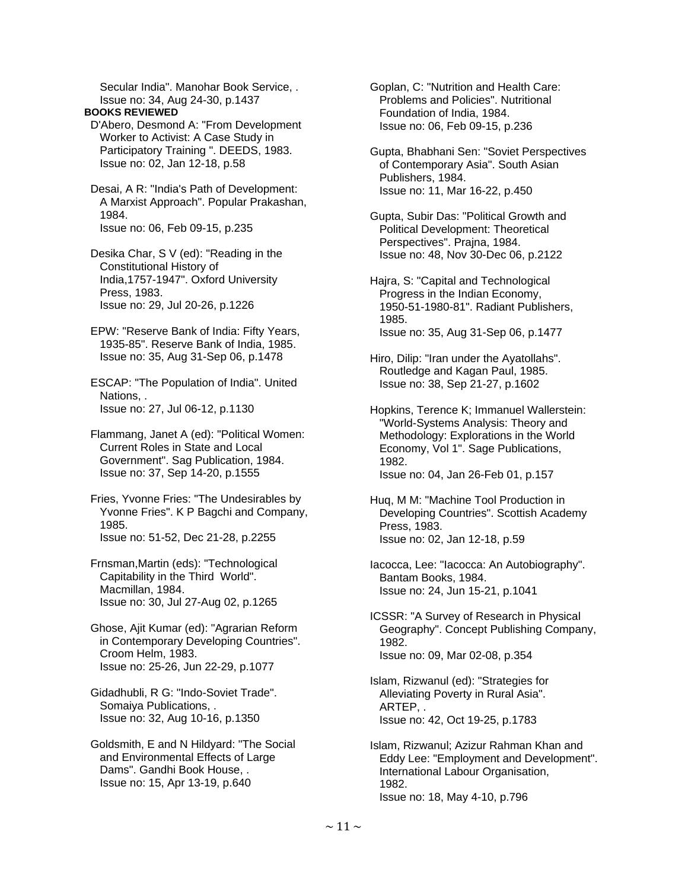Secular India". Manohar Book Service, . Issue no: 34, Aug 24-30, p.1437

**BOOKS REVIEWED** 

 D'Abero, Desmond A: "From Development Worker to Activist: A Case Study in Participatory Training ". DEEDS, 1983. Issue no: 02, Jan 12-18, p.58

 Desai, A R: "India's Path of Development: A Marxist Approach". Popular Prakashan, 1984. Issue no: 06, Feb 09-15, p.235

 Desika Char, S V (ed): "Reading in the Constitutional History of India,1757-1947". Oxford University Press, 1983. Issue no: 29, Jul 20-26, p.1226

 EPW: "Reserve Bank of India: Fifty Years, 1935-85". Reserve Bank of India, 1985. Issue no: 35, Aug 31-Sep 06, p.1478

 ESCAP: "The Population of India". United Nations, . Issue no: 27, Jul 06-12, p.1130

 Flammang, Janet A (ed): "Political Women: Current Roles in State and Local Government". Sag Publication, 1984. Issue no: 37, Sep 14-20, p.1555

 Fries, Yvonne Fries: "The Undesirables by Yvonne Fries". K P Bagchi and Company, 1985. Issue no: 51-52, Dec 21-28, p.2255

 Frnsman,Martin (eds): "Technological Capitability in the Third World". Macmillan, 1984. Issue no: 30, Jul 27-Aug 02, p.1265

 Ghose, Ajit Kumar (ed): "Agrarian Reform in Contemporary Developing Countries". Croom Helm, 1983. Issue no: 25-26, Jun 22-29, p.1077

 Gidadhubli, R G: "Indo-Soviet Trade". Somaiya Publications, . Issue no: 32, Aug 10-16, p.1350

 Goldsmith, E and N Hildyard: "The Social and Environmental Effects of Large Dams". Gandhi Book House, . Issue no: 15, Apr 13-19, p.640

 Goplan, C: "Nutrition and Health Care: Problems and Policies". Nutritional Foundation of India, 1984. Issue no: 06, Feb 09-15, p.236

 Gupta, Bhabhani Sen: "Soviet Perspectives of Contemporary Asia". South Asian Publishers, 1984. Issue no: 11, Mar 16-22, p.450

 Gupta, Subir Das: "Political Growth and Political Development: Theoretical Perspectives". Prajna, 1984. Issue no: 48, Nov 30-Dec 06, p.2122

 Hajra, S: "Capital and Technological Progress in the Indian Economy, 1950-51-1980-81". Radiant Publishers, 1985. Issue no: 35, Aug 31-Sep 06, p.1477

 Hiro, Dilip: "Iran under the Ayatollahs". Routledge and Kagan Paul, 1985. Issue no: 38, Sep 21-27, p.1602

 Hopkins, Terence K; Immanuel Wallerstein: "World-Systems Analysis: Theory and Methodology: Explorations in the World Economy, Vol 1". Sage Publications, 1982. Issue no: 04, Jan 26-Feb 01, p.157

 Huq, M M: "Machine Tool Production in Developing Countries". Scottish Academy Press, 1983. Issue no: 02, Jan 12-18, p.59

 Iacocca, Lee: "Iacocca: An Autobiography". Bantam Books, 1984. Issue no: 24, Jun 15-21, p.1041

 ICSSR: "A Survey of Research in Physical Geography". Concept Publishing Company, 1982. Issue no: 09, Mar 02-08, p.354

 Islam, Rizwanul (ed): "Strategies for Alleviating Poverty in Rural Asia". ARTEP, . Issue no: 42, Oct 19-25, p.1783

 Islam, Rizwanul; Azizur Rahman Khan and Eddy Lee: "Employment and Development". International Labour Organisation, 1982. Issue no: 18, May 4-10, p.796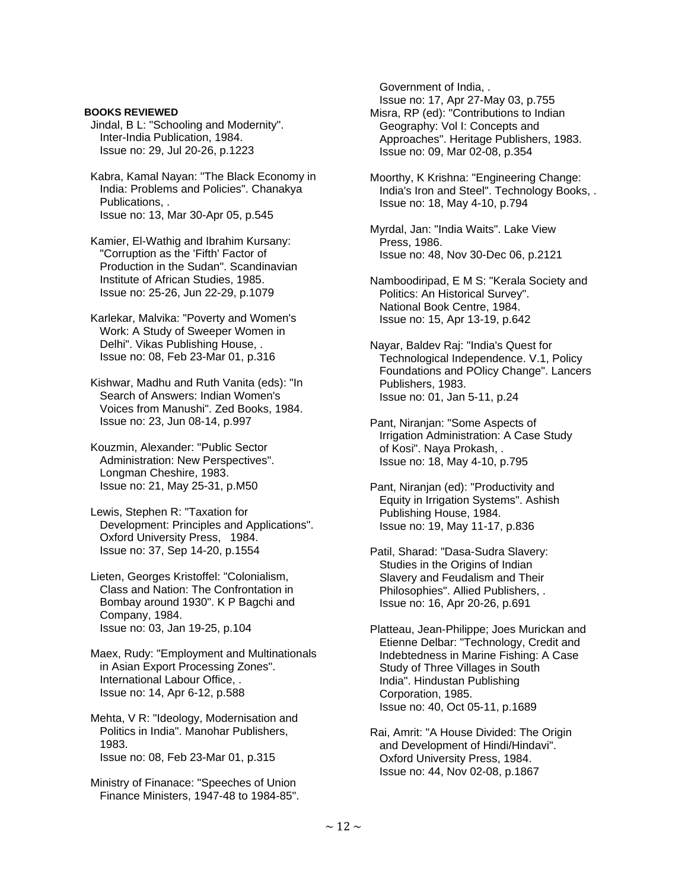### **BOOKS REVIEWED**

- Jindal, B L: "Schooling and Modernity". Inter-India Publication, 1984. Issue no: 29, Jul 20-26, p.1223
- Kabra, Kamal Nayan: "The Black Economy in India: Problems and Policies". Chanakya Publications, . Issue no: 13, Mar 30-Apr 05, p.545
- Kamier, El-Wathig and Ibrahim Kursany: "Corruption as the 'Fifth' Factor of Production in the Sudan". Scandinavian Institute of African Studies, 1985. Issue no: 25-26, Jun 22-29, p.1079
- Karlekar, Malvika: "Poverty and Women's Work: A Study of Sweeper Women in Delhi". Vikas Publishing House, . Issue no: 08, Feb 23-Mar 01, p.316
- Kishwar, Madhu and Ruth Vanita (eds): "In Search of Answers: Indian Women's Voices from Manushi". Zed Books, 1984. Issue no: 23, Jun 08-14, p.997
- Kouzmin, Alexander: "Public Sector Administration: New Perspectives". Longman Cheshire, 1983. Issue no: 21, May 25-31, p.M50

 Lewis, Stephen R: "Taxation for Development: Principles and Applications". Oxford University Press, 1984. Issue no: 37, Sep 14-20, p.1554

 Lieten, Georges Kristoffel: "Colonialism, Class and Nation: The Confrontation in Bombay around 1930". K P Bagchi and Company, 1984. Issue no: 03, Jan 19-25, p.104

 Maex, Rudy: "Employment and Multinationals in Asian Export Processing Zones". International Labour Office, . Issue no: 14, Apr 6-12, p.588

 Mehta, V R: "Ideology, Modernisation and Politics in India". Manohar Publishers, 1983. Issue no: 08, Feb 23-Mar 01, p.315

 Ministry of Finanace: "Speeches of Union Finance Ministers, 1947-48 to 1984-85". Government of India, .

Issue no: 17, Apr 27-May 03, p.755

- Misra, RP (ed): "Contributions to Indian Geography: Vol I: Concepts and Approaches". Heritage Publishers, 1983. Issue no: 09, Mar 02-08, p.354
- Moorthy, K Krishna: "Engineering Change: India's Iron and Steel". Technology Books, . Issue no: 18, May 4-10, p.794
- Myrdal, Jan: "India Waits". Lake View Press, 1986. Issue no: 48, Nov 30-Dec 06, p.2121
- Namboodiripad, E M S: "Kerala Society and Politics: An Historical Survey". National Book Centre, 1984. Issue no: 15, Apr 13-19, p.642

 Nayar, Baldev Raj: "India's Quest for Technological Independence. V.1, Policy Foundations and POlicy Change". Lancers Publishers, 1983. Issue no: 01, Jan 5-11, p.24

- Pant, Niranjan: "Some Aspects of Irrigation Administration: A Case Study of Kosi". Naya Prokash, . Issue no: 18, May 4-10, p.795
- Pant, Niranjan (ed): "Productivity and Equity in Irrigation Systems". Ashish Publishing House, 1984. Issue no: 19, May 11-17, p.836
- Patil, Sharad: "Dasa-Sudra Slavery: Studies in the Origins of Indian Slavery and Feudalism and Their Philosophies". Allied Publishers, . Issue no: 16, Apr 20-26, p.691
- Platteau, Jean-Philippe; Joes Murickan and Etienne Delbar: "Technology, Credit and Indebtedness in Marine Fishing: A Case Study of Three Villages in South India". Hindustan Publishing Corporation, 1985. Issue no: 40, Oct 05-11, p.1689
- Rai, Amrit: "A House Divided: The Origin and Development of Hindi/Hindavi". Oxford University Press, 1984. Issue no: 44, Nov 02-08, p.1867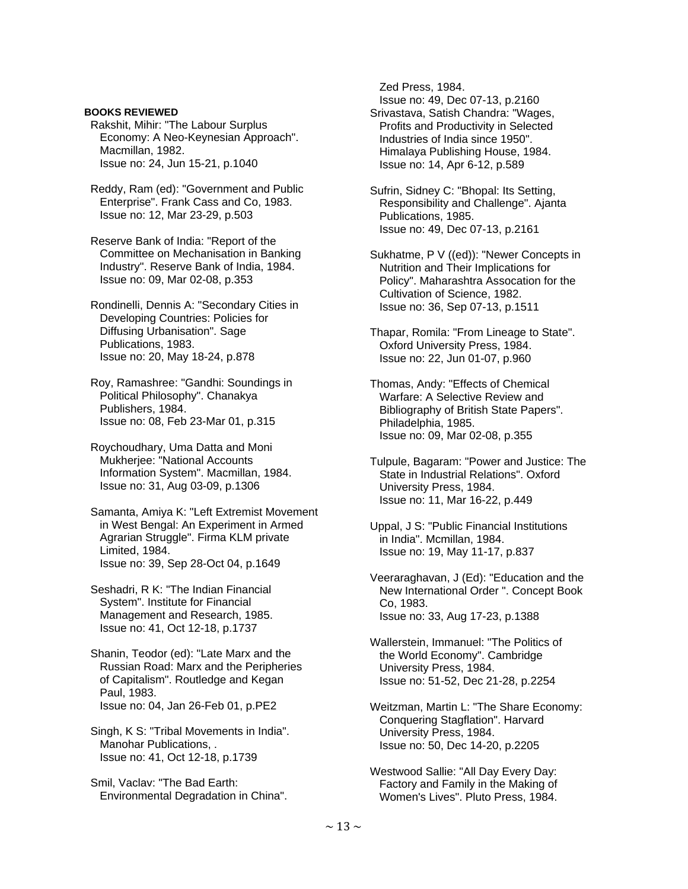### **BOOKS REVIEWED**

 Rakshit, Mihir: "The Labour Surplus Economy: A Neo-Keynesian Approach". Macmillan, 1982. Issue no: 24, Jun 15-21, p.1040

 Reddy, Ram (ed): "Government and Public Enterprise". Frank Cass and Co, 1983. Issue no: 12, Mar 23-29, p.503

 Reserve Bank of India: "Report of the Committee on Mechanisation in Banking Industry". Reserve Bank of India, 1984. Issue no: 09, Mar 02-08, p.353

 Rondinelli, Dennis A: "Secondary Cities in Developing Countries: Policies for Diffusing Urbanisation". Sage Publications, 1983. Issue no: 20, May 18-24, p.878

 Roy, Ramashree: "Gandhi: Soundings in Political Philosophy". Chanakya Publishers, 1984. Issue no: 08, Feb 23-Mar 01, p.315

 Roychoudhary, Uma Datta and Moni Mukherjee: "National Accounts Information System". Macmillan, 1984. Issue no: 31, Aug 03-09, p.1306

 Samanta, Amiya K: "Left Extremist Movement in West Bengal: An Experiment in Armed Agrarian Struggle". Firma KLM private Limited, 1984. Issue no: 39, Sep 28-Oct 04, p.1649

 Seshadri, R K: "The Indian Financial System". Institute for Financial Management and Research, 1985. Issue no: 41, Oct 12-18, p.1737

 Shanin, Teodor (ed): "Late Marx and the Russian Road: Marx and the Peripheries of Capitalism". Routledge and Kegan Paul, 1983. Issue no: 04, Jan 26-Feb 01, p.PE2

 Singh, K S: "Tribal Movements in India". Manohar Publications, . Issue no: 41, Oct 12-18, p.1739

 Smil, Vaclav: "The Bad Earth: Environmental Degradation in China". Zed Press, 1984.

Issue no: 49, Dec 07-13, p.2160

 Srivastava, Satish Chandra: "Wages, Profits and Productivity in Selected Industries of India since 1950". Himalaya Publishing House, 1984. Issue no: 14, Apr 6-12, p.589

 Sufrin, Sidney C: "Bhopal: Its Setting, Responsibility and Challenge". Ajanta Publications, 1985. Issue no: 49, Dec 07-13, p.2161

 Sukhatme, P V ((ed)): "Newer Concepts in Nutrition and Their Implications for Policy". Maharashtra Assocation for the Cultivation of Science, 1982. Issue no: 36, Sep 07-13, p.1511

 Thapar, Romila: "From Lineage to State". Oxford University Press, 1984. Issue no: 22, Jun 01-07, p.960

 Thomas, Andy: "Effects of Chemical Warfare: A Selective Review and Bibliography of British State Papers". Philadelphia, 1985. Issue no: 09, Mar 02-08, p.355

 Tulpule, Bagaram: "Power and Justice: The State in Industrial Relations". Oxford University Press, 1984. Issue no: 11, Mar 16-22, p.449

 Uppal, J S: "Public Financial Institutions in India". Mcmillan, 1984. Issue no: 19, May 11-17, p.837

 Veeraraghavan, J (Ed): "Education and the New International Order ". Concept Book Co, 1983. Issue no: 33, Aug 17-23, p.1388

 Wallerstein, Immanuel: "The Politics of the World Economy". Cambridge University Press, 1984. Issue no: 51-52, Dec 21-28, p.2254

 Weitzman, Martin L: "The Share Economy: Conquering Stagflation". Harvard University Press, 1984. Issue no: 50, Dec 14-20, p.2205

 Westwood Sallie: "All Day Every Day: Factory and Family in the Making of Women's Lives". Pluto Press, 1984.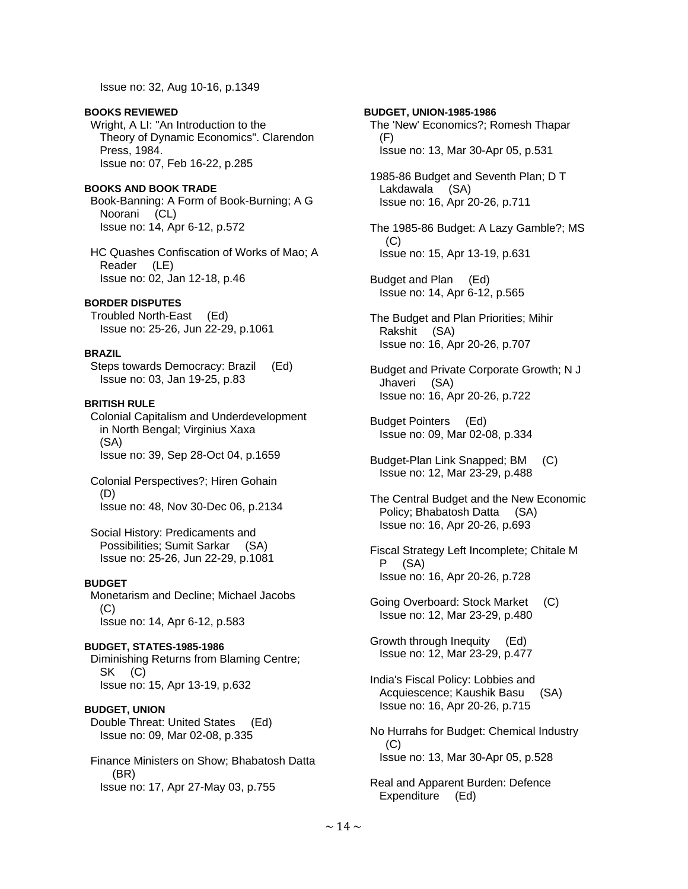Issue no: 32, Aug 10-16, p.1349

### **BOOKS REVIEWED**

 Wright, A LI: "An Introduction to the Theory of Dynamic Economics". Clarendon Press, 1984. Issue no: 07, Feb 16-22, p.285

# **BOOKS AND BOOK TRADE**

 Book-Banning: A Form of Book-Burning; A G Noorani (CL) Issue no: 14, Apr 6-12, p.572

 HC Quashes Confiscation of Works of Mao; A Reader (LE) Issue no: 02, Jan 12-18, p.46

### **BORDER DISPUTES**

 Troubled North-East (Ed) Issue no: 25-26, Jun 22-29, p.1061

## **BRAZIL**

 Steps towards Democracy: Brazil (Ed) Issue no: 03, Jan 19-25, p.83

### **BRITISH RULE**

 Colonial Capitalism and Underdevelopment in North Bengal; Virginius Xaxa (SA) Issue no: 39, Sep 28-Oct 04, p.1659

 Colonial Perspectives?; Hiren Gohain (D) Issue no: 48, Nov 30-Dec 06, p.2134

 Social History: Predicaments and Possibilities; Sumit Sarkar (SA) Issue no: 25-26, Jun 22-29, p.1081

# **BUDGET**

 Monetarism and Decline; Michael Jacobs (C) Issue no: 14, Apr 6-12, p.583

#### **BUDGET, STATES-1985-1986**

 Diminishing Returns from Blaming Centre; SK (C) Issue no: 15, Apr 13-19, p.632

# **BUDGET, UNION**

 Double Threat: United States (Ed) Issue no: 09, Mar 02-08, p.335

 Finance Ministers on Show; Bhabatosh Datta (BR) Issue no: 17, Apr 27-May 03, p.755

# The 'New' Economics?; Romesh Thapar (F) Issue no: 13, Mar 30-Apr 05, p.531 1985-86 Budget and Seventh Plan; D T Lakdawala (SA) Issue no: 16, Apr 20-26, p.711

**BUDGET, UNION-1985-1986** 

 The 1985-86 Budget: A Lazy Gamble?; MS (C) Issue no: 15, Apr 13-19, p.631

 Budget and Plan (Ed) Issue no: 14, Apr 6-12, p.565

 The Budget and Plan Priorities; Mihir Rakshit (SA) Issue no: 16, Apr 20-26, p.707

 Budget and Private Corporate Growth; N J Jhaveri (SA) Issue no: 16, Apr 20-26, p.722

 Budget Pointers (Ed) Issue no: 09, Mar 02-08, p.334

 Budget-Plan Link Snapped; BM (C) Issue no: 12, Mar 23-29, p.488

 The Central Budget and the New Economic Policy; Bhabatosh Datta (SA) Issue no: 16, Apr 20-26, p.693

- Fiscal Strategy Left Incomplete; Chitale M P (SA) Issue no: 16, Apr 20-26, p.728
- Going Overboard: Stock Market (C) Issue no: 12, Mar 23-29, p.480

 Growth through Inequity (Ed) Issue no: 12, Mar 23-29, p.477

 India's Fiscal Policy: Lobbies and Acquiescence; Kaushik Basu (SA) Issue no: 16, Apr 20-26, p.715

 No Hurrahs for Budget: Chemical Industry (C) Issue no: 13, Mar 30-Apr 05, p.528

 Real and Apparent Burden: Defence Expenditure (Ed)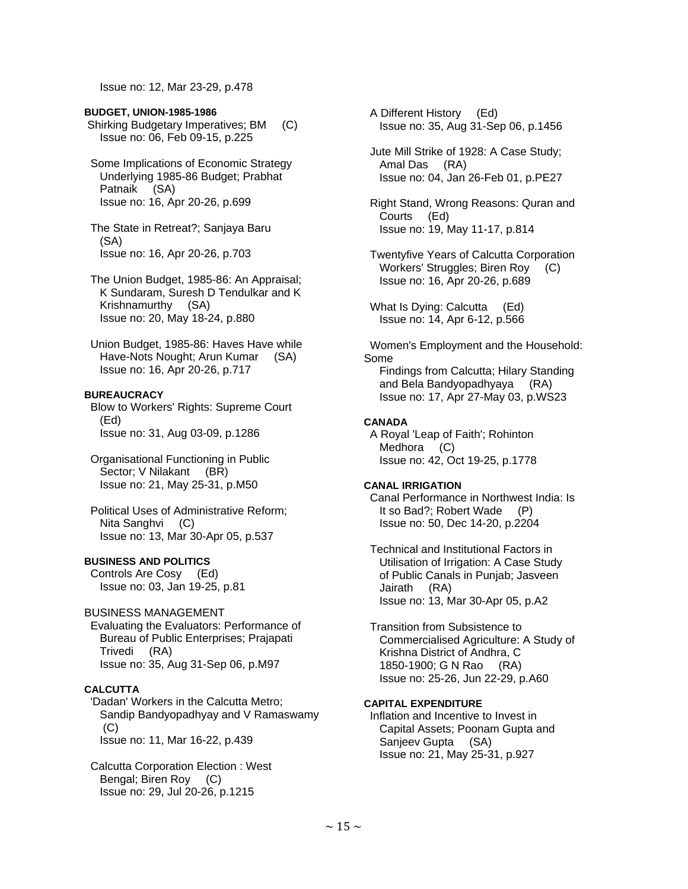Issue no: 12, Mar 23-29, p.478

# **BUDGET, UNION-1985-1986**

 Shirking Budgetary Imperatives; BM (C) Issue no: 06, Feb 09-15, p.225

 Some Implications of Economic Strategy Underlying 1985-86 Budget; Prabhat Patnaik (SA) Issue no: 16, Apr 20-26, p.699

 The State in Retreat?; Sanjaya Baru (SA) Issue no: 16, Apr 20-26, p.703

 The Union Budget, 1985-86: An Appraisal; K Sundaram, Suresh D Tendulkar and K Krishnamurthy (SA) Issue no: 20, May 18-24, p.880

 Union Budget, 1985-86: Haves Have while Have-Nots Nought; Arun Kumar (SA) Issue no: 16, Apr 20-26, p.717

# **BUREAUCRACY**

 Blow to Workers' Rights: Supreme Court (Ed) Issue no: 31, Aug 03-09, p.1286

 Organisational Functioning in Public Sector; V Nilakant (BR) Issue no: 21, May 25-31, p.M50

 Political Uses of Administrative Reform; Nita Sanghvi (C) Issue no: 13, Mar 30-Apr 05, p.537

# **BUSINESS AND POLITICS**

 Controls Are Cosy (Ed) Issue no: 03, Jan 19-25, p.81

# BUSINESS MANAGEMENT

 Evaluating the Evaluators: Performance of Bureau of Public Enterprises; Prajapati Trivedi (RA) Issue no: 35, Aug 31-Sep 06, p.M97

# **CALCUTTA**

 'Dadan' Workers in the Calcutta Metro; Sandip Bandyopadhyay and V Ramaswamy (C) Issue no: 11, Mar 16-22, p.439

 Calcutta Corporation Election : West Bengal; Biren Roy (C) Issue no: 29, Jul 20-26, p.1215

 A Different History (Ed) Issue no: 35, Aug 31-Sep 06, p.1456

 Jute Mill Strike of 1928: A Case Study; Amal Das (RA) Issue no: 04, Jan 26-Feb 01, p.PE27

 Right Stand, Wrong Reasons: Quran and Courts (Ed) Issue no: 19, May 11-17, p.814

 Twentyfive Years of Calcutta Corporation Workers' Struggles; Biren Roy (C) Issue no: 16, Apr 20-26, p.689

 What Is Dying: Calcutta (Ed) Issue no: 14, Apr 6-12, p.566

 Women's Employment and the Household: Some

 Findings from Calcutta; Hilary Standing and Bela Bandyopadhyaya (RA) Issue no: 17, Apr 27-May 03, p.WS23

# **CANADA**

 A Royal 'Leap of Faith'; Rohinton Medhora (C) Issue no: 42, Oct 19-25, p.1778

# **CANAL IRRIGATION**

 Canal Performance in Northwest India: Is It so Bad?; Robert Wade (P) Issue no: 50, Dec 14-20, p.2204

 Technical and Institutional Factors in Utilisation of Irrigation: A Case Study of Public Canals in Punjab; Jasveen Jairath (RA) Issue no: 13, Mar 30-Apr 05, p.A2

 Transition from Subsistence to Commercialised Agriculture: A Study of Krishna District of Andhra, C 1850-1900; G N Rao (RA) Issue no: 25-26, Jun 22-29, p.A60

# **CAPITAL EXPENDITURE**

 Inflation and Incentive to Invest in Capital Assets; Poonam Gupta and Sanjeev Gupta (SA) Issue no: 21, May 25-31, p.927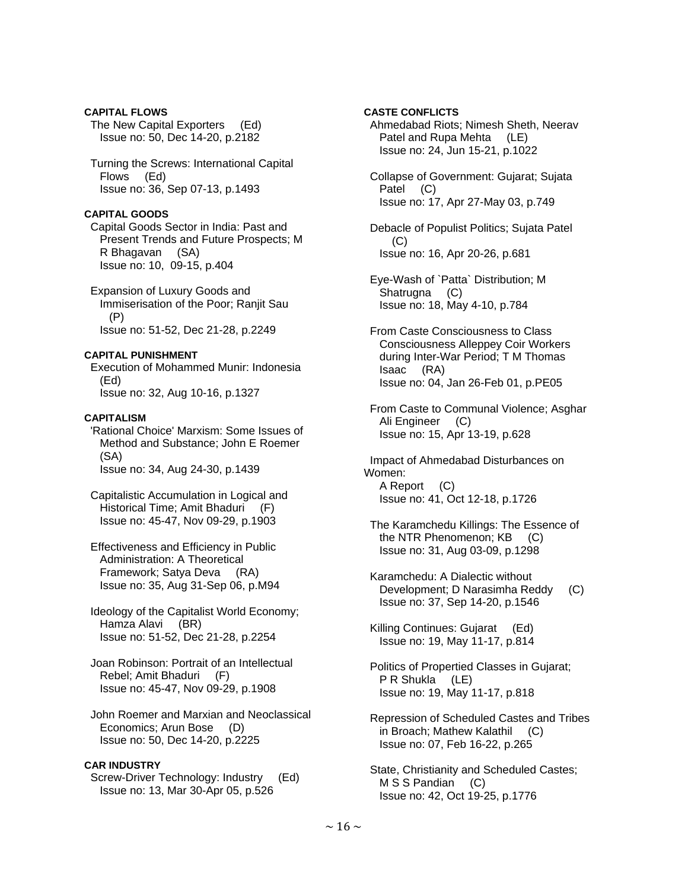# **CAPITAL FLOWS**

 The New Capital Exporters (Ed) Issue no: 50, Dec 14-20, p.2182

 Turning the Screws: International Capital Flows (Ed) Issue no: 36, Sep 07-13, p.1493

# **CAPITAL GOODS**

 Capital Goods Sector in India: Past and Present Trends and Future Prospects; M R Bhagavan (SA) Issue no: 10, 09-15, p.404

 Expansion of Luxury Goods and Immiserisation of the Poor; Ranjit Sau (P) Issue no: 51-52, Dec 21-28, p.2249

# **CAPITAL PUNISHMENT**

 Execution of Mohammed Munir: Indonesia (Ed) Issue no: 32, Aug 10-16, p.1327

## **CAPITALISM**

 'Rational Choice' Marxism: Some Issues of Method and Substance; John E Roemer (SA) Issue no: 34, Aug 24-30, p.1439

 Capitalistic Accumulation in Logical and Historical Time; Amit Bhaduri (F) Issue no: 45-47, Nov 09-29, p.1903

- Effectiveness and Efficiency in Public Administration: A Theoretical Framework; Satya Deva (RA) Issue no: 35, Aug 31-Sep 06, p.M94
- Ideology of the Capitalist World Economy; Hamza Alavi (BR) Issue no: 51-52, Dec 21-28, p.2254

 Joan Robinson: Portrait of an Intellectual Rebel; Amit Bhaduri (F) Issue no: 45-47, Nov 09-29, p.1908

 John Roemer and Marxian and Neoclassical Economics; Arun Bose (D) Issue no: 50, Dec 14-20, p.2225

# **CAR INDUSTRY**

 Screw-Driver Technology: Industry (Ed) Issue no: 13, Mar 30-Apr 05, p.526

# **CASTE CONFLICTS**

 Ahmedabad Riots; Nimesh Sheth, Neerav Patel and Rupa Mehta (LE) Issue no: 24, Jun 15-21, p.1022

 Collapse of Government: Gujarat; Sujata Patel (C) Issue no: 17, Apr 27-May 03, p.749

 Debacle of Populist Politics; Sujata Patel  $(C)$ Issue no: 16, Apr 20-26, p.681

 Eye-Wash of `Patta` Distribution; M Shatrugna (C) Issue no: 18, May 4-10, p.784

 From Caste Consciousness to Class Consciousness Alleppey Coir Workers during Inter-War Period; T M Thomas Isaac (RA) Issue no: 04, Jan 26-Feb 01, p.PE05

 From Caste to Communal Violence; Asghar Ali Engineer (C) Issue no: 15, Apr 13-19, p.628

 Impact of Ahmedabad Disturbances on Women: A Report (C) Issue no: 41, Oct 12-18, p.1726

 The Karamchedu Killings: The Essence of the NTR Phenomenon; KB (C) Issue no: 31, Aug 03-09, p.1298

 Karamchedu: A Dialectic without Development; D Narasimha Reddy (C) Issue no: 37, Sep 14-20, p.1546

 Killing Continues: Gujarat (Ed) Issue no: 19, May 11-17, p.814

 Politics of Propertied Classes in Gujarat; P R Shukla (LE) Issue no: 19, May 11-17, p.818

 Repression of Scheduled Castes and Tribes in Broach; Mathew Kalathil (C) Issue no: 07, Feb 16-22, p.265

 State, Christianity and Scheduled Castes; M S S Pandian (C) Issue no: 42, Oct 19-25, p.1776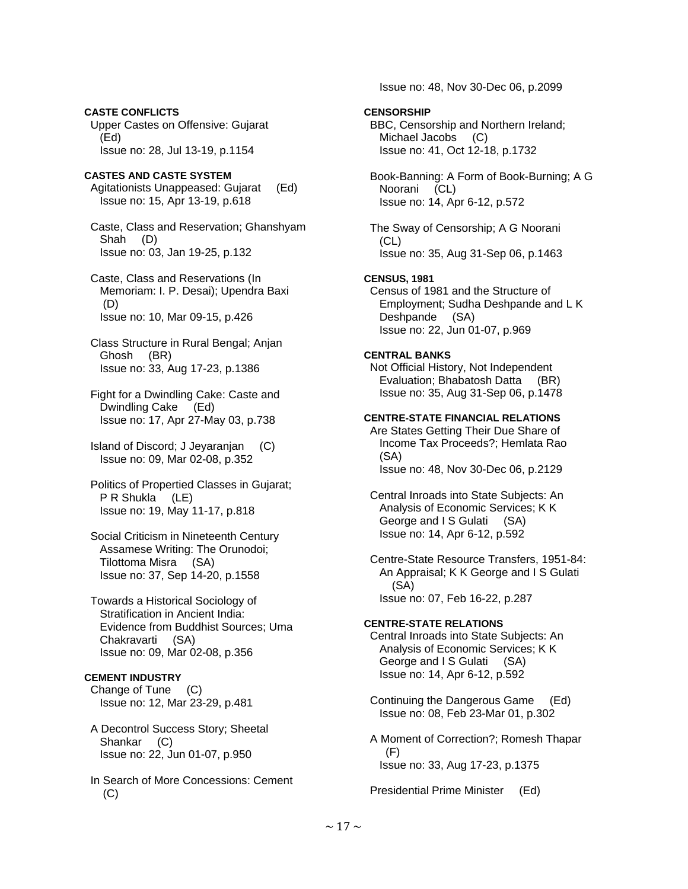Upper Castes on Offensive: Gujarat (Ed) Issue no: 28, Jul 13-19, p.1154 **CASTES AND CASTE SYSTEM**  Agitationists Unappeased: Gujarat (Ed) Issue no: 15, Apr 13-19, p.618 Caste, Class and Reservation; Ghanshyam Shah (D) Issue no: 03, Jan 19-25, p.132 Caste, Class and Reservations (In Memoriam: I. P. Desai); Upendra Baxi (D) Issue no: 10, Mar 09-15, p.426 Class Structure in Rural Bengal; Anjan Ghosh (BR) Issue no: 33, Aug 17-23, p.1386 Fight for a Dwindling Cake: Caste and Dwindling Cake (Ed) Issue no: 17, Apr 27-May 03, p.738 Island of Discord; J Jeyaranjan (C) Issue no: 09, Mar 02-08, p.352 Politics of Propertied Classes in Gujarat; P R Shukla (LE) Issue no: 19, May 11-17, p.818 Social Criticism in Nineteenth Century Assamese Writing: The Orunodoi; Tilottoma Misra (SA) Issue no: 37, Sep 14-20, p.1558 Towards a Historical Sociology of Stratification in Ancient India: Evidence from Buddhist Sources; Uma Chakravarti (SA) Issue no: 09, Mar 02-08, p.356 **CEMENT INDUSTRY**  Change of Tune (C) Issue no: 12, Mar 23-29, p.481 A Decontrol Success Story; Sheetal Shankar (C) Issue no: 22, Jun 01-07, p.950

**CASTE CONFLICTS** 

 In Search of More Concessions: Cement (C)

Issue no: 48, Nov 30-Dec 06, p.2099

# **CENSORSHIP**

 BBC, Censorship and Northern Ireland; Michael Jacobs (C) Issue no: 41, Oct 12-18, p.1732

 Book-Banning: A Form of Book-Burning; A G Noorani (CL) Issue no: 14, Apr 6-12, p.572

 The Sway of Censorship; A G Noorani (CL) Issue no: 35, Aug 31-Sep 06, p.1463

# **CENSUS, 1981**

 Census of 1981 and the Structure of Employment; Sudha Deshpande and L K Deshpande (SA) Issue no: 22, Jun 01-07, p.969

### **CENTRAL BANKS**

 Not Official History, Not Independent Evaluation; Bhabatosh Datta (BR) Issue no: 35, Aug 31-Sep 06, p.1478

#### **CENTRE-STATE FINANCIAL RELATIONS**

 Are States Getting Their Due Share of Income Tax Proceeds?; Hemlata Rao (SA) Issue no: 48, Nov 30-Dec 06, p.2129

 Central Inroads into State Subjects: An Analysis of Economic Services; K K George and I S Gulati (SA) Issue no: 14, Apr 6-12, p.592

 Centre-State Resource Transfers, 1951-84: An Appraisal; K K George and I S Gulati (SA) Issue no: 07, Feb 16-22, p.287

# **CENTRE-STATE RELATIONS**

 Central Inroads into State Subjects: An Analysis of Economic Services; K K George and I S Gulati (SA) Issue no: 14, Apr 6-12, p.592

- Continuing the Dangerous Game (Ed) Issue no: 08, Feb 23-Mar 01, p.302
- A Moment of Correction?; Romesh Thapar (F) Issue no: 33, Aug 17-23, p.1375

Presidential Prime Minister (Ed)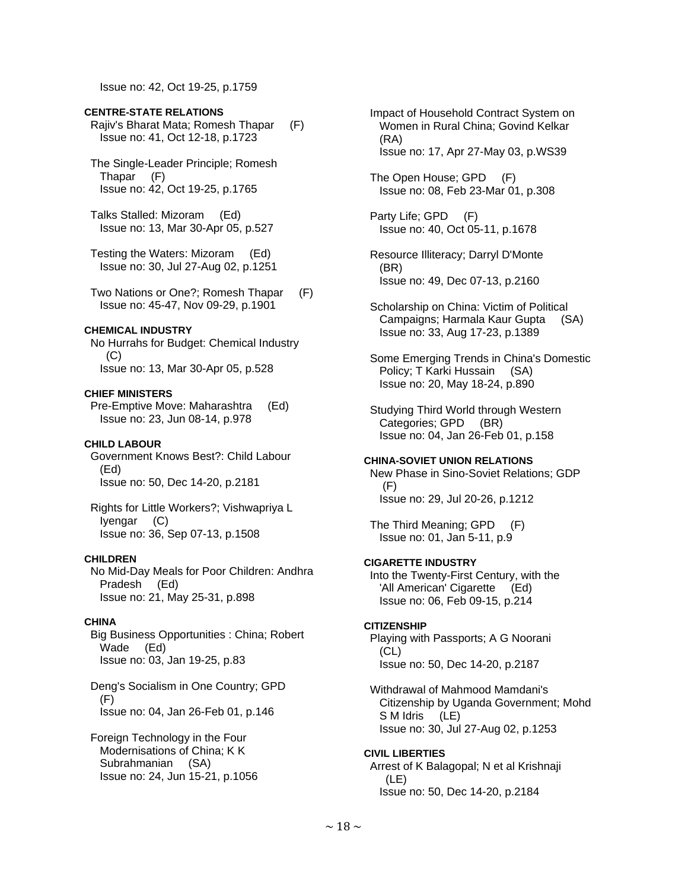Issue no: 42, Oct 19-25, p.1759

#### **CENTRE-STATE RELATIONS**

 Rajiv's Bharat Mata; Romesh Thapar (F) Issue no: 41, Oct 12-18, p.1723

 The Single-Leader Principle; Romesh Thapar (F) Issue no: 42, Oct 19-25, p.1765

 Talks Stalled: Mizoram (Ed) Issue no: 13, Mar 30-Apr 05, p.527

 Testing the Waters: Mizoram (Ed) Issue no: 30, Jul 27-Aug 02, p.1251

 Two Nations or One?; Romesh Thapar (F) Issue no: 45-47, Nov 09-29, p.1901

# **CHEMICAL INDUSTRY**

 No Hurrahs for Budget: Chemical Industry (C) Issue no: 13, Mar 30-Apr 05, p.528

#### **CHIEF MINISTERS**

 Pre-Emptive Move: Maharashtra (Ed) Issue no: 23, Jun 08-14, p.978

# **CHILD LABOUR**

 Government Knows Best?: Child Labour (Ed) Issue no: 50, Dec 14-20, p.2181

 Rights for Little Workers?; Vishwapriya L Iyengar (C) Issue no: 36, Sep 07-13, p.1508

# **CHILDREN**

 No Mid-Day Meals for Poor Children: Andhra Pradesh (Ed) Issue no: 21, May 25-31, p.898

### **CHINA**

 Big Business Opportunities : China; Robert Wade (Ed) Issue no: 03, Jan 19-25, p.83

 Deng's Socialism in One Country; GPD (F) Issue no: 04, Jan 26-Feb 01, p.146

 Foreign Technology in the Four Modernisations of China; K K Subrahmanian (SA) Issue no: 24, Jun 15-21, p.1056  Impact of Household Contract System on Women in Rural China; Govind Kelkar (RA) Issue no: 17, Apr 27-May 03, p.WS39

 The Open House; GPD (F) Issue no: 08, Feb 23-Mar 01, p.308

 Party Life; GPD (F) Issue no: 40, Oct 05-11, p.1678

- Resource Illiteracy; Darryl D'Monte (BR) Issue no: 49, Dec 07-13, p.2160
- Scholarship on China: Victim of Political Campaigns; Harmala Kaur Gupta (SA) Issue no: 33, Aug 17-23, p.1389

 Some Emerging Trends in China's Domestic Policy; T Karki Hussain (SA) Issue no: 20, May 18-24, p.890

 Studying Third World through Western Categories; GPD (BR) Issue no: 04, Jan 26-Feb 01, p.158

#### **CHINA-SOVIET UNION RELATIONS**

 New Phase in Sino-Soviet Relations; GDP  $(F)$ Issue no: 29, Jul 20-26, p.1212

 The Third Meaning; GPD (F) Issue no: 01, Jan 5-11, p.9

# **CIGARETTE INDUSTRY**

 Into the Twenty-First Century, with the 'All American' Cigarette (Ed) Issue no: 06, Feb 09-15, p.214

#### **CITIZENSHIP**

 Playing with Passports; A G Noorani (CL) Issue no: 50, Dec 14-20, p.2187

 Withdrawal of Mahmood Mamdani's Citizenship by Uganda Government; Mohd S M Idris (LE) Issue no: 30, Jul 27-Aug 02, p.1253

### **CIVIL LIBERTIES**

 Arrest of K Balagopal; N et al Krishnaji (LE) Issue no: 50, Dec 14-20, p.2184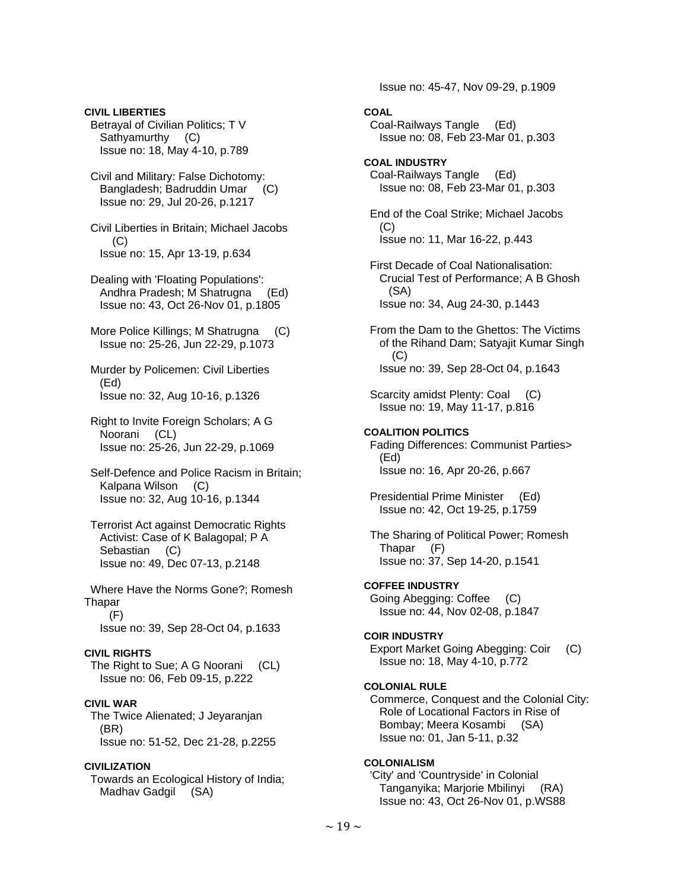**CIVIL LIBERTIES**  Betrayal of Civilian Politics; T V Sathyamurthy (C) Issue no: 18, May 4-10, p.789

 Civil and Military: False Dichotomy: Bangladesh; Badruddin Umar (C) Issue no: 29, Jul 20-26, p.1217

 Civil Liberties in Britain; Michael Jacobs  $(C)$ Issue no: 15, Apr 13-19, p.634

 Dealing with 'Floating Populations': Andhra Pradesh; M Shatrugna (Ed) Issue no: 43, Oct 26-Nov 01, p.1805

 More Police Killings; M Shatrugna (C) Issue no: 25-26, Jun 22-29, p.1073

 Murder by Policemen: Civil Liberties (Ed) Issue no: 32, Aug 10-16, p.1326

 Right to Invite Foreign Scholars; A G Noorani (CL) Issue no: 25-26, Jun 22-29, p.1069

 Self-Defence and Police Racism in Britain; Kalpana Wilson (C) Issue no: 32, Aug 10-16, p.1344

 Terrorist Act against Democratic Rights Activist: Case of K Balagopal; P A Sebastian (C) Issue no: 49, Dec 07-13, p.2148

 Where Have the Norms Gone?; Romesh **Thapar**  (F) Issue no: 39, Sep 28-Oct 04, p.1633

# **CIVIL RIGHTS**

 The Right to Sue; A G Noorani (CL) Issue no: 06, Feb 09-15, p.222

# **CIVIL WAR**

 The Twice Alienated; J Jeyaranjan (BR) Issue no: 51-52, Dec 21-28, p.2255

# **CIVILIZATION**

 Towards an Ecological History of India; Madhav Gadgil (SA)

Issue no: 45-47, Nov 09-29, p.1909

- **COAL**  Coal-Railways Tangle (Ed) Issue no: 08, Feb 23-Mar 01, p.303
- **COAL INDUSTRY**  Coal-Railways Tangle (Ed) Issue no: 08, Feb 23-Mar 01, p.303

 End of the Coal Strike; Michael Jacobs (C) Issue no: 11, Mar 16-22, p.443

 First Decade of Coal Nationalisation: Crucial Test of Performance; A B Ghosh (SA) Issue no: 34, Aug 24-30, p.1443

 From the Dam to the Ghettos: The Victims of the Rihand Dam; Satyajit Kumar Singh (C) Issue no: 39, Sep 28-Oct 04, p.1643

Scarcity amidst Plenty: Coal (C) Issue no: 19, May 11-17, p.816

# **COALITION POLITICS**

 Fading Differences: Communist Parties> (Ed) Issue no: 16, Apr 20-26, p.667

 Presidential Prime Minister (Ed) Issue no: 42, Oct 19-25, p.1759

 The Sharing of Political Power; Romesh Thapar (F) Issue no: 37, Sep 14-20, p.1541

# **COFFEE INDUSTRY**

 Going Abegging: Coffee (C) Issue no: 44, Nov 02-08, p.1847

### **COIR INDUSTRY**

 Export Market Going Abegging: Coir (C) Issue no: 18, May 4-10, p.772

### **COLONIAL RULE**

 Commerce, Conquest and the Colonial City: Role of Locational Factors in Rise of Bombay; Meera Kosambi (SA) Issue no: 01, Jan 5-11, p.32

# **COLONIALISM**

 'City' and 'Countryside' in Colonial Tanganyika; Marjorie Mbilinyi (RA) Issue no: 43, Oct 26-Nov 01, p.WS88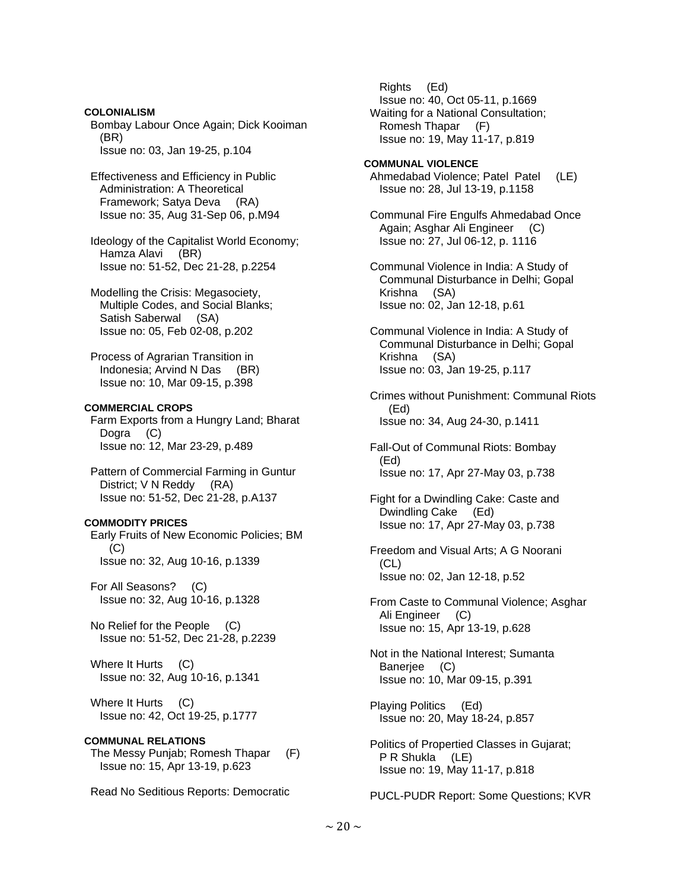#### **COLONIALISM**

 Bombay Labour Once Again; Dick Kooiman (BR) Issue no: 03, Jan 19-25, p.104

 Effectiveness and Efficiency in Public Administration: A Theoretical Framework; Satya Deva (RA) Issue no: 35, Aug 31-Sep 06, p.M94

 Ideology of the Capitalist World Economy; Hamza Alavi (BR) Issue no: 51-52, Dec 21-28, p.2254

 Modelling the Crisis: Megasociety, Multiple Codes, and Social Blanks; Satish Saberwal (SA) Issue no: 05, Feb 02-08, p.202

 Process of Agrarian Transition in Indonesia; Arvind N Das (BR) Issue no: 10, Mar 09-15, p.398

# **COMMERCIAL CROPS**

 Farm Exports from a Hungry Land; Bharat Dogra (C) Issue no: 12, Mar 23-29, p.489

 Pattern of Commercial Farming in Guntur District; V N Reddy (RA) Issue no: 51-52, Dec 21-28, p.A137

### **COMMODITY PRICES**

 Early Fruits of New Economic Policies; BM  $(C)$ Issue no: 32, Aug 10-16, p.1339

 For All Seasons? (C) Issue no: 32, Aug 10-16, p.1328

 No Relief for the People (C) Issue no: 51-52, Dec 21-28, p.2239

Where It Hurts (C) Issue no: 32, Aug 10-16, p.1341

Where It Hurts (C) Issue no: 42, Oct 19-25, p.1777

### **COMMUNAL RELATIONS**

 The Messy Punjab; Romesh Thapar (F) Issue no: 15, Apr 13-19, p.623

Read No Seditious Reports: Democratic

 Rights (Ed) Issue no: 40, Oct 05-11, p.1669 Waiting for a National Consultation; Romesh Thapar (F) Issue no: 19, May 11-17, p.819

**COMMUNAL VIOLENCE**  Ahmedabad Violence; Patel Patel (LE) Issue no: 28, Jul 13-19, p.1158

 Communal Fire Engulfs Ahmedabad Once Again; Asghar Ali Engineer (C) Issue no: 27, Jul 06-12, p. 1116

 Communal Violence in India: A Study of Communal Disturbance in Delhi; Gopal Krishna (SA) Issue no: 02, Jan 12-18, p.61

 Communal Violence in India: A Study of Communal Disturbance in Delhi; Gopal Krishna (SA) Issue no: 03, Jan 19-25, p.117

 Crimes without Punishment: Communal Riots (Ed) Issue no: 34, Aug 24-30, p.1411

 Fall-Out of Communal Riots: Bombay (Ed) Issue no: 17, Apr 27-May 03, p.738

 Fight for a Dwindling Cake: Caste and Dwindling Cake (Ed) Issue no: 17, Apr 27-May 03, p.738

 Freedom and Visual Arts; A G Noorani (CL) Issue no: 02, Jan 12-18, p.52

 From Caste to Communal Violence; Asghar Ali Engineer (C) Issue no: 15, Apr 13-19, p.628

 Not in the National Interest; Sumanta Banerjee (C) Issue no: 10, Mar 09-15, p.391

 Playing Politics (Ed) Issue no: 20, May 18-24, p.857

 Politics of Propertied Classes in Gujarat; P R Shukla (LE) Issue no: 19, May 11-17, p.818

PUCL-PUDR Report: Some Questions; KVR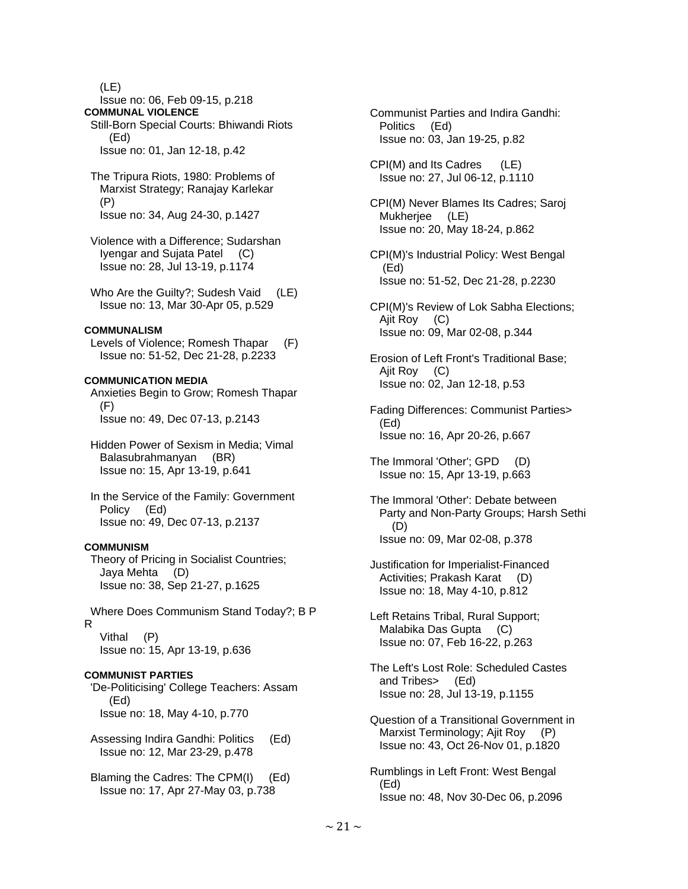(LE)

- Issue no: 06, Feb 09-15, p.218 **COMMUNAL VIOLENCE**
- Still-Born Special Courts: Bhiwandi Riots (Ed) Issue no: 01, Jan 12-18, p.42
- The Tripura Riots, 1980: Problems of Marxist Strategy; Ranajay Karlekar (P)

Issue no: 34, Aug 24-30, p.1427

- Violence with a Difference; Sudarshan Iyengar and Sujata Patel (C) Issue no: 28, Jul 13-19, p.1174
- Who Are the Guilty?; Sudesh Vaid (LE) Issue no: 13, Mar 30-Apr 05, p.529

# **COMMUNALISM**

 Levels of Violence; Romesh Thapar (F) Issue no: 51-52, Dec 21-28, p.2233

## **COMMUNICATION MEDIA**

 Anxieties Begin to Grow; Romesh Thapar (F) Issue no: 49, Dec 07-13, p.2143

- Hidden Power of Sexism in Media; Vimal Balasubrahmanyan (BR) Issue no: 15, Apr 13-19, p.641
- In the Service of the Family: Government Policy (Ed) Issue no: 49, Dec 07-13, p.2137

### **COMMUNISM**

 Theory of Pricing in Socialist Countries; Jaya Mehta (D) Issue no: 38, Sep 21-27, p.1625

 Where Does Communism Stand Today?; B P R Vithal (P) Issue no: 15, Apr 13-19, p.636

# **COMMUNIST PARTIES**

 'De-Politicising' College Teachers: Assam (Ed) Issue no: 18, May 4-10, p.770

- Assessing Indira Gandhi: Politics (Ed) Issue no: 12, Mar 23-29, p.478
- Blaming the Cadres: The CPM(I) (Ed) Issue no: 17, Apr 27-May 03, p.738
- Communist Parties and Indira Gandhi: Politics (Ed) Issue no: 03, Jan 19-25, p.82
- CPI(M) and Its Cadres (LE) Issue no: 27, Jul 06-12, p.1110
- CPI(M) Never Blames Its Cadres; Saroj Mukherjee (LE) Issue no: 20, May 18-24, p.862
- CPI(M)'s Industrial Policy: West Bengal (Ed) Issue no: 51-52, Dec 21-28, p.2230
- CPI(M)'s Review of Lok Sabha Elections; Ajit Roy (C) Issue no: 09, Mar 02-08, p.344
- Erosion of Left Front's Traditional Base; Ajit Roy (C) Issue no: 02, Jan 12-18, p.53
- Fading Differences: Communist Parties> (Ed) Issue no: 16, Apr 20-26, p.667
- The Immoral 'Other'; GPD (D) Issue no: 15, Apr 13-19, p.663
- The Immoral 'Other': Debate between Party and Non-Party Groups; Harsh Sethi (D) Issue no: 09, Mar 02-08, p.378
- Justification for Imperialist-Financed Activities; Prakash Karat (D) Issue no: 18, May 4-10, p.812
- Left Retains Tribal, Rural Support; Malabika Das Gupta (C) Issue no: 07, Feb 16-22, p.263
- The Left's Lost Role: Scheduled Castes and Tribes> (Ed) Issue no: 28, Jul 13-19, p.1155
- Question of a Transitional Government in Marxist Terminology; Ajit Roy (P) Issue no: 43, Oct 26-Nov 01, p.1820
- Rumblings in Left Front: West Bengal (Ed) Issue no: 48, Nov 30-Dec 06, p.2096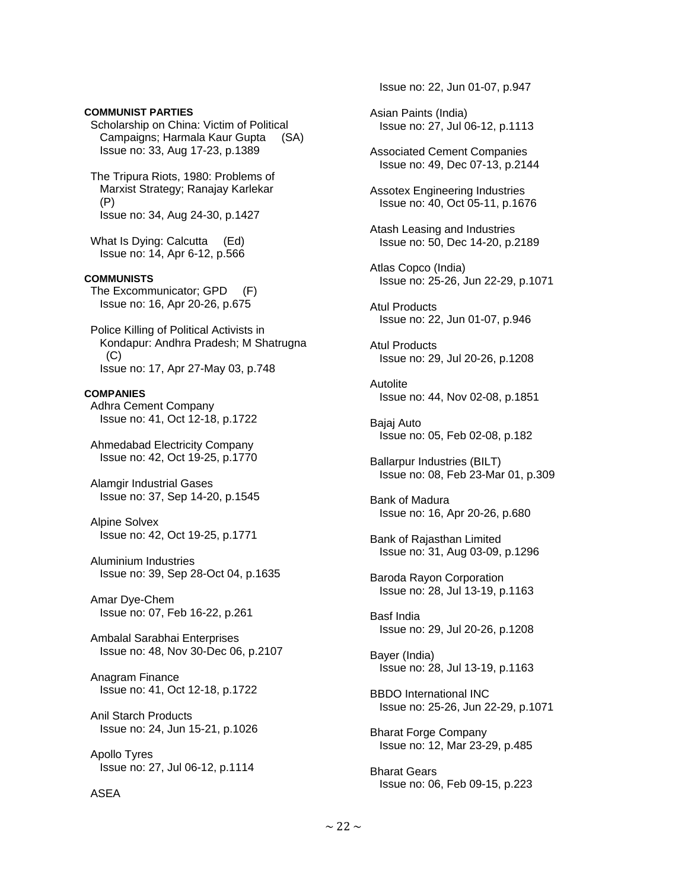### **COMMUNIST PARTIES**

 Scholarship on China: Victim of Political Campaigns; Harmala Kaur Gupta (SA) Issue no: 33, Aug 17-23, p.1389

 The Tripura Riots, 1980: Problems of Marxist Strategy; Ranajay Karlekar (P) Issue no: 34, Aug 24-30, p.1427

What Is Dying: Calcutta (Ed) Issue no: 14, Apr 6-12, p.566

#### **COMMUNISTS**

 The Excommunicator; GPD (F) Issue no: 16, Apr 20-26, p.675

 Police Killing of Political Activists in Kondapur: Andhra Pradesh; M Shatrugna  $(C)$ Issue no: 17, Apr 27-May 03, p.748

### **COMPANIES**

 Adhra Cement Company Issue no: 41, Oct 12-18, p.1722

 Ahmedabad Electricity Company Issue no: 42, Oct 19-25, p.1770

 Alamgir Industrial Gases Issue no: 37, Sep 14-20, p.1545

 Alpine Solvex Issue no: 42, Oct 19-25, p.1771

 Aluminium Industries Issue no: 39, Sep 28-Oct 04, p.1635

 Amar Dye-Chem Issue no: 07, Feb 16-22, p.261

 Ambalal Sarabhai Enterprises Issue no: 48, Nov 30-Dec 06, p.2107

 Anagram Finance Issue no: 41, Oct 12-18, p.1722

# Anil Starch Products Issue no: 24, Jun 15-21, p.1026

 Apollo Tyres Issue no: 27, Jul 06-12, p.1114

### ASEA

Issue no: 22, Jun 01-07, p.947

- Asian Paints (India) Issue no: 27, Jul 06-12, p.1113
- Associated Cement Companies Issue no: 49, Dec 07-13, p.2144
- Assotex Engineering Industries Issue no: 40, Oct 05-11, p.1676
- Atash Leasing and Industries Issue no: 50, Dec 14-20, p.2189
- Atlas Copco (India) Issue no: 25-26, Jun 22-29, p.1071

 Atul Products Issue no: 22, Jun 01-07, p.946

 Atul Products Issue no: 29, Jul 20-26, p.1208

 Autolite Issue no: 44, Nov 02-08, p.1851

 Bajaj Auto Issue no: 05, Feb 02-08, p.182

 Ballarpur Industries (BILT) Issue no: 08, Feb 23-Mar 01, p.309

 Bank of Madura Issue no: 16, Apr 20-26, p.680

 Bank of Rajasthan Limited Issue no: 31, Aug 03-09, p.1296

 Baroda Rayon Corporation Issue no: 28, Jul 13-19, p.1163

 Basf India Issue no: 29, Jul 20-26, p.1208

 Bayer (India) Issue no: 28, Jul 13-19, p.1163

 BBDO International INC Issue no: 25-26, Jun 22-29, p.1071

 Bharat Forge Company Issue no: 12, Mar 23-29, p.485

 Bharat Gears Issue no: 06, Feb 09-15, p.223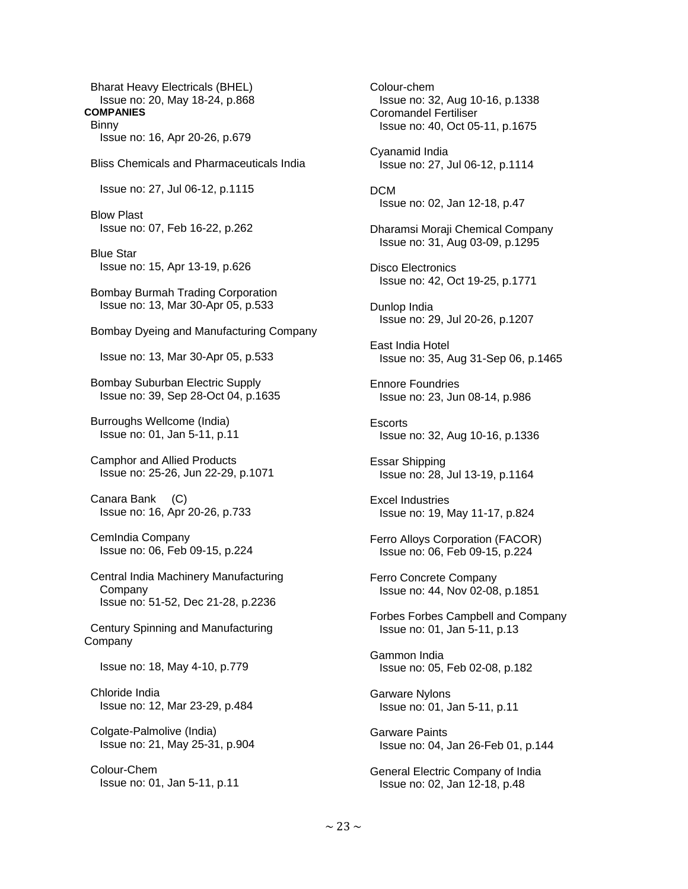Bharat Heavy Electricals (BHEL) Issue no: 20, May 18-24, p.868 **COMPANIES** 

**Binny** Issue no: 16, Apr 20-26, p.679

Bliss Chemicals and Pharmaceuticals India

Issue no: 27, Jul 06-12, p.1115

 Blow Plast Issue no: 07, Feb 16-22, p.262

 Blue Star Issue no: 15, Apr 13-19, p.626

 Bombay Burmah Trading Corporation Issue no: 13, Mar 30-Apr 05, p.533

Bombay Dyeing and Manufacturing Company

Issue no: 13, Mar 30-Apr 05, p.533

 Bombay Suburban Electric Supply Issue no: 39, Sep 28-Oct 04, p.1635

 Burroughs Wellcome (India) Issue no: 01, Jan 5-11, p.11

 Camphor and Allied Products Issue no: 25-26, Jun 22-29, p.1071

 Canara Bank (C) Issue no: 16, Apr 20-26, p.733

 CemIndia Company Issue no: 06, Feb 09-15, p.224

 Central India Machinery Manufacturing Company Issue no: 51-52, Dec 21-28, p.2236

 Century Spinning and Manufacturing **Company** 

Issue no: 18, May 4-10, p.779

 Chloride India Issue no: 12, Mar 23-29, p.484

 Colgate-Palmolive (India) Issue no: 21, May 25-31, p.904

 Colour-Chem Issue no: 01, Jan 5-11, p.11  Colour-chem Issue no: 32, Aug 10-16, p.1338 Coromandel Fertiliser Issue no: 40, Oct 05-11, p.1675 Cyanamid India Issue no: 27, Jul 06-12, p.1114 DCM Issue no: 02, Jan 12-18, p.47 Dharamsi Moraji Chemical Company Issue no: 31, Aug 03-09, p.1295 Disco Electronics Issue no: 42, Oct 19-25, p.1771 Dunlop India Issue no: 29, Jul 20-26, p.1207 East India Hotel Issue no: 35, Aug 31-Sep 06, p.1465 Ennore Foundries Issue no: 23, Jun 08-14, p.986 **Escorts**  Issue no: 32, Aug 10-16, p.1336 Essar Shipping Issue no: 28, Jul 13-19, p.1164 Excel Industries Issue no: 19, May 11-17, p.824 Ferro Alloys Corporation (FACOR) Issue no: 06, Feb 09-15, p.224 Ferro Concrete Company Issue no: 44, Nov 02-08, p.1851 Forbes Forbes Campbell and Company Issue no: 01, Jan 5-11, p.13 Gammon India Issue no: 05, Feb 02-08, p.182 Garware Nylons Issue no: 01, Jan 5-11, p.11 Garware Paints Issue no: 04, Jan 26-Feb 01, p.144 General Electric Company of India Issue no: 02, Jan 12-18, p.48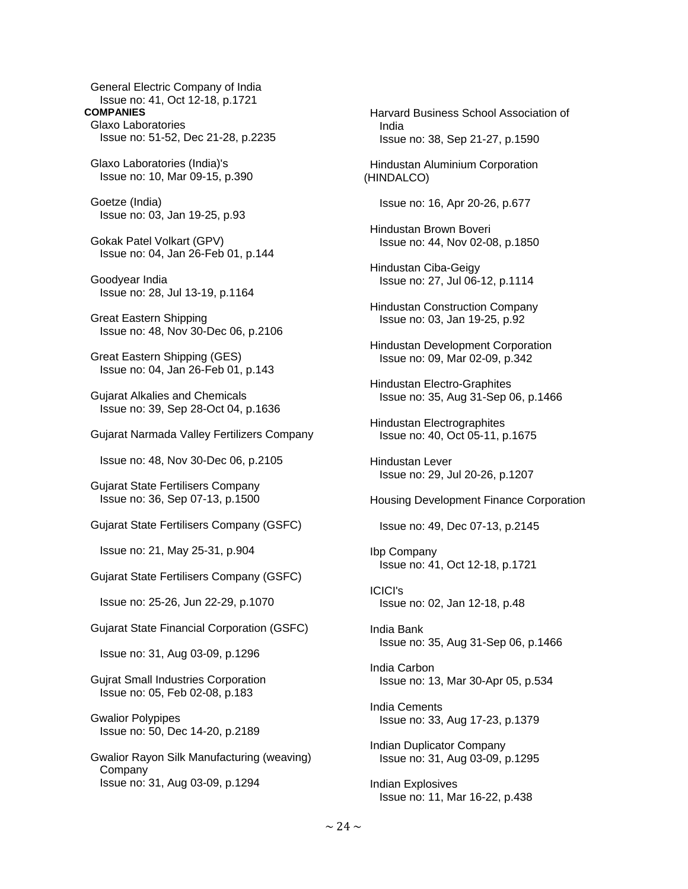General Electric Company of India Issue no: 41, Oct 12-18, p.1721 **COMPANIES**  Glaxo Laboratories Issue no: 51-52, Dec 21-28, p.2235 Glaxo Laboratories (India)'s Issue no: 10, Mar 09-15, p.390 Goetze (India) Issue no: 03, Jan 19-25, p.93 Gokak Patel Volkart (GPV) Issue no: 04, Jan 26-Feb 01, p.144 Goodyear India Issue no: 28, Jul 13-19, p.1164 Great Eastern Shipping Issue no: 48, Nov 30-Dec 06, p.2106 Great Eastern Shipping (GES) Issue no: 04, Jan 26-Feb 01, p.143 Gujarat Alkalies and Chemicals Issue no: 39, Sep 28-Oct 04, p.1636 Gujarat Narmada Valley Fertilizers Company Issue no: 48, Nov 30-Dec 06, p.2105 Gujarat State Fertilisers Company Issue no: 36, Sep 07-13, p.1500 Gujarat State Fertilisers Company (GSFC) Issue no: 21, May 25-31, p.904 Gujarat State Fertilisers Company (GSFC) Issue no: 25-26, Jun 22-29, p.1070 Gujarat State Financial Corporation (GSFC) Issue no: 31, Aug 03-09, p.1296 Gujrat Small Industries Corporation Issue no: 05, Feb 02-08, p.183 Gwalior Polypipes Issue no: 50, Dec 14-20, p.2189 Gwalior Rayon Silk Manufacturing (weaving) Company Issue no: 31, Aug 03-09, p.1294

 India Issue no: 38, Sep 21-27, p.1590 Hindustan Aluminium Corporation (HINDALCO) Issue no: 16, Apr 20-26, p.677 Hindustan Brown Boveri Issue no: 44, Nov 02-08, p.1850 Hindustan Ciba-Geigy Issue no: 27, Jul 06-12, p.1114 Hindustan Construction Company Issue no: 03, Jan 19-25, p.92 Hindustan Development Corporation Issue no: 09, Mar 02-09, p.342 Hindustan Electro-Graphites Issue no: 35, Aug 31-Sep 06, p.1466 Hindustan Electrographites Issue no: 40, Oct 05-11, p.1675 Hindustan Lever Issue no: 29, Jul 20-26, p.1207 Housing Development Finance Corporation Issue no: 49, Dec 07-13, p.2145 Ibp Company Issue no: 41, Oct 12-18, p.1721 ICICI's Issue no: 02, Jan 12-18, p.48 India Bank Issue no: 35, Aug 31-Sep 06, p.1466 India Carbon Issue no: 13, Mar 30-Apr 05, p.534 India Cements Issue no: 33, Aug 17-23, p.1379 Indian Duplicator Company Issue no: 31, Aug 03-09, p.1295 Indian Explosives Issue no: 11, Mar 16-22, p.438

Harvard Business School Association of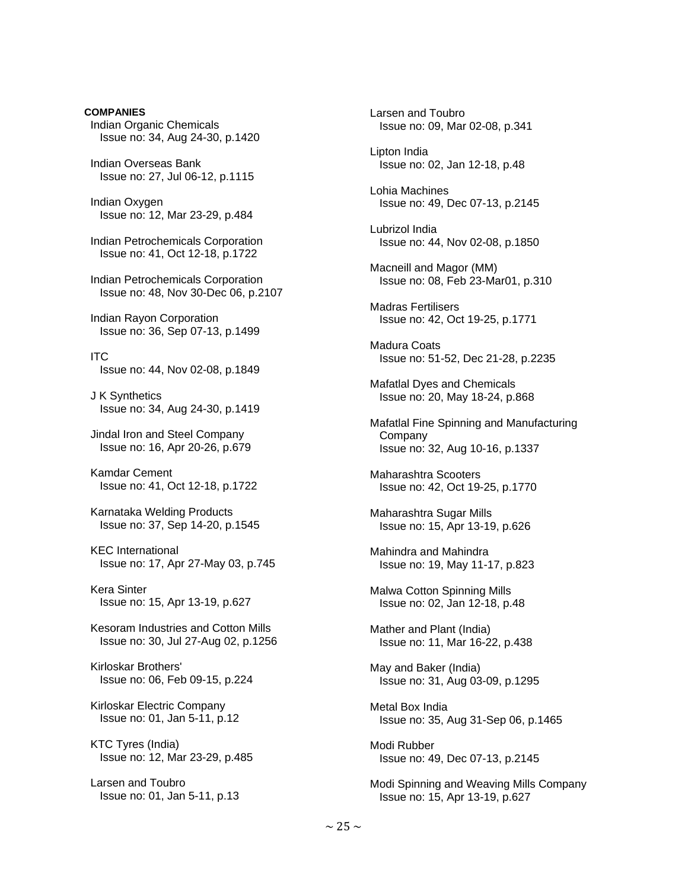**COMPANIES**  Indian Organic Chemicals Issue no: 34, Aug 24-30, p.1420

 Indian Overseas Bank Issue no: 27, Jul 06-12, p.1115

 Indian Oxygen Issue no: 12, Mar 23-29, p.484

 Indian Petrochemicals Corporation Issue no: 41, Oct 12-18, p.1722

 Indian Petrochemicals Corporation Issue no: 48, Nov 30-Dec 06, p.2107

 Indian Rayon Corporation Issue no: 36, Sep 07-13, p.1499

 ITC Issue no: 44, Nov 02-08, p.1849

 J K Synthetics Issue no: 34, Aug 24-30, p.1419

 Jindal Iron and Steel Company Issue no: 16, Apr 20-26, p.679

 Kamdar Cement Issue no: 41, Oct 12-18, p.1722

 Karnataka Welding Products Issue no: 37, Sep 14-20, p.1545

 KEC International Issue no: 17, Apr 27-May 03, p.745

 Kera Sinter Issue no: 15, Apr 13-19, p.627

 Kesoram Industries and Cotton Mills Issue no: 30, Jul 27-Aug 02, p.1256

 Kirloskar Brothers' Issue no: 06, Feb 09-15, p.224

 Kirloskar Electric Company Issue no: 01, Jan 5-11, p.12

 KTC Tyres (India) Issue no: 12, Mar 23-29, p.485

 Larsen and Toubro Issue no: 01, Jan 5-11, p.13  Larsen and Toubro Issue no: 09, Mar 02-08, p.341 Lipton India Issue no: 02, Jan 12-18, p.48 Lohia Machines Issue no: 49, Dec 07-13, p.2145 Lubrizol India Issue no: 44, Nov 02-08, p.1850 Macneill and Magor (MM) Issue no: 08, Feb 23-Mar01, p.310 Madras Fertilisers Issue no: 42, Oct 19-25, p.1771 Madura Coats Issue no: 51-52, Dec 21-28, p.2235 Mafatlal Dyes and Chemicals Issue no: 20, May 18-24, p.868 Mafatlal Fine Spinning and Manufacturing **Company**  Issue no: 32, Aug 10-16, p.1337 Maharashtra Scooters Issue no: 42, Oct 19-25, p.1770 Maharashtra Sugar Mills Issue no: 15, Apr 13-19, p.626 Mahindra and Mahindra Issue no: 19, May 11-17, p.823 Malwa Cotton Spinning Mills Issue no: 02, Jan 12-18, p.48 Mather and Plant (India) Issue no: 11, Mar 16-22, p.438 May and Baker (India) Issue no: 31, Aug 03-09, p.1295 Metal Box India Issue no: 35, Aug 31-Sep 06, p.1465 Modi Rubber Issue no: 49, Dec 07-13, p.2145 Modi Spinning and Weaving Mills Company

Issue no: 15, Apr 13-19, p.627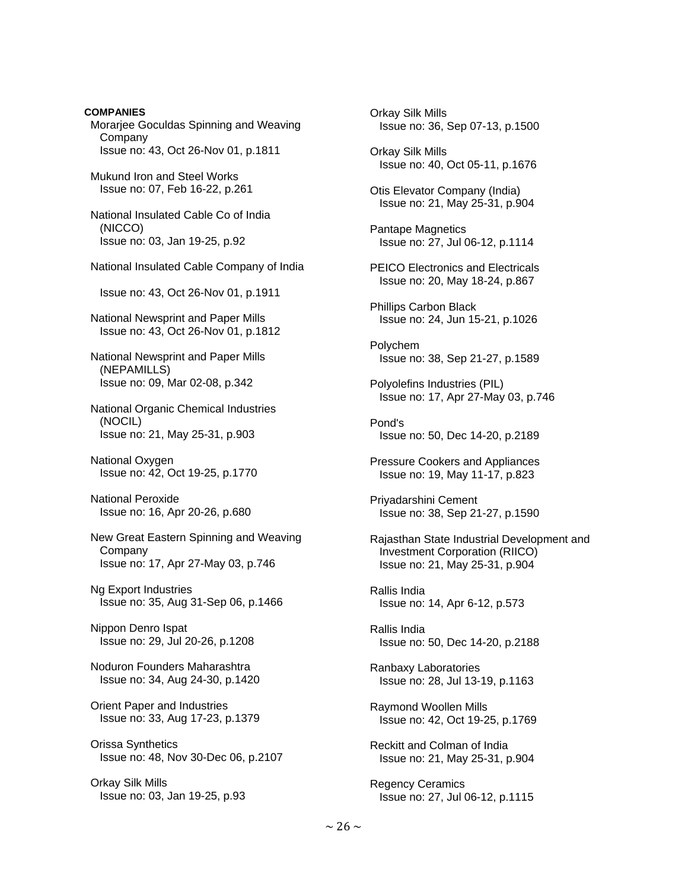**COMPANIES**  Morarjee Goculdas Spinning and Weaving Company Issue no: 43, Oct 26-Nov 01, p.1811 Mukund Iron and Steel Works Issue no: 07, Feb 16-22, p.261 National Insulated Cable Co of India (NICCO) Issue no: 03, Jan 19-25, p.92 National Insulated Cable Company of India Issue no: 43, Oct 26-Nov 01, p.1911 National Newsprint and Paper Mills Issue no: 43, Oct 26-Nov 01, p.1812 National Newsprint and Paper Mills (NEPAMILLS) Issue no: 09, Mar 02-08, p.342 National Organic Chemical Industries (NOCIL) Issue no: 21, May 25-31, p.903 National Oxygen Issue no: 42, Oct 19-25, p.1770 National Peroxide Issue no: 16, Apr 20-26, p.680 New Great Eastern Spinning and Weaving Company Issue no: 17, Apr 27-May 03, p.746 Ng Export Industries Issue no: 35, Aug 31-Sep 06, p.1466 Nippon Denro Ispat Issue no: 29, Jul 20-26, p.1208 Noduron Founders Maharashtra Issue no: 34, Aug 24-30, p.1420 Orient Paper and Industries Issue no: 33, Aug 17-23, p.1379 Orissa Synthetics Issue no: 48, Nov 30-Dec 06, p.2107 Orkay Silk Mills Issue no: 03, Jan 19-25, p.93

 Orkay Silk Mills Issue no: 36, Sep 07-13, p.1500 Orkay Silk Mills Issue no: 40, Oct 05-11, p.1676 Otis Elevator Company (India) Issue no: 21, May 25-31, p.904 Pantape Magnetics Issue no: 27, Jul 06-12, p.1114 PEICO Electronics and Electricals Issue no: 20, May 18-24, p.867 Phillips Carbon Black Issue no: 24, Jun 15-21, p.1026 Polychem Issue no: 38, Sep 21-27, p.1589 Polyolefins Industries (PIL) Issue no: 17, Apr 27-May 03, p.746 Pond's Issue no: 50, Dec 14-20, p.2189 Pressure Cookers and Appliances Issue no: 19, May 11-17, p.823 Priyadarshini Cement Issue no: 38, Sep 21-27, p.1590 Rajasthan State Industrial Development and Investment Corporation (RIICO) Issue no: 21, May 25-31, p.904 Rallis India Issue no: 14, Apr 6-12, p.573 Rallis India Issue no: 50, Dec 14-20, p.2188 Ranbaxy Laboratories Issue no: 28, Jul 13-19, p.1163 Raymond Woollen Mills Issue no: 42, Oct 19-25, p.1769 Reckitt and Colman of India Issue no: 21, May 25-31, p.904 Regency Ceramics Issue no: 27, Jul 06-12, p.1115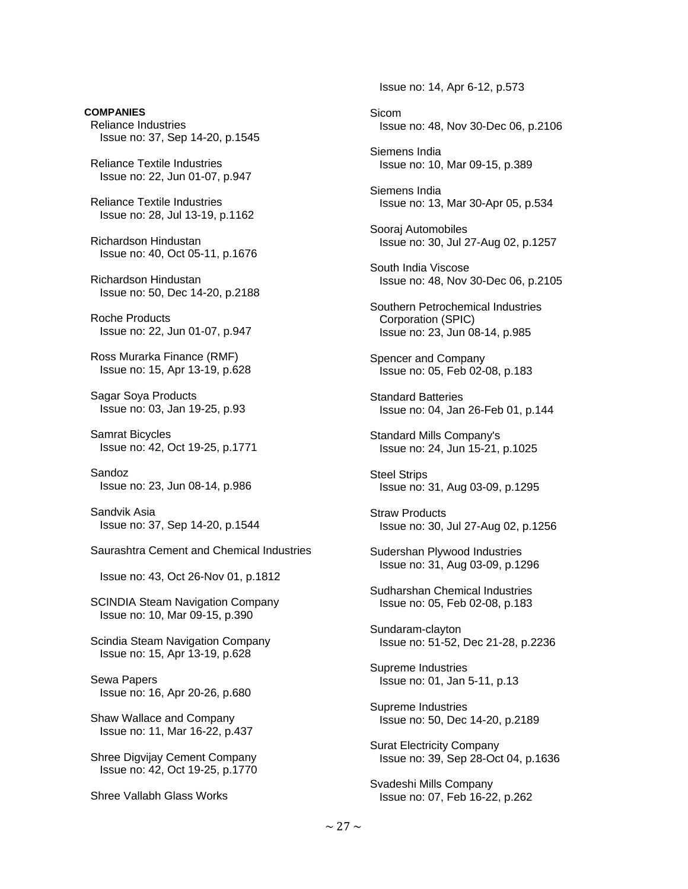**COMPANIES**  Reliance Industries Issue no: 37, Sep 14-20, p.1545

 Reliance Textile Industries Issue no: 22, Jun 01-07, p.947

 Reliance Textile Industries Issue no: 28, Jul 13-19, p.1162

 Richardson Hindustan Issue no: 40, Oct 05-11, p.1676

 Richardson Hindustan Issue no: 50, Dec 14-20, p.2188

 Roche Products Issue no: 22, Jun 01-07, p.947

 Ross Murarka Finance (RMF) Issue no: 15, Apr 13-19, p.628

 Sagar Soya Products Issue no: 03, Jan 19-25, p.93

 Samrat Bicycles Issue no: 42, Oct 19-25, p.1771

 Sandoz Issue no: 23, Jun 08-14, p.986

 Sandvik Asia Issue no: 37, Sep 14-20, p.1544

Saurashtra Cement and Chemical Industries

Issue no: 43, Oct 26-Nov 01, p.1812

 SCINDIA Steam Navigation Company Issue no: 10, Mar 09-15, p.390

 Scindia Steam Navigation Company Issue no: 15, Apr 13-19, p.628

 Sewa Papers Issue no: 16, Apr 20-26, p.680

 Shaw Wallace and Company Issue no: 11, Mar 16-22, p.437

 Shree Digvijay Cement Company Issue no: 42, Oct 19-25, p.1770

Shree Vallabh Glass Works

Issue no: 14, Apr 6-12, p.573

 Sicom Issue no: 48, Nov 30-Dec 06, p.2106

 Siemens India Issue no: 10, Mar 09-15, p.389

 Siemens India Issue no: 13, Mar 30-Apr 05, p.534

 Sooraj Automobiles Issue no: 30, Jul 27-Aug 02, p.1257

 South India Viscose Issue no: 48, Nov 30-Dec 06, p.2105

 Southern Petrochemical Industries Corporation (SPIC) Issue no: 23, Jun 08-14, p.985

 Spencer and Company Issue no: 05, Feb 02-08, p.183

 Standard Batteries Issue no: 04, Jan 26-Feb 01, p.144

 Standard Mills Company's Issue no: 24, Jun 15-21, p.1025

 Steel Strips Issue no: 31, Aug 03-09, p.1295

 Straw Products Issue no: 30, Jul 27-Aug 02, p.1256

 Sudershan Plywood Industries Issue no: 31, Aug 03-09, p.1296

 Sudharshan Chemical Industries Issue no: 05, Feb 02-08, p.183

 Sundaram-clayton Issue no: 51-52, Dec 21-28, p.2236

 Supreme Industries Issue no: 01, Jan 5-11, p.13

 Supreme Industries Issue no: 50, Dec 14-20, p.2189

 Surat Electricity Company Issue no: 39, Sep 28-Oct 04, p.1636

 Svadeshi Mills Company Issue no: 07, Feb 16-22, p.262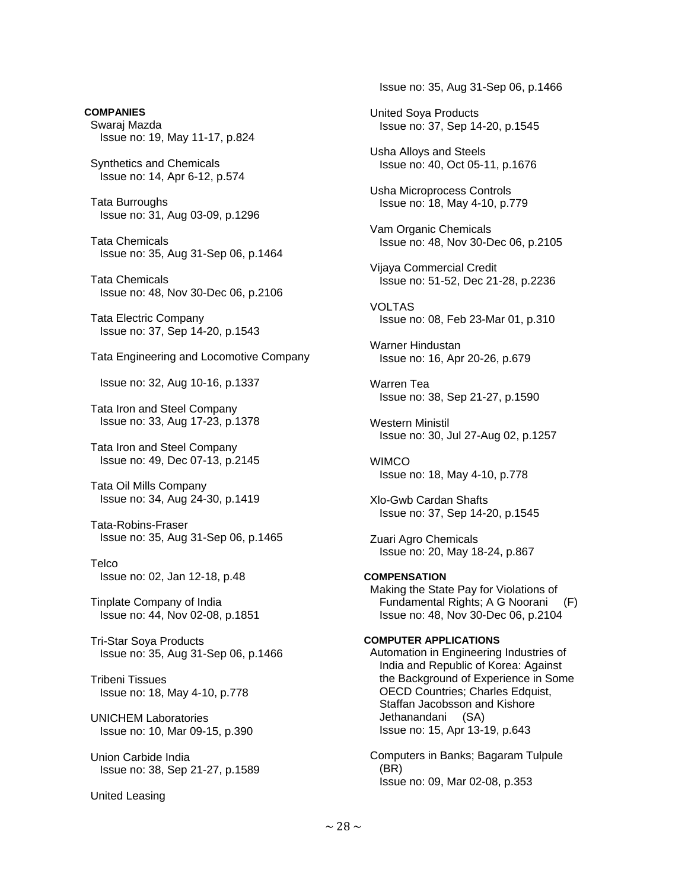**COMPANIES**  Swaraj Mazda Issue no: 19, May 11-17, p.824

 Synthetics and Chemicals Issue no: 14, Apr 6-12, p.574

 Tata Burroughs Issue no: 31, Aug 03-09, p.1296

 Tata Chemicals Issue no: 35, Aug 31-Sep 06, p.1464

 Tata Chemicals Issue no: 48, Nov 30-Dec 06, p.2106

 Tata Electric Company Issue no: 37, Sep 14-20, p.1543

Tata Engineering and Locomotive Company

Issue no: 32, Aug 10-16, p.1337

 Tata Iron and Steel Company Issue no: 33, Aug 17-23, p.1378

 Tata Iron and Steel Company Issue no: 49, Dec 07-13, p.2145

 Tata Oil Mills Company Issue no: 34, Aug 24-30, p.1419

 Tata-Robins-Fraser Issue no: 35, Aug 31-Sep 06, p.1465

**Telco** Issue no: 02, Jan 12-18, p.48

 Tinplate Company of India Issue no: 44, Nov 02-08, p.1851

 Tri-Star Soya Products Issue no: 35, Aug 31-Sep 06, p.1466

 Tribeni Tissues Issue no: 18, May 4-10, p.778

# UNICHEM Laboratories Issue no: 10, Mar 09-15, p.390

 Union Carbide India Issue no: 38, Sep 21-27, p.1589

United Leasing

Issue no: 35, Aug 31-Sep 06, p.1466

 United Soya Products Issue no: 37, Sep 14-20, p.1545

 Usha Alloys and Steels Issue no: 40, Oct 05-11, p.1676

 Usha Microprocess Controls Issue no: 18, May 4-10, p.779

 Vam Organic Chemicals Issue no: 48, Nov 30-Dec 06, p.2105

 Vijaya Commercial Credit Issue no: 51-52, Dec 21-28, p.2236

 VOLTAS Issue no: 08, Feb 23-Mar 01, p.310

 Warner Hindustan Issue no: 16, Apr 20-26, p.679

 Warren Tea Issue no: 38, Sep 21-27, p.1590

 Western Ministil Issue no: 30, Jul 27-Aug 02, p.1257

**WIMCO** Issue no: 18, May 4-10, p.778

 Xlo-Gwb Cardan Shafts Issue no: 37, Sep 14-20, p.1545

 Zuari Agro Chemicals Issue no: 20, May 18-24, p.867

# **COMPENSATION**

 Making the State Pay for Violations of Fundamental Rights; A G Noorani (F) Issue no: 48, Nov 30-Dec 06, p.2104

#### **COMPUTER APPLICATIONS**

 Automation in Engineering Industries of India and Republic of Korea: Against the Background of Experience in Some OECD Countries; Charles Edquist, Staffan Jacobsson and Kishore Jethanandani (SA) Issue no: 15, Apr 13-19, p.643

 Computers in Banks; Bagaram Tulpule (BR) Issue no: 09, Mar 02-08, p.353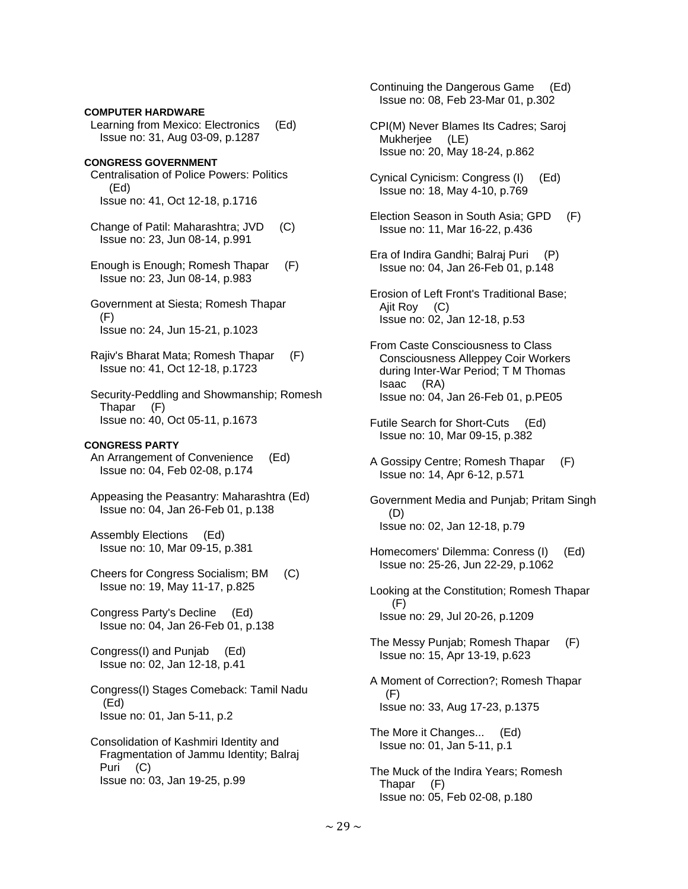### **COMPUTER HARDWARE**

 Learning from Mexico: Electronics (Ed) Issue no: 31, Aug 03-09, p.1287

# **CONGRESS GOVERNMENT**

 Centralisation of Police Powers: Politics (Ed) Issue no: 41, Oct 12-18, p.1716

 Change of Patil: Maharashtra; JVD (C) Issue no: 23, Jun 08-14, p.991

 Enough is Enough; Romesh Thapar (F) Issue no: 23, Jun 08-14, p.983

 Government at Siesta; Romesh Thapar (F) Issue no: 24, Jun 15-21, p.1023

 Rajiv's Bharat Mata; Romesh Thapar (F) Issue no: 41, Oct 12-18, p.1723

 Security-Peddling and Showmanship; Romesh Thapar (F) Issue no: 40, Oct 05-11, p.1673

#### **CONGRESS PARTY**

 An Arrangement of Convenience (Ed) Issue no: 04, Feb 02-08, p.174

 Appeasing the Peasantry: Maharashtra (Ed) Issue no: 04, Jan 26-Feb 01, p.138

 Assembly Elections (Ed) Issue no: 10, Mar 09-15, p.381

 Cheers for Congress Socialism; BM (C) Issue no: 19, May 11-17, p.825

 Congress Party's Decline (Ed) Issue no: 04, Jan 26-Feb 01, p.138

 Congress(I) and Punjab (Ed) Issue no: 02, Jan 12-18, p.41

 Congress(I) Stages Comeback: Tamil Nadu (Ed) Issue no: 01, Jan 5-11, p.2

 Consolidation of Kashmiri Identity and Fragmentation of Jammu Identity; Balraj Puri (C) Issue no: 03, Jan 19-25, p.99

 Continuing the Dangerous Game (Ed) Issue no: 08, Feb 23-Mar 01, p.302

 CPI(M) Never Blames Its Cadres; Saroj Mukherjee (LE) Issue no: 20, May 18-24, p.862

 Cynical Cynicism: Congress (I) (Ed) Issue no: 18, May 4-10, p.769

- Election Season in South Asia; GPD (F) Issue no: 11, Mar 16-22, p.436
- Era of Indira Gandhi; Balraj Puri (P) Issue no: 04, Jan 26-Feb 01, p.148
- Erosion of Left Front's Traditional Base; Ajit Roy (C) Issue no: 02, Jan 12-18, p.53

 From Caste Consciousness to Class Consciousness Alleppey Coir Workers during Inter-War Period; T M Thomas Isaac (RA) Issue no: 04, Jan 26-Feb 01, p.PE05

- Futile Search for Short-Cuts (Ed) Issue no: 10, Mar 09-15, p.382
- A Gossipy Centre; Romesh Thapar (F) Issue no: 14, Apr 6-12, p.571
- Government Media and Punjab; Pritam Singh (D) Issue no: 02, Jan 12-18, p.79
- Homecomers' Dilemma: Conress (I) (Ed) Issue no: 25-26, Jun 22-29, p.1062
- Looking at the Constitution; Romesh Thapar (F) Issue no: 29, Jul 20-26, p.1209
- The Messy Punjab; Romesh Thapar (F) Issue no: 15, Apr 13-19, p.623
- A Moment of Correction?; Romesh Thapar (F) Issue no: 33, Aug 17-23, p.1375

 The More it Changes... (Ed) Issue no: 01, Jan 5-11, p.1

 The Muck of the Indira Years; Romesh Thapar (F) Issue no: 05, Feb 02-08, p.180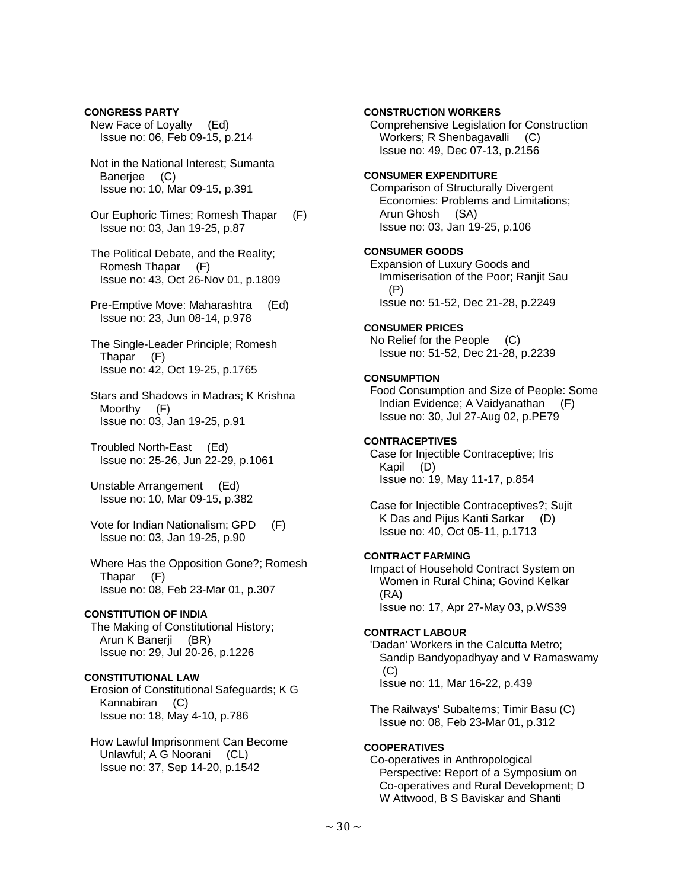**CONGRESS PARTY**  New Face of Loyalty (Ed) Issue no: 06, Feb 09-15, p.214

 Not in the National Interest; Sumanta Banerjee (C) Issue no: 10, Mar 09-15, p.391

 Our Euphoric Times; Romesh Thapar (F) Issue no: 03, Jan 19-25, p.87

 The Political Debate, and the Reality; Romesh Thapar (F) Issue no: 43, Oct 26-Nov 01, p.1809

 Pre-Emptive Move: Maharashtra (Ed) Issue no: 23, Jun 08-14, p.978

 The Single-Leader Principle; Romesh Thapar (F) Issue no: 42, Oct 19-25, p.1765

 Stars and Shadows in Madras; K Krishna Moorthy (F) Issue no: 03, Jan 19-25, p.91

 Troubled North-East (Ed) Issue no: 25-26, Jun 22-29, p.1061

 Unstable Arrangement (Ed) Issue no: 10, Mar 09-15, p.382

 Vote for Indian Nationalism; GPD (F) Issue no: 03, Jan 19-25, p.90

 Where Has the Opposition Gone?; Romesh Thapar (F) Issue no: 08, Feb 23-Mar 01, p.307

### **CONSTITUTION OF INDIA**

 The Making of Constitutional History; Arun K Banerji (BR) Issue no: 29, Jul 20-26, p.1226

# **CONSTITUTIONAL LAW**

 Erosion of Constitutional Safeguards; K G Kannabiran (C) Issue no: 18, May 4-10, p.786

 How Lawful Imprisonment Can Become Unlawful; A G Noorani (CL) Issue no: 37, Sep 14-20, p.1542

# **CONSTRUCTION WORKERS**

 Comprehensive Legislation for Construction Workers; R Shenbagavalli (C) Issue no: 49, Dec 07-13, p.2156

### **CONSUMER EXPENDITURE**

 Comparison of Structurally Divergent Economies: Problems and Limitations; Arun Ghosh (SA) Issue no: 03, Jan 19-25, p.106

#### **CONSUMER GOODS**

 Expansion of Luxury Goods and Immiserisation of the Poor; Ranjit Sau (P) Issue no: 51-52, Dec 21-28, p.2249

### **CONSUMER PRICES**

 No Relief for the People (C) Issue no: 51-52, Dec 21-28, p.2239

# **CONSUMPTION**

 Food Consumption and Size of People: Some Indian Evidence; A Vaidyanathan (F) Issue no: 30, Jul 27-Aug 02, p.PE79

#### **CONTRACEPTIVES**

 Case for Injectible Contraceptive; Iris Kapil (D) Issue no: 19, May 11-17, p.854

 Case for Injectible Contraceptives?; Sujit K Das and Pijus Kanti Sarkar (D) Issue no: 40, Oct 05-11, p.1713

### **CONTRACT FARMING**

 Impact of Household Contract System on Women in Rural China; Govind Kelkar (RA) Issue no: 17, Apr 27-May 03, p.WS39

# **CONTRACT LABOUR**

 'Dadan' Workers in the Calcutta Metro; Sandip Bandyopadhyay and V Ramaswamy  $(C)$ Issue no: 11, Mar 16-22, p.439

 The Railways' Subalterns; Timir Basu (C) Issue no: 08, Feb 23-Mar 01, p.312

# **COOPERATIVES**

 Co-operatives in Anthropological Perspective: Report of a Symposium on Co-operatives and Rural Development; D W Attwood, B S Baviskar and Shanti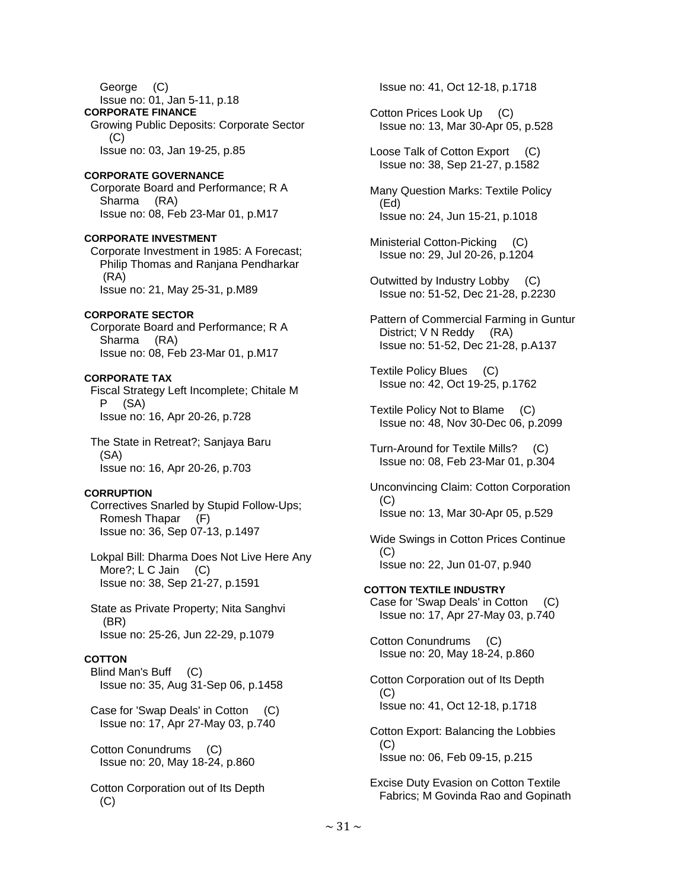George (C) Issue no: 01, Jan 5-11, p.18 **CORPORATE FINANCE**  Growing Public Deposits: Corporate Sector (C) Issue no: 03, Jan 19-25, p.85

### **CORPORATE GOVERNANCE**

 Corporate Board and Performance; R A Sharma (RA) Issue no: 08, Feb 23-Mar 01, p.M17

**CORPORATE INVESTMENT**  Corporate Investment in 1985: A Forecast; Philip Thomas and Ranjana Pendharkar (RA) Issue no: 21, May 25-31, p.M89

**CORPORATE SECTOR**  Corporate Board and Performance; R A Sharma (RA) Issue no: 08, Feb 23-Mar 01, p.M17

# **CORPORATE TAX**

 Fiscal Strategy Left Incomplete; Chitale M P (SA) Issue no: 16, Apr 20-26, p.728

 The State in Retreat?; Sanjaya Baru (SA) Issue no: 16, Apr 20-26, p.703

# **CORRUPTION**

 Correctives Snarled by Stupid Follow-Ups; Romesh Thapar (F) Issue no: 36, Sep 07-13, p.1497

 Lokpal Bill: Dharma Does Not Live Here Any More?; L C Jain (C) Issue no: 38, Sep 21-27, p.1591

 State as Private Property; Nita Sanghvi (BR) Issue no: 25-26, Jun 22-29, p.1079

# **COTTON**

 Blind Man's Buff (C) Issue no: 35, Aug 31-Sep 06, p.1458

 Case for 'Swap Deals' in Cotton (C) Issue no: 17, Apr 27-May 03, p.740

 Cotton Conundrums (C) Issue no: 20, May 18-24, p.860

 Cotton Corporation out of Its Depth (C)

Issue no: 41, Oct 12-18, p.1718

 Cotton Prices Look Up (C) Issue no: 13, Mar 30-Apr 05, p.528

Loose Talk of Cotton Export (C) Issue no: 38, Sep 21-27, p.1582

 Many Question Marks: Textile Policy (Ed) Issue no: 24, Jun 15-21, p.1018

 Ministerial Cotton-Picking (C) Issue no: 29, Jul 20-26, p.1204

 Outwitted by Industry Lobby (C) Issue no: 51-52, Dec 21-28, p.2230

 Pattern of Commercial Farming in Guntur District; V N Reddy (RA) Issue no: 51-52, Dec 21-28, p.A137

 Textile Policy Blues (C) Issue no: 42, Oct 19-25, p.1762

 Textile Policy Not to Blame (C) Issue no: 48, Nov 30-Dec 06, p.2099

 Turn-Around for Textile Mills? (C) Issue no: 08, Feb 23-Mar 01, p.304

 Unconvincing Claim: Cotton Corporation (C) Issue no: 13, Mar 30-Apr 05, p.529

 Wide Swings in Cotton Prices Continue  $(C)$ Issue no: 22, Jun 01-07, p.940

**COTTON TEXTILE INDUSTRY**  Case for 'Swap Deals' in Cotton (C) Issue no: 17, Apr 27-May 03, p.740

 Cotton Conundrums (C) Issue no: 20, May 18-24, p.860

 Cotton Corporation out of Its Depth  $(C)$ Issue no: 41, Oct 12-18, p.1718

 Cotton Export: Balancing the Lobbies (C) Issue no: 06, Feb 09-15, p.215

 Excise Duty Evasion on Cotton Textile Fabrics; M Govinda Rao and Gopinath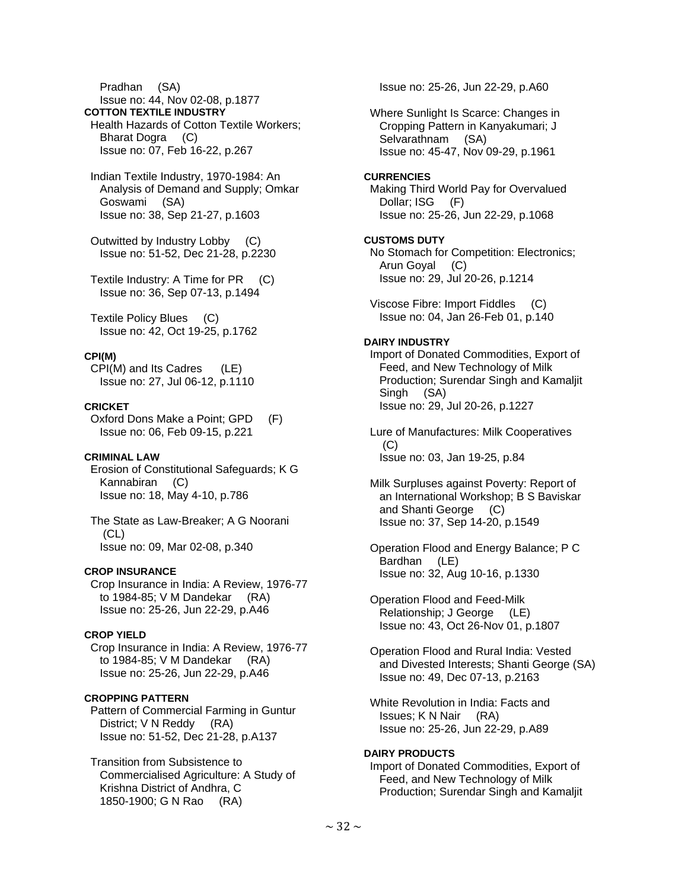Pradhan (SA)

Issue no: 44, Nov 02-08, p.1877

**COTTON TEXTILE INDUSTRY**  Health Hazards of Cotton Textile Workers;

 Bharat Dogra (C) Issue no: 07, Feb 16-22, p.267

 Indian Textile Industry, 1970-1984: An Analysis of Demand and Supply; Omkar Goswami (SA) Issue no: 38, Sep 21-27, p.1603

 Outwitted by Industry Lobby (C) Issue no: 51-52, Dec 21-28, p.2230

 Textile Industry: A Time for PR (C) Issue no: 36, Sep 07-13, p.1494

 Textile Policy Blues (C) Issue no: 42, Oct 19-25, p.1762

# **CPI(M)**

 CPI(M) and Its Cadres (LE) Issue no: 27, Jul 06-12, p.1110

# **CRICKET**

 Oxford Dons Make a Point; GPD (F) Issue no: 06, Feb 09-15, p.221

# **CRIMINAL LAW**

 Erosion of Constitutional Safeguards; K G Kannabiran (C) Issue no: 18, May 4-10, p.786

 The State as Law-Breaker; A G Noorani  $(CL)$ Issue no: 09, Mar 02-08, p.340

# **CROP INSURANCE**

 Crop Insurance in India: A Review, 1976-77 to 1984-85; V M Dandekar (RA) Issue no: 25-26, Jun 22-29, p.A46

# **CROP YIELD**

 Crop Insurance in India: A Review, 1976-77 to 1984-85; V M Dandekar (RA) Issue no: 25-26, Jun 22-29, p.A46

# **CROPPING PATTERN**

 Pattern of Commercial Farming in Guntur District; V N Reddy (RA) Issue no: 51-52, Dec 21-28, p.A137

 Transition from Subsistence to Commercialised Agriculture: A Study of Krishna District of Andhra, C 1850-1900; G N Rao (RA)

Issue no: 25-26, Jun 22-29, p.A60

 Where Sunlight Is Scarce: Changes in Cropping Pattern in Kanyakumari; J Selvarathnam (SA) Issue no: 45-47, Nov 09-29, p.1961

## **CURRENCIES**

 Making Third World Pay for Overvalued Dollar; ISG (F) Issue no: 25-26, Jun 22-29, p.1068

## **CUSTOMS DUTY**

 No Stomach for Competition: Electronics; Arun Goyal (C) Issue no: 29, Jul 20-26, p.1214

 Viscose Fibre: Import Fiddles (C) Issue no: 04, Jan 26-Feb 01, p.140

# **DAIRY INDUSTRY**

 Import of Donated Commodities, Export of Feed, and New Technology of Milk Production; Surendar Singh and Kamaljit Singh (SA) Issue no: 29, Jul 20-26, p.1227

 Lure of Manufactures: Milk Cooperatives  $(C)$ Issue no: 03, Jan 19-25, p.84

 Milk Surpluses against Poverty: Report of an International Workshop; B S Baviskar and Shanti George (C) Issue no: 37, Sep 14-20, p.1549

 Operation Flood and Energy Balance; P C Bardhan (LE) Issue no: 32, Aug 10-16, p.1330

 Operation Flood and Feed-Milk Relationship; J George (LE) Issue no: 43, Oct 26-Nov 01, p.1807

 Operation Flood and Rural India: Vested and Divested Interests; Shanti George (SA) Issue no: 49, Dec 07-13, p.2163

 White Revolution in India: Facts and Issues; K N Nair (RA) Issue no: 25-26, Jun 22-29, p.A89

# **DAIRY PRODUCTS**

 Import of Donated Commodities, Export of Feed, and New Technology of Milk Production; Surendar Singh and Kamaljit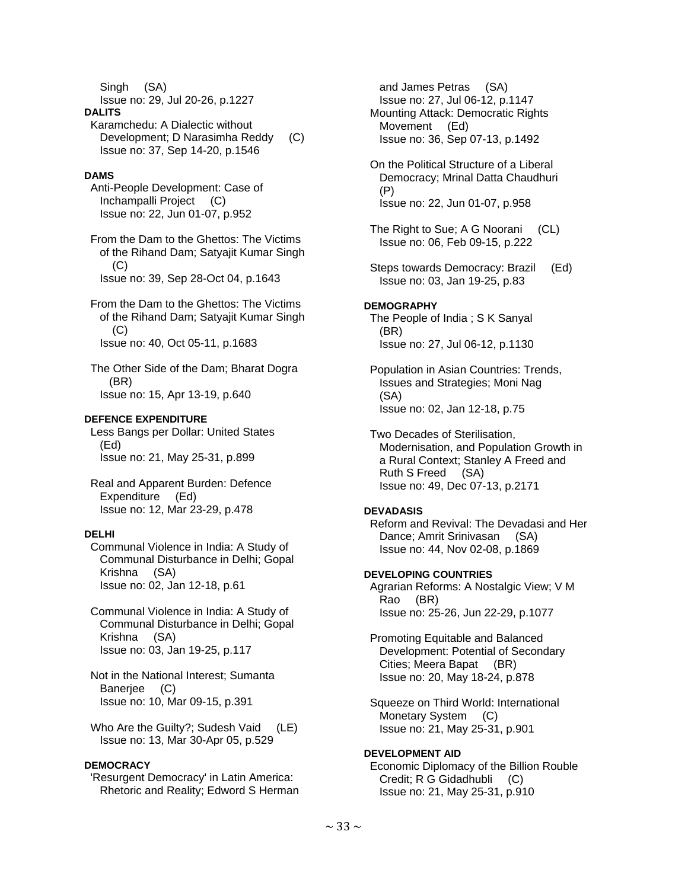Singh (SA)

Issue no: 29, Jul 20-26, p.1227

### **DALITS**

 Karamchedu: A Dialectic without Development; D Narasimha Reddy (C) Issue no: 37, Sep 14-20, p.1546

# **DAMS**

 Anti-People Development: Case of Inchampalli Project (C) Issue no: 22, Jun 01-07, p.952

 From the Dam to the Ghettos: The Victims of the Rihand Dam; Satyajit Kumar Singh (C) Issue no: 39, Sep 28-Oct 04, p.1643

 From the Dam to the Ghettos: The Victims of the Rihand Dam; Satyajit Kumar Singh (C) Issue no: 40, Oct 05-11, p.1683

 The Other Side of the Dam; Bharat Dogra (BR) Issue no: 15, Apr 13-19, p.640

# **DEFENCE EXPENDITURE**

 Less Bangs per Dollar: United States (Ed) Issue no: 21, May 25-31, p.899

 Real and Apparent Burden: Defence Expenditure (Ed) Issue no: 12, Mar 23-29, p.478

# **DELHI**

 Communal Violence in India: A Study of Communal Disturbance in Delhi; Gopal Krishna (SA) Issue no: 02, Jan 12-18, p.61

 Communal Violence in India: A Study of Communal Disturbance in Delhi; Gopal Krishna (SA) Issue no: 03, Jan 19-25, p.117

 Not in the National Interest; Sumanta Banerjee (C) Issue no: 10, Mar 09-15, p.391

Who Are the Guilty?; Sudesh Vaid (LE) Issue no: 13, Mar 30-Apr 05, p.529

# **DEMOCRACY**

 'Resurgent Democracy' in Latin America: Rhetoric and Reality; Edword S Herman

 and James Petras (SA) Issue no: 27, Jul 06-12, p.1147 Mounting Attack: Democratic Rights Movement (Ed) Issue no: 36, Sep 07-13, p.1492

 On the Political Structure of a Liberal Democracy; Mrinal Datta Chaudhuri (P) Issue no: 22, Jun 01-07, p.958

- The Right to Sue; A G Noorani (CL) Issue no: 06, Feb 09-15, p.222
- Steps towards Democracy: Brazil (Ed) Issue no: 03, Jan 19-25, p.83

# **DEMOGRAPHY**

 The People of India ; S K Sanyal (BR) Issue no: 27, Jul 06-12, p.1130

 Population in Asian Countries: Trends, Issues and Strategies; Moni Nag (SA) Issue no: 02, Jan 12-18, p.75

 Two Decades of Sterilisation, Modernisation, and Population Growth in a Rural Context; Stanley A Freed and Ruth S Freed (SA) Issue no: 49, Dec 07-13, p.2171

# **DEVADASIS**

 Reform and Revival: The Devadasi and Her Dance; Amrit Srinivasan (SA) Issue no: 44, Nov 02-08, p.1869

# **DEVELOPING COUNTRIES**

 Agrarian Reforms: A Nostalgic View; V M Rao (BR) Issue no: 25-26, Jun 22-29, p.1077

 Promoting Equitable and Balanced Development: Potential of Secondary Cities; Meera Bapat (BR) Issue no: 20, May 18-24, p.878

 Squeeze on Third World: International Monetary System (C) Issue no: 21, May 25-31, p.901

# **DEVELOPMENT AID**

 Economic Diplomacy of the Billion Rouble Credit; R G Gidadhubli (C) Issue no: 21, May 25-31, p.910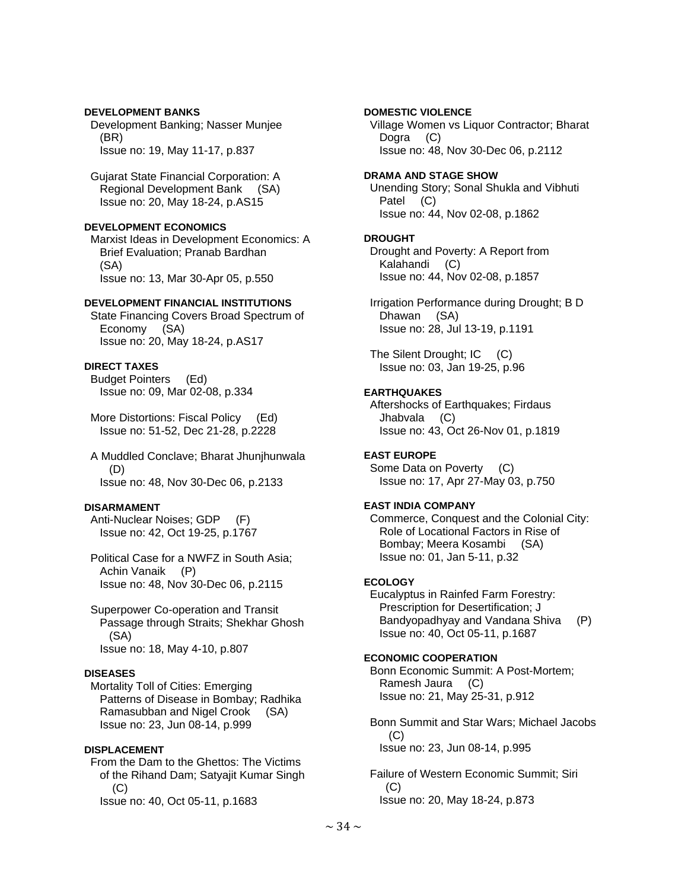# **DEVELOPMENT BANKS**

 Development Banking; Nasser Munjee (BR) Issue no: 19, May 11-17, p.837

 Gujarat State Financial Corporation: A Regional Development Bank (SA) Issue no: 20, May 18-24, p.AS15

# **DEVELOPMENT ECONOMICS**

 Marxist Ideas in Development Economics: A Brief Evaluation; Pranab Bardhan (SA) Issue no: 13, Mar 30-Apr 05, p.550

## **DEVELOPMENT FINANCIAL INSTITUTIONS**

 State Financing Covers Broad Spectrum of Economy (SA) Issue no: 20, May 18-24, p.AS17

# **DIRECT TAXES**

 Budget Pointers (Ed) Issue no: 09, Mar 02-08, p.334

 More Distortions: Fiscal Policy (Ed) Issue no: 51-52, Dec 21-28, p.2228

 A Muddled Conclave; Bharat Jhunjhunwala (D) Issue no: 48, Nov 30-Dec 06, p.2133

# **DISARMAMENT**

 Anti-Nuclear Noises; GDP (F) Issue no: 42, Oct 19-25, p.1767

 Political Case for a NWFZ in South Asia; Achin Vanaik (P) Issue no: 48, Nov 30-Dec 06, p.2115

 Superpower Co-operation and Transit Passage through Straits; Shekhar Ghosh (SA) Issue no: 18, May 4-10, p.807

# **DISEASES**

 Mortality Toll of Cities: Emerging Patterns of Disease in Bombay; Radhika Ramasubban and Nigel Crook (SA) Issue no: 23, Jun 08-14, p.999

# **DISPLACEMENT**

 From the Dam to the Ghettos: The Victims of the Rihand Dam; Satyajit Kumar Singh (C) Issue no: 40, Oct 05-11, p.1683

# **DOMESTIC VIOLENCE**

 Village Women vs Liquor Contractor; Bharat Dogra (C) Issue no: 48, Nov 30-Dec 06, p.2112

# **DRAMA AND STAGE SHOW**

 Unending Story; Sonal Shukla and Vibhuti Patel (C) Issue no: 44, Nov 02-08, p.1862

## **DROUGHT**

 Drought and Poverty: A Report from Kalahandi (C) Issue no: 44, Nov 02-08, p.1857

 Irrigation Performance during Drought; B D Dhawan (SA) Issue no: 28, Jul 13-19, p.1191

 The Silent Drought; IC (C) Issue no: 03, Jan 19-25, p.96

# **EARTHQUAKES**

 Aftershocks of Earthquakes; Firdaus Jhabvala (C) Issue no: 43, Oct 26-Nov 01, p.1819

# **EAST EUROPE**

 Some Data on Poverty (C) Issue no: 17, Apr 27-May 03, p.750

# **EAST INDIA COMPANY**

 Commerce, Conquest and the Colonial City: Role of Locational Factors in Rise of Bombay; Meera Kosambi (SA) Issue no: 01, Jan 5-11, p.32

# **ECOLOGY**

 Eucalyptus in Rainfed Farm Forestry: Prescription for Desertification; J Bandyopadhyay and Vandana Shiva (P) Issue no: 40, Oct 05-11, p.1687

# **ECONOMIC COOPERATION**

 Bonn Economic Summit: A Post-Mortem; Ramesh Jaura (C) Issue no: 21, May 25-31, p.912

 Bonn Summit and Star Wars; Michael Jacobs (C) Issue no: 23, Jun 08-14, p.995

 Failure of Western Economic Summit; Siri  $(C)$ Issue no: 20, May 18-24, p.873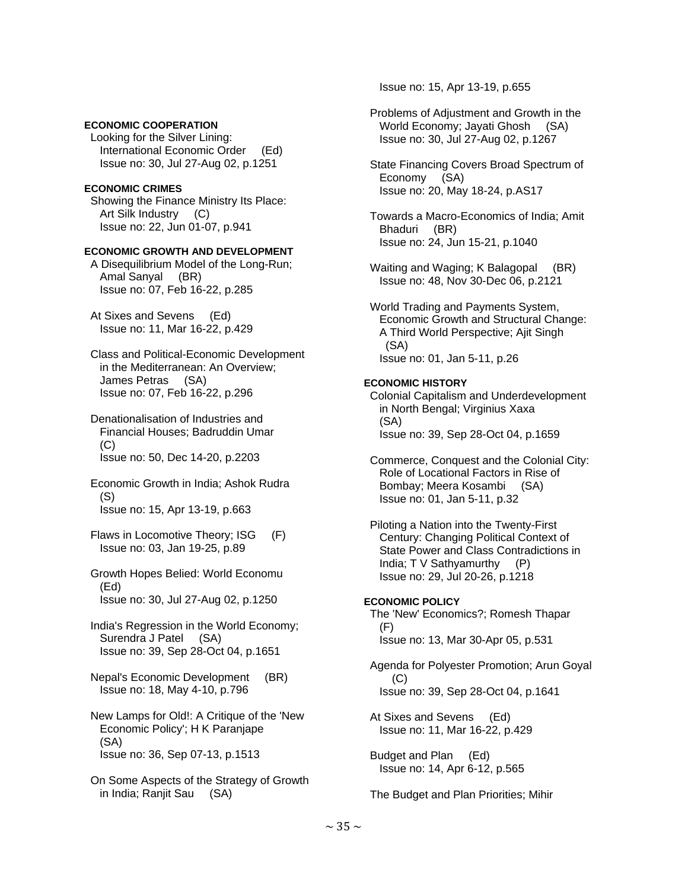# **ECONOMIC COOPERATION**

 Looking for the Silver Lining: International Economic Order (Ed) Issue no: 30, Jul 27-Aug 02, p.1251

# **ECONOMIC CRIMES**

 Showing the Finance Ministry Its Place: Art Silk Industry (C) Issue no: 22, Jun 01-07, p.941

## **ECONOMIC GROWTH AND DEVELOPMENT**

 A Disequilibrium Model of the Long-Run; Amal Sanyal (BR) Issue no: 07, Feb 16-22, p.285

 At Sixes and Sevens (Ed) Issue no: 11, Mar 16-22, p.429

 Class and Political-Economic Development in the Mediterranean: An Overview; James Petras (SA) Issue no: 07, Feb 16-22, p.296

 Denationalisation of Industries and Financial Houses; Badruddin Umar (C) Issue no: 50, Dec 14-20, p.2203

 Economic Growth in India; Ashok Rudra (S) Issue no: 15, Apr 13-19, p.663

- Flaws in Locomotive Theory; ISG (F) Issue no: 03, Jan 19-25, p.89
- Growth Hopes Belied: World Economu (Ed) Issue no: 30, Jul 27-Aug 02, p.1250

 India's Regression in the World Economy; Surendra J Patel (SA) Issue no: 39, Sep 28-Oct 04, p.1651

- Nepal's Economic Development (BR) Issue no: 18, May 4-10, p.796
- New Lamps for Old!: A Critique of the 'New Economic Policy'; H K Paranjape (SA) Issue no: 36, Sep 07-13, p.1513
- On Some Aspects of the Strategy of Growth in India; Ranjit Sau (SA)

Issue no: 15, Apr 13-19, p.655

- Problems of Adjustment and Growth in the World Economy; Jayati Ghosh (SA) Issue no: 30, Jul 27-Aug 02, p.1267
- State Financing Covers Broad Spectrum of Economy (SA) Issue no: 20, May 18-24, p.AS17
- Towards a Macro-Economics of India; Amit Bhaduri (BR) Issue no: 24, Jun 15-21, p.1040
- Waiting and Waging; K Balagopal (BR) Issue no: 48, Nov 30-Dec 06, p.2121

 World Trading and Payments System, Economic Growth and Structural Change: A Third World Perspective; Ajit Singh (SA) Issue no: 01, Jan 5-11, p.26

## **ECONOMIC HISTORY**

 Colonial Capitalism and Underdevelopment in North Bengal; Virginius Xaxa (SA) Issue no: 39, Sep 28-Oct 04, p.1659

 Commerce, Conquest and the Colonial City: Role of Locational Factors in Rise of Bombay; Meera Kosambi (SA) Issue no: 01, Jan 5-11, p.32

 Piloting a Nation into the Twenty-First Century: Changing Political Context of State Power and Class Contradictions in India; T V Sathyamurthy (P) Issue no: 29, Jul 20-26, p.1218

### **ECONOMIC POLICY**

 The 'New' Economics?; Romesh Thapar (F) Issue no: 13, Mar 30-Apr 05, p.531

 Agenda for Polyester Promotion; Arun Goyal (C) Issue no: 39, Sep 28-Oct 04, p.1641

 At Sixes and Sevens (Ed) Issue no: 11, Mar 16-22, p.429

 Budget and Plan (Ed) Issue no: 14, Apr 6-12, p.565

The Budget and Plan Priorities; Mihir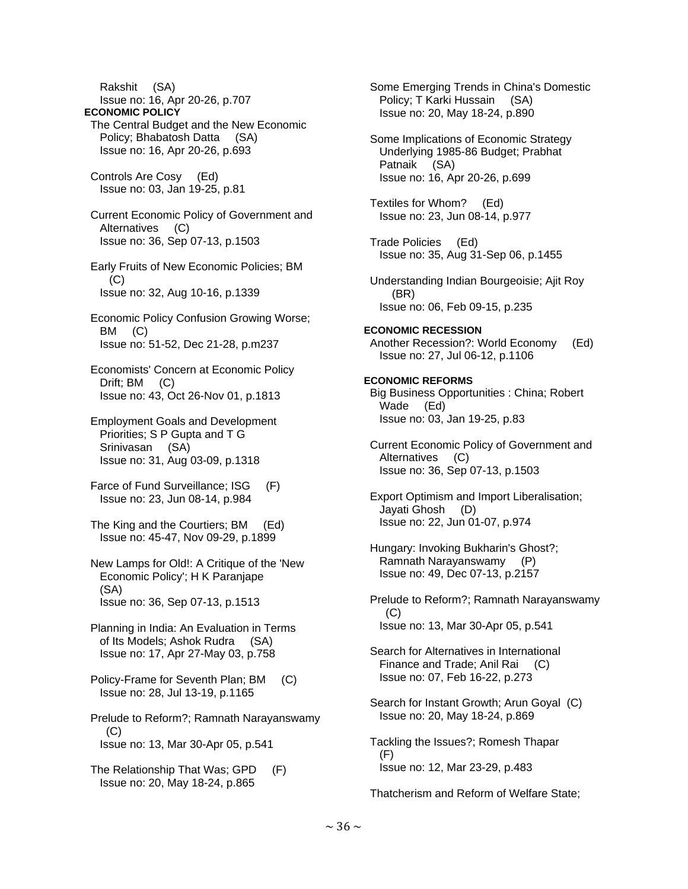Rakshit (SA) Issue no: 16, Apr 20-26, p.707 **ECONOMIC POLICY**  The Central Budget and the New Economic Policy; Bhabatosh Datta (SA) Issue no: 16, Apr 20-26, p.693 Controls Are Cosy (Ed) Issue no: 03, Jan 19-25, p.81 Current Economic Policy of Government and Alternatives (C) Issue no: 36, Sep 07-13, p.1503 Early Fruits of New Economic Policies; BM  $(C)$  Issue no: 32, Aug 10-16, p.1339 Economic Policy Confusion Growing Worse; BM (C) Issue no: 51-52, Dec 21-28, p.m237 Economists' Concern at Economic Policy Drift; BM (C) Issue no: 43, Oct 26-Nov 01, p.1813 Employment Goals and Development Priorities; S P Gupta and T G Srinivasan (SA) Issue no: 31, Aug 03-09, p.1318 Farce of Fund Surveillance; ISG (F) Issue no: 23, Jun 08-14, p.984 The King and the Courtiers; BM (Ed) Issue no: 45-47, Nov 09-29, p.1899 New Lamps for Old!: A Critique of the 'New Economic Policy'; H K Paranjape (SA) Issue no: 36, Sep 07-13, p.1513 Planning in India: An Evaluation in Terms of Its Models; Ashok Rudra (SA) Issue no: 17, Apr 27-May 03, p.758 Policy-Frame for Seventh Plan; BM (C) Issue no: 28, Jul 13-19, p.1165 Prelude to Reform?; Ramnath Narayanswamy  $(C)$  Issue no: 13, Mar 30-Apr 05, p.541 The Relationship That Was; GPD (F) Issue no: 20, May 18-24, p.865

 Some Emerging Trends in China's Domestic Policy; T Karki Hussain (SA) Issue no: 20, May 18-24, p.890 Some Implications of Economic Strategy Underlying 1985-86 Budget; Prabhat Patnaik (SA) Issue no: 16, Apr 20-26, p.699 Textiles for Whom? (Ed) Issue no: 23, Jun 08-14, p.977 Trade Policies (Ed) Issue no: 35, Aug 31-Sep 06, p.1455 Understanding Indian Bourgeoisie; Ajit Roy (BR) Issue no: 06, Feb 09-15, p.235 **ECONOMIC RECESSION**  Another Recession?: World Economy (Ed) Issue no: 27, Jul 06-12, p.1106 **ECONOMIC REFORMS**  Big Business Opportunities : China; Robert Wade (Ed) Issue no: 03, Jan 19-25, p.83 Current Economic Policy of Government and Alternatives (C) Issue no: 36, Sep 07-13, p.1503 Export Optimism and Import Liberalisation; Jayati Ghosh (D) Issue no: 22, Jun 01-07, p.974 Hungary: Invoking Bukharin's Ghost?; Ramnath Narayanswamy (P) Issue no: 49, Dec 07-13, p.2157 Prelude to Reform?; Ramnath Narayanswamy  $(C)$  Issue no: 13, Mar 30-Apr 05, p.541 Search for Alternatives in International Finance and Trade; Anil Rai (C) Issue no: 07, Feb 16-22, p.273 Search for Instant Growth; Arun Goyal (C) Issue no: 20, May 18-24, p.869 Tackling the Issues?; Romesh Thapar (F) Issue no: 12, Mar 23-29, p.483 Thatcherism and Reform of Welfare State;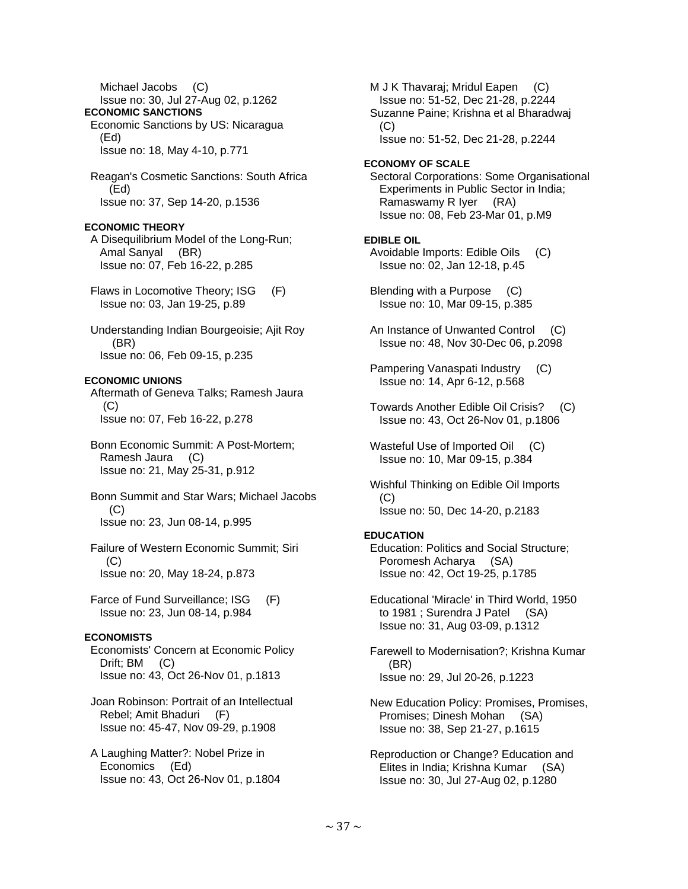Issue no: 30, Jul 27-Aug 02, p.1262 **ECONOMIC SANCTIONS**  Economic Sanctions by US: Nicaragua (Ed) Issue no: 18, May 4-10, p.771 Reagan's Cosmetic Sanctions: South Africa (Ed) Issue no: 37, Sep 14-20, p.1536 **ECONOMIC THEORY**  A Disequilibrium Model of the Long-Run; Amal Sanyal (BR) Issue no: 07, Feb 16-22, p.285 Flaws in Locomotive Theory; ISG (F) Issue no: 03, Jan 19-25, p.89 Understanding Indian Bourgeoisie; Ajit Roy (BR) Issue no: 06, Feb 09-15, p.235 **ECONOMIC UNIONS**  Aftermath of Geneva Talks; Ramesh Jaura (C) Issue no: 07, Feb 16-22, p.278 Bonn Economic Summit: A Post-Mortem; Ramesh Jaura (C) Issue no: 21, May 25-31, p.912 Bonn Summit and Star Wars; Michael Jacobs (C) Issue no: 23, Jun 08-14, p.995 Failure of Western Economic Summit; Siri  $(C)$  Issue no: 20, May 18-24, p.873 Farce of Fund Surveillance; ISG (F) Issue no: 23, Jun 08-14, p.984 **ECONOMISTS**  Economists' Concern at Economic Policy Drift; BM (C) Issue no: 43, Oct 26-Nov 01, p.1813 Joan Robinson: Portrait of an Intellectual Rebel; Amit Bhaduri (F) Issue no: 45-47, Nov 09-29, p.1908 A Laughing Matter?: Nobel Prize in Economics (Ed) Issue no: 43, Oct 26-Nov 01, p.1804

Michael Jacobs (C)

M J K Thavaraj; Mridul Eapen (C) Issue no: 51-52, Dec 21-28, p.2244 Suzanne Paine; Krishna et al Bharadwaj  $(C)$ Issue no: 51-52, Dec 21-28, p.2244

#### **ECONOMY OF SCALE**

 Sectoral Corporations: Some Organisational Experiments in Public Sector in India; Ramaswamy R Iyer (RA) Issue no: 08, Feb 23-Mar 01, p.M9

### **EDIBLE OIL**

 Avoidable Imports: Edible Oils (C) Issue no: 02, Jan 12-18, p.45

 Blending with a Purpose (C) Issue no: 10, Mar 09-15, p.385

 An Instance of Unwanted Control (C) Issue no: 48, Nov 30-Dec 06, p.2098

 Pampering Vanaspati Industry (C) Issue no: 14, Apr 6-12, p.568

 Towards Another Edible Oil Crisis? (C) Issue no: 43, Oct 26-Nov 01, p.1806

 Wasteful Use of Imported Oil (C) Issue no: 10, Mar 09-15, p.384

 Wishful Thinking on Edible Oil Imports (C) Issue no: 50, Dec 14-20, p.2183

#### **EDUCATION**

 Education: Politics and Social Structure; Poromesh Acharya (SA) Issue no: 42, Oct 19-25, p.1785

 Educational 'Miracle' in Third World, 1950 to 1981 ; Surendra J Patel (SA) Issue no: 31, Aug 03-09, p.1312

 Farewell to Modernisation?; Krishna Kumar (BR) Issue no: 29, Jul 20-26, p.1223

 New Education Policy: Promises, Promises, Promises; Dinesh Mohan (SA) Issue no: 38, Sep 21-27, p.1615

 Reproduction or Change? Education and Elites in India; Krishna Kumar (SA) Issue no: 30, Jul 27-Aug 02, p.1280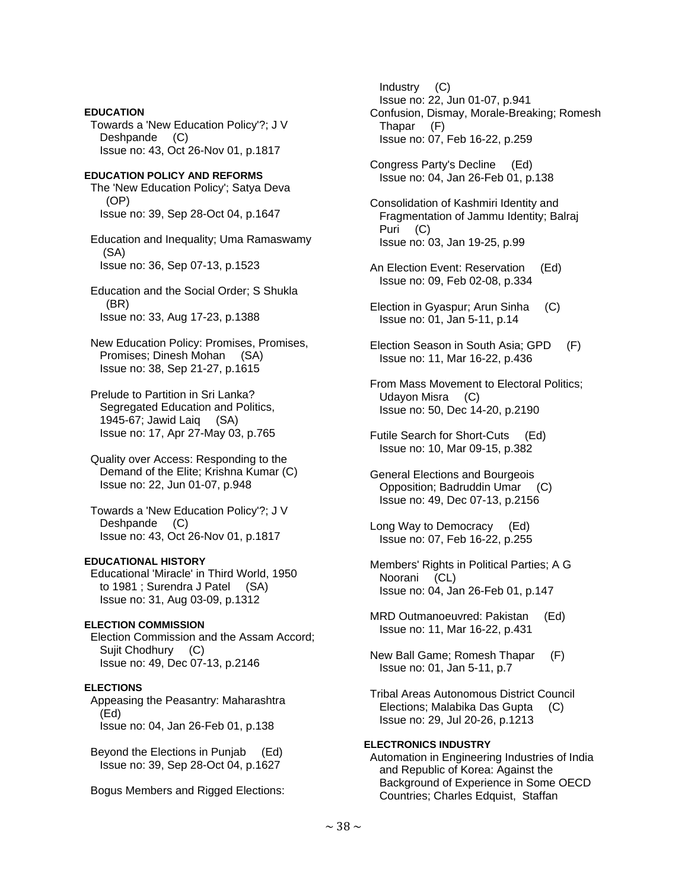# **EDUCATION**  Towards a 'New Education Policy'?; J V Deshpande (C) Issue no: 43, Oct 26-Nov 01, p.1817 **EDUCATION POLICY AND REFORMS**  The 'New Education Policy'; Satya Deva (OP) Issue no: 39, Sep 28-Oct 04, p.1647 Education and Inequality; Uma Ramaswamy (SA) Issue no: 36, Sep 07-13, p.1523 Education and the Social Order; S Shukla (BR) Issue no: 33, Aug 17-23, p.1388 New Education Policy: Promises, Promises, Promises; Dinesh Mohan (SA) Issue no: 38, Sep 21-27, p.1615 Prelude to Partition in Sri Lanka? Segregated Education and Politics, 1945-67; Jawid Laiq (SA) Issue no: 17, Apr 27-May 03, p.765 Quality over Access: Responding to the Demand of the Elite; Krishna Kumar (C) Issue no: 22, Jun 01-07, p.948 Towards a 'New Education Policy'?; J V Deshpande (C) Issue no: 43, Oct 26-Nov 01, p.1817 **EDUCATIONAL HISTORY**  Educational 'Miracle' in Third World, 1950 to 1981 ; Surendra J Patel (SA) Issue no: 31, Aug 03-09, p.1312 **ELECTION COMMISSION**  Election Commission and the Assam Accord; Sujit Chodhury (C) Issue no: 49, Dec 07-13, p.2146 **ELECTIONS**  Appeasing the Peasantry: Maharashtra (Ed) Issue no: 04, Jan 26-Feb 01, p.138

 Beyond the Elections in Punjab (Ed) Issue no: 39, Sep 28-Oct 04, p.1627

Bogus Members and Rigged Elections:

 Industry (C) Issue no: 22, Jun 01-07, p.941 Confusion, Dismay, Morale-Breaking; Romesh Thapar (F) Issue no: 07, Feb 16-22, p.259

 Congress Party's Decline (Ed) Issue no: 04, Jan 26-Feb 01, p.138

 Consolidation of Kashmiri Identity and Fragmentation of Jammu Identity; Balraj Puri (C) Issue no: 03, Jan 19-25, p.99

- An Election Event: Reservation (Ed) Issue no: 09, Feb 02-08, p.334
- Election in Gyaspur; Arun Sinha (C) Issue no: 01, Jan 5-11, p.14
- Election Season in South Asia; GPD (F) Issue no: 11, Mar 16-22, p.436
- From Mass Movement to Electoral Politics; Udayon Misra (C) Issue no: 50, Dec 14-20, p.2190
- Futile Search for Short-Cuts (Ed) Issue no: 10, Mar 09-15, p.382
- General Elections and Bourgeois Opposition; Badruddin Umar (C) Issue no: 49, Dec 07-13, p.2156
- Long Way to Democracy (Ed) Issue no: 07, Feb 16-22, p.255
- Members' Rights in Political Parties; A G Noorani (CL) Issue no: 04, Jan 26-Feb 01, p.147
- MRD Outmanoeuvred: Pakistan (Ed) Issue no: 11, Mar 16-22, p.431
- New Ball Game; Romesh Thapar (F) Issue no: 01, Jan 5-11, p.7
- Tribal Areas Autonomous District Council Elections; Malabika Das Gupta (C) Issue no: 29, Jul 20-26, p.1213

# **ELECTRONICS INDUSTRY**

 Automation in Engineering Industries of India and Republic of Korea: Against the Background of Experience in Some OECD Countries; Charles Edquist, Staffan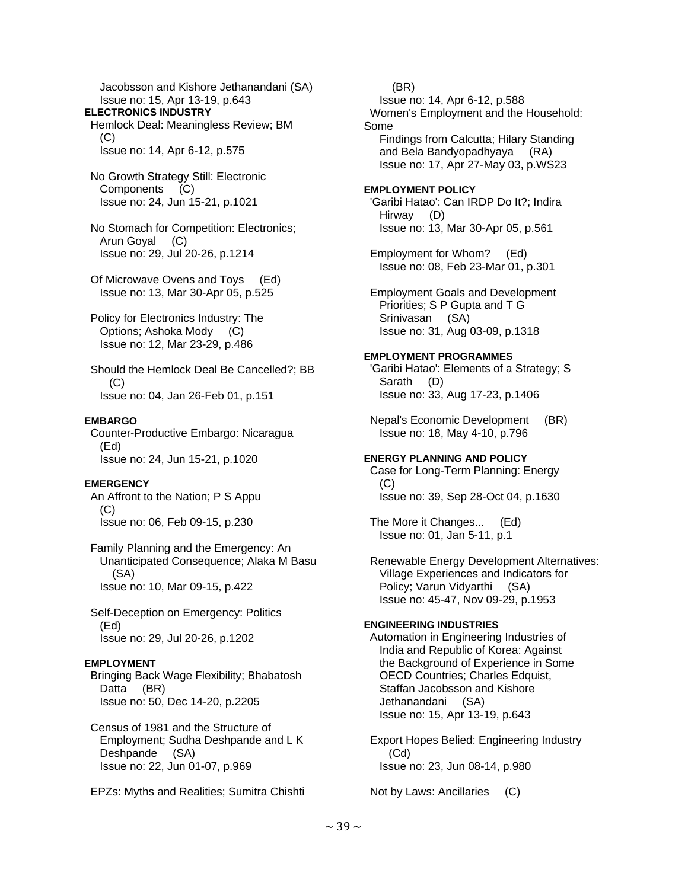Jacobsson and Kishore Jethanandani (SA) Issue no: 15, Apr 13-19, p.643 **ELECTRONICS INDUSTRY**  Hemlock Deal: Meaningless Review; BM (C) Issue no: 14, Apr 6-12, p.575 No Growth Strategy Still: Electronic Components (C) Issue no: 24, Jun 15-21, p.1021 No Stomach for Competition: Electronics; Arun Goyal (C) Issue no: 29, Jul 20-26, p.1214 Of Microwave Ovens and Toys (Ed) Issue no: 13, Mar 30-Apr 05, p.525 Policy for Electronics Industry: The Options; Ashoka Mody (C) Issue no: 12, Mar 23-29, p.486 Should the Hemlock Deal Be Cancelled?; BB  $(C)$  Issue no: 04, Jan 26-Feb 01, p.151 **EMBARGO**  Counter-Productive Embargo: Nicaragua (Ed) Issue no: 24, Jun 15-21, p.1020 **EMERGENCY**  An Affront to the Nation; P S Appu (C) Issue no: 06, Feb 09-15, p.230 Family Planning and the Emergency: An Unanticipated Consequence; Alaka M Basu (SA) Issue no: 10, Mar 09-15, p.422 Self-Deception on Emergency: Politics (Ed) Issue no: 29, Jul 20-26, p.1202 **EMPLOYMENT**  Bringing Back Wage Flexibility; Bhabatosh Datta (BR) Issue no: 50, Dec 14-20, p.2205 Census of 1981 and the Structure of Employment; Sudha Deshpande and L K

EPZs: Myths and Realities; Sumitra Chishti

Issue no: 22, Jun 01-07, p.969

Deshpande (SA)

 (BR) Issue no: 14, Apr 6-12, p.588 Women's Employment and the Household: Some Findings from Calcutta; Hilary Standing and Bela Bandyopadhyaya (RA) Issue no: 17, Apr 27-May 03, p.WS23 **EMPLOYMENT POLICY**  'Garibi Hatao': Can IRDP Do It?; Indira Hirway (D) Issue no: 13, Mar 30-Apr 05, p.561 Employment for Whom? (Ed) Issue no: 08, Feb 23-Mar 01, p.301 Employment Goals and Development Priorities; S P Gupta and T G Srinivasan (SA) Issue no: 31, Aug 03-09, p.1318 **EMPLOYMENT PROGRAMMES**  'Garibi Hatao': Elements of a Strategy; S Sarath (D) Issue no: 33, Aug 17-23, p.1406 Nepal's Economic Development (BR) Issue no: 18, May 4-10, p.796 **ENERGY PLANNING AND POLICY**  Case for Long-Term Planning: Energy (C) Issue no: 39, Sep 28-Oct 04, p.1630 The More it Changes... (Ed) Issue no: 01, Jan 5-11, p.1 Renewable Energy Development Alternatives: Village Experiences and Indicators for Policy; Varun Vidyarthi (SA) Issue no: 45-47, Nov 09-29, p.1953 **ENGINEERING INDUSTRIES**  Automation in Engineering Industries of India and Republic of Korea: Against the Background of Experience in Some OECD Countries: Charles Edquist. Staffan Jacobsson and Kishore Jethanandani (SA) Issue no: 15, Apr 13-19, p.643 Export Hopes Belied: Engineering Industry (Cd)

Issue no: 23, Jun 08-14, p.980

Not by Laws: Ancillaries (C)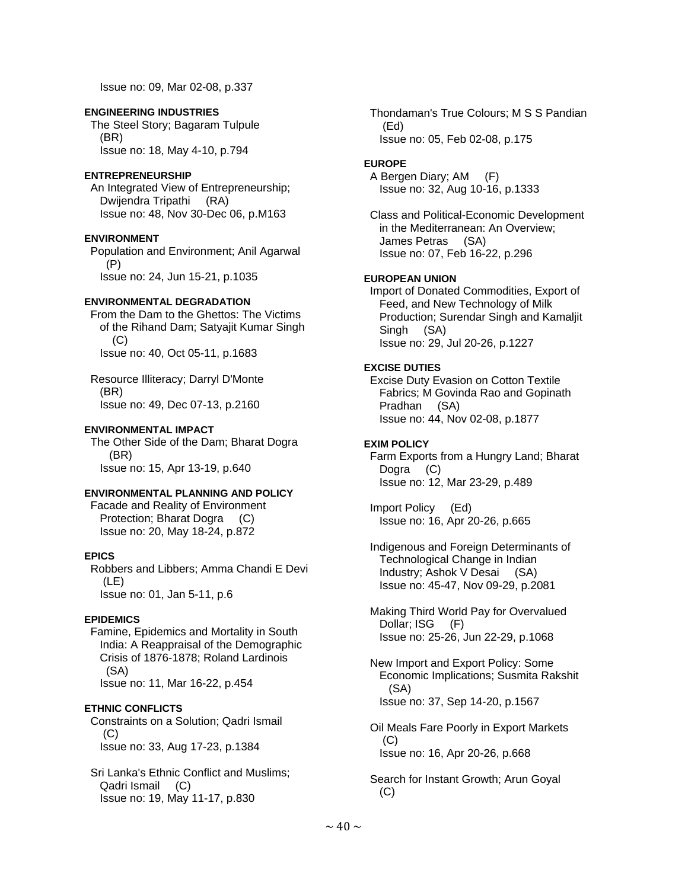Issue no: 09, Mar 02-08, p.337

## **ENGINEERING INDUSTRIES**

 The Steel Story; Bagaram Tulpule (BR) Issue no: 18, May 4-10, p.794

## **ENTREPRENEURSHIP**

 An Integrated View of Entrepreneurship; Dwijendra Tripathi (RA) Issue no: 48, Nov 30-Dec 06, p.M163

### **ENVIRONMENT**

 Population and Environment; Anil Agarwal (P) Issue no: 24, Jun 15-21, p.1035

### **ENVIRONMENTAL DEGRADATION**

 From the Dam to the Ghettos: The Victims of the Rihand Dam; Satyajit Kumar Singh (C) Issue no: 40, Oct 05-11, p.1683

 Resource Illiteracy; Darryl D'Monte (BR) Issue no: 49, Dec 07-13, p.2160

### **ENVIRONMENTAL IMPACT**

 The Other Side of the Dam; Bharat Dogra (BR) Issue no: 15, Apr 13-19, p.640

#### **ENVIRONMENTAL PLANNING AND POLICY**

 Facade and Reality of Environment Protection; Bharat Dogra (C) Issue no: 20, May 18-24, p.872

## **EPICS**

 Robbers and Libbers; Amma Chandi E Devi (LE) Issue no: 01, Jan 5-11, p.6

## **EPIDEMICS**

 Famine, Epidemics and Mortality in South India: A Reappraisal of the Demographic Crisis of 1876-1878; Roland Lardinois (SA) Issue no: 11, Mar 16-22, p.454

## **ETHNIC CONFLICTS**

 Constraints on a Solution; Qadri Ismail (C) Issue no: 33, Aug 17-23, p.1384

 Sri Lanka's Ethnic Conflict and Muslims; Qadri Ismail (C) Issue no: 19, May 11-17, p.830

 Thondaman's True Colours; M S S Pandian (Ed) Issue no: 05, Feb 02-08, p.175

## **EUROPE**

 A Bergen Diary; AM (F) Issue no: 32, Aug 10-16, p.1333

 Class and Political-Economic Development in the Mediterranean: An Overview; James Petras (SA) Issue no: 07, Feb 16-22, p.296

## **EUROPEAN UNION**

 Import of Donated Commodities, Export of Feed, and New Technology of Milk Production; Surendar Singh and Kamaljit Singh (SA) Issue no: 29, Jul 20-26, p.1227

## **EXCISE DUTIES**

 Excise Duty Evasion on Cotton Textile Fabrics; M Govinda Rao and Gopinath Pradhan (SA) Issue no: 44, Nov 02-08, p.1877

## **EXIM POLICY**

 Farm Exports from a Hungry Land; Bharat Dogra (C) Issue no: 12, Mar 23-29, p.489

 Import Policy (Ed) Issue no: 16, Apr 20-26, p.665

 Indigenous and Foreign Determinants of Technological Change in Indian Industry; Ashok V Desai (SA) Issue no: 45-47, Nov 09-29, p.2081

 Making Third World Pay for Overvalued Dollar; ISG (F) Issue no: 25-26, Jun 22-29, p.1068

 New Import and Export Policy: Some Economic Implications; Susmita Rakshit (SA) Issue no: 37, Sep 14-20, p.1567

 Oil Meals Fare Poorly in Export Markets  $(C)$ Issue no: 16, Apr 20-26, p.668

 Search for Instant Growth; Arun Goyal  $(C)$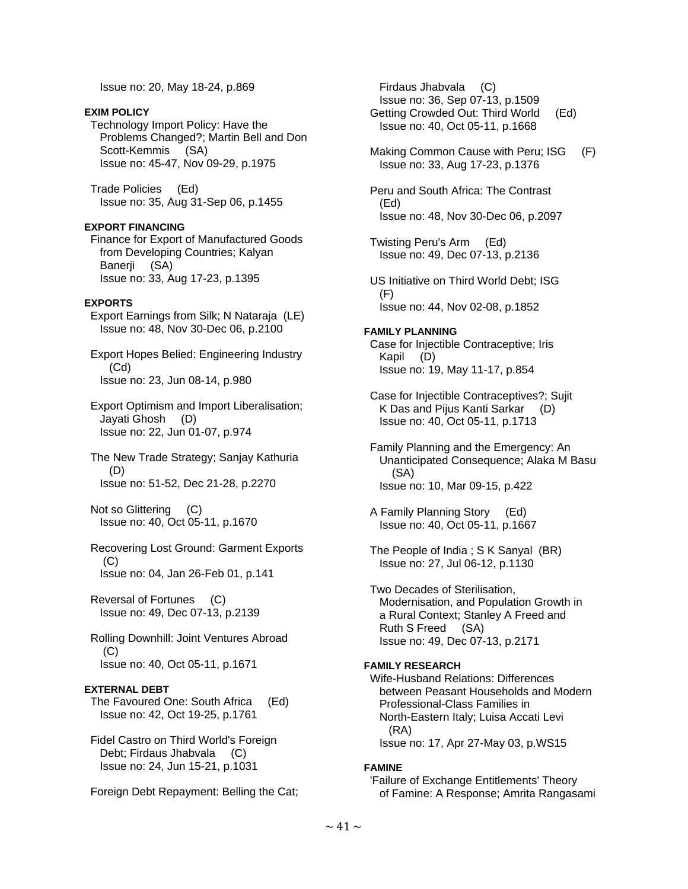Issue no: 20, May 18-24, p.869

## **EXIM POLICY**

 Technology Import Policy: Have the Problems Changed?; Martin Bell and Don Scott-Kemmis (SA) Issue no: 45-47, Nov 09-29, p.1975

 Trade Policies (Ed) Issue no: 35, Aug 31-Sep 06, p.1455

## **EXPORT FINANCING**

 Finance for Export of Manufactured Goods from Developing Countries; Kalyan Banerji (SA) Issue no: 33, Aug 17-23, p.1395

### **EXPORTS**

 Export Earnings from Silk; N Nataraja (LE) Issue no: 48, Nov 30-Dec 06, p.2100

 Export Hopes Belied: Engineering Industry (Cd) Issue no: 23, Jun 08-14, p.980

 Export Optimism and Import Liberalisation; Jayati Ghosh (D) Issue no: 22, Jun 01-07, p.974

 The New Trade Strategy; Sanjay Kathuria (D) Issue no: 51-52, Dec 21-28, p.2270

 Not so Glittering (C) Issue no: 40, Oct 05-11, p.1670

#### Recovering Lost Ground: Garment Exports (C) Issue no: 04, Jan 26-Feb 01, p.141

 Reversal of Fortunes (C) Issue no: 49, Dec 07-13, p.2139

 Rolling Downhill: Joint Ventures Abroad (C) Issue no: 40, Oct 05-11, p.1671

## **EXTERNAL DEBT**

 The Favoured One: South Africa (Ed) Issue no: 42, Oct 19-25, p.1761

 Fidel Castro on Third World's Foreign Debt; Firdaus Jhabvala (C) Issue no: 24, Jun 15-21, p.1031

Foreign Debt Repayment: Belling the Cat;

 Firdaus Jhabvala (C) Issue no: 36, Sep 07-13, p.1509 Getting Crowded Out: Third World (Ed) Issue no: 40, Oct 05-11, p.1668

Making Common Cause with Peru; ISG (F) Issue no: 33, Aug 17-23, p.1376

 Peru and South Africa: The Contrast (Ed) Issue no: 48, Nov 30-Dec 06, p.2097

 Twisting Peru's Arm (Ed) Issue no: 49, Dec 07-13, p.2136

 US Initiative on Third World Debt; ISG (F) Issue no: 44, Nov 02-08, p.1852

### **FAMILY PLANNING**

 Case for Injectible Contraceptive; Iris Kapil (D) Issue no: 19, May 11-17, p.854

- Case for Injectible Contraceptives?; Sujit K Das and Pijus Kanti Sarkar (D) Issue no: 40, Oct 05-11, p.1713
- Family Planning and the Emergency: An Unanticipated Consequence; Alaka M Basu (SA) Issue no: 10, Mar 09-15, p.422

 A Family Planning Story (Ed) Issue no: 40, Oct 05-11, p.1667

 The People of India ; S K Sanyal (BR) Issue no: 27, Jul 06-12, p.1130

 Two Decades of Sterilisation, Modernisation, and Population Growth in a Rural Context; Stanley A Freed and Ruth S Freed (SA) Issue no: 49, Dec 07-13, p.2171

## **FAMILY RESEARCH**

 Wife-Husband Relations: Differences between Peasant Households and Modern Professional-Class Families in North-Eastern Italy; Luisa Accati Levi (RA) Issue no: 17, Apr 27-May 03, p.WS15

#### **FAMINE**

 'Failure of Exchange Entitlements' Theory of Famine: A Response; Amrita Rangasami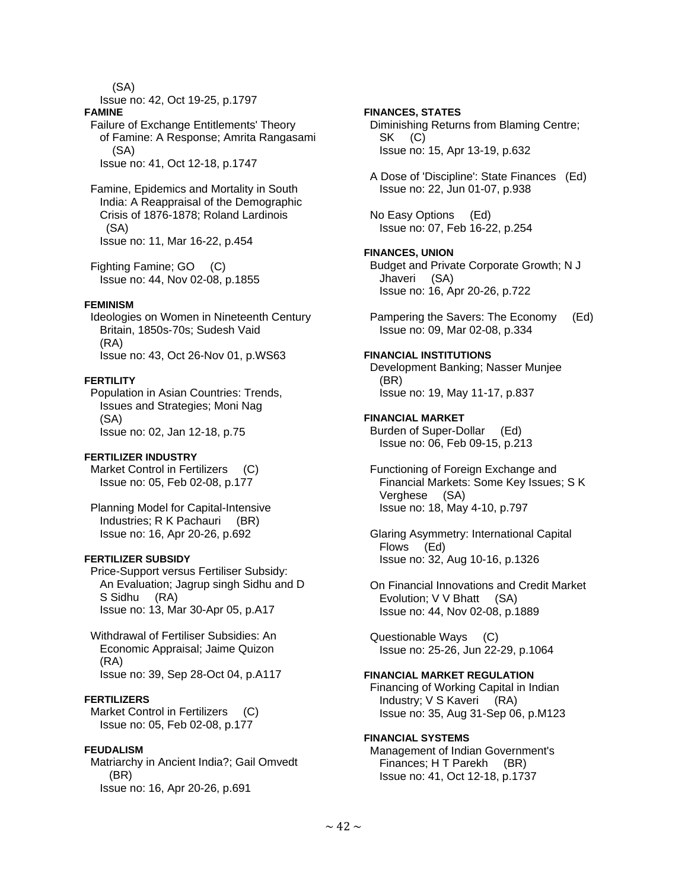(SA)

Issue no: 42, Oct 19-25, p.1797

#### **FAMINE**

#### Failure of Exchange Entitlements' Theory of Famine: A Response; Amrita Rangasami (SA) Issue no: 41, Oct 12-18, p.1747

 Famine, Epidemics and Mortality in South India: A Reappraisal of the Demographic Crisis of 1876-1878; Roland Lardinois (SA) Issue no: 11, Mar 16-22, p.454

 Fighting Famine; GO (C) Issue no: 44, Nov 02-08, p.1855

#### **FEMINISM**

 Ideologies on Women in Nineteenth Century Britain, 1850s-70s; Sudesh Vaid (RA) Issue no: 43, Oct 26-Nov 01, p.WS63

## **FERTILITY**

 Population in Asian Countries: Trends, Issues and Strategies; Moni Nag (SA) Issue no: 02, Jan 12-18, p.75

#### **FERTILIZER INDUSTRY**

Market Control in Fertilizers (C) Issue no: 05, Feb 02-08, p.177

 Planning Model for Capital-Intensive Industries; R K Pachauri (BR) Issue no: 16, Apr 20-26, p.692

## **FERTILIZER SUBSIDY**

 Price-Support versus Fertiliser Subsidy: An Evaluation; Jagrup singh Sidhu and D S Sidhu (RA) Issue no: 13, Mar 30-Apr 05, p.A17

 Withdrawal of Fertiliser Subsidies: An Economic Appraisal; Jaime Quizon (RA) Issue no: 39, Sep 28-Oct 04, p.A117

## **FERTILIZERS**

Market Control in Fertilizers (C) Issue no: 05, Feb 02-08, p.177

#### **FEUDALISM**

 Matriarchy in Ancient India?; Gail Omvedt (BR) Issue no: 16, Apr 20-26, p.691

## **FINANCES, STATES**

 Diminishing Returns from Blaming Centre; SK (C) Issue no: 15, Apr 13-19, p.632

 A Dose of 'Discipline': State Finances (Ed) Issue no: 22, Jun 01-07, p.938

 No Easy Options (Ed) Issue no: 07, Feb 16-22, p.254

## **FINANCES, UNION**

 Budget and Private Corporate Growth; N J Jhaveri (SA) Issue no: 16, Apr 20-26, p.722

 Pampering the Savers: The Economy (Ed) Issue no: 09, Mar 02-08, p.334

## **FINANCIAL INSTITUTIONS**

 Development Banking; Nasser Munjee (BR) Issue no: 19, May 11-17, p.837

### **FINANCIAL MARKET**

 Burden of Super-Dollar (Ed) Issue no: 06, Feb 09-15, p.213

 Functioning of Foreign Exchange and Financial Markets: Some Key Issues; S K Verghese (SA) Issue no: 18, May 4-10, p.797

 Glaring Asymmetry: International Capital Flows (Ed) Issue no: 32, Aug 10-16, p.1326

 On Financial Innovations and Credit Market Evolution; V V Bhatt (SA) Issue no: 44, Nov 02-08, p.1889

 Questionable Ways (C) Issue no: 25-26, Jun 22-29, p.1064

# **FINANCIAL MARKET REGULATION**

 Financing of Working Capital in Indian Industry; V S Kaveri (RA) Issue no: 35, Aug 31-Sep 06, p.M123

#### **FINANCIAL SYSTEMS**

 Management of Indian Government's Finances; H T Parekh (BR) Issue no: 41, Oct 12-18, p.1737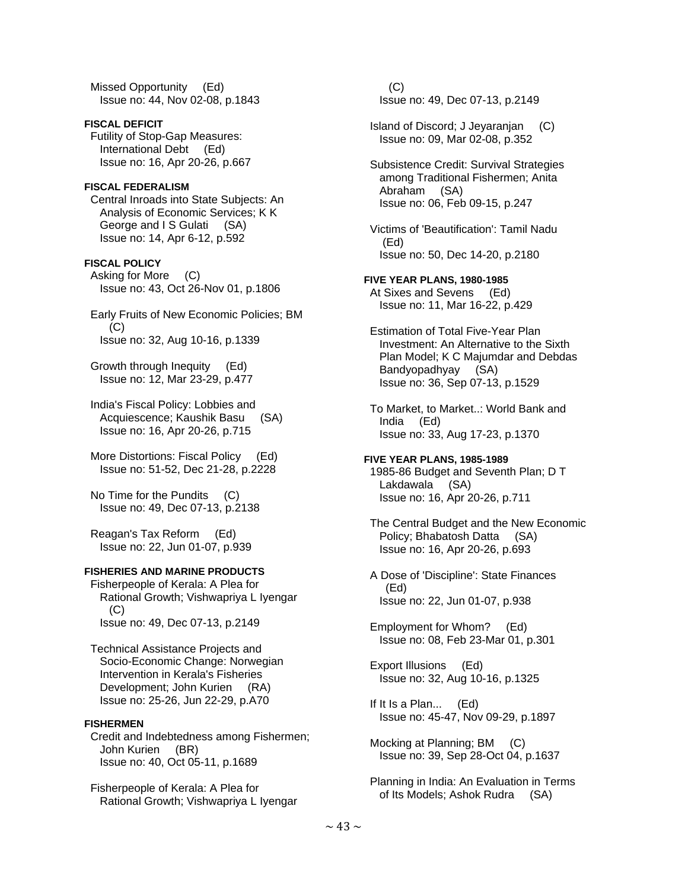Missed Opportunity (Ed) Issue no: 44, Nov 02-08, p.1843

**FISCAL DEFICIT**  Futility of Stop-Gap Measures: International Debt (Ed) Issue no: 16, Apr 20-26, p.667

# **FISCAL FEDERALISM**

 Central Inroads into State Subjects: An Analysis of Economic Services; K K George and I S Gulati (SA) Issue no: 14, Apr 6-12, p.592

### **FISCAL POLICY**

 Asking for More (C) Issue no: 43, Oct 26-Nov 01, p.1806

 Early Fruits of New Economic Policies; BM (C) Issue no: 32, Aug 10-16, p.1339

 Growth through Inequity (Ed) Issue no: 12, Mar 23-29, p.477

 India's Fiscal Policy: Lobbies and Acquiescence; Kaushik Basu (SA) Issue no: 16, Apr 20-26, p.715

 More Distortions: Fiscal Policy (Ed) Issue no: 51-52, Dec 21-28, p.2228

 No Time for the Pundits (C) Issue no: 49, Dec 07-13, p.2138

 Reagan's Tax Reform (Ed) Issue no: 22, Jun 01-07, p.939

#### **FISHERIES AND MARINE PRODUCTS**

 Fisherpeople of Kerala: A Plea for Rational Growth; Vishwapriya L Iyengar  $(C)$ Issue no: 49, Dec 07-13, p.2149

 Technical Assistance Projects and Socio-Economic Change: Norwegian Intervention in Kerala's Fisheries Development; John Kurien (RA) Issue no: 25-26, Jun 22-29, p.A70

## **FISHERMEN**

 Credit and Indebtedness among Fishermen; John Kurien (BR) Issue no: 40, Oct 05-11, p.1689

 Fisherpeople of Kerala: A Plea for Rational Growth; Vishwapriya L Iyengar

 (C) Issue no: 49, Dec 07-13, p.2149

 Island of Discord; J Jeyaranjan (C) Issue no: 09, Mar 02-08, p.352

 Subsistence Credit: Survival Strategies among Traditional Fishermen; Anita<br>Abraham (SA) Abraham Issue no: 06, Feb 09-15, p.247

 Victims of 'Beautification': Tamil Nadu (Ed) Issue no: 50, Dec 14-20, p.2180

# **FIVE YEAR PLANS, 1980-1985**

 At Sixes and Sevens (Ed) Issue no: 11, Mar 16-22, p.429

 Estimation of Total Five-Year Plan Investment: An Alternative to the Sixth Plan Model; K C Majumdar and Debdas Bandyopadhyay (SA) Issue no: 36, Sep 07-13, p.1529

 To Market, to Market..: World Bank and India (Ed) Issue no: 33, Aug 17-23, p.1370

**FIVE YEAR PLANS, 1985-1989**  1985-86 Budget and Seventh Plan; D T Lakdawala (SA) Issue no: 16, Apr 20-26, p.711

 The Central Budget and the New Economic Policy; Bhabatosh Datta (SA) Issue no: 16, Apr 20-26, p.693

 A Dose of 'Discipline': State Finances (Ed) Issue no: 22, Jun 01-07, p.938

 Employment for Whom? (Ed) Issue no: 08, Feb 23-Mar 01, p.301

 Export Illusions (Ed) Issue no: 32, Aug 10-16, p.1325

 If It Is a Plan... (Ed) Issue no: 45-47, Nov 09-29, p.1897

 Mocking at Planning; BM (C) Issue no: 39, Sep 28-Oct 04, p.1637

 Planning in India: An Evaluation in Terms of Its Models; Ashok Rudra (SA)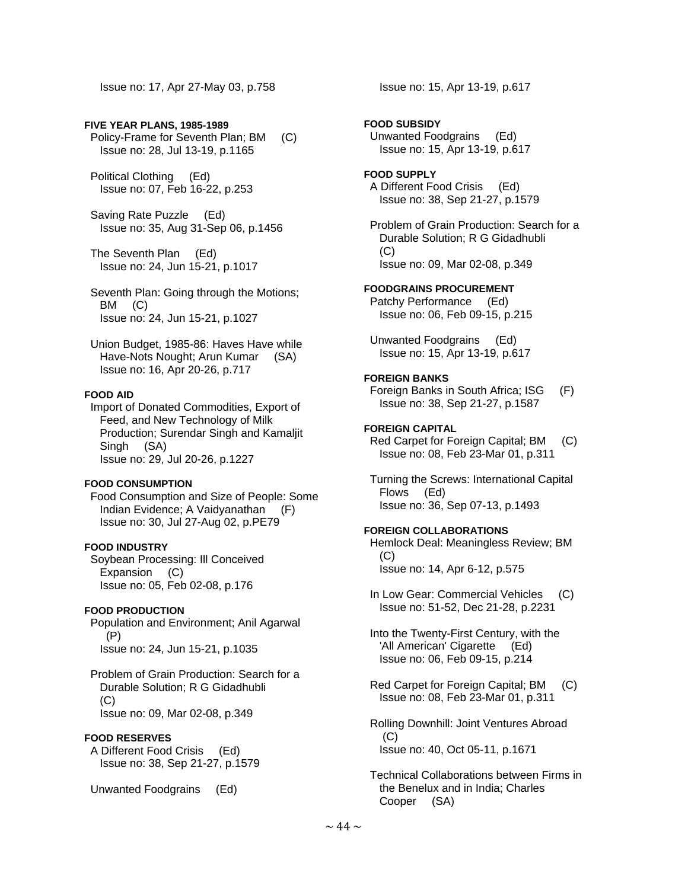Issue no: 17, Apr 27-May 03, p.758

### **FIVE YEAR PLANS, 1985-1989**

 Policy-Frame for Seventh Plan; BM (C) Issue no: 28, Jul 13-19, p.1165

 Political Clothing (Ed) Issue no: 07, Feb 16-22, p.253

 Saving Rate Puzzle (Ed) Issue no: 35, Aug 31-Sep 06, p.1456

 The Seventh Plan (Ed) Issue no: 24, Jun 15-21, p.1017

 Seventh Plan: Going through the Motions; BM (C) Issue no: 24, Jun 15-21, p.1027

 Union Budget, 1985-86: Haves Have while Have-Nots Nought; Arun Kumar (SA) Issue no: 16, Apr 20-26, p.717

### **FOOD AID**

 Import of Donated Commodities, Export of Feed, and New Technology of Milk Production; Surendar Singh and Kamaljit Singh (SA) Issue no: 29, Jul 20-26, p.1227

#### **FOOD CONSUMPTION**

 Food Consumption and Size of People: Some Indian Evidence; A Vaidyanathan (F) Issue no: 30, Jul 27-Aug 02, p.PE79

### **FOOD INDUSTRY**

 Soybean Processing: Ill Conceived Expansion (C) Issue no: 05, Feb 02-08, p.176

## **FOOD PRODUCTION**

 Population and Environment; Anil Agarwal (P) Issue no: 24, Jun 15-21, p.1035

 Problem of Grain Production: Search for a Durable Solution; R G Gidadhubli (C) Issue no: 09, Mar 02-08, p.349

#### **FOOD RESERVES**

 A Different Food Crisis (Ed) Issue no: 38, Sep 21-27, p.1579

Unwanted Foodgrains (Ed)

Issue no: 15, Apr 13-19, p.617

#### **FOOD SUBSIDY**

 Unwanted Foodgrains (Ed) Issue no: 15, Apr 13-19, p.617

#### **FOOD SUPPLY**

 A Different Food Crisis (Ed) Issue no: 38, Sep 21-27, p.1579

 Problem of Grain Production: Search for a Durable Solution; R G Gidadhubli  $(C)$ Issue no: 09, Mar 02-08, p.349

#### **FOODGRAINS PROCUREMENT**

 Patchy Performance (Ed) Issue no: 06, Feb 09-15, p.215

 Unwanted Foodgrains (Ed) Issue no: 15, Apr 13-19, p.617

#### **FOREIGN BANKS**

 Foreign Banks in South Africa; ISG (F) Issue no: 38, Sep 21-27, p.1587

### **FOREIGN CAPITAL**

 Red Carpet for Foreign Capital; BM (C) Issue no: 08, Feb 23-Mar 01, p.311

 Turning the Screws: International Capital Flows (Ed) Issue no: 36, Sep 07-13, p.1493

#### **FOREIGN COLLABORATIONS**

 Hemlock Deal: Meaningless Review; BM (C) Issue no: 14, Apr 6-12, p.575

In Low Gear: Commercial Vehicles (C) Issue no: 51-52, Dec 21-28, p.2231

 Into the Twenty-First Century, with the 'All American' Cigarette (Ed) Issue no: 06, Feb 09-15, p.214

 Red Carpet for Foreign Capital; BM (C) Issue no: 08, Feb 23-Mar 01, p.311

 Rolling Downhill: Joint Ventures Abroad (C) Issue no: 40, Oct 05-11, p.1671

 Technical Collaborations between Firms in the Benelux and in India; Charles Cooper (SA)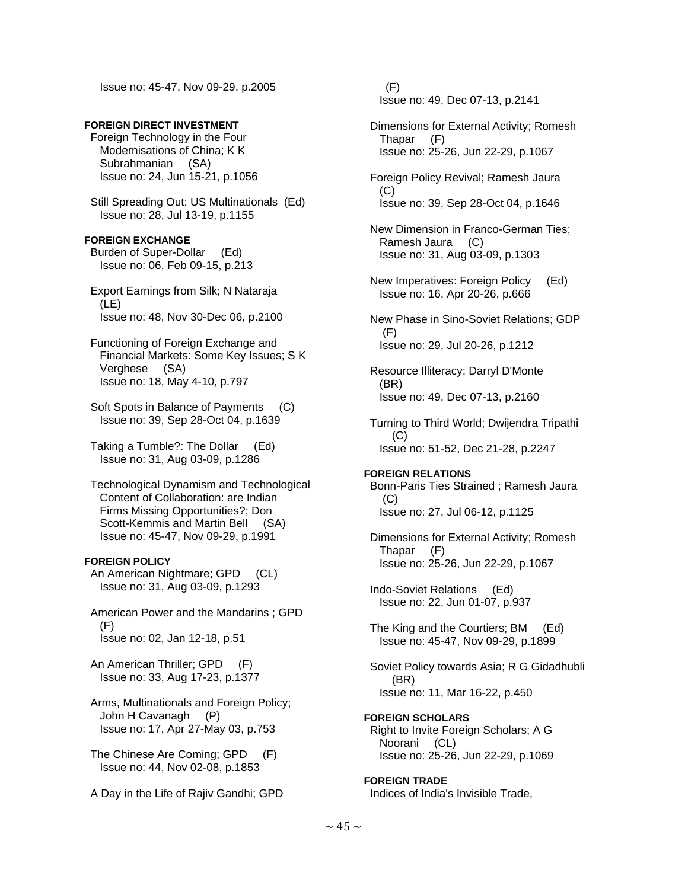Issue no: 45-47, Nov 09-29, p.2005

## **FOREIGN DIRECT INVESTMENT**

 Foreign Technology in the Four Modernisations of China; K K Subrahmanian (SA) Issue no: 24, Jun 15-21, p.1056

 Still Spreading Out: US Multinationals (Ed) Issue no: 28, Jul 13-19, p.1155

### **FOREIGN EXCHANGE**

 Burden of Super-Dollar (Ed) Issue no: 06, Feb 09-15, p.213

 Export Earnings from Silk; N Nataraja (LE) Issue no: 48, Nov 30-Dec 06, p.2100

 Functioning of Foreign Exchange and Financial Markets: Some Key Issues; S K Verghese (SA) Issue no: 18, May 4-10, p.797

 Soft Spots in Balance of Payments (C) Issue no: 39, Sep 28-Oct 04, p.1639

 Taking a Tumble?: The Dollar (Ed) Issue no: 31, Aug 03-09, p.1286

 Technological Dynamism and Technological Content of Collaboration: are Indian Firms Missing Opportunities?; Don Scott-Kemmis and Martin Bell (SA) Issue no: 45-47, Nov 09-29, p.1991

## **FOREIGN POLICY**

 An American Nightmare; GPD (CL) Issue no: 31, Aug 03-09, p.1293

 American Power and the Mandarins ; GPD (F) Issue no: 02, Jan 12-18, p.51

 An American Thriller; GPD (F) Issue no: 33, Aug 17-23, p.1377

 Arms, Multinationals and Foreign Policy; John H Cavanagh (P) Issue no: 17, Apr 27-May 03, p.753

 The Chinese Are Coming; GPD (F) Issue no: 44, Nov 02-08, p.1853

A Day in the Life of Rajiv Gandhi; GPD

 (F) Issue no: 49, Dec 07-13, p.2141

 Dimensions for External Activity; Romesh Thapar (F) Issue no: 25-26, Jun 22-29, p.1067

 Foreign Policy Revival; Ramesh Jaura (C) Issue no: 39, Sep 28-Oct 04, p.1646

 New Dimension in Franco-German Ties; Ramesh Jaura (C) Issue no: 31, Aug 03-09, p.1303

 New Imperatives: Foreign Policy (Ed) Issue no: 16, Apr 20-26, p.666

 New Phase in Sino-Soviet Relations; GDP (F) Issue no: 29, Jul 20-26, p.1212

 Resource Illiteracy; Darryl D'Monte (BR) Issue no: 49, Dec 07-13, p.2160

 Turning to Third World; Dwijendra Tripathi  $(C)$ Issue no: 51-52, Dec 21-28, p.2247

## **FOREIGN RELATIONS**

 Bonn-Paris Ties Strained ; Ramesh Jaura (C) Issue no: 27, Jul 06-12, p.1125

 Dimensions for External Activity; Romesh Thapar (F) Issue no: 25-26, Jun 22-29, p.1067

 Indo-Soviet Relations (Ed) Issue no: 22, Jun 01-07, p.937

 The King and the Courtiers; BM (Ed) Issue no: 45-47, Nov 09-29, p.1899

 Soviet Policy towards Asia; R G Gidadhubli (BR) Issue no: 11, Mar 16-22, p.450

**FOREIGN SCHOLARS**  Right to Invite Foreign Scholars; A G Noorani (CL) Issue no: 25-26, Jun 22-29, p.1069

**FOREIGN TRADE**  Indices of India's Invisible Trade,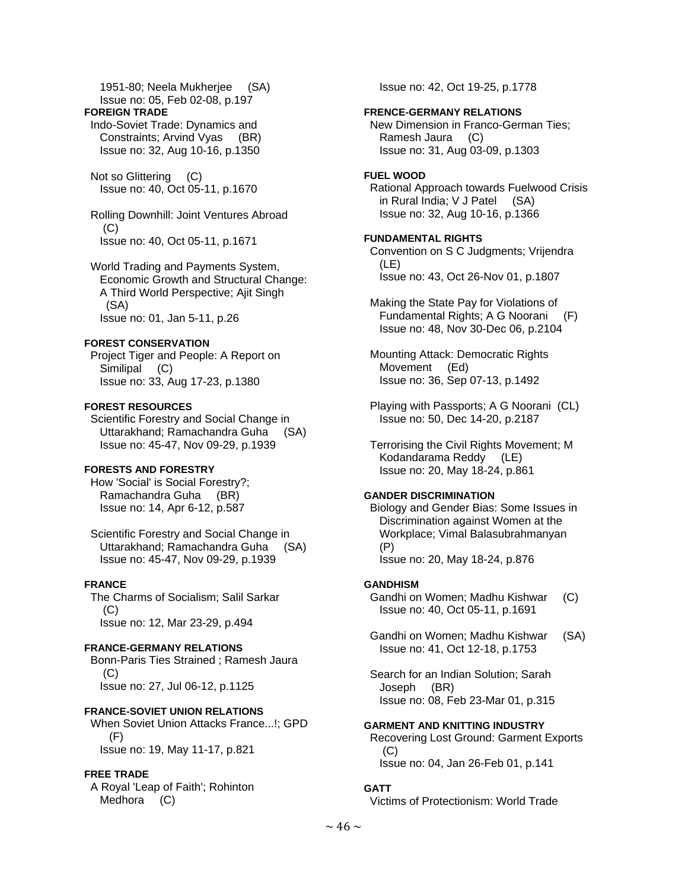1951-80; Neela Mukherjee (SA) Issue no: 05, Feb 02-08, p.197

#### **FOREIGN TRADE**

 Indo-Soviet Trade: Dynamics and Constraints; Arvind Vyas (BR) Issue no: 32, Aug 10-16, p.1350

 Not so Glittering (C) Issue no: 40, Oct 05-11, p.1670

 Rolling Downhill: Joint Ventures Abroad  $(C)$ Issue no: 40, Oct 05-11, p.1671

 World Trading and Payments System, Economic Growth and Structural Change: A Third World Perspective; Ajit Singh (SA) Issue no: 01, Jan 5-11, p.26

### **FOREST CONSERVATION**

 Project Tiger and People: A Report on Similipal (C) Issue no: 33, Aug 17-23, p.1380

### **FOREST RESOURCES**

 Scientific Forestry and Social Change in Uttarakhand; Ramachandra Guha (SA) Issue no: 45-47, Nov 09-29, p.1939

## **FORESTS AND FORESTRY**

 How 'Social' is Social Forestry?; Ramachandra Guha (BR) Issue no: 14, Apr 6-12, p.587

 Scientific Forestry and Social Change in Uttarakhand; Ramachandra Guha (SA) Issue no: 45-47, Nov 09-29, p.1939

## **FRANCE**

 The Charms of Socialism; Salil Sarkar (C) Issue no: 12, Mar 23-29, p.494

## **FRANCE-GERMANY RELATIONS**

 Bonn-Paris Ties Strained ; Ramesh Jaura (C) Issue no: 27, Jul 06-12, p.1125

## **FRANCE-SOVIET UNION RELATIONS**

 When Soviet Union Attacks France...!; GPD (F) Issue no: 19, May 11-17, p.821

## **FREE TRADE**

 A Royal 'Leap of Faith'; Rohinton Medhora (C)

Issue no: 42, Oct 19-25, p.1778

### **FRENCE-GERMANY RELATIONS**

 New Dimension in Franco-German Ties; Ramesh Jaura (C) Issue no: 31, Aug 03-09, p.1303

## **FUEL WOOD**

 Rational Approach towards Fuelwood Crisis in Rural India; V J Patel (SA) Issue no: 32, Aug 10-16, p.1366

### **FUNDAMENTAL RIGHTS**

 Convention on S C Judgments; Vrijendra (LE) Issue no: 43, Oct 26-Nov 01, p.1807

 Making the State Pay for Violations of Fundamental Rights; A G Noorani (F) Issue no: 48, Nov 30-Dec 06, p.2104

 Mounting Attack: Democratic Rights Movement (Ed) Issue no: 36, Sep 07-13, p.1492

 Playing with Passports; A G Noorani (CL) Issue no: 50, Dec 14-20, p.2187

 Terrorising the Civil Rights Movement; M Kodandarama Reddy (LE) Issue no: 20, May 18-24, p.861

## **GANDER DISCRIMINATION**

 Biology and Gender Bias: Some Issues in Discrimination against Women at the Workplace; Vimal Balasubrahmanyan (P) Issue no: 20, May 18-24, p.876

#### **GANDHISM**

 Gandhi on Women; Madhu Kishwar (C) Issue no: 40, Oct 05-11, p.1691

 Gandhi on Women; Madhu Kishwar (SA) Issue no: 41, Oct 12-18, p.1753

 Search for an Indian Solution; Sarah Joseph (BR) Issue no: 08, Feb 23-Mar 01, p.315

## **GARMENT AND KNITTING INDUSTRY**  Recovering Lost Ground: Garment Exports  $(C)$

Issue no: 04, Jan 26-Feb 01, p.141

## **GATT**

Victims of Protectionism: World Trade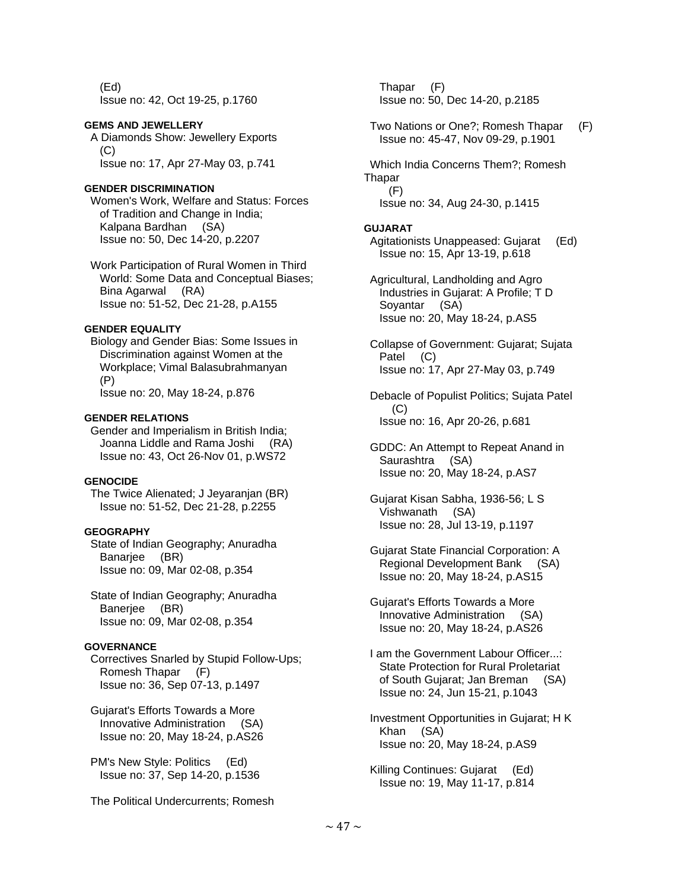(Ed) Issue no: 42, Oct 19-25, p.1760

#### **GEMS AND JEWELLERY**

 A Diamonds Show: Jewellery Exports  $(C)$ Issue no: 17, Apr 27-May 03, p.741

## **GENDER DISCRIMINATION**

 Women's Work, Welfare and Status: Forces of Tradition and Change in India; Kalpana Bardhan (SA) Issue no: 50, Dec 14-20, p.2207

 Work Participation of Rural Women in Third World: Some Data and Conceptual Biases; Bina Agarwal (RA) Issue no: 51-52, Dec 21-28, p.A155

### **GENDER EQUALITY**

 Biology and Gender Bias: Some Issues in Discrimination against Women at the Workplace; Vimal Balasubrahmanyan (P)

Issue no: 20, May 18-24, p.876

### **GENDER RELATIONS**

 Gender and Imperialism in British India; Joanna Liddle and Rama Joshi (RA) Issue no: 43, Oct 26-Nov 01, p.WS72

### **GENOCIDE**

 The Twice Alienated; J Jeyaranjan (BR) Issue no: 51-52, Dec 21-28, p.2255

# **GEOGRAPHY**

 State of Indian Geography; Anuradha Banarjee (BR) Issue no: 09, Mar 02-08, p.354

 State of Indian Geography; Anuradha Baneriee (BR) Issue no: 09, Mar 02-08, p.354

## **GOVERNANCE**

 Correctives Snarled by Stupid Follow-Ups; Romesh Thapar (F) Issue no: 36, Sep 07-13, p.1497

 Gujarat's Efforts Towards a More Innovative Administration (SA) Issue no: 20, May 18-24, p.AS26

 PM's New Style: Politics (Ed) Issue no: 37, Sep 14-20, p.1536

The Political Undercurrents; Romesh

 Thapar (F) Issue no: 50, Dec 14-20, p.2185

 Two Nations or One?; Romesh Thapar (F) Issue no: 45-47, Nov 09-29, p.1901

 Which India Concerns Them?; Romesh **Thapar**  (F) Issue no: 34, Aug 24-30, p.1415

### **GUJARAT**

 Agitationists Unappeased: Gujarat (Ed) Issue no: 15, Apr 13-19, p.618

 Agricultural, Landholding and Agro Industries in Gujarat: A Profile; T D Soyantar (SA) Issue no: 20, May 18-24, p.AS5

 Collapse of Government: Gujarat; Sujata Patel (C) Issue no: 17, Apr 27-May 03, p.749

 Debacle of Populist Politics; Sujata Patel (C) Issue no: 16, Apr 20-26, p.681

 GDDC: An Attempt to Repeat Anand in Saurashtra (SA) Issue no: 20, May 18-24, p.AS7

 Gujarat Kisan Sabha, 1936-56; L S Vishwanath (SA) Issue no: 28, Jul 13-19, p.1197

 Gujarat State Financial Corporation: A Regional Development Bank (SA) Issue no: 20, May 18-24, p.AS15

 Gujarat's Efforts Towards a More Innovative Administration (SA) Issue no: 20, May 18-24, p.AS26

 I am the Government Labour Officer...: State Protection for Rural Proletariat of South Gujarat; Jan Breman (SA) Issue no: 24, Jun 15-21, p.1043

 Investment Opportunities in Gujarat; H K Khan (SA) Issue no: 20, May 18-24, p.AS9

 Killing Continues: Gujarat (Ed) Issue no: 19, May 11-17, p.814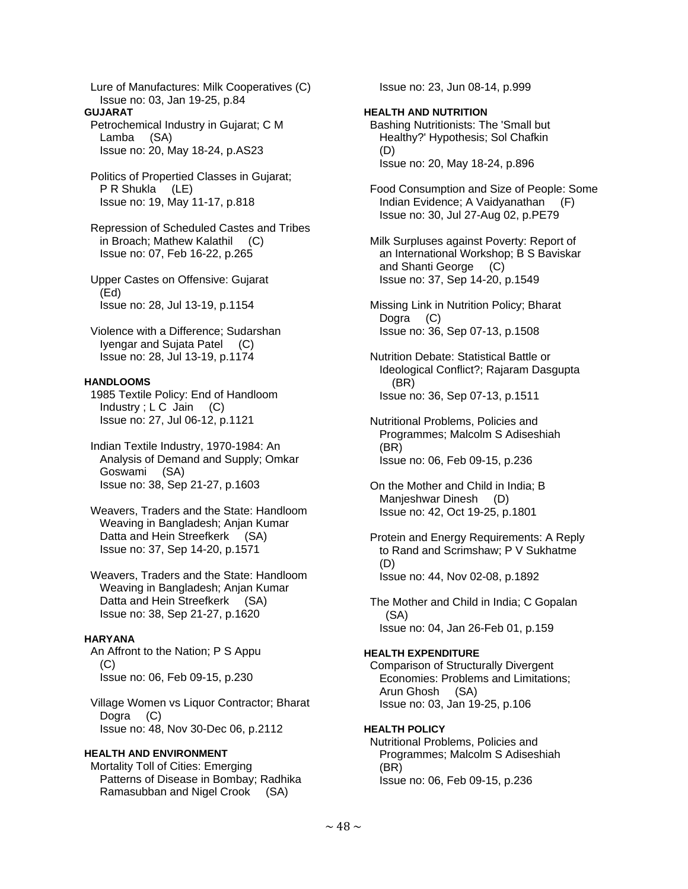Lure of Manufactures: Milk Cooperatives (C) Issue no: 03, Jan 19-25, p.84

**GUJARAT** 

 Petrochemical Industry in Gujarat; C M Lamba (SA) Issue no: 20, May 18-24, p.AS23

 Politics of Propertied Classes in Gujarat; P R Shukla (LE) Issue no: 19, May 11-17, p.818

 Repression of Scheduled Castes and Tribes in Broach; Mathew Kalathil (C) Issue no: 07, Feb 16-22, p.265

 Upper Castes on Offensive: Gujarat (Ed) Issue no: 28, Jul 13-19, p.1154

 Violence with a Difference; Sudarshan Iyengar and Sujata Patel (C) Issue no: 28, Jul 13-19, p.1174

## **HANDLOOMS**

 1985 Textile Policy: End of Handloom Industry;  $LC$  Jain  $(C)$ Issue no: 27, Jul 06-12, p.1121

 Indian Textile Industry, 1970-1984: An Analysis of Demand and Supply; Omkar Goswami (SA) Issue no: 38, Sep 21-27, p.1603

 Weavers, Traders and the State: Handloom Weaving in Bangladesh; Anjan Kumar Datta and Hein Streefkerk (SA) Issue no: 37, Sep 14-20, p.1571

 Weavers, Traders and the State: Handloom Weaving in Bangladesh; Anjan Kumar Datta and Hein Streefkerk (SA) Issue no: 38, Sep 21-27, p.1620

## **HARYANA**

 An Affront to the Nation; P S Appu (C) Issue no: 06, Feb 09-15, p.230

 Village Women vs Liquor Contractor; Bharat Dogra (C) Issue no: 48, Nov 30-Dec 06, p.2112

## **HEALTH AND ENVIRONMENT**

 Mortality Toll of Cities: Emerging Patterns of Disease in Bombay; Radhika Ramasubban and Nigel Crook (SA)

Issue no: 23, Jun 08-14, p.999

## **HEALTH AND NUTRITION**

 Bashing Nutritionists: The 'Small but Healthy?' Hypothesis; Sol Chafkin (D) Issue no: 20, May 18-24, p.896

 Food Consumption and Size of People: Some Indian Evidence; A Vaidyanathan (F) Issue no: 30, Jul 27-Aug 02, p.PE79

 Milk Surpluses against Poverty: Report of an International Workshop; B S Baviskar and Shanti George (C) Issue no: 37, Sep 14-20, p.1549

 Missing Link in Nutrition Policy; Bharat Dogra (C) Issue no: 36, Sep 07-13, p.1508

 Nutrition Debate: Statistical Battle or Ideological Conflict?; Rajaram Dasgupta (BR) Issue no: 36, Sep 07-13, p.1511

 Nutritional Problems, Policies and Programmes; Malcolm S Adiseshiah (BR) Issue no: 06, Feb 09-15, p.236

 On the Mother and Child in India; B Manjeshwar Dinesh (D) Issue no: 42, Oct 19-25, p.1801

 Protein and Energy Requirements: A Reply to Rand and Scrimshaw; P V Sukhatme (D) Issue no: 44, Nov 02-08, p.1892

 The Mother and Child in India; C Gopalan (SA) Issue no: 04, Jan 26-Feb 01, p.159

#### **HEALTH EXPENDITURE**

 Comparison of Structurally Divergent Economies: Problems and Limitations; Arun Ghosh (SA) Issue no: 03, Jan 19-25, p.106

## **HEALTH POLICY**

 Nutritional Problems, Policies and Programmes; Malcolm S Adiseshiah (BR) Issue no: 06, Feb 09-15, p.236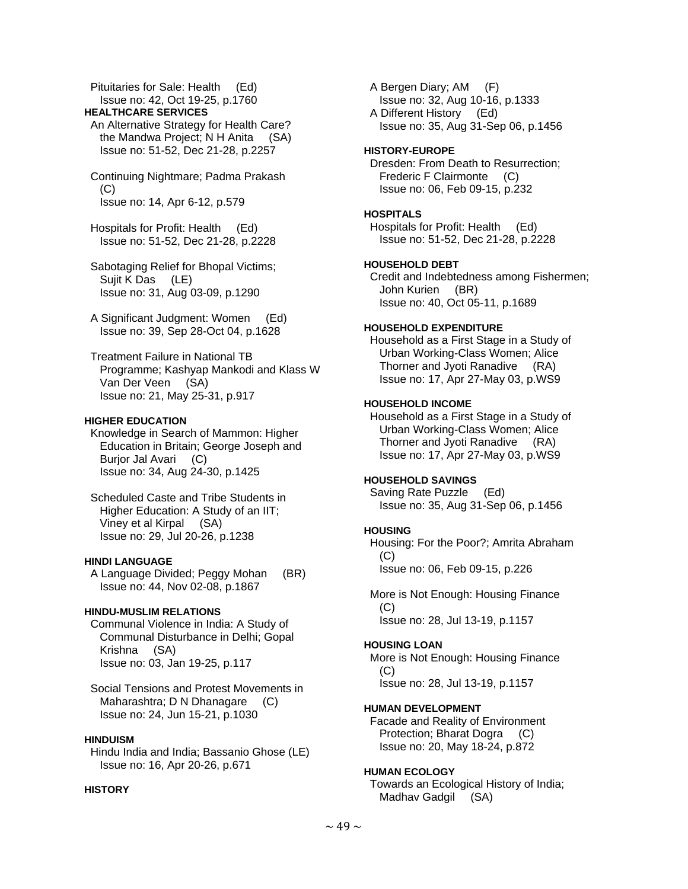Pituitaries for Sale: Health (Ed) Issue no: 42, Oct 19-25, p.1760

#### **HEALTHCARE SERVICES**

- An Alternative Strategy for Health Care? the Mandwa Project; N H Anita (SA) Issue no: 51-52, Dec 21-28, p.2257
- Continuing Nightmare; Padma Prakash (C) Issue no: 14, Apr 6-12, p.579

 Hospitals for Profit: Health (Ed) Issue no: 51-52, Dec 21-28, p.2228

- Sabotaging Relief for Bhopal Victims; Sujit K Das (LE) Issue no: 31, Aug 03-09, p.1290
- A Significant Judgment: Women (Ed) Issue no: 39, Sep 28-Oct 04, p.1628

 Treatment Failure in National TB Programme; Kashyap Mankodi and Klass W Van Der Veen (SA) Issue no: 21, May 25-31, p.917

### **HIGHER EDUCATION**

 Knowledge in Search of Mammon: Higher Education in Britain; George Joseph and Burior Jal Avari (C) Issue no: 34, Aug 24-30, p.1425

 Scheduled Caste and Tribe Students in Higher Education: A Study of an IIT; Viney et al Kirpal (SA) Issue no: 29, Jul 20-26, p.1238

### **HINDI LANGUAGE**

 A Language Divided; Peggy Mohan (BR) Issue no: 44, Nov 02-08, p.1867

#### **HINDU-MUSLIM RELATIONS**

 Communal Violence in India: A Study of Communal Disturbance in Delhi; Gopal Krishna (SA) Issue no: 03, Jan 19-25, p.117

 Social Tensions and Protest Movements in Maharashtra; D N Dhanagare (C) Issue no: 24, Jun 15-21, p.1030

### **HINDUISM**

 Hindu India and India; Bassanio Ghose (LE) Issue no: 16, Apr 20-26, p.671

# **HISTORY**

 A Bergen Diary; AM (F) Issue no: 32, Aug 10-16, p.1333 A Different History (Ed) Issue no: 35, Aug 31-Sep 06, p.1456

### **HISTORY-EUROPE**

 Dresden: From Death to Resurrection; Frederic F Clairmonte (C) Issue no: 06, Feb 09-15, p.232

#### **HOSPITALS**

 Hospitals for Profit: Health (Ed) Issue no: 51-52, Dec 21-28, p.2228

### **HOUSEHOLD DEBT**

 Credit and Indebtedness among Fishermen; John Kurien (BR) Issue no: 40, Oct 05-11, p.1689

## **HOUSEHOLD EXPENDITURE**

 Household as a First Stage in a Study of Urban Working-Class Women; Alice Thorner and Jyoti Ranadive (RA) Issue no: 17, Apr 27-May 03, p.WS9

### **HOUSEHOLD INCOME**

 Household as a First Stage in a Study of Urban Working-Class Women; Alice Thorner and Jyoti Ranadive (RA) Issue no: 17, Apr 27-May 03, p.WS9

#### **HOUSEHOLD SAVINGS**

 Saving Rate Puzzle (Ed) Issue no: 35, Aug 31-Sep 06, p.1456

#### **HOUSING**

 Housing: For the Poor?; Amrita Abraham (C) Issue no: 06, Feb 09-15, p.226

 More is Not Enough: Housing Finance (C) Issue no: 28, Jul 13-19, p.1157

#### **HOUSING LOAN**

 More is Not Enough: Housing Finance  $(C)$ Issue no: 28, Jul 13-19, p.1157

#### **HUMAN DEVELOPMENT**

 Facade and Reality of Environment Protection; Bharat Dogra (C) Issue no: 20, May 18-24, p.872

#### **HUMAN ECOLOGY**

 Towards an Ecological History of India; Madhav Gadgil (SA)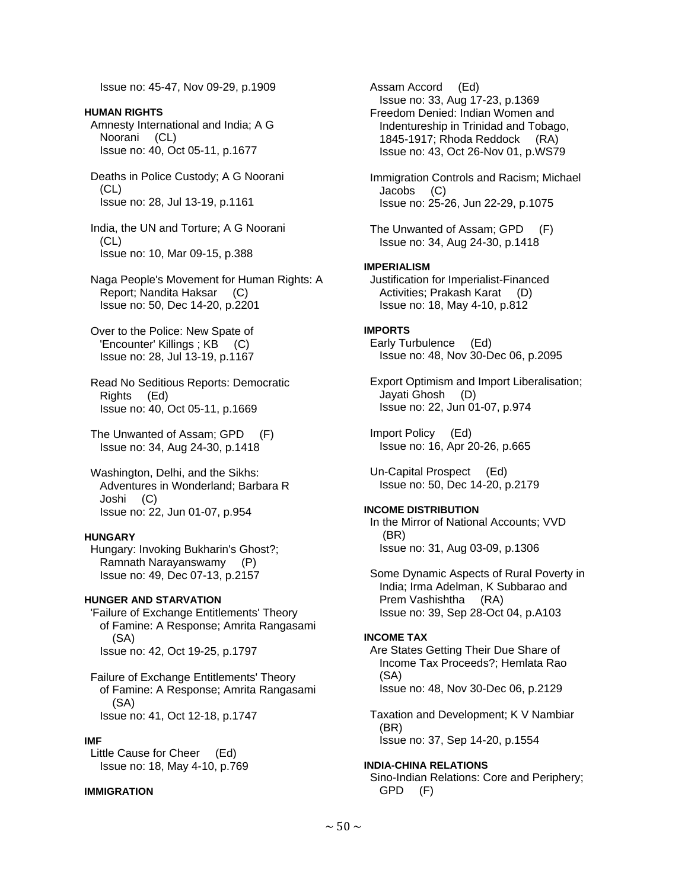Issue no: 45-47, Nov 09-29, p.1909

# **HUMAN RIGHTS**

 Amnesty International and India; A G Noorani (CL) Issue no: 40, Oct 05-11, p.1677

 Deaths in Police Custody; A G Noorani (CL) Issue no: 28, Jul 13-19, p.1161

 India, the UN and Torture; A G Noorani (CL) Issue no: 10, Mar 09-15, p.388

 Naga People's Movement for Human Rights: A Report; Nandita Haksar (C) Issue no: 50, Dec 14-20, p.2201

 Over to the Police: New Spate of 'Encounter' Killings ; KB (C) Issue no: 28, Jul 13-19, p.1167

- Read No Seditious Reports: Democratic Rights (Ed) Issue no: 40, Oct 05-11, p.1669
- The Unwanted of Assam; GPD (F) Issue no: 34, Aug 24-30, p.1418
- Washington, Delhi, and the Sikhs: Adventures in Wonderland; Barbara R Joshi (C) Issue no: 22, Jun 01-07, p.954

#### **HUNGARY**

 Hungary: Invoking Bukharin's Ghost?; Ramnath Narayanswamy (P) Issue no: 49, Dec 07-13, p.2157

### **HUNGER AND STARVATION**

 'Failure of Exchange Entitlements' Theory of Famine: A Response; Amrita Rangasami (SA) Issue no: 42, Oct 19-25, p.1797

 Failure of Exchange Entitlements' Theory of Famine: A Response; Amrita Rangasami (SA) Issue no: 41, Oct 12-18, p.1747

#### **IMF**

 Little Cause for Cheer (Ed) Issue no: 18, May 4-10, p.769

## **IMMIGRATION**

 Assam Accord (Ed) Issue no: 33, Aug 17-23, p.1369 Freedom Denied: Indian Women and Indentureship in Trinidad and Tobago, 1845-1917; Rhoda Reddock (RA) Issue no: 43, Oct 26-Nov 01, p.WS79

 Immigration Controls and Racism; Michael Jacobs (C) Issue no: 25-26, Jun 22-29, p.1075

 The Unwanted of Assam; GPD (F) Issue no: 34, Aug 24-30, p.1418

### **IMPERIALISM**

 Justification for Imperialist-Financed Activities; Prakash Karat (D) Issue no: 18, May 4-10, p.812

#### **IMPORTS**

 Early Turbulence (Ed) Issue no: 48, Nov 30-Dec 06, p.2095

 Export Optimism and Import Liberalisation; Jayati Ghosh (D) Issue no: 22, Jun 01-07, p.974

 Import Policy (Ed) Issue no: 16, Apr 20-26, p.665

 Un-Capital Prospect (Ed) Issue no: 50, Dec 14-20, p.2179

#### **INCOME DISTRIBUTION**

 In the Mirror of National Accounts; VVD (BR) Issue no: 31, Aug 03-09, p.1306

 Some Dynamic Aspects of Rural Poverty in India; Irma Adelman, K Subbarao and Prem Vashishtha (RA) Issue no: 39, Sep 28-Oct 04, p.A103

#### **INCOME TAX**

 Are States Getting Their Due Share of Income Tax Proceeds?; Hemlata Rao (SA) Issue no: 48, Nov 30-Dec 06, p.2129

 Taxation and Development; K V Nambiar (BR) Issue no: 37, Sep 14-20, p.1554

## **INDIA-CHINA RELATIONS**

 Sino-Indian Relations: Core and Periphery; GPD (F)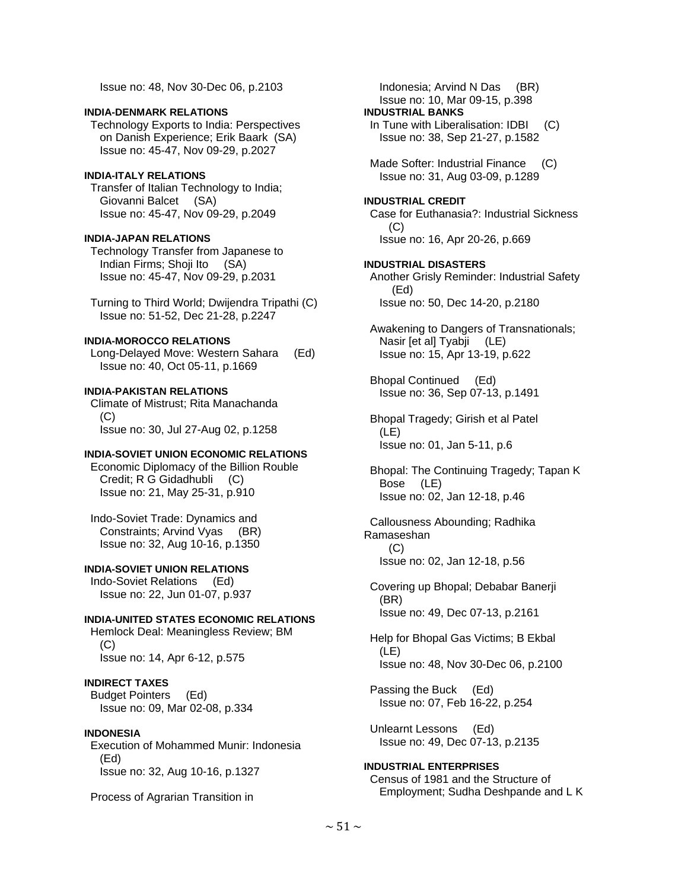Issue no: 48, Nov 30-Dec 06, p.2103

#### **INDIA-DENMARK RELATIONS**

 Technology Exports to India: Perspectives on Danish Experience; Erik Baark (SA) Issue no: 45-47, Nov 09-29, p.2027

### **INDIA-ITALY RELATIONS**

 Transfer of Italian Technology to India; Giovanni Balcet (SA) Issue no: 45-47, Nov 09-29, p.2049

#### **INDIA-JAPAN RELATIONS**

 Technology Transfer from Japanese to Indian Firms; Shoji Ito (SA) Issue no: 45-47, Nov 09-29, p.2031

 Turning to Third World; Dwijendra Tripathi (C) Issue no: 51-52, Dec 21-28, p.2247

## **INDIA-MOROCCO RELATIONS**

 Long-Delayed Move: Western Sahara (Ed) Issue no: 40, Oct 05-11, p.1669

#### **INDIA-PAKISTAN RELATIONS**

 Climate of Mistrust; Rita Manachanda  $(C)$ Issue no: 30, Jul 27-Aug 02, p.1258

#### **INDIA-SOVIET UNION ECONOMIC RELATIONS**

 Economic Diplomacy of the Billion Rouble Credit; R G Gidadhubli (C) Issue no: 21, May 25-31, p.910

 Indo-Soviet Trade: Dynamics and Constraints; Arvind Vyas (BR) Issue no: 32, Aug 10-16, p.1350

## **INDIA-SOVIET UNION RELATIONS**

 Indo-Soviet Relations (Ed) Issue no: 22, Jun 01-07, p.937

### **INDIA-UNITED STATES ECONOMIC RELATIONS**

 Hemlock Deal: Meaningless Review; BM (C) Issue no: 14, Apr 6-12, p.575

#### **INDIRECT TAXES**

 Budget Pointers (Ed) Issue no: 09, Mar 02-08, p.334

#### **INDONESIA**

 Execution of Mohammed Munir: Indonesia (Ed) Issue no: 32, Aug 10-16, p.1327

Process of Agrarian Transition in

 Indonesia; Arvind N Das (BR) Issue no: 10, Mar 09-15, p.398

## **INDUSTRIAL BANKS**

In Tune with Liberalisation: IDBI (C) Issue no: 38, Sep 21-27, p.1582

Made Softer: Industrial Finance (C) Issue no: 31, Aug 03-09, p.1289

#### **INDUSTRIAL CREDIT**

 Case for Euthanasia?: Industrial Sickness (C) Issue no: 16, Apr 20-26, p.669

#### **INDUSTRIAL DISASTERS**  Another Grisly Reminder: Industrial Safety (Ed) Issue no: 50, Dec 14-20, p.2180

 Awakening to Dangers of Transnationals; Nasir [et al] Tyabji (LE) Issue no: 15, Apr 13-19, p.622

 Bhopal Continued (Ed) Issue no: 36, Sep 07-13, p.1491

 Bhopal Tragedy; Girish et al Patel (LE) Issue no: 01, Jan 5-11, p.6

 Bhopal: The Continuing Tragedy; Tapan K Bose (LE) Issue no: 02, Jan 12-18, p.46

 Callousness Abounding; Radhika Ramaseshan  $(C)$ Issue no: 02, Jan 12-18, p.56

 Covering up Bhopal; Debabar Banerji (BR) Issue no: 49, Dec 07-13, p.2161

 Help for Bhopal Gas Victims; B Ekbal (LE) Issue no: 48, Nov 30-Dec 06, p.2100

 Passing the Buck (Ed) Issue no: 07, Feb 16-22, p.254

 Unlearnt Lessons (Ed) Issue no: 49, Dec 07-13, p.2135

**INDUSTRIAL ENTERPRISES**  Census of 1981 and the Structure of Employment; Sudha Deshpande and L K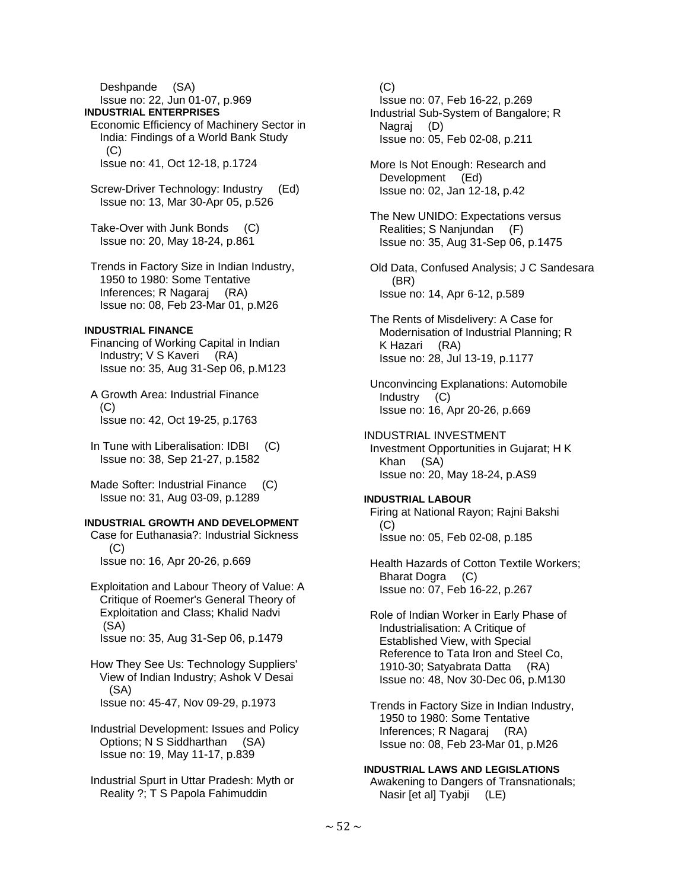Deshpande (SA) Issue no: 22, Jun 01-07, p.969

## **INDUSTRIAL ENTERPRISES**

- Economic Efficiency of Machinery Sector in India: Findings of a World Bank Study  $(C)$ Issue no: 41, Oct 12-18, p.1724
- Screw-Driver Technology: Industry (Ed) Issue no: 13, Mar 30-Apr 05, p.526
- Take-Over with Junk Bonds (C) Issue no: 20, May 18-24, p.861
- Trends in Factory Size in Indian Industry, 1950 to 1980: Some Tentative Inferences; R Nagaraj (RA) Issue no: 08, Feb 23-Mar 01, p.M26

## **INDUSTRIAL FINANCE**

- Financing of Working Capital in Indian Industry; V S Kaveri (RA) Issue no: 35, Aug 31-Sep 06, p.M123
- A Growth Area: Industrial Finance (C) Issue no: 42, Oct 19-25, p.1763
- In Tune with Liberalisation: IDBI (C) Issue no: 38, Sep 21-27, p.1582
- Made Softer: Industrial Finance (C) Issue no: 31, Aug 03-09, p.1289

# **INDUSTRIAL GROWTH AND DEVELOPMENT**

 Case for Euthanasia?: Industrial Sickness  $(C)$ Issue no: 16, Apr 20-26, p.669

- Exploitation and Labour Theory of Value: A Critique of Roemer's General Theory of Exploitation and Class; Khalid Nadvi (SA) Issue no: 35, Aug 31-Sep 06, p.1479
- How They See Us: Technology Suppliers' View of Indian Industry; Ashok V Desai (SA) Issue no: 45-47, Nov 09-29, p.1973
- Industrial Development: Issues and Policy Options; N S Siddharthan (SA) Issue no: 19, May 11-17, p.839
- Industrial Spurt in Uttar Pradesh: Myth or Reality ?; T S Papola Fahimuddin

 $(C)$ 

- Issue no: 07, Feb 16-22, p.269 Industrial Sub-System of Bangalore; R Nagraj (D) Issue no: 05, Feb 02-08, p.211
- More Is Not Enough: Research and Development (Ed) Issue no: 02, Jan 12-18, p.42
- The New UNIDO: Expectations versus Realities; S Nanjundan (F) Issue no: 35, Aug 31-Sep 06, p.1475
- Old Data, Confused Analysis; J C Sandesara (BR) Issue no: 14, Apr 6-12, p.589
- The Rents of Misdelivery: A Case for Modernisation of Industrial Planning; R K Hazari (RA) Issue no: 28, Jul 13-19, p.1177
- Unconvincing Explanations: Automobile Industry (C) Issue no: 16, Apr 20-26, p.669
- INDUSTRIAL INVESTMENT
- Investment Opportunities in Gujarat; H K Khan (SA) Issue no: 20, May 18-24, p.AS9

#### **INDUSTRIAL LABOUR**

 Firing at National Rayon; Rajni Bakshi (C) Issue no: 05, Feb 02-08, p.185

- Health Hazards of Cotton Textile Workers; Bharat Dogra (C) Issue no: 07, Feb 16-22, p.267
- Role of Indian Worker in Early Phase of Industrialisation: A Critique of Established View, with Special Reference to Tata Iron and Steel Co, 1910-30; Satyabrata Datta (RA) Issue no: 48, Nov 30-Dec 06, p.M130
- Trends in Factory Size in Indian Industry, 1950 to 1980: Some Tentative Inferences; R Nagaraj (RA) Issue no: 08, Feb 23-Mar 01, p.M26

## **INDUSTRIAL LAWS AND LEGISLATIONS**

 Awakening to Dangers of Transnationals; Nasir [et al] Tyabji (LE)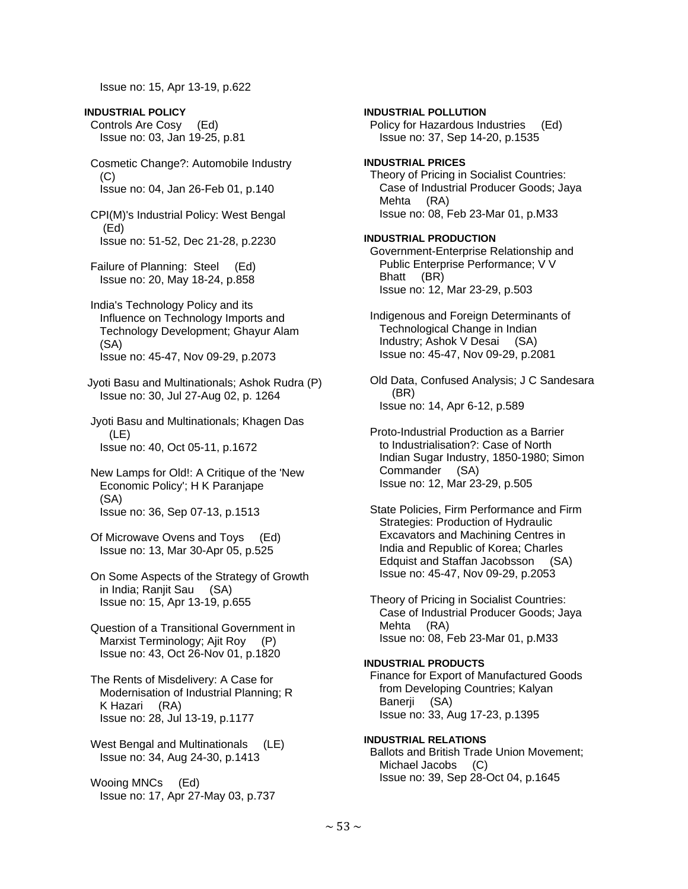Issue no: 15, Apr 13-19, p.622

**INDUSTRIAL POLICY**  Controls Are Cosy (Ed) Issue no: 03, Jan 19-25, p.81

 Cosmetic Change?: Automobile Industry (C) Issue no: 04, Jan 26-Feb 01, p.140

 CPI(M)'s Industrial Policy: West Bengal (Ed) Issue no: 51-52, Dec 21-28, p.2230

 Failure of Planning: Steel (Ed) Issue no: 20, May 18-24, p.858

 India's Technology Policy and its Influence on Technology Imports and Technology Development; Ghayur Alam (SA) Issue no: 45-47, Nov 09-29, p.2073

 Jyoti Basu and Multinationals; Ashok Rudra (P) Issue no: 30, Jul 27-Aug 02, p. 1264

 Jyoti Basu and Multinationals; Khagen Das (LE) Issue no: 40, Oct 05-11, p.1672

 New Lamps for Old!: A Critique of the 'New Economic Policy'; H K Paranjape (SA) Issue no: 36, Sep 07-13, p.1513

 Of Microwave Ovens and Toys (Ed) Issue no: 13, Mar 30-Apr 05, p.525

 On Some Aspects of the Strategy of Growth in India; Ranjit Sau (SA) Issue no: 15, Apr 13-19, p.655

 Question of a Transitional Government in Marxist Terminology; Ajit Roy (P) Issue no: 43, Oct 26-Nov 01, p.1820

 The Rents of Misdelivery: A Case for Modernisation of Industrial Planning; R K Hazari (RA) Issue no: 28, Jul 13-19, p.1177

 West Bengal and Multinationals (LE) Issue no: 34, Aug 24-30, p.1413

 Wooing MNCs (Ed) Issue no: 17, Apr 27-May 03, p.737

**INDUSTRIAL POLLUTION**  Policy for Hazardous Industries (Ed) Issue no: 37, Sep 14-20, p.1535 **INDUSTRIAL PRICES**  Theory of Pricing in Socialist Countries: Case of Industrial Producer Goods; Jaya Mehta (RA) Issue no: 08, Feb 23-Mar 01, p.M33 **INDUSTRIAL PRODUCTION**  Government-Enterprise Relationship and Public Enterprise Performance; V V Bhatt (BR) Issue no: 12, Mar 23-29, p.503 Indigenous and Foreign Determinants of Technological Change in Indian Industry; Ashok V Desai (SA) Issue no: 45-47, Nov 09-29, p.2081 Old Data, Confused Analysis; J C Sandesara (BR)

Issue no: 14, Apr 6-12, p.589

 Proto-Industrial Production as a Barrier to Industrialisation?: Case of North Indian Sugar Industry, 1850-1980; Simon Commander (SA) Issue no: 12, Mar 23-29, p.505

 State Policies, Firm Performance and Firm Strategies: Production of Hydraulic Excavators and Machining Centres in India and Republic of Korea; Charles Edquist and Staffan Jacobsson (SA) Issue no: 45-47, Nov 09-29, p.2053

 Theory of Pricing in Socialist Countries: Case of Industrial Producer Goods; Jaya Mehta (RA) Issue no: 08, Feb 23-Mar 01, p.M33

# **INDUSTRIAL PRODUCTS**

 Finance for Export of Manufactured Goods from Developing Countries; Kalyan Banerji (SA) Issue no: 33, Aug 17-23, p.1395

**INDUSTRIAL RELATIONS**  Ballots and British Trade Union Movement; Michael Jacobs (C) Issue no: 39, Sep 28-Oct 04, p.1645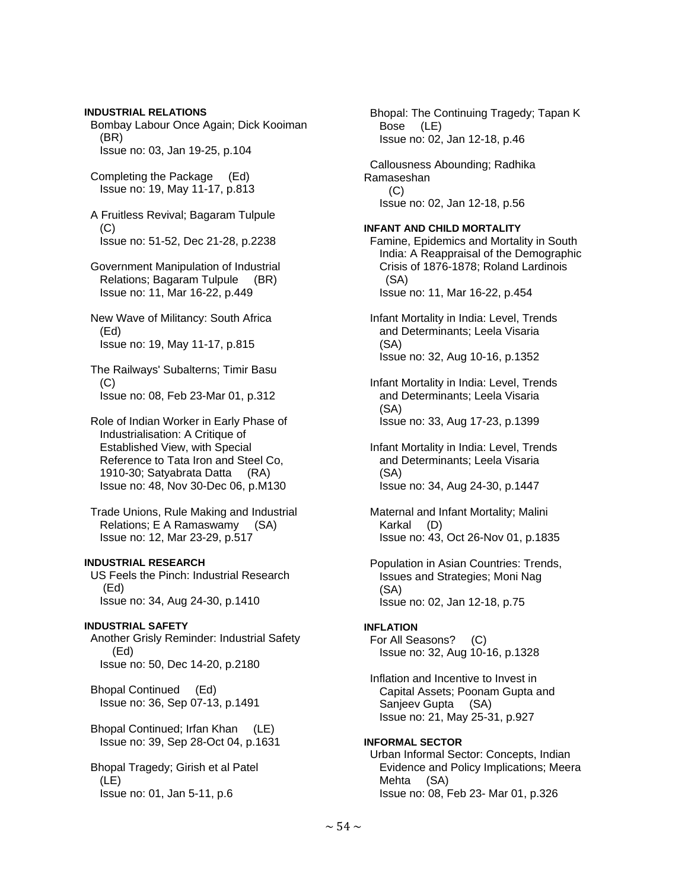**INDUSTRIAL RELATIONS**  Bombay Labour Once Again; Dick Kooiman (BR) Issue no: 03, Jan 19-25, p.104 Completing the Package (Ed) Issue no: 19, May 11-17, p.813 A Fruitless Revival; Bagaram Tulpule  $(C)$  Issue no: 51-52, Dec 21-28, p.2238 Government Manipulation of Industrial Relations; Bagaram Tulpule (BR) Issue no: 11, Mar 16-22, p.449 New Wave of Militancy: South Africa (Ed) Issue no: 19, May 11-17, p.815 The Railways' Subalterns; Timir Basu  $(C)$  Issue no: 08, Feb 23-Mar 01, p.312 Role of Indian Worker in Early Phase of Industrialisation: A Critique of Established View, with Special Reference to Tata Iron and Steel Co, 1910-30; Satyabrata Datta (RA) Issue no: 48, Nov 30-Dec 06, p.M130 Trade Unions, Rule Making and Industrial Relations; E A Ramaswamy (SA) Issue no: 12, Mar 23-29, p.517 **INDUSTRIAL RESEARCH**  US Feels the Pinch: Industrial Research (Ed) Issue no: 34, Aug 24-30, p.1410 **INDUSTRIAL SAFETY**  Another Grisly Reminder: Industrial Safety (Ed) Issue no: 50, Dec 14-20, p.2180 Bhopal Continued (Ed) Issue no: 36, Sep 07-13, p.1491 Bhopal Continued; Irfan Khan (LE) Issue no: 39, Sep 28-Oct 04, p.1631 Bhopal Tragedy; Girish et al Patel

 (LE) Issue no: 01, Jan 5-11, p.6

 Bhopal: The Continuing Tragedy; Tapan K Bose (LE) Issue no: 02, Jan 12-18, p.46 Callousness Abounding; Radhika Ramaseshan  $(C)$  Issue no: 02, Jan 12-18, p.56 **INFANT AND CHILD MORTALITY**  Famine, Epidemics and Mortality in South India: A Reappraisal of the Demographic Crisis of 1876-1878; Roland Lardinois (SA) Issue no: 11, Mar 16-22, p.454 Infant Mortality in India: Level, Trends and Determinants; Leela Visaria (SA) Issue no: 32, Aug 10-16, p.1352 Infant Mortality in India: Level, Trends and Determinants; Leela Visaria (SA) Issue no: 33, Aug 17-23, p.1399 Infant Mortality in India: Level, Trends and Determinants; Leela Visaria (SA) Issue no: 34, Aug 24-30, p.1447 Maternal and Infant Mortality; Malini Karkal (D) Issue no: 43, Oct 26-Nov 01, p.1835 Population in Asian Countries: Trends, Issues and Strategies; Moni Nag (SA) Issue no: 02, Jan 12-18, p.75 **INFI ATION**  For All Seasons? (C) Issue no: 32, Aug 10-16, p.1328 Inflation and Incentive to Invest in Capital Assets; Poonam Gupta and Sanjeev Gupta (SA) Issue no: 21, May 25-31, p.927 **INFORMAL SECTOR**  Urban Informal Sector: Concepts, Indian Evidence and Policy Implications; Meera Mehta (SA)

Issue no: 08, Feb 23- Mar 01, p.326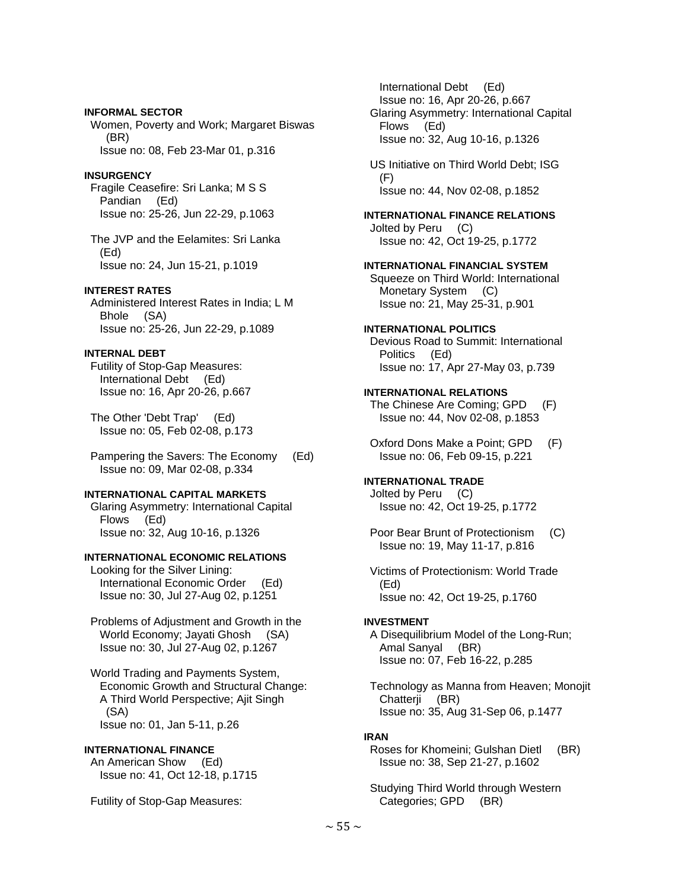#### **INFORMAL SECTOR**

 Women, Poverty and Work; Margaret Biswas (BR) Issue no: 08, Feb 23-Mar 01, p.316

#### **INSURGENCY**

 Fragile Ceasefire: Sri Lanka; M S S Pandian (Ed) Issue no: 25-26, Jun 22-29, p.1063

 The JVP and the Eelamites: Sri Lanka (Ed) Issue no: 24, Jun 15-21, p.1019

## **INTEREST RATES**

 Administered Interest Rates in India; L M Bhole (SA) Issue no: 25-26, Jun 22-29, p.1089

# **INTERNAL DEBT**

 Futility of Stop-Gap Measures: International Debt (Ed) Issue no: 16, Apr 20-26, p.667

 The Other 'Debt Trap' (Ed) Issue no: 05, Feb 02-08, p.173

 Pampering the Savers: The Economy (Ed) Issue no: 09, Mar 02-08, p.334

## **INTERNATIONAL CAPITAL MARKETS**

 Glaring Asymmetry: International Capital Flows (Ed) Issue no: 32, Aug 10-16, p.1326

## **INTERNATIONAL ECONOMIC RELATIONS**

 Looking for the Silver Lining: International Economic Order (Ed) Issue no: 30, Jul 27-Aug 02, p.1251

 Problems of Adjustment and Growth in the World Economy; Jayati Ghosh (SA) Issue no: 30, Jul 27-Aug 02, p.1267

 World Trading and Payments System, Economic Growth and Structural Change: A Third World Perspective; Ajit Singh (SA) Issue no: 01, Jan 5-11, p.26

#### **INTERNATIONAL FINANCE**

 An American Show (Ed) Issue no: 41, Oct 12-18, p.1715

Futility of Stop-Gap Measures:

 International Debt (Ed) Issue no: 16, Apr 20-26, p.667 Glaring Asymmetry: International Capital Flows (Ed) Issue no: 32, Aug 10-16, p.1326

 US Initiative on Third World Debt; ISG (F) Issue no: 44, Nov 02-08, p.1852

#### **INTERNATIONAL FINANCE RELATIONS**  Jolted by Peru (C)

Issue no: 42, Oct 19-25, p.1772

# **INTERNATIONAL FINANCIAL SYSTEM**

 Squeeze on Third World: International Monetary System (C) Issue no: 21, May 25-31, p.901

## **INTERNATIONAL POLITICS**

 Devious Road to Summit: International Politics (Ed) Issue no: 17, Apr 27-May 03, p.739

## **INTERNATIONAL RELATIONS**

 The Chinese Are Coming; GPD (F) Issue no: 44, Nov 02-08, p.1853

 Oxford Dons Make a Point; GPD (F) Issue no: 06, Feb 09-15, p.221

# **INTERNATIONAL TRADE**

 Jolted by Peru (C) Issue no: 42, Oct 19-25, p.1772

 Poor Bear Brunt of Protectionism (C) Issue no: 19, May 11-17, p.816

 Victims of Protectionism: World Trade (Ed) Issue no: 42, Oct 19-25, p.1760

#### **INVESTMENT**

 A Disequilibrium Model of the Long-Run; Amal Sanyal (BR) Issue no: 07, Feb 16-22, p.285

 Technology as Manna from Heaven; Monojit Chatterji (BR) Issue no: 35, Aug 31-Sep 06, p.1477

#### **IRAN**

 Roses for Khomeini; Gulshan Dietl (BR) Issue no: 38, Sep 21-27, p.1602

 Studying Third World through Western Categories; GPD (BR)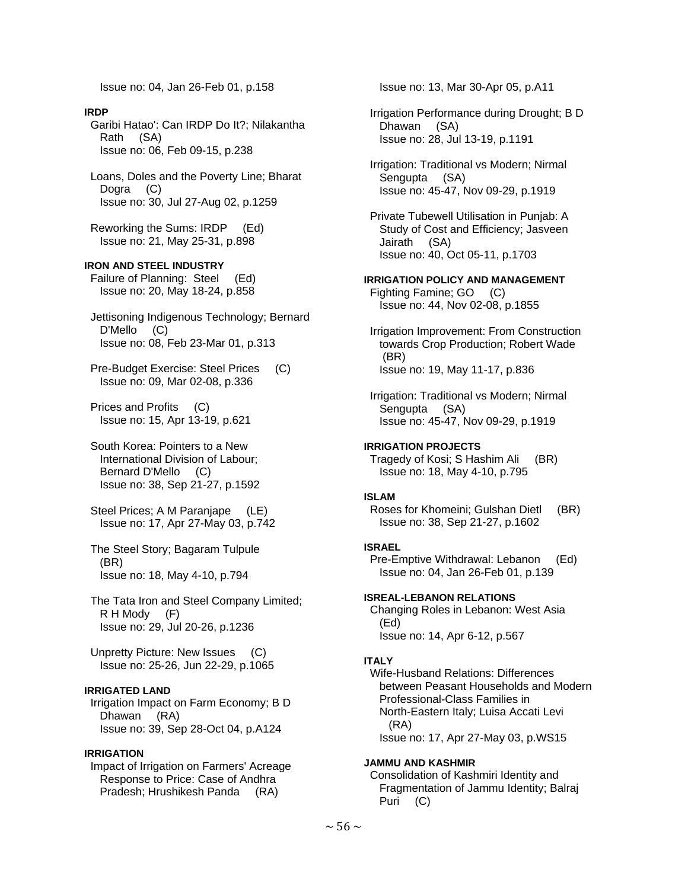Issue no: 04, Jan 26-Feb 01, p.158

#### **IRDP**

 Garibi Hatao': Can IRDP Do It?; Nilakantha Rath (SA) Issue no: 06, Feb 09-15, p.238

 Loans, Doles and the Poverty Line; Bharat Dogra (C) Issue no: 30, Jul 27-Aug 02, p.1259

 Reworking the Sums: IRDP (Ed) Issue no: 21, May 25-31, p.898

**IRON AND STEEL INDUSTRY**  Failure of Planning: Steel (Ed) Issue no: 20, May 18-24, p.858

 Jettisoning Indigenous Technology; Bernard D'Mello (C) Issue no: 08, Feb 23-Mar 01, p.313

 Pre-Budget Exercise: Steel Prices (C) Issue no: 09, Mar 02-08, p.336

 Prices and Profits (C) Issue no: 15, Apr 13-19, p.621

 South Korea: Pointers to a New International Division of Labour; Bernard D'Mello (C) Issue no: 38, Sep 21-27, p.1592

 Steel Prices; A M Paranjape (LE) Issue no: 17, Apr 27-May 03, p.742

 The Steel Story; Bagaram Tulpule (BR) Issue no: 18, May 4-10, p.794

 The Tata Iron and Steel Company Limited; R H Mody (F) Issue no: 29, Jul 20-26, p.1236

 Unpretty Picture: New Issues (C) Issue no: 25-26, Jun 22-29, p.1065

## **IRRIGATED LAND**

 Irrigation Impact on Farm Economy; B D Dhawan (RA) Issue no: 39, Sep 28-Oct 04, p.A124

### **IRRIGATION**

 Impact of Irrigation on Farmers' Acreage Response to Price: Case of Andhra Pradesh; Hrushikesh Panda (RA)

Issue no: 13, Mar 30-Apr 05, p.A11

 Irrigation Performance during Drought; B D Dhawan (SA) Issue no: 28, Jul 13-19, p.1191

 Irrigation: Traditional vs Modern; Nirmal Sengupta (SA) Issue no: 45-47, Nov 09-29, p.1919

 Private Tubewell Utilisation in Punjab: A Study of Cost and Efficiency; Jasveen Jairath (SA) Issue no: 40, Oct 05-11, p.1703

**IRRIGATION POLICY AND MANAGEMENT** 

 Fighting Famine; GO (C) Issue no: 44, Nov 02-08, p.1855

 Irrigation Improvement: From Construction towards Crop Production; Robert Wade (BR) Issue no: 19, May 11-17, p.836

 Irrigation: Traditional vs Modern; Nirmal Sengupta (SA) Issue no: 45-47, Nov 09-29, p.1919

**IRRIGATION PROJECTS**  Tragedy of Kosi; S Hashim Ali (BR) Issue no: 18, May 4-10, p.795

#### **ISLAM**

 Roses for Khomeini; Gulshan Dietl (BR) Issue no: 38, Sep 21-27, p.1602

#### **ISRAEL**

 Pre-Emptive Withdrawal: Lebanon (Ed) Issue no: 04, Jan 26-Feb 01, p.139

**ISREAL-LEBANON RELATIONS** 

 Changing Roles in Lebanon: West Asia (Ed) Issue no: 14, Apr 6-12, p.567

#### **ITALY**

 Wife-Husband Relations: Differences between Peasant Households and Modern Professional-Class Families in North-Eastern Italy; Luisa Accati Levi (RA) Issue no: 17, Apr 27-May 03, p.WS15

## **JAMMU AND KASHMIR**

 Consolidation of Kashmiri Identity and Fragmentation of Jammu Identity; Balraj Puri (C)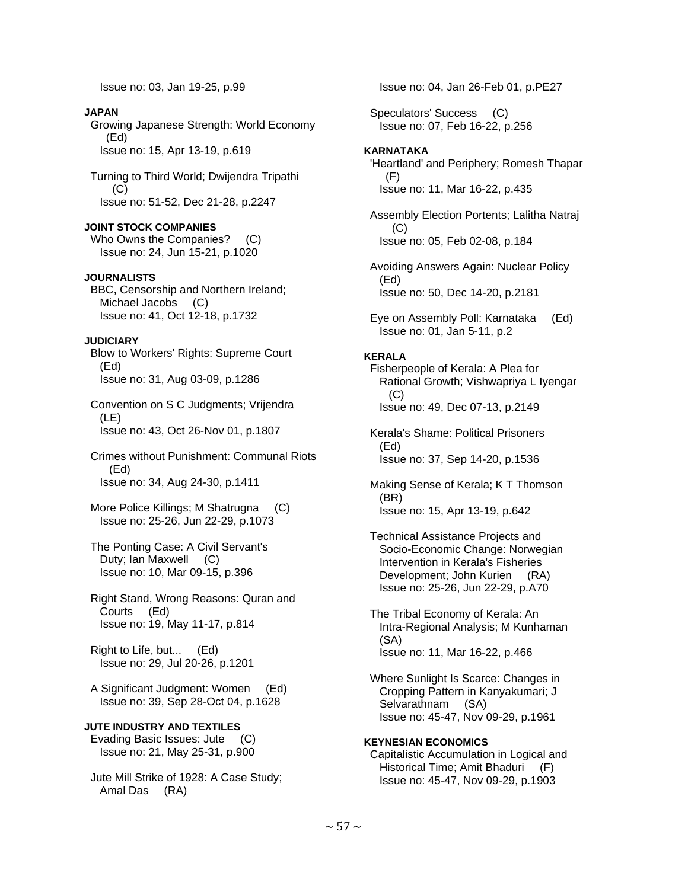Issue no: 03, Jan 19-25, p.99

## **JAPAN**

 Growing Japanese Strength: World Economy (Ed) Issue no: 15, Apr 13-19, p.619

 Turning to Third World; Dwijendra Tripathi  $(C)$ Issue no: 51-52, Dec 21-28, p.2247

## **JOINT STOCK COMPANIES**

Who Owns the Companies? (C) Issue no: 24, Jun 15-21, p.1020

## **JOURNALISTS**

 BBC, Censorship and Northern Ireland; Michael Jacobs (C) Issue no: 41, Oct 12-18, p.1732

# **JUDICIARY**

 Blow to Workers' Rights: Supreme Court (Ed) Issue no: 31, Aug 03-09, p.1286

 Convention on S C Judgments; Vrijendra (LE) Issue no: 43, Oct 26-Nov 01, p.1807

 Crimes without Punishment: Communal Riots (Ed) Issue no: 34, Aug 24-30, p.1411

- More Police Killings; M Shatrugna (C) Issue no: 25-26, Jun 22-29, p.1073
- The Ponting Case: A Civil Servant's Duty; Ian Maxwell (C) Issue no: 10, Mar 09-15, p.396

 Right Stand, Wrong Reasons: Quran and Courts (Ed) Issue no: 19, May 11-17, p.814

 Right to Life, but... (Ed) Issue no: 29, Jul 20-26, p.1201

 A Significant Judgment: Women (Ed) Issue no: 39, Sep 28-Oct 04, p.1628

# **JUTE INDUSTRY AND TEXTILES**

 Evading Basic Issues: Jute (C) Issue no: 21, May 25-31, p.900

 Jute Mill Strike of 1928: A Case Study; Amal Das (RA)

Issue no: 04, Jan 26-Feb 01, p.PE27

 Speculators' Success (C) Issue no: 07, Feb 16-22, p.256

# **KARNATAKA**

 'Heartland' and Periphery; Romesh Thapar (F) Issue no: 11, Mar 16-22, p.435

 Assembly Election Portents; Lalitha Natraj (C) Issue no: 05, Feb 02-08, p.184

 Avoiding Answers Again: Nuclear Policy (Ed) Issue no: 50, Dec 14-20, p.2181

 Eye on Assembly Poll: Karnataka (Ed) Issue no: 01, Jan 5-11, p.2

# **KERALA**

 Fisherpeople of Kerala: A Plea for Rational Growth; Vishwapriya L Iyengar (C) Issue no: 49, Dec 07-13, p.2149

 Kerala's Shame: Political Prisoners (Ed) Issue no: 37, Sep 14-20, p.1536

 Making Sense of Kerala; K T Thomson (BR) Issue no: 15, Apr 13-19, p.642

- Technical Assistance Projects and Socio-Economic Change: Norwegian Intervention in Kerala's Fisheries Development; John Kurien (RA) Issue no: 25-26, Jun 22-29, p.A70
- The Tribal Economy of Kerala: An Intra-Regional Analysis; M Kunhaman (SA) Issue no: 11, Mar 16-22, p.466
- Where Sunlight Is Scarce: Changes in Cropping Pattern in Kanyakumari; J Selvarathnam (SA) Issue no: 45-47, Nov 09-29, p.1961

## **KEYNESIAN ECONOMICS**  Capitalistic Accumulation in Logical and Historical Time; Amit Bhaduri (F) Issue no: 45-47, Nov 09-29, p.1903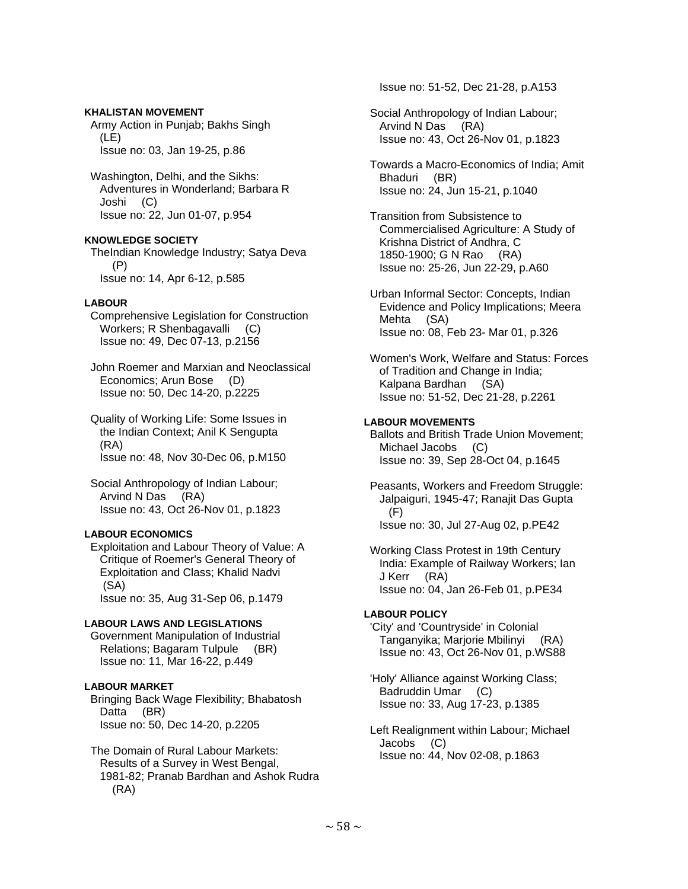## **KHALISTAN MOVEMENT**

 Army Action in Punjab; Bakhs Singh (LE) Issue no: 03, Jan 19-25, p.86

 Washington, Delhi, and the Sikhs: Adventures in Wonderland; Barbara R Joshi (C) Issue no: 22, Jun 01-07, p.954

# **KNOWLEDGE SOCIETY**

 TheIndian Knowledge Industry; Satya Deva (P) Issue no: 14, Apr 6-12, p.585

# **LABOUR**

 Comprehensive Legislation for Construction Workers; R Shenbagavalli (C) Issue no: 49, Dec 07-13, p.2156

 John Roemer and Marxian and Neoclassical Economics; Arun Bose (D) Issue no: 50, Dec 14-20, p.2225

 Quality of Working Life: Some Issues in the Indian Context; Anil K Sengupta (RA) Issue no: 48, Nov 30-Dec 06, p.M150

 Social Anthropology of Indian Labour; Arvind N Das (RA) Issue no: 43, Oct 26-Nov 01, p.1823

# **LABOUR ECONOMICS**

 Exploitation and Labour Theory of Value: A Critique of Roemer's General Theory of Exploitation and Class; Khalid Nadvi (SA) Issue no: 35, Aug 31-Sep 06, p.1479

## **LABOUR LAWS AND LEGISLATIONS**

 Government Manipulation of Industrial Relations; Bagaram Tulpule (BR) Issue no: 11, Mar 16-22, p.449

# **LABOUR MARKET**

 Bringing Back Wage Flexibility; Bhabatosh Datta (BR) Issue no: 50, Dec 14-20, p.2205

 The Domain of Rural Labour Markets: Results of a Survey in West Bengal, 1981-82; Pranab Bardhan and Ashok Rudra (RA)

Issue no: 51-52, Dec 21-28, p.A153

- Social Anthropology of Indian Labour; Arvind N Das (RA) Issue no: 43, Oct 26-Nov 01, p.1823
- Towards a Macro-Economics of India; Amit Bhaduri (BR) Issue no: 24, Jun 15-21, p.1040

 Transition from Subsistence to Commercialised Agriculture: A Study of Krishna District of Andhra, C 1850-1900; G N Rao (RA) Issue no: 25-26, Jun 22-29, p.A60

 Urban Informal Sector: Concepts, Indian Evidence and Policy Implications; Meera Mehta (SA) Issue no: 08, Feb 23- Mar 01, p.326

 Women's Work, Welfare and Status: Forces of Tradition and Change in India; Kalpana Bardhan (SA) Issue no: 51-52, Dec 21-28, p.2261

# **LABOUR MOVEMENTS**

 Ballots and British Trade Union Movement; Michael Jacobs (C) Issue no: 39, Sep 28-Oct 04, p.1645

 Peasants, Workers and Freedom Struggle: Jalpaiguri, 1945-47; Ranajit Das Gupta (F) Issue no: 30, Jul 27-Aug 02, p.PE42

 Working Class Protest in 19th Century India: Example of Railway Workers; Ian J Kerr (RA) Issue no: 04, Jan 26-Feb 01, p.PE34

# **LABOUR POLICY**

 'City' and 'Countryside' in Colonial Tanganyika; Marjorie Mbilinyi (RA) Issue no: 43, Oct 26-Nov 01, p.WS88

 'Holy' Alliance against Working Class; Badruddin Umar (C) Issue no: 33, Aug 17-23, p.1385

 Left Realignment within Labour; Michael Jacobs (C) Issue no: 44, Nov 02-08, p.1863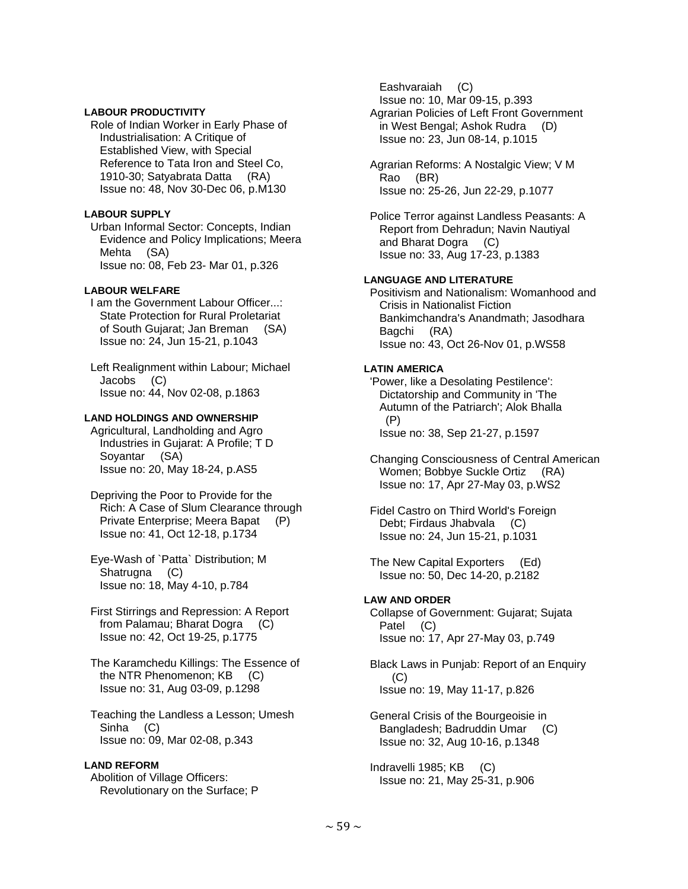#### **LABOUR PRODUCTIVITY**

 Role of Indian Worker in Early Phase of Industrialisation: A Critique of Established View, with Special Reference to Tata Iron and Steel Co, 1910-30; Satyabrata Datta (RA) Issue no: 48, Nov 30-Dec 06, p.M130

### **LABOUR SUPPLY**

 Urban Informal Sector: Concepts, Indian Evidence and Policy Implications; Meera Mehta (SA) Issue no: 08, Feb 23- Mar 01, p.326

## **LABOUR WELFARE**

 I am the Government Labour Officer...: State Protection for Rural Proletariat of South Gujarat; Jan Breman (SA) Issue no: 24, Jun 15-21, p.1043

 Left Realignment within Labour; Michael Jacobs (C) Issue no: 44, Nov 02-08, p.1863

### **LAND HOLDINGS AND OWNERSHIP**

 Agricultural, Landholding and Agro Industries in Gujarat: A Profile; T D Soyantar (SA) Issue no: 20, May 18-24, p.AS5

 Depriving the Poor to Provide for the Rich: A Case of Slum Clearance through Private Enterprise; Meera Bapat (P) Issue no: 41, Oct 12-18, p.1734

 Eye-Wash of `Patta` Distribution; M Shatrugna (C) Issue no: 18, May 4-10, p.784

 First Stirrings and Repression: A Report from Palamau; Bharat Dogra (C) Issue no: 42, Oct 19-25, p.1775

 The Karamchedu Killings: The Essence of the NTR Phenomenon; KB (C) Issue no: 31, Aug 03-09, p.1298

 Teaching the Landless a Lesson; Umesh Sinha (C) Issue no: 09, Mar 02-08, p.343

## **LAND REFORM**

 Abolition of Village Officers: Revolutionary on the Surface; P

 Eashvaraiah (C) Issue no: 10, Mar 09-15, p.393 Agrarian Policies of Left Front Government in West Bengal; Ashok Rudra (D) Issue no: 23, Jun 08-14, p.1015

 Agrarian Reforms: A Nostalgic View; V M Rao (BR) Issue no: 25-26, Jun 22-29, p.1077

 Police Terror against Landless Peasants: A Report from Dehradun; Navin Nautiyal and Bharat Dogra (C) Issue no: 33, Aug 17-23, p.1383

### **LANGUAGE AND LITERATURE**

 Positivism and Nationalism: Womanhood and Crisis in Nationalist Fiction Bankimchandra's Anandmath; Jasodhara Bagchi (RA) Issue no: 43, Oct 26-Nov 01, p.WS58

## **LATIN AMERICA**

 'Power, like a Desolating Pestilence': Dictatorship and Community in 'The Autumn of the Patriarch'; Alok Bhalla (P) Issue no: 38, Sep 21-27, p.1597

 Changing Consciousness of Central American Women; Bobbye Suckle Ortiz (RA) Issue no: 17, Apr 27-May 03, p.WS2

 Fidel Castro on Third World's Foreign Debt; Firdaus Jhabvala (C) Issue no: 24, Jun 15-21, p.1031

 The New Capital Exporters (Ed) Issue no: 50, Dec 14-20, p.2182

## **LAW AND ORDER**

 Collapse of Government: Gujarat; Sujata Patel (C) Issue no: 17, Apr 27-May 03, p.749

 Black Laws in Punjab: Report of an Enquiry (C) Issue no: 19, May 11-17, p.826

 General Crisis of the Bourgeoisie in Bangladesh; Badruddin Umar (C) Issue no: 32, Aug 10-16, p.1348

 Indravelli 1985; KB (C) Issue no: 21, May 25-31, p.906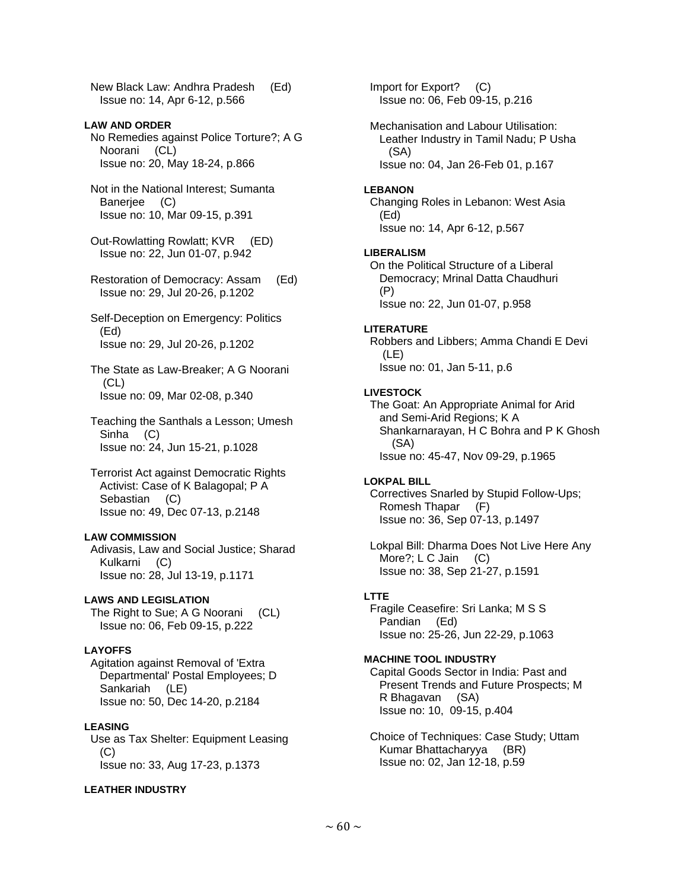New Black Law: Andhra Pradesh (Ed) Issue no: 14, Apr 6-12, p.566

## **LAW AND ORDER**

 No Remedies against Police Torture?; A G Noorani (CL) Issue no: 20, May 18-24, p.866

- Not in the National Interest; Sumanta Banerjee (C) Issue no: 10, Mar 09-15, p.391
- Out-Rowlatting Rowlatt; KVR (ED) Issue no: 22, Jun 01-07, p.942
- Restoration of Democracy: Assam (Ed) Issue no: 29, Jul 20-26, p.1202
- Self-Deception on Emergency: Politics (Ed) Issue no: 29, Jul 20-26, p.1202
- The State as Law-Breaker; A G Noorani (CL) Issue no: 09, Mar 02-08, p.340
- Teaching the Santhals a Lesson; Umesh Sinha (C) Issue no: 24, Jun 15-21, p.1028
- Terrorist Act against Democratic Rights Activist: Case of K Balagopal; P A Sebastian (C) Issue no: 49, Dec 07-13, p.2148

#### **LAW COMMISSION**

 Adivasis, Law and Social Justice; Sharad Kulkarni (C) Issue no: 28, Jul 13-19, p.1171

# **LAWS AND LEGISLATION**

The Right to Sue; A G Noorani (CL) Issue no: 06, Feb 09-15, p.222

## **LAYOFFS**

 Agitation against Removal of 'Extra Departmental' Postal Employees; D Sankariah (LE) Issue no: 50, Dec 14-20, p.2184

## **LEASING**

 Use as Tax Shelter: Equipment Leasing (C) Issue no: 33, Aug 17-23, p.1373

# **LEATHER INDUSTRY**

 Import for Export? (C) Issue no: 06, Feb 09-15, p.216 Mechanisation and Labour Utilisation: Leather Industry in Tamil Nadu; P Usha (SA) Issue no: 04, Jan 26-Feb 01, p.167 **LEBANON**  Changing Roles in Lebanon: West Asia (Ed) Issue no: 14, Apr 6-12, p.567 **LIBERALISM**  On the Political Structure of a Liberal Democracy; Mrinal Datta Chaudhuri (P) Issue no: 22, Jun 01-07, p.958 **LITERATURE**  Robbers and Libbers; Amma Chandi E Devi (LE) Issue no: 01, Jan 5-11, p.6 **LIVESTOCK**  The Goat: An Appropriate Animal for Arid and Semi-Arid Regions; K A Shankarnarayan, H C Bohra and P K Ghosh (SA) Issue no: 45-47, Nov 09-29, p.1965 **LOKPAL BILL**  Correctives Snarled by Stupid Follow-Ups; Romesh Thapar (F) Issue no: 36, Sep 07-13, p.1497 Lokpal Bill: Dharma Does Not Live Here Any More?; L C Jain (C) Issue no: 38, Sep 21-27, p.1591 **LTTE**  Fragile Ceasefire: Sri Lanka; M S S Pandian (Ed) Issue no: 25-26, Jun 22-29, p.1063 **MACHINE TOOL INDUSTRY**  Capital Goods Sector in India: Past and Present Trends and Future Prospects; M

 R Bhagavan (SA) Issue no: 10, 09-15, p.404

 Choice of Techniques: Case Study; Uttam Kumar Bhattacharyya (BR) Issue no: 02, Jan 12-18, p.59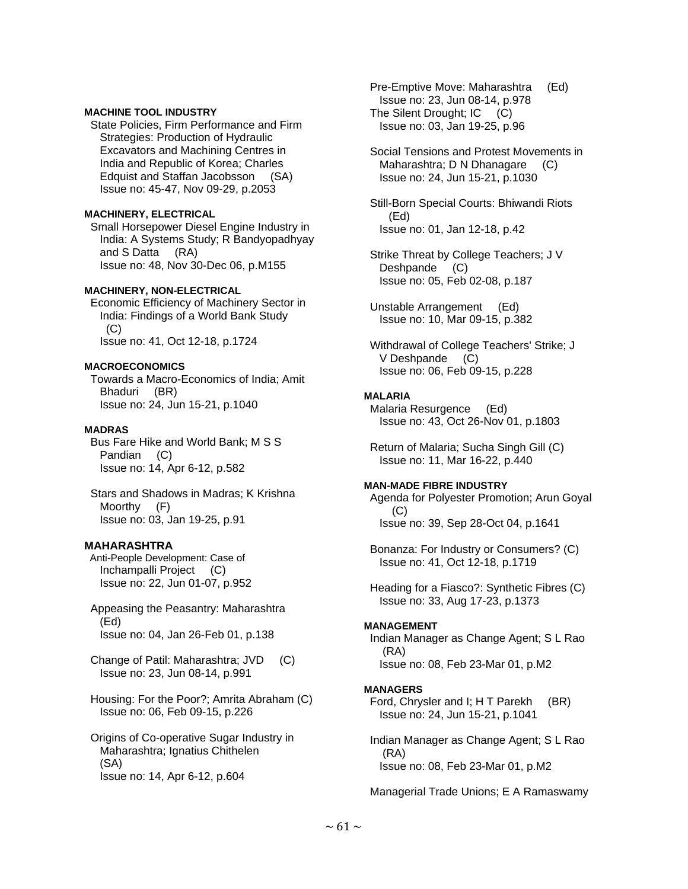#### **MACHINE TOOL INDUSTRY**

 State Policies, Firm Performance and Firm Strategies: Production of Hydraulic Excavators and Machining Centres in India and Republic of Korea; Charles Edquist and Staffan Jacobsson (SA) Issue no: 45-47, Nov 09-29, p.2053

### **MACHINERY, ELECTRICAL**

 Small Horsepower Diesel Engine Industry in India: A Systems Study; R Bandyopadhyay and S Datta (RA) Issue no: 48, Nov 30-Dec 06, p.M155

### **MACHINERY, NON-ELECTRICAL**

 Economic Efficiency of Machinery Sector in India: Findings of a World Bank Study (C) Issue no: 41, Oct 12-18, p.1724

### **MACROECONOMICS**

 Towards a Macro-Economics of India; Amit Bhaduri (BR) Issue no: 24, Jun 15-21, p.1040

### **MADRAS**

 Bus Fare Hike and World Bank; M S S Pandian (C) Issue no: 14, Apr 6-12, p.582

 Stars and Shadows in Madras; K Krishna Moorthy (F) Issue no: 03, Jan 19-25, p.91

## **MAHARASHTRA**

 Anti-People Development: Case of Inchampalli Project (C) Issue no: 22, Jun 01-07, p.952

- Appeasing the Peasantry: Maharashtra (Ed) Issue no: 04, Jan 26-Feb 01, p.138
- Change of Patil: Maharashtra; JVD (C) Issue no: 23, Jun 08-14, p.991
- Housing: For the Poor?; Amrita Abraham (C) Issue no: 06, Feb 09-15, p.226

 Origins of Co-operative Sugar Industry in Maharashtra; Ignatius Chithelen (SA) Issue no: 14, Apr 6-12, p.604

 Pre-Emptive Move: Maharashtra (Ed) Issue no: 23, Jun 08-14, p.978 The Silent Drought; IC (C) Issue no: 03, Jan 19-25, p.96

 Social Tensions and Protest Movements in Maharashtra; D N Dhanagare (C) Issue no: 24, Jun 15-21, p.1030

 Still-Born Special Courts: Bhiwandi Riots (Ed) Issue no: 01, Jan 12-18, p.42

 Strike Threat by College Teachers; J V Deshpande (C) Issue no: 05, Feb 02-08, p.187

 Unstable Arrangement (Ed) Issue no: 10, Mar 09-15, p.382

 Withdrawal of College Teachers' Strike; J V Deshpande (C) Issue no: 06, Feb 09-15, p.228

## **MALARIA**

 Malaria Resurgence (Ed) Issue no: 43, Oct 26-Nov 01, p.1803

 Return of Malaria; Sucha Singh Gill (C) Issue no: 11, Mar 16-22, p.440

## **MAN-MADE FIBRE INDUSTRY**

 Agenda for Polyester Promotion; Arun Goyal (C) Issue no: 39, Sep 28-Oct 04, p.1641

 Bonanza: For Industry or Consumers? (C) Issue no: 41, Oct 12-18, p.1719

 Heading for a Fiasco?: Synthetic Fibres (C) Issue no: 33, Aug 17-23, p.1373

#### **MANAGEMENT**

 Indian Manager as Change Agent; S L Rao (RA) Issue no: 08, Feb 23-Mar 01, p.M2

#### **MANAGERS**

 Ford, Chrysler and I; H T Parekh (BR) Issue no: 24, Jun 15-21, p.1041

 Indian Manager as Change Agent; S L Rao (RA) Issue no: 08, Feb 23-Mar 01, p.M2

Managerial Trade Unions; E A Ramaswamy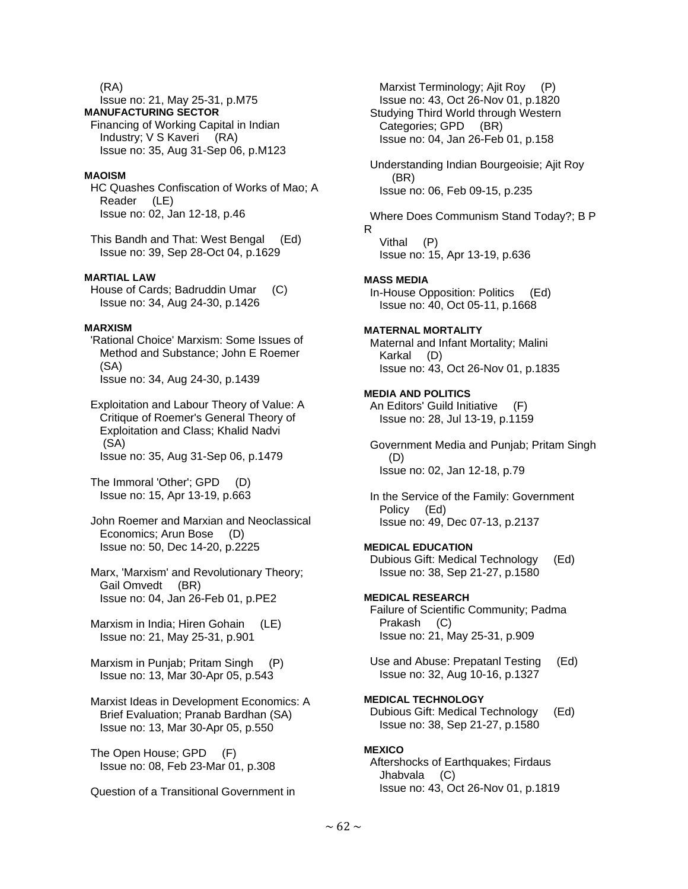(RA)

 Issue no: 21, May 25-31, p.M75 **MANUFACTURING SECTOR**  Financing of Working Capital in Indian Industry; V S Kaveri (RA) Issue no: 35, Aug 31-Sep 06, p.M123

## **MAOISM**

 HC Quashes Confiscation of Works of Mao; A Reader (LE) Issue no: 02, Jan 12-18, p.46

 This Bandh and That: West Bengal (Ed) Issue no: 39, Sep 28-Oct 04, p.1629

## **MARTIAL LAW**

 House of Cards; Badruddin Umar (C) Issue no: 34, Aug 24-30, p.1426

#### **MARXISM**

 'Rational Choice' Marxism: Some Issues of Method and Substance; John E Roemer (SA) Issue no: 34, Aug 24-30, p.1439

 Exploitation and Labour Theory of Value: A Critique of Roemer's General Theory of Exploitation and Class; Khalid Nadvi (SA) Issue no: 35, Aug 31-Sep 06, p.1479

 The Immoral 'Other'; GPD (D) Issue no: 15, Apr 13-19, p.663

 John Roemer and Marxian and Neoclassical Economics; Arun Bose (D) Issue no: 50, Dec 14-20, p.2225

 Marx, 'Marxism' and Revolutionary Theory; Gail Omvedt (BR) Issue no: 04, Jan 26-Feb 01, p.PE2

 Marxism in India; Hiren Gohain (LE) Issue no: 21, May 25-31, p.901

 Marxism in Punjab; Pritam Singh (P) Issue no: 13, Mar 30-Apr 05, p.543

 Marxist Ideas in Development Economics: A Brief Evaluation; Pranab Bardhan (SA) Issue no: 13, Mar 30-Apr 05, p.550

 The Open House; GPD (F) Issue no: 08, Feb 23-Mar 01, p.308

Question of a Transitional Government in

Marxist Terminology; Ajit Roy (P) Issue no: 43, Oct 26-Nov 01, p.1820 Studying Third World through Western Categories; GPD (BR) Issue no: 04, Jan 26-Feb 01, p.158 Understanding Indian Bourgeoisie; Ajit Roy (BR) Issue no: 06, Feb 09-15, p.235 Where Does Communism Stand Today?; B P R Vithal (P) Issue no: 15, Apr 13-19, p.636 **MASS MEDIA**  In-House Opposition: Politics (Ed) Issue no: 40, Oct 05-11, p.1668 **MATERNAL MORTALITY**  Maternal and Infant Mortality; Malini Karkal (D) Issue no: 43, Oct 26-Nov 01, p.1835 **MEDIA AND POLITICS**  An Editors' Guild Initiative (F) Issue no: 28, Jul 13-19, p.1159 Government Media and Punjab; Pritam Singh (D) Issue no: 02, Jan 12-18, p.79 In the Service of the Family: Government Policy (Ed) Issue no: 49, Dec 07-13, p.2137 **MEDICAL EDUCATION**  Dubious Gift: Medical Technology (Ed) Issue no: 38, Sep 21-27, p.1580 **MEDICAL RESEARCH**  Failure of Scientific Community; Padma Prakash (C) Issue no: 21, May 25-31, p.909 Use and Abuse: Prepatanl Testing (Ed) Issue no: 32, Aug 10-16, p.1327 **MEDICAL TECHNOLOGY**  Dubious Gift: Medical Technology (Ed) Issue no: 38, Sep 21-27, p.1580 **MEXICO**  Aftershocks of Earthquakes; Firdaus Jhabvala (C) Issue no: 43, Oct 26-Nov 01, p.1819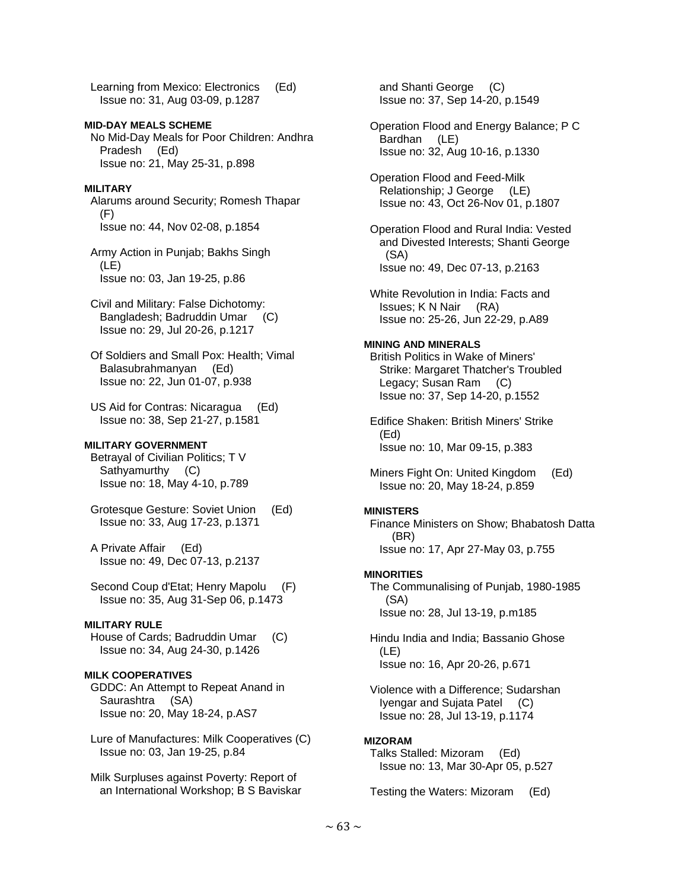Learning from Mexico: Electronics (Ed) Issue no: 31, Aug 03-09, p.1287

## **MID-DAY MEALS SCHEME**

 No Mid-Day Meals for Poor Children: Andhra Pradesh (Ed) Issue no: 21, May 25-31, p.898

#### **MILITARY**

 Alarums around Security; Romesh Thapar (F) Issue no: 44, Nov 02-08, p.1854

 Army Action in Punjab; Bakhs Singh (LE) Issue no: 03, Jan 19-25, p.86

- Civil and Military: False Dichotomy: Bangladesh; Badruddin Umar (C) Issue no: 29, Jul 20-26, p.1217
- Of Soldiers and Small Pox: Health; Vimal Balasubrahmanyan (Ed) Issue no: 22, Jun 01-07, p.938
- US Aid for Contras: Nicaragua (Ed) Issue no: 38, Sep 21-27, p.1581

#### **MILITARY GOVERNMENT**

 Betrayal of Civilian Politics; T V Sathyamurthy (C) Issue no: 18, May 4-10, p.789

 Grotesque Gesture: Soviet Union (Ed) Issue no: 33, Aug 17-23, p.1371

 A Private Affair (Ed) Issue no: 49, Dec 07-13, p.2137

 Second Coup d'Etat; Henry Mapolu (F) Issue no: 35, Aug 31-Sep 06, p.1473

## **MILITARY RULE**

 House of Cards; Badruddin Umar (C) Issue no: 34, Aug 24-30, p.1426

### **MILK COOPERATIVES**

 GDDC: An Attempt to Repeat Anand in Saurashtra (SA) Issue no: 20, May 18-24, p.AS7

 Lure of Manufactures: Milk Cooperatives (C) Issue no: 03, Jan 19-25, p.84

 Milk Surpluses against Poverty: Report of an International Workshop; B S Baviskar  and Shanti George (C) Issue no: 37, Sep 14-20, p.1549

 Operation Flood and Energy Balance; P C Bardhan (LE) Issue no: 32, Aug 10-16, p.1330

 Operation Flood and Feed-Milk Relationship; J George (LE) Issue no: 43, Oct 26-Nov 01, p.1807

 Operation Flood and Rural India: Vested and Divested Interests; Shanti George (SA) Issue no: 49, Dec 07-13, p.2163

 White Revolution in India: Facts and Issues; K N Nair (RA) Issue no: 25-26, Jun 22-29, p.A89

### **MINING AND MINERALS**

 British Politics in Wake of Miners' Strike: Margaret Thatcher's Troubled Legacy; Susan Ram (C) Issue no: 37, Sep 14-20, p.1552

 Edifice Shaken: British Miners' Strike (Ed) Issue no: 10, Mar 09-15, p.383

 Miners Fight On: United Kingdom (Ed) Issue no: 20, May 18-24, p.859

#### **MINISTERS**

 Finance Ministers on Show; Bhabatosh Datta (BR) Issue no: 17, Apr 27-May 03, p.755

#### **MINORITIES**

 The Communalising of Punjab, 1980-1985 (SA) Issue no: 28, Jul 13-19, p.m185

 Hindu India and India; Bassanio Ghose (LE) Issue no: 16, Apr 20-26, p.671

 Violence with a Difference; Sudarshan Iyengar and Sujata Patel (C) Issue no: 28, Jul 13-19, p.1174

#### **MIZORAM**

 Talks Stalled: Mizoram (Ed) Issue no: 13, Mar 30-Apr 05, p.527

Testing the Waters: Mizoram (Ed)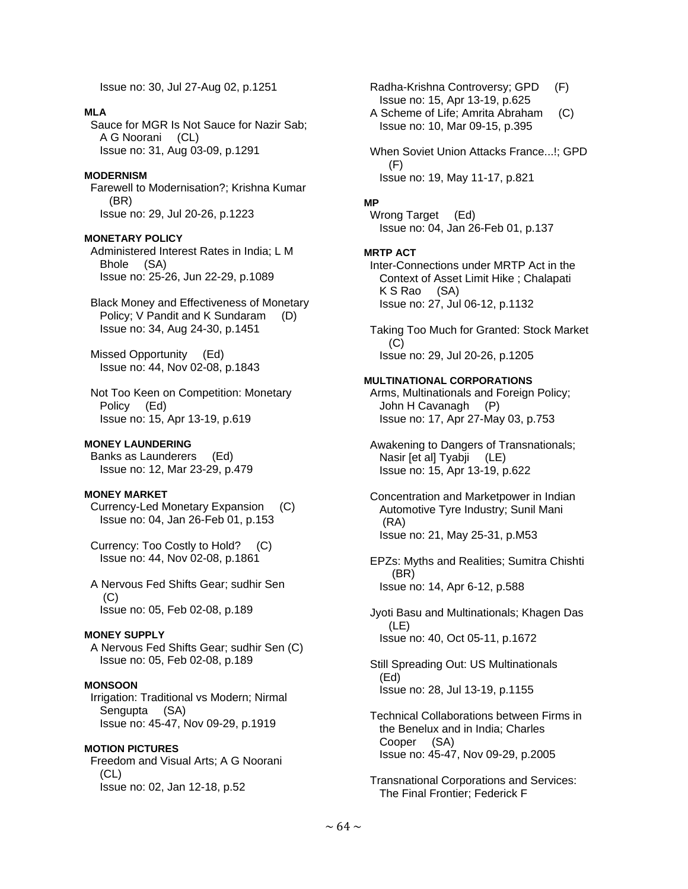Issue no: 30, Jul 27-Aug 02, p.1251

## **MLA**

 Sauce for MGR Is Not Sauce for Nazir Sab; A G Noorani (CL) Issue no: 31, Aug 03-09, p.1291

## **MODERNISM**

 Farewell to Modernisation?; Krishna Kumar (BR) Issue no: 29, Jul 20-26, p.1223

## **MONETARY POLICY**

 Administered Interest Rates in India; L M Bhole (SA) Issue no: 25-26, Jun 22-29, p.1089

 Black Money and Effectiveness of Monetary Policy; V Pandit and K Sundaram (D) Issue no: 34, Aug 24-30, p.1451

 Missed Opportunity (Ed) Issue no: 44, Nov 02-08, p.1843

 Not Too Keen on Competition: Monetary Policy (Ed) Issue no: 15, Apr 13-19, p.619

#### **MONEY LAUNDERING**

 Banks as Launderers (Ed) Issue no: 12, Mar 23-29, p.479

#### **MONEY MARKET**

 Currency-Led Monetary Expansion (C) Issue no: 04, Jan 26-Feb 01, p.153

 Currency: Too Costly to Hold? (C) Issue no: 44, Nov 02-08, p.1861

 A Nervous Fed Shifts Gear; sudhir Sen (C) Issue no: 05, Feb 02-08, p.189

## **MONEY SUPPLY**

 A Nervous Fed Shifts Gear; sudhir Sen (C) Issue no: 05, Feb 02-08, p.189

## **MONSOON**

 Irrigation: Traditional vs Modern; Nirmal Sengupta (SA) Issue no: 45-47, Nov 09-29, p.1919

**MOTION PICTURES**  Freedom and Visual Arts; A G Noorani (CL) Issue no: 02, Jan 12-18, p.52

 Radha-Krishna Controversy; GPD (F) Issue no: 15, Apr 13-19, p.625

 A Scheme of Life; Amrita Abraham (C) Issue no: 10, Mar 09-15, p.395

 When Soviet Union Attacks France...!; GPD (F) Issue no: 19, May 11-17, p.821

#### **MP**

 Wrong Target (Ed) Issue no: 04, Jan 26-Feb 01, p.137

#### **MRTP ACT**  Inter-Connections under MRTP Act in the

 Context of Asset Limit Hike ; Chalapati K S Rao (SA) Issue no: 27, Jul 06-12, p.1132

 Taking Too Much for Granted: Stock Market  $(C)$ Issue no: 29, Jul 20-26, p.1205

#### **MULTINATIONAL CORPORATIONS**

 Arms, Multinationals and Foreign Policy; John H Cavanagh (P) Issue no: 17, Apr 27-May 03, p.753

 Awakening to Dangers of Transnationals; Nasir [et al] Tyabji (LE) Issue no: 15, Apr 13-19, p.622

 Concentration and Marketpower in Indian Automotive Tyre Industry; Sunil Mani (RA) Issue no: 21, May 25-31, p.M53

 EPZs: Myths and Realities; Sumitra Chishti (BR) Issue no: 14, Apr 6-12, p.588

 Jyoti Basu and Multinationals; Khagen Das (LE) Issue no: 40, Oct 05-11, p.1672

 Still Spreading Out: US Multinationals (Ed) Issue no: 28, Jul 13-19, p.1155

 Technical Collaborations between Firms in the Benelux and in India; Charles Cooper (SA) Issue no: 45-47, Nov 09-29, p.2005

 Transnational Corporations and Services: The Final Frontier; Federick F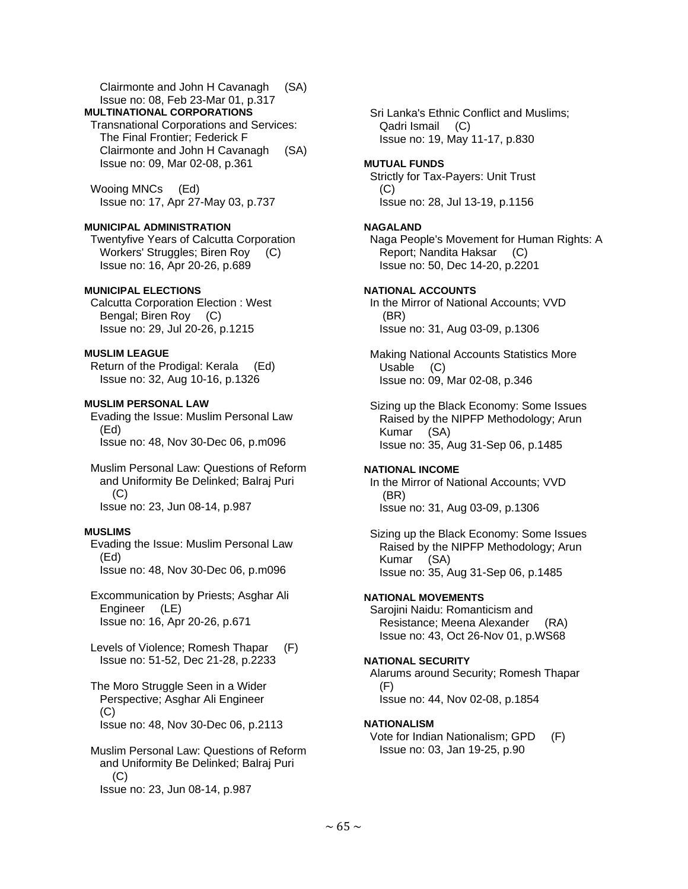Clairmonte and John H Cavanagh (SA) Issue no: 08, Feb 23-Mar 01, p.317

**MULTINATIONAL CORPORATIONS** 

 Transnational Corporations and Services: The Final Frontier; Federick F Clairmonte and John H Cavanagh (SA) Issue no: 09, Mar 02-08, p.361

 Wooing MNCs (Ed) Issue no: 17, Apr 27-May 03, p.737

# **MUNICIPAL ADMINISTRATION**

 Twentyfive Years of Calcutta Corporation Workers' Struggles; Biren Roy (C) Issue no: 16, Apr 20-26, p.689

# **MUNICIPAL ELECTIONS**

 Calcutta Corporation Election : West Bengal; Biren Roy (C) Issue no: 29, Jul 20-26, p.1215

# **MUSLIM LEAGUE**

 Return of the Prodigal: Kerala (Ed) Issue no: 32, Aug 10-16, p.1326

# **MUSLIM PERSONAL LAW**

 Evading the Issue: Muslim Personal Law (Ed) Issue no: 48, Nov 30-Dec 06, p.m096

 Muslim Personal Law: Questions of Reform and Uniformity Be Delinked; Balraj Puri (C) Issue no: 23, Jun 08-14, p.987

# **MUSLIMS**

 Evading the Issue: Muslim Personal Law (Ed) Issue no: 48, Nov 30-Dec 06, p.m096

 Excommunication by Priests; Asghar Ali Engineer (LE) Issue no: 16, Apr 20-26, p.671

 Levels of Violence; Romesh Thapar (F) Issue no: 51-52, Dec 21-28, p.2233

 The Moro Struggle Seen in a Wider Perspective; Asghar Ali Engineer (C) Issue no: 48, Nov 30-Dec 06, p.2113

 Muslim Personal Law: Questions of Reform and Uniformity Be Delinked; Balraj Puri (C) Issue no: 23, Jun 08-14, p.987

 Sri Lanka's Ethnic Conflict and Muslims; Qadri Ismail (C) Issue no: 19, May 11-17, p.830

# **MUTUAL FUNDS**

 Strictly for Tax-Payers: Unit Trust  $(C)$ Issue no: 28, Jul 13-19, p.1156

# **NAGALAND**

 Naga People's Movement for Human Rights: A Report; Nandita Haksar (C) Issue no: 50, Dec 14-20, p.2201

# **NATIONAL ACCOUNTS**

 In the Mirror of National Accounts; VVD (BR) Issue no: 31, Aug 03-09, p.1306

 Making National Accounts Statistics More Usable (C) Issue no: 09, Mar 02-08, p.346

 Sizing up the Black Economy: Some Issues Raised by the NIPFP Methodology; Arun Kumar (SA) Issue no: 35, Aug 31-Sep 06, p.1485

# **NATIONAL INCOME**

 In the Mirror of National Accounts; VVD (BR) Issue no: 31, Aug 03-09, p.1306

 Sizing up the Black Economy: Some Issues Raised by the NIPFP Methodology; Arun Kumar (SA) Issue no: 35, Aug 31-Sep 06, p.1485

## **NATIONAL MOVEMENTS**

 Sarojini Naidu: Romanticism and Resistance; Meena Alexander (RA) Issue no: 43, Oct 26-Nov 01, p.WS68

## **NATIONAL SECURITY**

 Alarums around Security; Romesh Thapar (F) Issue no: 44, Nov 02-08, p.1854

# **NATIONALISM**

 Vote for Indian Nationalism; GPD (F) Issue no: 03, Jan 19-25, p.90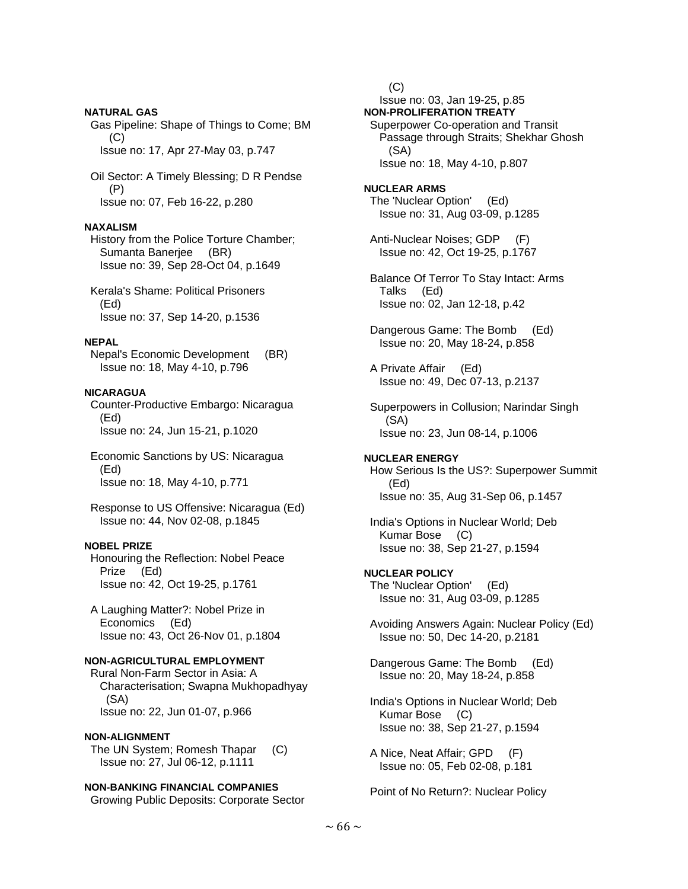#### **NATURAL GAS**

 Gas Pipeline: Shape of Things to Come; BM (C) Issue no: 17, Apr 27-May 03, p.747

 Oil Sector: A Timely Blessing; D R Pendse (P) Issue no: 07, Feb 16-22, p.280

### **NAXALISM**

 History from the Police Torture Chamber; Sumanta Banerjee (BR) Issue no: 39, Sep 28-Oct 04, p.1649

 Kerala's Shame: Political Prisoners (Ed) Issue no: 37, Sep 14-20, p.1536

#### **NEPAL**

 Nepal's Economic Development (BR) Issue no: 18, May 4-10, p.796

## **NICARAGUA**

 Counter-Productive Embargo: Nicaragua (Ed) Issue no: 24, Jun 15-21, p.1020

 Economic Sanctions by US: Nicaragua (Ed) Issue no: 18, May 4-10, p.771

 Response to US Offensive: Nicaragua (Ed) Issue no: 44, Nov 02-08, p.1845

## **NOBEL PRIZE**

 Honouring the Reflection: Nobel Peace Prize (Ed) Issue no: 42, Oct 19-25, p.1761

 A Laughing Matter?: Nobel Prize in Economics (Ed) Issue no: 43, Oct 26-Nov 01, p.1804

# **NON-AGRICULTURAL EMPLOYMENT**

 Rural Non-Farm Sector in Asia: A Characterisation; Swapna Mukhopadhyay (SA) Issue no: 22, Jun 01-07, p.966

#### **NON-ALIGNMENT**

 The UN System; Romesh Thapar (C) Issue no: 27, Jul 06-12, p.1111

# **NON-BANKING FINANCIAL COMPANIES**

Growing Public Deposits: Corporate Sector

 (C) Issue no: 03, Jan 19-25, p.85 **NON-PROLIFERATION TREATY**  Superpower Co-operation and Transit Passage through Straits; Shekhar Ghosh (SA) Issue no: 18, May 4-10, p.807 **NUCLEAR ARMS**  The 'Nuclear Option' (Ed) Issue no: 31, Aug 03-09, p.1285

 Anti-Nuclear Noises; GDP (F) Issue no: 42, Oct 19-25, p.1767

 Balance Of Terror To Stay Intact: Arms Talks (Ed) Issue no: 02, Jan 12-18, p.42

 Dangerous Game: The Bomb (Ed) Issue no: 20, May 18-24, p.858

 A Private Affair (Ed) Issue no: 49, Dec 07-13, p.2137

 Superpowers in Collusion; Narindar Singh (SA) Issue no: 23, Jun 08-14, p.1006

#### **NUCLEAR ENERGY**

 How Serious Is the US?: Superpower Summit (Ed) Issue no: 35, Aug 31-Sep 06, p.1457

 India's Options in Nuclear World; Deb Kumar Bose (C) Issue no: 38, Sep 21-27, p.1594

## **NUCLEAR POLICY**

 The 'Nuclear Option' (Ed) Issue no: 31, Aug 03-09, p.1285

 Avoiding Answers Again: Nuclear Policy (Ed) Issue no: 50, Dec 14-20, p.2181

 Dangerous Game: The Bomb (Ed) Issue no: 20, May 18-24, p.858

 India's Options in Nuclear World; Deb Kumar Bose (C) Issue no: 38, Sep 21-27, p.1594

 A Nice, Neat Affair; GPD (F) Issue no: 05, Feb 02-08, p.181

Point of No Return?: Nuclear Policy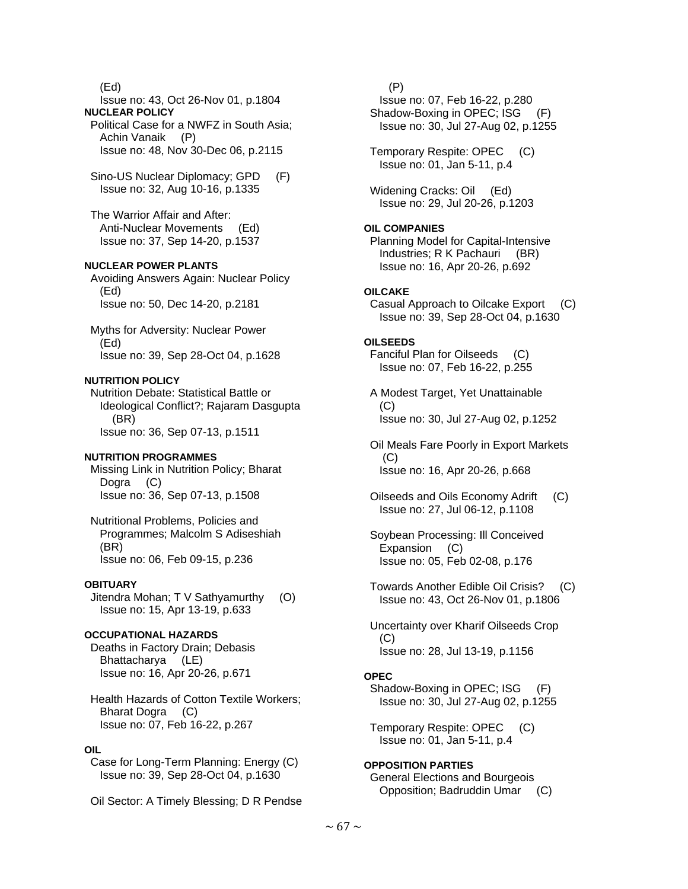(Ed)

 Issue no: 43, Oct 26-Nov 01, p.1804 **NUCLEAR POLICY** 

 Political Case for a NWFZ in South Asia; Achin Vanaik (P) Issue no: 48, Nov 30-Dec 06, p.2115

 Sino-US Nuclear Diplomacy; GPD (F) Issue no: 32, Aug 10-16, p.1335

 The Warrior Affair and After: Anti-Nuclear Movements (Ed) Issue no: 37, Sep 14-20, p.1537

## **NUCLEAR POWER PLANTS**

 Avoiding Answers Again: Nuclear Policy (Ed) Issue no: 50, Dec 14-20, p.2181

 Myths for Adversity: Nuclear Power (Ed) Issue no: 39, Sep 28-Oct 04, p.1628

## **NUTRITION POLICY**

 Nutrition Debate: Statistical Battle or Ideological Conflict?; Rajaram Dasgupta (BR) Issue no: 36, Sep 07-13, p.1511

#### **NUTRITION PROGRAMMES**

 Missing Link in Nutrition Policy; Bharat Dogra (C) Issue no: 36, Sep 07-13, p.1508

 Nutritional Problems, Policies and Programmes; Malcolm S Adiseshiah (BR) Issue no: 06, Feb 09-15, p.236

#### **OBITUARY**

 Jitendra Mohan; T V Sathyamurthy (O) Issue no: 15, Apr 13-19, p.633

## **OCCUPATIONAL HAZARDS**

 Deaths in Factory Drain; Debasis Bhattacharya (LE) Issue no: 16, Apr 20-26, p.671

 Health Hazards of Cotton Textile Workers; Bharat Dogra (C) Issue no: 07, Feb 16-22, p.267

## **OIL**

 Case for Long-Term Planning: Energy (C) Issue no: 39, Sep 28-Oct 04, p.1630

Oil Sector: A Timely Blessing; D R Pendse

 (P) Issue no: 07, Feb 16-22, p.280 Shadow-Boxing in OPEC; ISG (F) Issue no: 30, Jul 27-Aug 02, p.1255 Temporary Respite: OPEC (C) Issue no: 01, Jan 5-11, p.4 Widening Cracks: Oil (Ed) Issue no: 29, Jul 20-26, p.1203 **OIL COMPANIES**  Planning Model for Capital-Intensive Industries; R K Pachauri (BR) Issue no: 16, Apr 20-26, p.692 **OILCAKE**  Casual Approach to Oilcake Export (C) Issue no: 39, Sep 28-Oct 04, p.1630 **OILSEEDS**  Fanciful Plan for Oilseeds (C) Issue no: 07, Feb 16-22, p.255 A Modest Target, Yet Unattainable (C) Issue no: 30, Jul 27-Aug 02, p.1252 Oil Meals Fare Poorly in Export Markets  $(C)$  Issue no: 16, Apr 20-26, p.668 Oilseeds and Oils Economy Adrift (C) Issue no: 27, Jul 06-12, p.1108 Soybean Processing: Ill Conceived Expansion (C) Issue no: 05, Feb 02-08, p.176 Towards Another Edible Oil Crisis? (C) Issue no: 43, Oct 26-Nov 01, p.1806 Uncertainty over Kharif Oilseeds Crop (C) Issue no: 28, Jul 13-19, p.1156 **OPEC**  Shadow-Boxing in OPEC; ISG (F) Issue no: 30, Jul 27-Aug 02, p.1255 Temporary Respite: OPEC (C) Issue no: 01, Jan 5-11, p.4

## **OPPOSITION PARTIES**

 General Elections and Bourgeois Opposition; Badruddin Umar (C)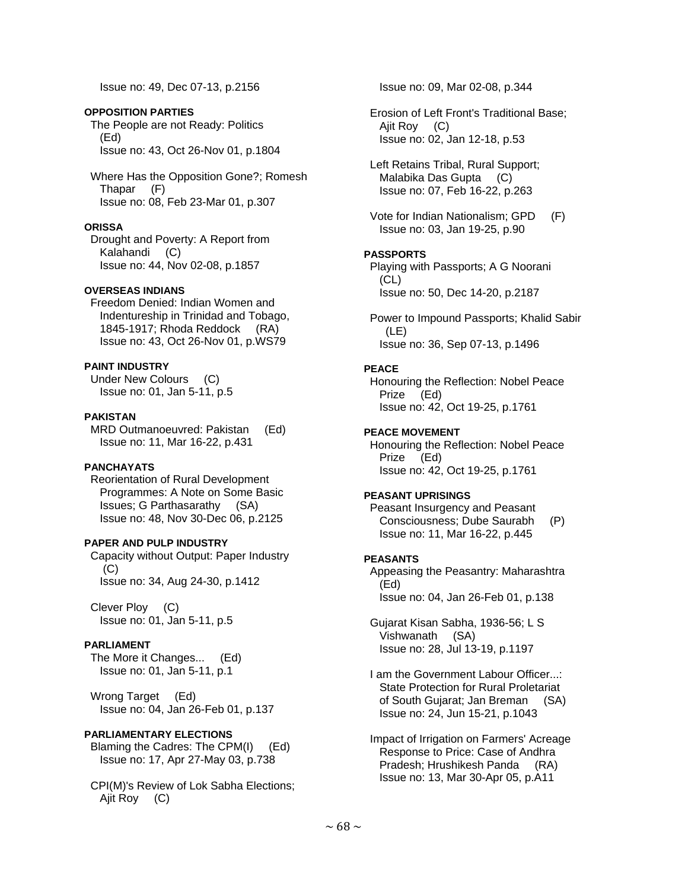Issue no: 49, Dec 07-13, p.2156

## **OPPOSITION PARTIES**

 The People are not Ready: Politics (Ed) Issue no: 43, Oct 26-Nov 01, p.1804

 Where Has the Opposition Gone?; Romesh Thapar (F) Issue no: 08, Feb 23-Mar 01, p.307

## **ORISSA**

 Drought and Poverty: A Report from Kalahandi (C) Issue no: 44, Nov 02-08, p.1857

# **OVERSEAS INDIANS**

 Freedom Denied: Indian Women and Indentureship in Trinidad and Tobago, 1845-1917; Rhoda Reddock (RA) Issue no: 43, Oct 26-Nov 01, p.WS79

# **PAINT INDUSTRY**

 Under New Colours (C) Issue no: 01, Jan 5-11, p.5

# **PAKISTAN**

 MRD Outmanoeuvred: Pakistan (Ed) Issue no: 11, Mar 16-22, p.431

## **PANCHAYATS**

 Reorientation of Rural Development Programmes: A Note on Some Basic Issues; G Parthasarathy (SA) Issue no: 48, Nov 30-Dec 06, p.2125

## **PAPER AND PULP INDUSTRY**

 Capacity without Output: Paper Industry (C) Issue no: 34, Aug 24-30, p.1412

 Clever Ploy (C) Issue no: 01, Jan 5-11, p.5

# **PARLIAMENT**

 The More it Changes... (Ed) Issue no: 01, Jan 5-11, p.1

Wrong Target (Ed) Issue no: 04, Jan 26-Feb 01, p.137

## **PARLIAMENTARY ELECTIONS**

 Blaming the Cadres: The CPM(I) (Ed) Issue no: 17, Apr 27-May 03, p.738

 CPI(M)'s Review of Lok Sabha Elections; Ajit Roy (C)

Issue no: 09, Mar 02-08, p.344

 Erosion of Left Front's Traditional Base; Ajit Roy (C) Issue no: 02, Jan 12-18, p.53

 Left Retains Tribal, Rural Support; Malabika Das Gupta (C) Issue no: 07, Feb 16-22, p.263

 Vote for Indian Nationalism; GPD (F) Issue no: 03, Jan 19-25, p.90

## **PASSPORTS**

 Playing with Passports; A G Noorani (CL) Issue no: 50, Dec 14-20, p.2187

 Power to Impound Passports; Khalid Sabir (LE) Issue no: 36, Sep 07-13, p.1496

## **PEACE**

 Honouring the Reflection: Nobel Peace Prize (Ed) Issue no: 42, Oct 19-25, p.1761

# **PEACE MOVEMENT**

 Honouring the Reflection: Nobel Peace Prize (Ed) Issue no: 42, Oct 19-25, p.1761

## **PEASANT UPRISINGS**

 Peasant Insurgency and Peasant Consciousness; Dube Saurabh (P) Issue no: 11, Mar 16-22, p.445

## **PEASANTS**

 Appeasing the Peasantry: Maharashtra (Ed) Issue no: 04, Jan 26-Feb 01, p.138

 Gujarat Kisan Sabha, 1936-56; L S Vishwanath (SA) Issue no: 28, Jul 13-19, p.1197

 I am the Government Labour Officer...: State Protection for Rural Proletariat of South Gujarat; Jan Breman (SA) Issue no: 24, Jun 15-21, p.1043

 Impact of Irrigation on Farmers' Acreage Response to Price: Case of Andhra Pradesh; Hrushikesh Panda (RA) Issue no: 13, Mar 30-Apr 05, p.A11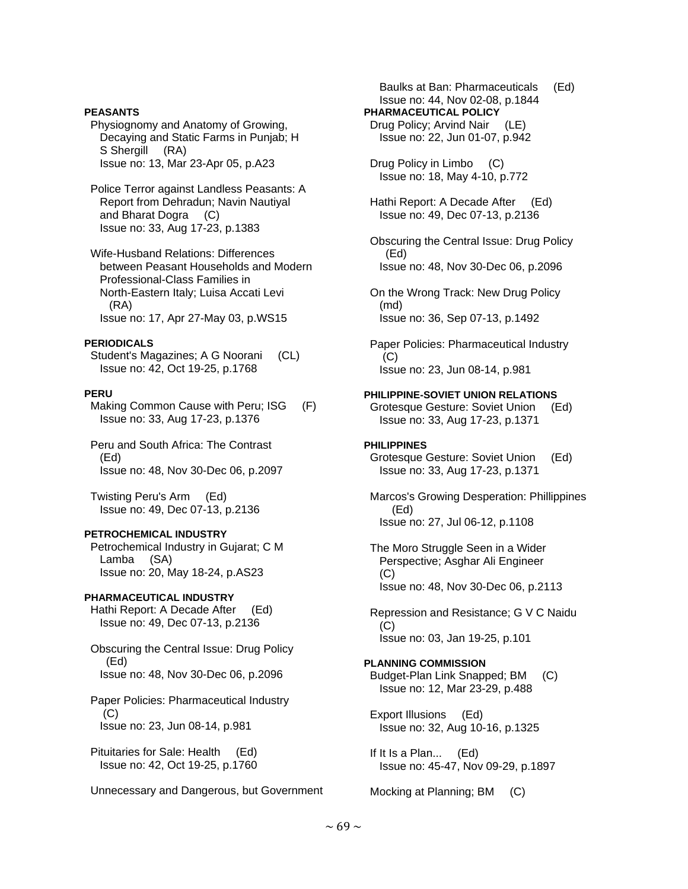## **PEASANTS**

 Physiognomy and Anatomy of Growing, Decaying and Static Farms in Punjab; H S Shergill (RA) Issue no: 13, Mar 23-Apr 05, p.A23

 Police Terror against Landless Peasants: A Report from Dehradun; Navin Nautiyal and Bharat Dogra (C) Issue no: 33, Aug 17-23, p.1383

 Wife-Husband Relations: Differences between Peasant Households and Modern Professional-Class Families in North-Eastern Italy; Luisa Accati Levi (RA) Issue no: 17, Apr 27-May 03, p.WS15

#### **PERIODICALS**

 Student's Magazines; A G Noorani (CL) Issue no: 42, Oct 19-25, p.1768

#### **PERU**

Making Common Cause with Peru; ISG (F) Issue no: 33, Aug 17-23, p.1376

 Peru and South Africa: The Contrast (Ed) Issue no: 48, Nov 30-Dec 06, p.2097

 Twisting Peru's Arm (Ed) Issue no: 49, Dec 07-13, p.2136

## **PETROCHEMICAL INDUSTRY**

 Petrochemical Industry in Gujarat; C M Lamba (SA) Issue no: 20, May 18-24, p.AS23

## **PHARMACEUTICAL INDUSTRY**

 Hathi Report: A Decade After (Ed) Issue no: 49, Dec 07-13, p.2136

 Obscuring the Central Issue: Drug Policy (Ed) Issue no: 48, Nov 30-Dec 06, p.2096

 Paper Policies: Pharmaceutical Industry (C) Issue no: 23, Jun 08-14, p.981

 Pituitaries for Sale: Health (Ed) Issue no: 42, Oct 19-25, p.1760

Unnecessary and Dangerous, but Government

 Baulks at Ban: Pharmaceuticals (Ed) Issue no: 44, Nov 02-08, p.1844 **PHARMACEUTICAL POLICY**  Drug Policy; Arvind Nair (LE) Issue no: 22, Jun 01-07, p.942 Drug Policy in Limbo (C) Issue no: 18, May 4-10, p.772 Hathi Report: A Decade After (Ed) Issue no: 49, Dec 07-13, p.2136 Obscuring the Central Issue: Drug Policy (Ed) Issue no: 48, Nov 30-Dec 06, p.2096 On the Wrong Track: New Drug Policy (md) Issue no: 36, Sep 07-13, p.1492 Paper Policies: Pharmaceutical Industry (C) Issue no: 23, Jun 08-14, p.981 **PHILIPPINE-SOVIET UNION RELATIONS**  Grotesque Gesture: Soviet Union (Ed) Issue no: 33, Aug 17-23, p.1371 **PHILIPPINES**  Grotesque Gesture: Soviet Union (Ed) Issue no: 33, Aug 17-23, p.1371 Marcos's Growing Desperation: Phillippines (Ed) Issue no: 27, Jul 06-12, p.1108 The Moro Struggle Seen in a Wider Perspective; Asghar Ali Engineer (C) Issue no: 48, Nov 30-Dec 06, p.2113 Repression and Resistance; G V C Naidu  $(C)$  Issue no: 03, Jan 19-25, p.101 **PLANNING COMMISSION**  Budget-Plan Link Snapped; BM (C) Issue no: 12, Mar 23-29, p.488 Export Illusions (Ed) Issue no: 32, Aug 10-16, p.1325

 If It Is a Plan... (Ed) Issue no: 45-47, Nov 09-29, p.1897

Mocking at Planning; BM (C)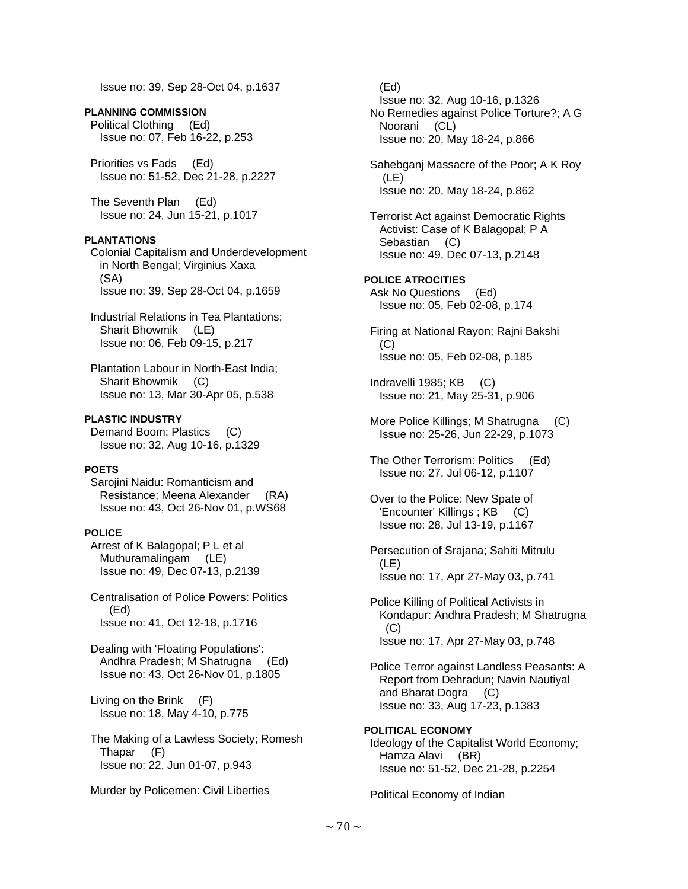Issue no: 39, Sep 28-Oct 04, p.1637

**PLANNING COMMISSION**  Political Clothing (Ed) Issue no: 07, Feb 16-22, p.253

 Priorities vs Fads (Ed) Issue no: 51-52, Dec 21-28, p.2227

 The Seventh Plan (Ed) Issue no: 24, Jun 15-21, p.1017

### **PLANTATIONS**

 Colonial Capitalism and Underdevelopment in North Bengal; Virginius Xaxa (SA) Issue no: 39, Sep 28-Oct 04, p.1659

 Industrial Relations in Tea Plantations; Sharit Bhowmik (LE) Issue no: 06, Feb 09-15, p.217

 Plantation Labour in North-East India; Sharit Bhowmik (C) Issue no: 13, Mar 30-Apr 05, p.538

**PLASTIC INDUSTRY**  Demand Boom: Plastics (C) Issue no: 32, Aug 10-16, p.1329

## **POETS**

 Sarojini Naidu: Romanticism and Resistance; Meena Alexander (RA) Issue no: 43, Oct 26-Nov 01, p.WS68

## **POLICE**

 Arrest of K Balagopal; P L et al Muthuramalingam (LE) Issue no: 49, Dec 07-13, p.2139

 Centralisation of Police Powers: Politics (Ed) Issue no: 41, Oct 12-18, p.1716

 Dealing with 'Floating Populations': Andhra Pradesh; M Shatrugna (Ed) Issue no: 43, Oct 26-Nov 01, p.1805

 Living on the Brink (F) Issue no: 18, May 4-10, p.775

 The Making of a Lawless Society; Romesh Thapar (F) Issue no: 22, Jun 01-07, p.943

Murder by Policemen: Civil Liberties

 (Ed) Issue no: 32, Aug 10-16, p.1326 No Remedies against Police Torture?; A G Noorani (CL) Issue no: 20, May 18-24, p.866 Sahebganj Massacre of the Poor; A K Roy (LE) Issue no: 20, May 18-24, p.862 Terrorist Act against Democratic Rights Activist: Case of K Balagopal; P A Sebastian (C) Issue no: 49, Dec 07-13, p.2148 **POLICE ATROCITIES**  Ask No Questions (Ed) Issue no: 05, Feb 02-08, p.174 Firing at National Rayon; Rajni Bakshi (C) Issue no: 05, Feb 02-08, p.185 Indravelli 1985; KB (C) Issue no: 21, May 25-31, p.906 More Police Killings; M Shatrugna (C) Issue no: 25-26, Jun 22-29, p.1073 The Other Terrorism: Politics (Ed) Issue no: 27, Jul 06-12, p.1107 Over to the Police: New Spate of 'Encounter' Killings ; KB (C) Issue no: 28, Jul 13-19, p.1167 Persecution of Srajana; Sahiti Mitrulu (LE) Issue no: 17, Apr 27-May 03, p.741 Police Killing of Political Activists in Kondapur: Andhra Pradesh; M Shatrugna  $(C)$  Issue no: 17, Apr 27-May 03, p.748 Police Terror against Landless Peasants: A Report from Dehradun; Navin Nautiyal and Bharat Dogra (C) Issue no: 33, Aug 17-23, p.1383 **POLITICAL ECONOMY**  Ideology of the Capitalist World Economy; Hamza Alavi (BR)

Issue no: 51-52, Dec 21-28, p.2254

Political Economy of Indian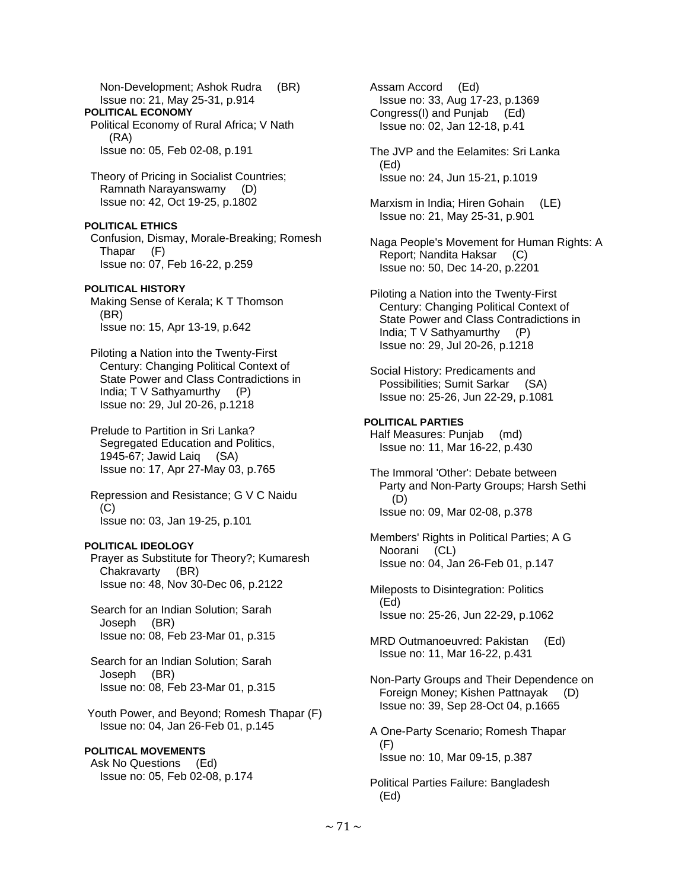Non-Development; Ashok Rudra (BR) Issue no: 21, May 25-31, p.914 **POLITICAL ECONOMY**  Political Economy of Rural Africa; V Nath (RA) Issue no: 05, Feb 02-08, p.191 Theory of Pricing in Socialist Countries; Ramnath Narayanswamy (D) Issue no: 42, Oct 19-25, p.1802 **POLITICAL ETHICS**  Confusion, Dismay, Morale-Breaking; Romesh Thapar (F) Issue no: 07, Feb 16-22, p.259 **POLITICAL HISTORY**  Making Sense of Kerala; K T Thomson (BR) Issue no: 15, Apr 13-19, p.642 Piloting a Nation into the Twenty-First Century: Changing Political Context of State Power and Class Contradictions in India; T V Sathyamurthy (P) Issue no: 29, Jul 20-26, p.1218 Prelude to Partition in Sri Lanka? Segregated Education and Politics, 1945-67; Jawid Laiq (SA) Issue no: 17, Apr 27-May 03, p.765 Repression and Resistance; G V C Naidu  $(C)$  Issue no: 03, Jan 19-25, p.101 **POLITICAL IDEOLOGY**  Prayer as Substitute for Theory?; Kumaresh Chakravarty (BR) Issue no: 48, Nov 30-Dec 06, p.2122 Search for an Indian Solution; Sarah Joseph (BR) Issue no: 08, Feb 23-Mar 01, p.315 Search for an Indian Solution; Sarah Joseph (BR) Issue no: 08, Feb 23-Mar 01, p.315 Youth Power, and Beyond; Romesh Thapar (F) Issue no: 04, Jan 26-Feb 01, p.145 **POLITICAL MOVEMENTS**  Ask No Questions (Ed) Issue no: 05, Feb 02-08, p.174

 Assam Accord (Ed) Issue no: 33, Aug 17-23, p.1369<br>ongress(I) and Puniab (Ed) Congress(I) and Punjab Issue no: 02, Jan 12-18, p.41 The JVP and the Eelamites: Sri Lanka (Ed) Issue no: 24, Jun 15-21, p.1019 Marxism in India; Hiren Gohain (LE) Issue no: 21, May 25-31, p.901 Naga People's Movement for Human Rights: A Report; Nandita Haksar (C) Issue no: 50, Dec 14-20, p.2201 Piloting a Nation into the Twenty-First Century: Changing Political Context of State Power and Class Contradictions in India; T V Sathyamurthy (P) Issue no: 29, Jul 20-26, p.1218 Social History: Predicaments and Possibilities; Sumit Sarkar (SA) Issue no: 25-26, Jun 22-29, p.1081 **POLITICAL PARTIES**  Half Measures: Punjab (md) Issue no: 11, Mar 16-22, p.430 The Immoral 'Other': Debate between Party and Non-Party Groups; Harsh Sethi (D) Issue no: 09, Mar 02-08, p.378 Members' Rights in Political Parties; A G Noorani (CL) Issue no: 04, Jan 26-Feb 01, p.147 Mileposts to Disintegration: Politics (Ed) Issue no: 25-26, Jun 22-29, p.1062 MRD Outmanoeuvred: Pakistan (Ed) Issue no: 11, Mar 16-22, p.431 Non-Party Groups and Their Dependence on Foreign Money; Kishen Pattnayak (D) Issue no: 39, Sep 28-Oct 04, p.1665 A One-Party Scenario; Romesh Thapar (F) Issue no: 10, Mar 09-15, p.387

 Political Parties Failure: Bangladesh (Ed)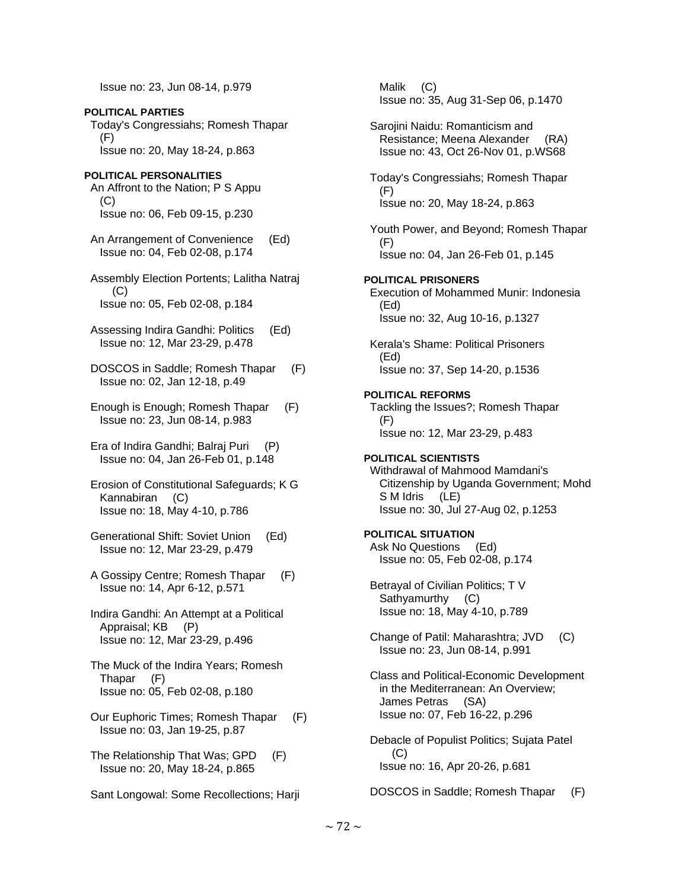Issue no: 23, Jun 08-14, p.979

**POLITICAL PARTIES**  Today's Congressiahs; Romesh Thapar (F) Issue no: 20, May 18-24, p.863

# **POLITICAL PERSONALITIES**

- An Affront to the Nation; P S Appu (C) Issue no: 06, Feb 09-15, p.230
- An Arrangement of Convenience (Ed) Issue no: 04, Feb 02-08, p.174
- Assembly Election Portents; Lalitha Natraj (C) Issue no: 05, Feb 02-08, p.184
- Assessing Indira Gandhi: Politics (Ed) Issue no: 12, Mar 23-29, p.478
- DOSCOS in Saddle; Romesh Thapar (F) Issue no: 02, Jan 12-18, p.49
- Enough is Enough; Romesh Thapar (F) Issue no: 23, Jun 08-14, p.983
- Era of Indira Gandhi; Balraj Puri (P) Issue no: 04, Jan 26-Feb 01, p.148
- Erosion of Constitutional Safeguards; K G Kannabiran (C) Issue no: 18, May 4-10, p.786
- Generational Shift: Soviet Union (Ed) Issue no: 12, Mar 23-29, p.479
- A Gossipy Centre; Romesh Thapar (F) Issue no: 14, Apr 6-12, p.571
- Indira Gandhi: An Attempt at a Political Appraisal; KB (P) Issue no: 12, Mar 23-29, p.496
- The Muck of the Indira Years; Romesh Thapar (F) Issue no: 05, Feb 02-08, p.180
- Our Euphoric Times; Romesh Thapar (F) Issue no: 03, Jan 19-25, p.87
- The Relationship That Was; GPD (F) Issue no: 20, May 18-24, p.865
- Sant Longowal: Some Recollections; Harji

 Malik (C) Issue no: 35, Aug 31-Sep 06, p.1470 Sarojini Naidu: Romanticism and Resistance; Meena Alexander (RA) Issue no: 43, Oct 26-Nov 01, p.WS68 Today's Congressiahs; Romesh Thapar (F) Issue no: 20, May 18-24, p.863 Youth Power, and Beyond; Romesh Thapar (F) Issue no: 04, Jan 26-Feb 01, p.145 **POLITICAL PRISONERS**  Execution of Mohammed Munir: Indonesia (Ed) Issue no: 32, Aug 10-16, p.1327 Kerala's Shame: Political Prisoners (Ed) Issue no: 37, Sep 14-20, p.1536 **POLITICAL REFORMS**  Tackling the Issues?; Romesh Thapar (F) Issue no: 12, Mar 23-29, p.483 **POLITICAL SCIENTISTS**  Withdrawal of Mahmood Mamdani's Citizenship by Uganda Government; Mohd S M Idris (LE) Issue no: 30, Jul 27-Aug 02, p.1253 **POLITICAL SITUATION**  Ask No Questions (Ed) Issue no: 05, Feb 02-08, p.174 Betrayal of Civilian Politics; T V Sathyamurthy (C) Issue no: 18, May 4-10, p.789 Change of Patil: Maharashtra; JVD (C) Issue no: 23, Jun 08-14, p.991 Class and Political-Economic Development in the Mediterranean: An Overview; James Petras (SA) Issue no: 07, Feb 16-22, p.296 Debacle of Populist Politics; Sujata Patel

Issue no: 16, Apr 20-26, p.681

(C)

DOSCOS in Saddle; Romesh Thapar (F)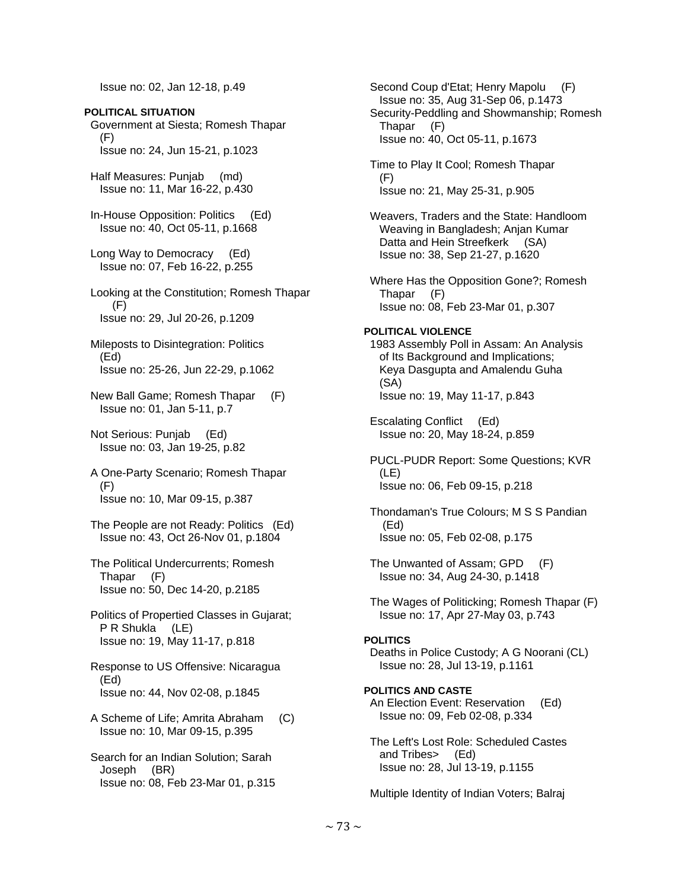Issue no: 02, Jan 12-18, p.49

**POLITICAL SITUATION**  Government at Siesta; Romesh Thapar (F) Issue no: 24, Jun 15-21, p.1023

 Half Measures: Punjab (md) Issue no: 11, Mar 16-22, p.430

 In-House Opposition: Politics (Ed) Issue no: 40, Oct 05-11, p.1668

 Long Way to Democracy (Ed) Issue no: 07, Feb 16-22, p.255

 Looking at the Constitution; Romesh Thapar (F) Issue no: 29, Jul 20-26, p.1209

 Mileposts to Disintegration: Politics (Ed) Issue no: 25-26, Jun 22-29, p.1062

 New Ball Game; Romesh Thapar (F) Issue no: 01, Jan 5-11, p.7

 Not Serious: Punjab (Ed) Issue no: 03, Jan 19-25, p.82

 A One-Party Scenario; Romesh Thapar (F) Issue no: 10, Mar 09-15, p.387

 The People are not Ready: Politics (Ed) Issue no: 43, Oct 26-Nov 01, p.1804

 The Political Undercurrents; Romesh Thapar (F) Issue no: 50, Dec 14-20, p.2185

 Politics of Propertied Classes in Gujarat; P R Shukla (LE) Issue no: 19, May 11-17, p.818

 Response to US Offensive: Nicaragua (Ed) Issue no: 44, Nov 02-08, p.1845

 A Scheme of Life; Amrita Abraham (C) Issue no: 10, Mar 09-15, p.395

 Search for an Indian Solution; Sarah Joseph (BR) Issue no: 08, Feb 23-Mar 01, p.315

 Second Coup d'Etat; Henry Mapolu (F) Issue no: 35, Aug 31-Sep 06, p.1473 Security-Peddling and Showmanship; Romesh Thapar (F) Issue no: 40, Oct 05-11, p.1673 Time to Play It Cool; Romesh Thapar (F) Issue no: 21, May 25-31, p.905 Weavers, Traders and the State: Handloom Weaving in Bangladesh; Anjan Kumar Datta and Hein Streefkerk (SA) Issue no: 38, Sep 21-27, p.1620 Where Has the Opposition Gone?; Romesh Thapar (F) Issue no: 08, Feb 23-Mar 01, p.307 **POLITICAL VIOLENCE**  1983 Assembly Poll in Assam: An Analysis of Its Background and Implications; Keya Dasgupta and Amalendu Guha (SA) Issue no: 19, May 11-17, p.843 Escalating Conflict (Ed) Issue no: 20, May 18-24, p.859 PUCL-PUDR Report: Some Questions; KVR (LE) Issue no: 06, Feb 09-15, p.218 Thondaman's True Colours; M S S Pandian (Ed) Issue no: 05, Feb 02-08, p.175 The Unwanted of Assam; GPD (F) Issue no: 34, Aug 24-30, p.1418 The Wages of Politicking; Romesh Thapar (F) Issue no: 17, Apr 27-May 03, p.743 **POLITICS**  Deaths in Police Custody; A G Noorani (CL) Issue no: 28, Jul 13-19, p.1161 **POLITICS AND CASTE**  An Election Event: Reservation (Ed) Issue no: 09, Feb 02-08, p.334 The Left's Lost Role: Scheduled Castes and Tribes> (Ed) Issue no: 28, Jul 13-19, p.1155 Multiple Identity of Indian Voters; Balraj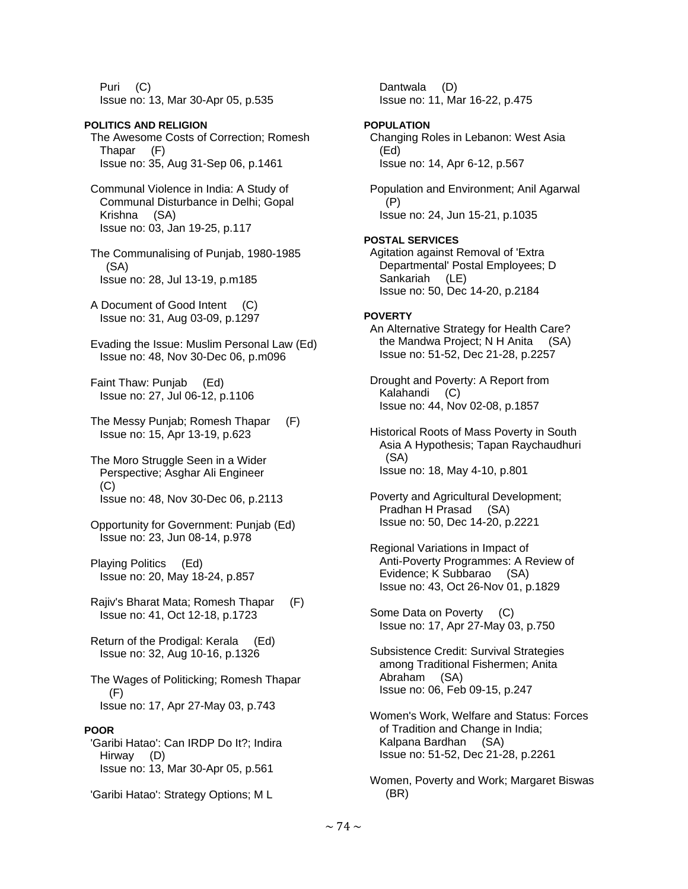Puri (C) Issue no: 13, Mar 30-Apr 05, p.535

**POLITICS AND RELIGION**  The Awesome Costs of Correction; Romesh Thapar (F) Issue no: 35, Aug 31-Sep 06, p.1461 Communal Violence in India: A Study of Communal Disturbance in Delhi; Gopal Krishna (SA) Issue no: 03, Jan 19-25, p.117 The Communalising of Punjab, 1980-1985 (SA) Issue no: 28, Jul 13-19, p.m185

 A Document of Good Intent (C) Issue no: 31, Aug 03-09, p.1297

 Evading the Issue: Muslim Personal Law (Ed) Issue no: 48, Nov 30-Dec 06, p.m096

 Faint Thaw: Punjab (Ed) Issue no: 27, Jul 06-12, p.1106

- The Messy Punjab; Romesh Thapar (F) Issue no: 15, Apr 13-19, p.623
- The Moro Struggle Seen in a Wider Perspective; Asghar Ali Engineer  $(C)$ Issue no: 48, Nov 30-Dec 06, p.2113
- Opportunity for Government: Punjab (Ed) Issue no: 23, Jun 08-14, p.978

 Playing Politics (Ed) Issue no: 20, May 18-24, p.857

 Rajiv's Bharat Mata; Romesh Thapar (F) Issue no: 41, Oct 12-18, p.1723

 Return of the Prodigal: Kerala (Ed) Issue no: 32, Aug 10-16, p.1326

 The Wages of Politicking; Romesh Thapar (F) Issue no: 17, Apr 27-May 03, p.743

## **POOR**

 'Garibi Hatao': Can IRDP Do It?; Indira Hirway (D) Issue no: 13, Mar 30-Apr 05, p.561

'Garibi Hatao': Strategy Options; M L

 Dantwala (D) Issue no: 11, Mar 16-22, p.475

## **POPULATION**

 Changing Roles in Lebanon: West Asia (Ed) Issue no: 14, Apr 6-12, p.567

 Population and Environment; Anil Agarwal (P) Issue no: 24, Jun 15-21, p.1035

## **POSTAL SERVICES**

 Agitation against Removal of 'Extra Departmental' Postal Employees; D Sankariah (LE) Issue no: 50, Dec 14-20, p.2184

## **POVERTY**

- An Alternative Strategy for Health Care? the Mandwa Project; N H Anita (SA) Issue no: 51-52, Dec 21-28, p.2257
- Drought and Poverty: A Report from Kalahandi (C) Issue no: 44, Nov 02-08, p.1857
- Historical Roots of Mass Poverty in South Asia A Hypothesis; Tapan Raychaudhuri (SA) Issue no: 18, May 4-10, p.801
- Poverty and Agricultural Development; Pradhan H Prasad (SA) Issue no: 50, Dec 14-20, p.2221
- Regional Variations in Impact of Anti-Poverty Programmes: A Review of Evidence; K Subbarao (SA) Issue no: 43, Oct 26-Nov 01, p.1829
- Some Data on Poverty (C) Issue no: 17, Apr 27-May 03, p.750
- Subsistence Credit: Survival Strategies among Traditional Fishermen; Anita Abraham (SA) Issue no: 06, Feb 09-15, p.247
- Women's Work, Welfare and Status: Forces of Tradition and Change in India; Kalpana Bardhan (SA) Issue no: 51-52, Dec 21-28, p.2261
- Women, Poverty and Work; Margaret Biswas (BR)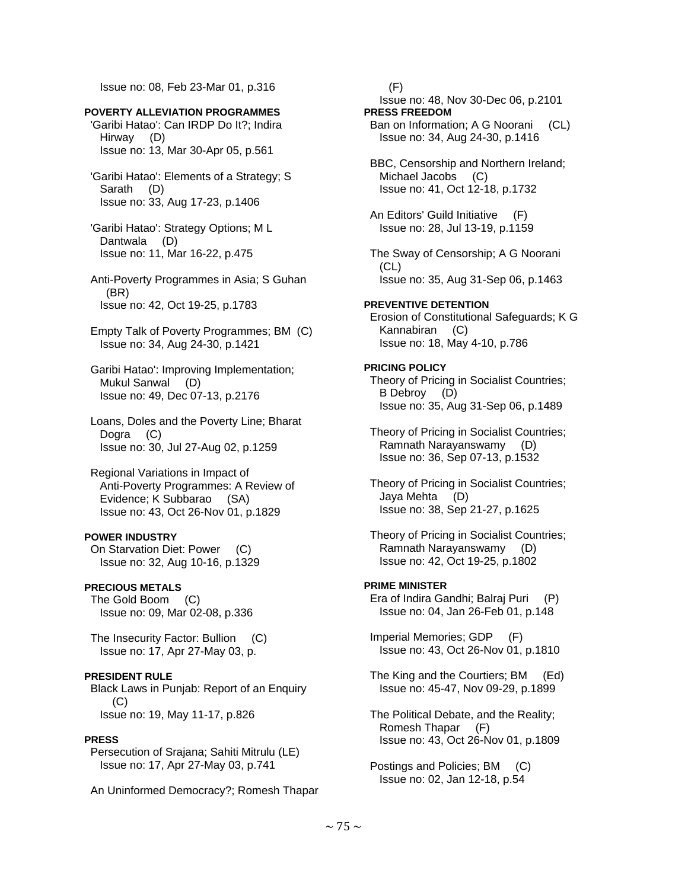Issue no: 08, Feb 23-Mar 01, p.316

#### **POVERTY ALLEVIATION PROGRAMMES**

 'Garibi Hatao': Can IRDP Do It?; Indira Hirway (D) Issue no: 13, Mar 30-Apr 05, p.561

- 'Garibi Hatao': Elements of a Strategy; S Sarath (D) Issue no: 33, Aug 17-23, p.1406
- 'Garibi Hatao': Strategy Options; M L Dantwala (D) Issue no: 11, Mar 16-22, p.475
- Anti-Poverty Programmes in Asia; S Guhan (BR) Issue no: 42, Oct 19-25, p.1783
- Empty Talk of Poverty Programmes; BM (C) Issue no: 34, Aug 24-30, p.1421
- Garibi Hatao': Improving Implementation; Mukul Sanwal (D) Issue no: 49, Dec 07-13, p.2176
- Loans, Doles and the Poverty Line; Bharat Dogra (C) Issue no: 30, Jul 27-Aug 02, p.1259
- Regional Variations in Impact of Anti-Poverty Programmes: A Review of Evidence; K Subbarao (SA) Issue no: 43, Oct 26-Nov 01, p.1829

#### **POWER INDUSTRY**

 On Starvation Diet: Power (C) Issue no: 32, Aug 10-16, p.1329

## **PRECIOUS METALS**

 The Gold Boom (C) Issue no: 09, Mar 02-08, p.336

 The Insecurity Factor: Bullion (C) Issue no: 17, Apr 27-May 03, p.

#### **PRESIDENT RULE**

 Black Laws in Punjab: Report of an Enquiry (C) Issue no: 19, May 11-17, p.826

#### **PRESS**

 Persecution of Srajana; Sahiti Mitrulu (LE) Issue no: 17, Apr 27-May 03, p.741

An Uninformed Democracy?; Romesh Thapar

 (F) Issue no: 48, Nov 30-Dec 06, p.2101 **PRESS FREEDOM**  Ban on Information; A G Noorani (CL) Issue no: 34, Aug 24-30, p.1416 BBC, Censorship and Northern Ireland; Michael Jacobs (C) Issue no: 41, Oct 12-18, p.1732 An Editors' Guild Initiative (F) Issue no: 28, Jul 13-19, p.1159 The Sway of Censorship; A G Noorani (CL) Issue no: 35, Aug 31-Sep 06, p.1463 **PREVENTIVE DETENTION**  Erosion of Constitutional Safeguards; K G Kannabiran (C) Issue no: 18, May 4-10, p.786 **PRICING POLICY**  Theory of Pricing in Socialist Countries; B Debroy (D) Issue no: 35, Aug 31-Sep 06, p.1489 Theory of Pricing in Socialist Countries; Ramnath Narayanswamy (D) Issue no: 36, Sep 07-13, p.1532 Theory of Pricing in Socialist Countries; Jaya Mehta (D) Issue no: 38, Sep 21-27, p.1625 Theory of Pricing in Socialist Countries; Ramnath Narayanswamy (D) Issue no: 42, Oct 19-25, p.1802 **PRIME MINISTER**  Era of Indira Gandhi; Balraj Puri (P) Issue no: 04, Jan 26-Feb 01, p.148 Imperial Memories; GDP (F) Issue no: 43, Oct 26-Nov 01, p.1810 The King and the Courtiers; BM (Ed) Issue no: 45-47, Nov 09-29, p.1899 The Political Debate, and the Reality; Romesh Thapar (F) Issue no: 43, Oct 26-Nov 01, p.1809 Postings and Policies; BM (C) Issue no: 02, Jan 12-18, p.54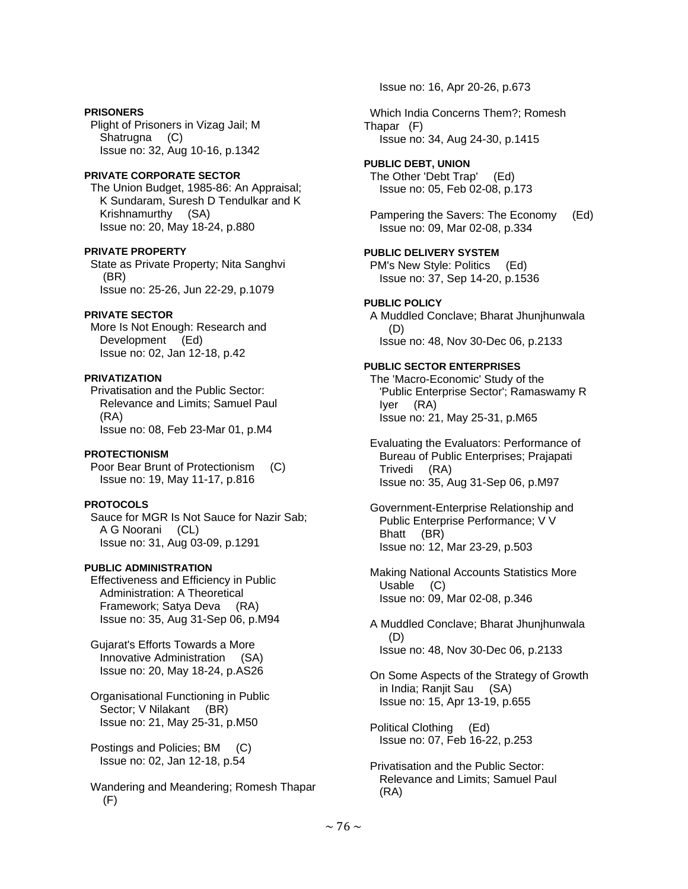## **PRISONERS**

 Plight of Prisoners in Vizag Jail; M Shatrugna (C) Issue no: 32, Aug 10-16, p.1342

## **PRIVATE CORPORATE SECTOR**

 The Union Budget, 1985-86: An Appraisal; K Sundaram, Suresh D Tendulkar and K Krishnamurthy (SA) Issue no: 20, May 18-24, p.880

## **PRIVATE PROPERTY**

 State as Private Property; Nita Sanghvi (BR) Issue no: 25-26, Jun 22-29, p.1079

## **PRIVATE SECTOR**

 More Is Not Enough: Research and Development (Ed) Issue no: 02, Jan 12-18, p.42

## **PRIVATIZATION**

 Privatisation and the Public Sector: Relevance and Limits; Samuel Paul (RA) Issue no: 08, Feb 23-Mar 01, p.M4

## **PROTECTIONISM**

 Poor Bear Brunt of Protectionism (C) Issue no: 19, May 11-17, p.816

## **PROTOCOLS**

 Sauce for MGR Is Not Sauce for Nazir Sab; A G Noorani (CL) Issue no: 31, Aug 03-09, p.1291

## **PUBLIC ADMINISTRATION**

 Effectiveness and Efficiency in Public Administration: A Theoretical Framework; Satya Deva (RA) Issue no: 35, Aug 31-Sep 06, p.M94

 Gujarat's Efforts Towards a More Innovative Administration (SA) Issue no: 20, May 18-24, p.AS26

 Organisational Functioning in Public Sector; V Nilakant (BR) Issue no: 21, May 25-31, p.M50

 Postings and Policies; BM (C) Issue no: 02, Jan 12-18, p.54

 Wandering and Meandering; Romesh Thapar (F)

Issue no: 16, Apr 20-26, p.673

 Which India Concerns Them?; Romesh Thapar (F) Issue no: 34, Aug 24-30, p.1415

#### **PUBLIC DEBT, UNION**  The Other 'Debt Trap' (Ed) Issue no: 05, Feb 02-08, p.173

 Pampering the Savers: The Economy (Ed) Issue no: 09, Mar 02-08, p.334

## **PUBLIC DELIVERY SYSTEM**

 PM's New Style: Politics (Ed) Issue no: 37, Sep 14-20, p.1536

## **PUBLIC POLICY**

 A Muddled Conclave; Bharat Jhunjhunwala (D) Issue no: 48, Nov 30-Dec 06, p.2133

# **PUBLIC SECTOR ENTERPRISES**

 The 'Macro-Economic' Study of the 'Public Enterprise Sector'; Ramaswamy R Iyer (RA) Issue no: 21, May 25-31, p.M65

 Evaluating the Evaluators: Performance of Bureau of Public Enterprises; Prajapati Trivedi (RA) Issue no: 35, Aug 31-Sep 06, p.M97

 Government-Enterprise Relationship and Public Enterprise Performance; V V Bhatt (BR) Issue no: 12, Mar 23-29, p.503

 Making National Accounts Statistics More Usable (C) Issue no: 09, Mar 02-08, p.346

 A Muddled Conclave; Bharat Jhunjhunwala (D) Issue no: 48, Nov 30-Dec 06, p.2133

 On Some Aspects of the Strategy of Growth in India; Ranjit Sau (SA) Issue no: 15, Apr 13-19, p.655

 Political Clothing (Ed) Issue no: 07, Feb 16-22, p.253

 Privatisation and the Public Sector: Relevance and Limits; Samuel Paul (RA)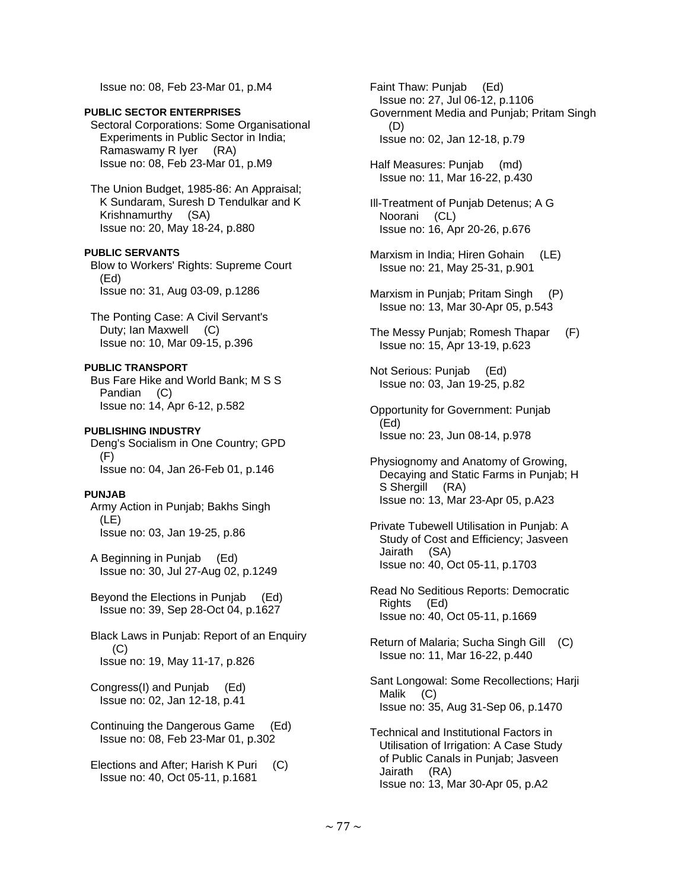Issue no: 08, Feb 23-Mar 01, p.M4

#### **PUBLIC SECTOR ENTERPRISES**

Sectoral Corporations: Some Organisational Experiments in Public Sector in India; Ramaswamy R Iyer (RA) Issue no: 08, Feb 23-Mar 01, p.M9

 The Union Budget, 1985-86: An Appraisal; K Sundaram, Suresh D Tendulkar and K Krishnamurthy (SA) Issue no: 20, May 18-24, p.880

**PUBLIC SERVANTS** 

 Blow to Workers' Rights: Supreme Court (Ed) Issue no: 31, Aug 03-09, p.1286

 The Ponting Case: A Civil Servant's Duty; Ian Maxwell (C) Issue no: 10, Mar 09-15, p.396

## **PUBLIC TRANSPORT**

 Bus Fare Hike and World Bank; M S S Pandian (C) Issue no: 14, Apr 6-12, p.582

## **PUBLISHING INDUSTRY**

 Deng's Socialism in One Country; GPD (F) Issue no: 04, Jan 26-Feb 01, p.146

#### **PUNJAB**

 Army Action in Punjab; Bakhs Singh (LE) Issue no: 03, Jan 19-25, p.86

 A Beginning in Punjab (Ed) Issue no: 30, Jul 27-Aug 02, p.1249

 Beyond the Elections in Punjab (Ed) Issue no: 39, Sep 28-Oct 04, p.1627

 Black Laws in Punjab: Report of an Enquiry  $(C)$ Issue no: 19, May 11-17, p.826

 Congress(I) and Punjab (Ed) Issue no: 02, Jan 12-18, p.41

 Continuing the Dangerous Game (Ed) Issue no: 08, Feb 23-Mar 01, p.302

 Elections and After; Harish K Puri (C) Issue no: 40, Oct 05-11, p.1681

 Faint Thaw: Punjab (Ed) Issue no: 27, Jul 06-12, p.1106 Government Media and Punjab; Pritam Singh (D) Issue no: 02, Jan 12-18, p.79

 Half Measures: Punjab (md) Issue no: 11, Mar 16-22, p.430

 Ill-Treatment of Punjab Detenus; A G Noorani (CL) Issue no: 16, Apr 20-26, p.676

- Marxism in India; Hiren Gohain (LE) Issue no: 21, May 25-31, p.901
- Marxism in Punjab; Pritam Singh (P) Issue no: 13, Mar 30-Apr 05, p.543
- The Messy Punjab; Romesh Thapar (F) Issue no: 15, Apr 13-19, p.623
- Not Serious: Punjab (Ed) Issue no: 03, Jan 19-25, p.82
- Opportunity for Government: Punjab (Ed) Issue no: 23, Jun 08-14, p.978
- Physiognomy and Anatomy of Growing, Decaying and Static Farms in Punjab; H S Shergill (RA) Issue no: 13, Mar 23-Apr 05, p.A23
- Private Tubewell Utilisation in Punjab: A Study of Cost and Efficiency; Jasveen Jairath (SA) Issue no: 40, Oct 05-11, p.1703
- Read No Seditious Reports: Democratic Rights (Ed) Issue no: 40, Oct 05-11, p.1669
- Return of Malaria; Sucha Singh Gill (C) Issue no: 11, Mar 16-22, p.440
- Sant Longowal: Some Recollections; Harji Malik (C) Issue no: 35, Aug 31-Sep 06, p.1470
- Technical and Institutional Factors in Utilisation of Irrigation: A Case Study of Public Canals in Punjab; Jasveen Jairath (RA) Issue no: 13, Mar 30-Apr 05, p.A2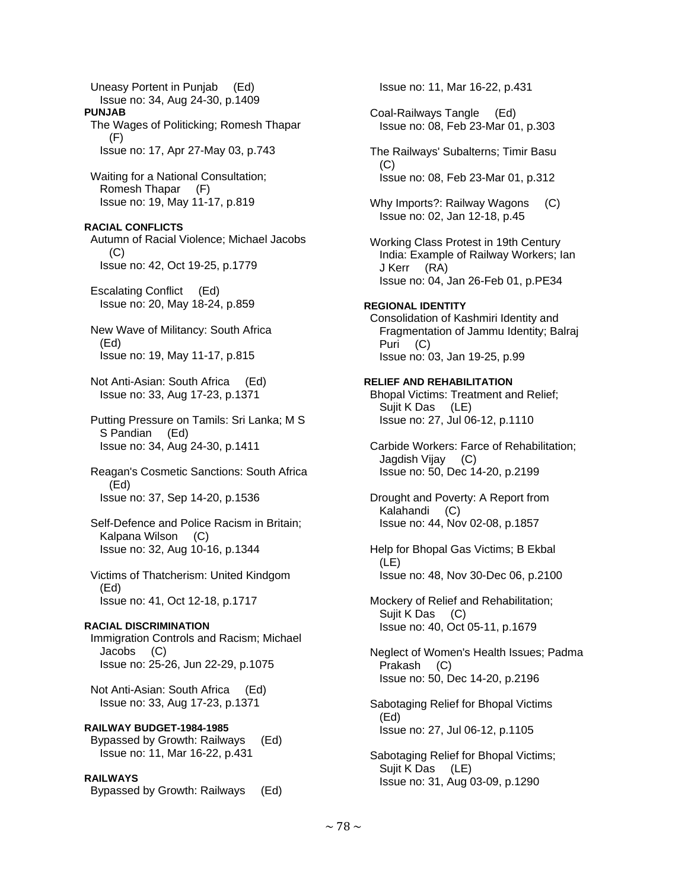Uneasy Portent in Punjab (Ed) Issue no: 34, Aug 24-30, p.1409 **PUNJAB**  The Wages of Politicking; Romesh Thapar (F) Issue no: 17, Apr 27-May 03, p.743 Waiting for a National Consultation; Romesh Thapar (F) Issue no: 19, May 11-17, p.819 **RACIAL CONFLICTS**  Autumn of Racial Violence; Michael Jacobs (C) Issue no: 42, Oct 19-25, p.1779 Escalating Conflict (Ed) Issue no: 20, May 18-24, p.859 New Wave of Militancy: South Africa (Ed) Issue no: 19, May 11-17, p.815 Not Anti-Asian: South Africa (Ed) Issue no: 33, Aug 17-23, p.1371 Putting Pressure on Tamils: Sri Lanka; M S S Pandian (Ed) Issue no: 34, Aug 24-30, p.1411 Reagan's Cosmetic Sanctions: South Africa (Ed) Issue no: 37, Sep 14-20, p.1536 Self-Defence and Police Racism in Britain; Kalpana Wilson (C) Issue no: 32, Aug 10-16, p.1344 Victims of Thatcherism: United Kindgom (Ed) Issue no: 41, Oct 12-18, p.1717 **RACIAL DISCRIMINATION**  Immigration Controls and Racism; Michael Jacobs (C) Issue no: 25-26, Jun 22-29, p.1075 Not Anti-Asian: South Africa (Ed) Issue no: 33, Aug 17-23, p.1371 **RAILWAY BUDGET-1984-1985**  Bypassed by Growth: Railways (Ed) Issue no: 11, Mar 16-22, p.431 **RAILWAYS**  Bypassed by Growth: Railways (Ed)

 Issue no: 11, Mar 16-22, p.431 Coal-Railways Tangle (Ed) Issue no: 08, Feb 23-Mar 01, p.303 The Railways' Subalterns; Timir Basu (C) Issue no: 08, Feb 23-Mar 01, p.312 Why Imports?: Railway Wagons (C) Issue no: 02, Jan 12-18, p.45 Working Class Protest in 19th Century India: Example of Railway Workers; Ian J Kerr (RA) Issue no: 04, Jan 26-Feb 01, p.PE34 **REGIONAL IDENTITY**  Consolidation of Kashmiri Identity and Fragmentation of Jammu Identity; Balraj Puri (C) Issue no: 03, Jan 19-25, p.99 **RELIEF AND REHABILITATION**  Bhopal Victims: Treatment and Relief; Sujit K Das (LE) Issue no: 27, Jul 06-12, p.1110 Carbide Workers: Farce of Rehabilitation; Jagdish Vijay (C) Issue no: 50, Dec 14-20, p.2199 Drought and Poverty: A Report from Kalahandi (C) Issue no: 44, Nov 02-08, p.1857 Help for Bhopal Gas Victims; B Ekbal (LE) Issue no: 48, Nov 30-Dec 06, p.2100 Mockery of Relief and Rehabilitation; Sujit K Das (C) Issue no: 40, Oct 05-11, p.1679 Neglect of Women's Health Issues; Padma Prakash (C) Issue no: 50, Dec 14-20, p.2196 Sabotaging Relief for Bhopal Victims (Ed) Issue no: 27, Jul 06-12, p.1105 Sabotaging Relief for Bhopal Victims; Sujit K Das (LE) Issue no: 31, Aug 03-09, p.1290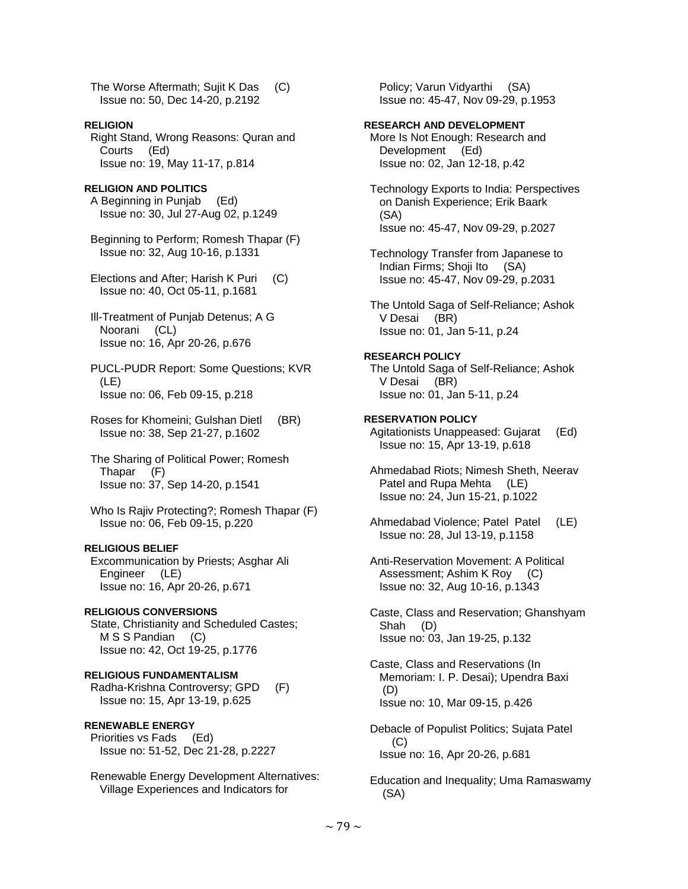The Worse Aftermath; Sujit K Das (C) Issue no: 50, Dec 14-20, p.2192

**RELIGION**  Right Stand, Wrong Reasons: Quran and Courts (Ed) Issue no: 19, May 11-17, p.814

## **RELIGION AND POLITICS**

 A Beginning in Punjab (Ed) Issue no: 30, Jul 27-Aug 02, p.1249

 Beginning to Perform; Romesh Thapar (F) Issue no: 32, Aug 10-16, p.1331

 Elections and After; Harish K Puri (C) Issue no: 40, Oct 05-11, p.1681

- Ill-Treatment of Punjab Detenus; A G Noorani (CL) Issue no: 16, Apr 20-26, p.676
- PUCL-PUDR Report: Some Questions; KVR (LE) Issue no: 06, Feb 09-15, p.218
- Roses for Khomeini; Gulshan Dietl (BR) Issue no: 38, Sep 21-27, p.1602

 The Sharing of Political Power; Romesh Thapar (F) Issue no: 37, Sep 14-20, p.1541

 Who Is Rajiv Protecting?; Romesh Thapar (F) Issue no: 06, Feb 09-15, p.220

## **RELIGIOUS BELIEF**

 Excommunication by Priests; Asghar Ali Engineer (LE) Issue no: 16, Apr 20-26, p.671

**RELIGIOUS CONVERSIONS**  State, Christianity and Scheduled Castes; M S S Pandian (C) Issue no: 42, Oct 19-25, p.1776

# **RELIGIOUS FUNDAMENTALISM**

 Radha-Krishna Controversy; GPD (F) Issue no: 15, Apr 13-19, p.625

## **RENEWABLE ENERGY**

 Priorities vs Fads (Ed) Issue no: 51-52, Dec 21-28, p.2227

 Renewable Energy Development Alternatives: Village Experiences and Indicators for

 Policy; Varun Vidyarthi (SA) Issue no: 45-47, Nov 09-29, p.1953

#### **RESEARCH AND DEVELOPMENT**

 More Is Not Enough: Research and Development (Ed) Issue no: 02, Jan 12-18, p.42

- Technology Exports to India: Perspectives on Danish Experience; Erik Baark (SA) Issue no: 45-47, Nov 09-29, p.2027
- Technology Transfer from Japanese to Indian Firms; Shoji Ito (SA) Issue no: 45-47, Nov 09-29, p.2031

 The Untold Saga of Self-Reliance; Ashok V Desai (BR) Issue no: 01, Jan 5-11, p.24

# **RESEARCH POLICY**

 The Untold Saga of Self-Reliance; Ashok V Desai (BR) Issue no: 01, Jan 5-11, p.24

#### **RESERVATION POLICY**  Agitationists Unappeased: Gujarat (Ed) Issue no: 15, Apr 13-19, p.618

 Ahmedabad Riots; Nimesh Sheth, Neerav Patel and Rupa Mehta (LE) Issue no: 24, Jun 15-21, p.1022

 Ahmedabad Violence; Patel Patel (LE) Issue no: 28, Jul 13-19, p.1158

 Anti-Reservation Movement: A Political Assessment; Ashim K Roy (C) Issue no: 32, Aug 10-16, p.1343

 Caste, Class and Reservation; Ghanshyam Shah (D) Issue no: 03, Jan 19-25, p.132

 Caste, Class and Reservations (In Memoriam: I. P. Desai); Upendra Baxi (D) Issue no: 10, Mar 09-15, p.426

 Debacle of Populist Politics; Sujata Patel (C) Issue no: 16, Apr 20-26, p.681

 Education and Inequality; Uma Ramaswamy (SA)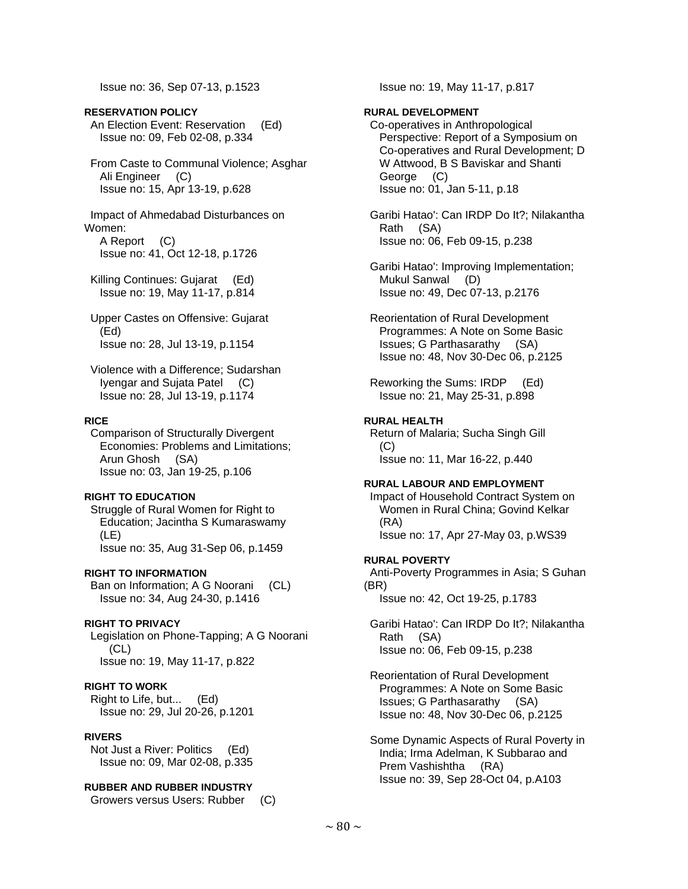Issue no: 36, Sep 07-13, p.1523

## **RESERVATION POLICY**

 An Election Event: Reservation (Ed) Issue no: 09, Feb 02-08, p.334

 From Caste to Communal Violence; Asghar Ali Engineer (C) Issue no: 15, Apr 13-19, p.628

 Impact of Ahmedabad Disturbances on Women:

 A Report (C) Issue no: 41, Oct 12-18, p.1726

- Killing Continues: Gujarat (Ed) Issue no: 19, May 11-17, p.814
- Upper Castes on Offensive: Gujarat (Ed) Issue no: 28, Jul 13-19, p.1154

 Violence with a Difference; Sudarshan Iyengar and Sujata Patel (C) Issue no: 28, Jul 13-19, p.1174

#### **RICE**

 Comparison of Structurally Divergent Economies: Problems and Limitations; Arun Ghosh (SA) Issue no: 03, Jan 19-25, p.106

#### **RIGHT TO EDUCATION**

 Struggle of Rural Women for Right to Education; Jacintha S Kumaraswamy (LE) Issue no: 35, Aug 31-Sep 06, p.1459

#### **RIGHT TO INFORMATION**

 Ban on Information; A G Noorani (CL) Issue no: 34, Aug 24-30, p.1416

## **RIGHT TO PRIVACY**

 Legislation on Phone-Tapping; A G Noorani (CL) Issue no: 19, May 11-17, p.822

## **RIGHT TO WORK**

 Right to Life, but... (Ed) Issue no: 29, Jul 20-26, p.1201

## **RIVERS**

 Not Just a River: Politics (Ed) Issue no: 09, Mar 02-08, p.335

## **RUBBER AND RUBBER INDUSTRY**

Growers versus Users: Rubber (C)

Issue no: 19, May 11-17, p.817

## **RURAL DEVELOPMENT**

 Co-operatives in Anthropological Perspective: Report of a Symposium on Co-operatives and Rural Development; D W Attwood, B S Baviskar and Shanti George (C) Issue no: 01, Jan 5-11, p.18

 Garibi Hatao': Can IRDP Do It?; Nilakantha Rath (SA) Issue no: 06, Feb 09-15, p.238

 Garibi Hatao': Improving Implementation; Mukul Sanwal (D) Issue no: 49, Dec 07-13, p.2176

 Reorientation of Rural Development Programmes: A Note on Some Basic Issues; G Parthasarathy (SA) Issue no: 48, Nov 30-Dec 06, p.2125

 Reworking the Sums: IRDP (Ed) Issue no: 21, May 25-31, p.898

#### **RURAL HEALTH**

 Return of Malaria; Sucha Singh Gill  $(C)$ Issue no: 11, Mar 16-22, p.440

#### **RURAL LABOUR AND EMPLOYMENT**

 Impact of Household Contract System on Women in Rural China; Govind Kelkar (RA) Issue no: 17, Apr 27-May 03, p.WS39

#### **RURAL POVERTY**

 Anti-Poverty Programmes in Asia; S Guhan (BR) Issue no: 42, Oct 19-25, p.1783

 Garibi Hatao': Can IRDP Do It?; Nilakantha Rath (SA) Issue no: 06, Feb 09-15, p.238

 Reorientation of Rural Development Programmes: A Note on Some Basic Issues; G Parthasarathy (SA) Issue no: 48, Nov 30-Dec 06, p.2125

 Some Dynamic Aspects of Rural Poverty in India; Irma Adelman, K Subbarao and Prem Vashishtha (RA) Issue no: 39, Sep 28-Oct 04, p.A103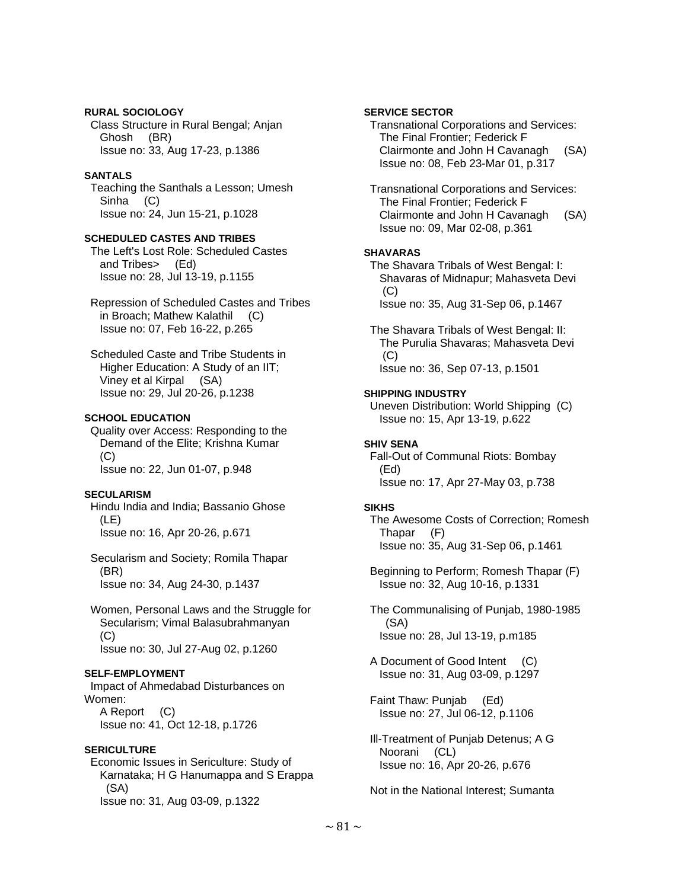## **RURAL SOCIOLOGY**

 Class Structure in Rural Bengal; Anjan Ghosh (BR) Issue no: 33, Aug 17-23, p.1386

## **SANTALS**

 Teaching the Santhals a Lesson; Umesh Sinha (C) Issue no: 24, Jun 15-21, p.1028

## **SCHEDULED CASTES AND TRIBES**

 The Left's Lost Role: Scheduled Castes and Tribes> (Ed) Issue no: 28, Jul 13-19, p.1155

 Repression of Scheduled Castes and Tribes in Broach; Mathew Kalathil (C) Issue no: 07, Feb 16-22, p.265

 Scheduled Caste and Tribe Students in Higher Education: A Study of an IIT; Viney et al Kirpal (SA) Issue no: 29, Jul 20-26, p.1238

## **SCHOOL EDUCATION**

 Quality over Access: Responding to the Demand of the Elite; Krishna Kumar (C) Issue no: 22, Jun 01-07, p.948

## **SECULARISM**

 Hindu India and India; Bassanio Ghose (LE) Issue no: 16, Apr 20-26, p.671

 Secularism and Society; Romila Thapar (BR) Issue no: 34, Aug 24-30, p.1437

 Women, Personal Laws and the Struggle for Secularism; Vimal Balasubrahmanyan (C) Issue no: 30, Jul 27-Aug 02, p.1260

## **SELF-EMPLOYMENT**

 Impact of Ahmedabad Disturbances on Women: A Report (C) Issue no: 41, Oct 12-18, p.1726

#### **SERICULTURE**

 Economic Issues in Sericulture: Study of Karnataka; H G Hanumappa and S Erappa (SA) Issue no: 31, Aug 03-09, p.1322

## **SERVICE SECTOR**

 Transnational Corporations and Services: The Final Frontier; Federick F Clairmonte and John H Cavanagh (SA) Issue no: 08, Feb 23-Mar 01, p.317

 Transnational Corporations and Services: The Final Frontier; Federick F Clairmonte and John H Cavanagh (SA) Issue no: 09, Mar 02-08, p.361

## **SHAVARAS**

 The Shavara Tribals of West Bengal: I: Shavaras of Midnapur; Mahasveta Devi (C) Issue no: 35, Aug 31-Sep 06, p.1467

 The Shavara Tribals of West Bengal: II: The Purulia Shavaras; Mahasveta Devi  $(C)$ Issue no: 36, Sep 07-13, p.1501

## **SHIPPING INDUSTRY**

 Uneven Distribution: World Shipping (C) Issue no: 15, Apr 13-19, p.622

## **SHIV SENA**

 Fall-Out of Communal Riots: Bombay (Ed) Issue no: 17, Apr 27-May 03, p.738

## **SIKHS**

 The Awesome Costs of Correction; Romesh Thapar (F) Issue no: 35, Aug 31-Sep 06, p.1461

 Beginning to Perform; Romesh Thapar (F) Issue no: 32, Aug 10-16, p.1331

 The Communalising of Punjab, 1980-1985 (SA) Issue no: 28, Jul 13-19, p.m185

 A Document of Good Intent (C) Issue no: 31, Aug 03-09, p.1297

 Faint Thaw: Punjab (Ed) Issue no: 27, Jul 06-12, p.1106

 Ill-Treatment of Punjab Detenus; A G Noorani (CL) Issue no: 16, Apr 20-26, p.676

Not in the National Interest; Sumanta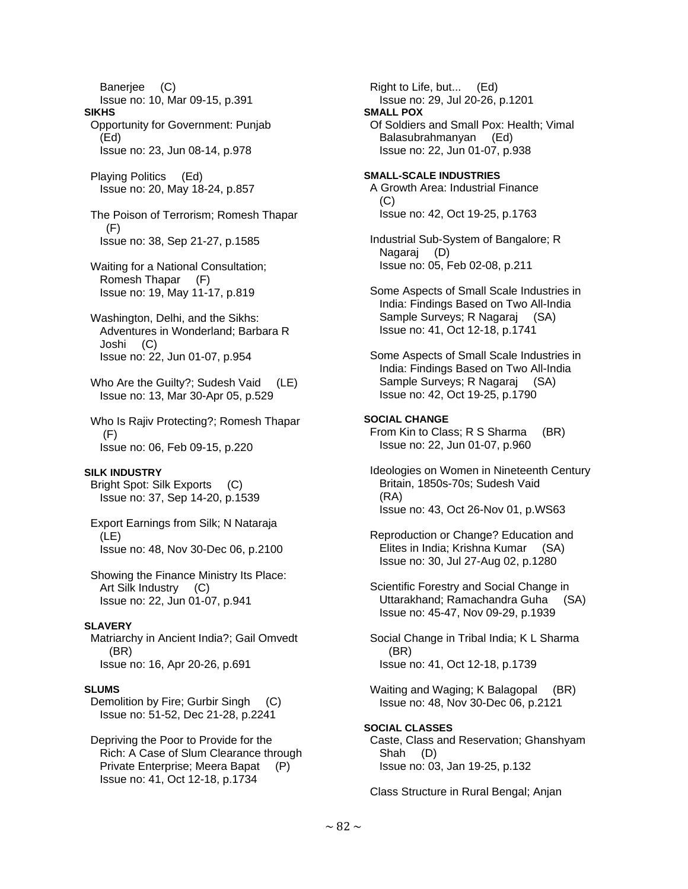Banerjee (C) Issue no: 10, Mar 09-15, p.391 **SIKHS**  Opportunity for Government: Punjab (Ed) Issue no: 23, Jun 08-14, p.978 Playing Politics (Ed) Issue no: 20, May 18-24, p.857 The Poison of Terrorism; Romesh Thapar (F) Issue no: 38, Sep 21-27, p.1585 Waiting for a National Consultation; Romesh Thapar (F) Issue no: 19, May 11-17, p.819 Washington, Delhi, and the Sikhs: Adventures in Wonderland; Barbara R Joshi (C) Issue no: 22, Jun 01-07, p.954 Who Are the Guilty?; Sudesh Vaid (LE) Issue no: 13, Mar 30-Apr 05, p.529 Who Is Rajiv Protecting?; Romesh Thapar (F) Issue no: 06, Feb 09-15, p.220 **SILK INDUSTRY**  Bright Spot: Silk Exports (C) Issue no: 37, Sep 14-20, p.1539 Export Earnings from Silk; N Nataraja (LE) Issue no: 48, Nov 30-Dec 06, p.2100 Showing the Finance Ministry Its Place: Art Silk Industry (C) Issue no: 22, Jun 01-07, p.941 **SLAVERY**  Matriarchy in Ancient India?; Gail Omvedt (BR) Issue no: 16, Apr 20-26, p.691 **SLUMS**  Demolition by Fire; Gurbir Singh (C) Issue no: 51-52, Dec 21-28, p.2241 Depriving the Poor to Provide for the Rich: A Case of Slum Clearance through

 Private Enterprise; Meera Bapat (P) Issue no: 41, Oct 12-18, p.1734

 Right to Life, but... (Ed) Issue no: 29, Jul 20-26, p.1201 **SMALL POX**  Of Soldiers and Small Pox: Health; Vimal Balasubrahmanyan (Ed) Issue no: 22, Jun 01-07, p.938 **SMALL-SCALE INDUSTRIES**  A Growth Area: Industrial Finance  $(C)$  Issue no: 42, Oct 19-25, p.1763 Industrial Sub-System of Bangalore; R Nagaraj (D) Issue no: 05, Feb 02-08, p.211 Some Aspects of Small Scale Industries in India: Findings Based on Two All-India Sample Surveys; R Nagaraj (SA) Issue no: 41, Oct 12-18, p.1741 Some Aspects of Small Scale Industries in India: Findings Based on Two All-India Sample Surveys; R Nagaraj (SA) Issue no: 42, Oct 19-25, p.1790 **SOCIAL CHANGE**  From Kin to Class; R S Sharma (BR) Issue no: 22, Jun 01-07, p.960 Ideologies on Women in Nineteenth Century Britain, 1850s-70s; Sudesh Vaid (RA) Issue no: 43, Oct 26-Nov 01, p.WS63 Reproduction or Change? Education and Elites in India; Krishna Kumar (SA) Issue no: 30, Jul 27-Aug 02, p.1280 Scientific Forestry and Social Change in Uttarakhand; Ramachandra Guha (SA) Issue no: 45-47, Nov 09-29, p.1939 Social Change in Tribal India; K L Sharma (BR) Issue no: 41, Oct 12-18, p.1739 Waiting and Waging; K Balagopal (BR) Issue no: 48, Nov 30-Dec 06, p.2121 **SOCIAL CLASSES**  Caste, Class and Reservation; Ghanshyam Shah (D)

Issue no: 03, Jan 19-25, p.132

Class Structure in Rural Bengal; Anjan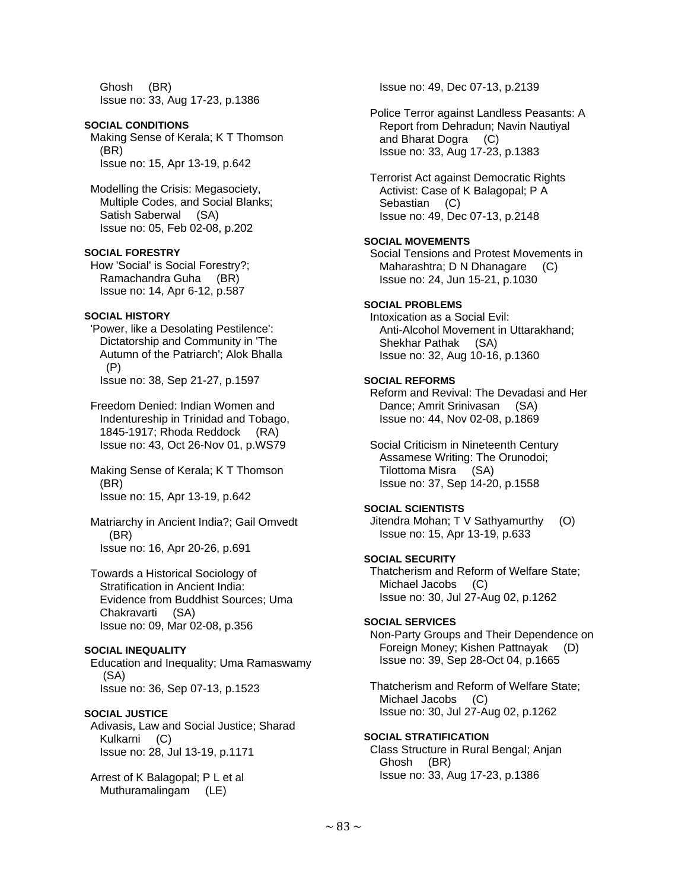Ghosh (BR) Issue no: 33, Aug 17-23, p.1386

## **SOCIAL CONDITIONS**

 Making Sense of Kerala; K T Thomson (BR) Issue no: 15, Apr 13-19, p.642

 Modelling the Crisis: Megasociety, Multiple Codes, and Social Blanks; Satish Saberwal (SA) Issue no: 05, Feb 02-08, p.202

## **SOCIAL FORESTRY**

 How 'Social' is Social Forestry?; Ramachandra Guha (BR) Issue no: 14, Apr 6-12, p.587

## **SOCIAL HISTORY**

 'Power, like a Desolating Pestilence': Dictatorship and Community in 'The Autumn of the Patriarch'; Alok Bhalla (P) Issue no: 38, Sep 21-27, p.1597

 Freedom Denied: Indian Women and Indentureship in Trinidad and Tobago, 1845-1917; Rhoda Reddock (RA) Issue no: 43, Oct 26-Nov 01, p.WS79

 Making Sense of Kerala; K T Thomson (BR) Issue no: 15, Apr 13-19, p.642

 Matriarchy in Ancient India?; Gail Omvedt (BR) Issue no: 16, Apr 20-26, p.691

 Towards a Historical Sociology of Stratification in Ancient India: Evidence from Buddhist Sources; Uma Chakravarti (SA) Issue no: 09, Mar 02-08, p.356

## **SOCIAL INEQUALITY**

 Education and Inequality; Uma Ramaswamy (SA) Issue no: 36, Sep 07-13, p.1523

## **SOCIAL JUSTICE**

 Adivasis, Law and Social Justice; Sharad Kulkarni (C) Issue no: 28, Jul 13-19, p.1171

 Arrest of K Balagopal; P L et al Muthuramalingam (LE)

Issue no: 49, Dec 07-13, p.2139

 Police Terror against Landless Peasants: A Report from Dehradun; Navin Nautiyal and Bharat Dogra (C) Issue no: 33, Aug 17-23, p.1383

 Terrorist Act against Democratic Rights Activist: Case of K Balagopal; P A Sebastian (C) Issue no: 49, Dec 07-13, p.2148

## **SOCIAL MOVEMENTS**

 Social Tensions and Protest Movements in Maharashtra; D N Dhanagare (C) Issue no: 24, Jun 15-21, p.1030

# **SOCIAL PROBLEMS**

 Intoxication as a Social Evil: Anti-Alcohol Movement in Uttarakhand; Shekhar Pathak (SA) Issue no: 32, Aug 10-16, p.1360

## **SOCIAL REFORMS**

 Reform and Revival: The Devadasi and Her Dance; Amrit Srinivasan (SA) Issue no: 44, Nov 02-08, p.1869

 Social Criticism in Nineteenth Century Assamese Writing: The Orunodoi; Tilottoma Misra (SA) Issue no: 37, Sep 14-20, p.1558

## **SOCIAL SCIENTISTS**

 Jitendra Mohan; T V Sathyamurthy (O) Issue no: 15, Apr 13-19, p.633

## **SOCIAL SECURITY**

 Thatcherism and Reform of Welfare State; Michael Jacobs (C) Issue no: 30, Jul 27-Aug 02, p.1262

#### **SOCIAL SERVICES**

 Non-Party Groups and Their Dependence on Foreign Money; Kishen Pattnayak (D) Issue no: 39, Sep 28-Oct 04, p.1665

 Thatcherism and Reform of Welfare State; Michael Jacobs (C) Issue no: 30, Jul 27-Aug 02, p.1262

## **SOCIAL STRATIFICATION**

 Class Structure in Rural Bengal; Anjan Ghosh (BR) Issue no: 33, Aug 17-23, p.1386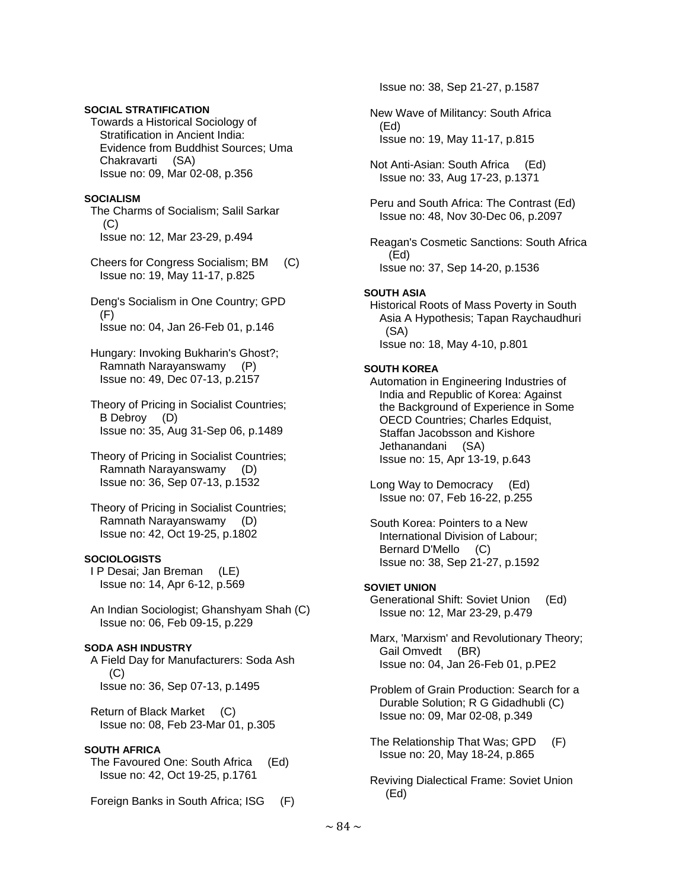## **SOCIAL STRATIFICATION**

 Towards a Historical Sociology of Stratification in Ancient India: Evidence from Buddhist Sources; Uma Chakravarti (SA) Issue no: 09, Mar 02-08, p.356

#### **SOCIALISM**

 The Charms of Socialism; Salil Sarkar (C) Issue no: 12, Mar 23-29, p.494

 Cheers for Congress Socialism; BM (C) Issue no: 19, May 11-17, p.825

 Deng's Socialism in One Country; GPD  $(F)$ Issue no: 04, Jan 26-Feb 01, p.146

 Hungary: Invoking Bukharin's Ghost?; Ramnath Narayanswamy (P) Issue no: 49, Dec 07-13, p.2157

 Theory of Pricing in Socialist Countries; B Debroy (D) Issue no: 35, Aug 31-Sep 06, p.1489

 Theory of Pricing in Socialist Countries; Ramnath Narayanswamy (D) Issue no: 36, Sep 07-13, p.1532

 Theory of Pricing in Socialist Countries; Ramnath Narayanswamy (D) Issue no: 42, Oct 19-25, p.1802

#### **SOCIOLOGISTS**

 I P Desai; Jan Breman (LE) Issue no: 14, Apr 6-12, p.569

 An Indian Sociologist; Ghanshyam Shah (C) Issue no: 06, Feb 09-15, p.229

#### **SODA ASH INDUSTRY**

 A Field Day for Manufacturers: Soda Ash  $(C)$ Issue no: 36, Sep 07-13, p.1495

 Return of Black Market (C) Issue no: 08, Feb 23-Mar 01, p.305

#### **SOUTH AFRICA**

 The Favoured One: South Africa (Ed) Issue no: 42, Oct 19-25, p.1761

Foreign Banks in South Africa; ISG (F)

Issue no: 38, Sep 21-27, p.1587

- New Wave of Militancy: South Africa (Ed) Issue no: 19, May 11-17, p.815
- Not Anti-Asian: South Africa (Ed) Issue no: 33, Aug 17-23, p.1371
- Peru and South Africa: The Contrast (Ed) Issue no: 48, Nov 30-Dec 06, p.2097

 Reagan's Cosmetic Sanctions: South Africa (Ed) Issue no: 37, Sep 14-20, p.1536

#### **SOUTH ASIA**

 Historical Roots of Mass Poverty in South Asia A Hypothesis; Tapan Raychaudhuri (SA) Issue no: 18, May 4-10, p.801

#### **SOUTH KOREA**

 Automation in Engineering Industries of India and Republic of Korea: Against the Background of Experience in Some OECD Countries; Charles Edquist, Staffan Jacobsson and Kishore Jethanandani (SA) Issue no: 15, Apr 13-19, p.643

 Long Way to Democracy (Ed) Issue no: 07, Feb 16-22, p.255

 South Korea: Pointers to a New International Division of Labour; Bernard D'Mello (C) Issue no: 38, Sep 21-27, p.1592

#### **SOVIET UNION**

 Generational Shift: Soviet Union (Ed) Issue no: 12, Mar 23-29, p.479

 Marx, 'Marxism' and Revolutionary Theory; Gail Omvedt (BR) Issue no: 04, Jan 26-Feb 01, p.PE2

 Problem of Grain Production: Search for a Durable Solution; R G Gidadhubli (C) Issue no: 09, Mar 02-08, p.349

 The Relationship That Was; GPD (F) Issue no: 20, May 18-24, p.865

 Reviving Dialectical Frame: Soviet Union (Ed)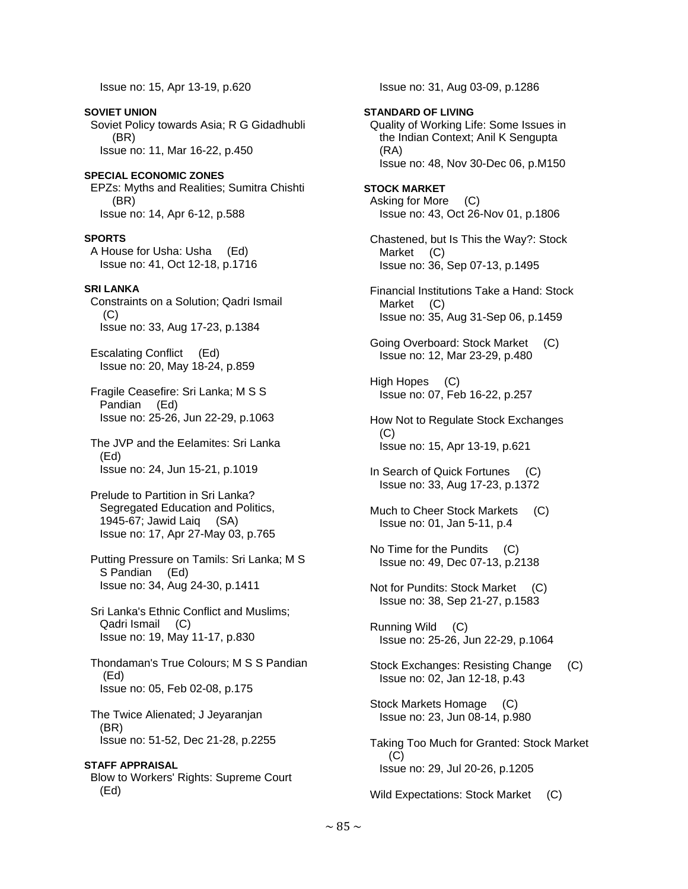Issue no: 15, Apr 13-19, p.620

**SOVIET UNION**  Soviet Policy towards Asia; R G Gidadhubli (BR) Issue no: 11, Mar 16-22, p.450

**SPECIAL ECONOMIC ZONES**  EPZs: Myths and Realities; Sumitra Chishti (BR) Issue no: 14, Apr 6-12, p.588

#### **SPORTS**

 A House for Usha: Usha (Ed) Issue no: 41, Oct 12-18, p.1716

#### **SRI LANKA**

 Constraints on a Solution; Qadri Ismail (C) Issue no: 33, Aug 17-23, p.1384

 Escalating Conflict (Ed) Issue no: 20, May 18-24, p.859

- Fragile Ceasefire: Sri Lanka; M S S Pandian (Ed) Issue no: 25-26, Jun 22-29, p.1063
- The JVP and the Eelamites: Sri Lanka (Ed) Issue no: 24, Jun 15-21, p.1019
- Prelude to Partition in Sri Lanka? Segregated Education and Politics. 1945-67; Jawid Laiq (SA) Issue no: 17, Apr 27-May 03, p.765
- Putting Pressure on Tamils: Sri Lanka; M S S Pandian (Ed) Issue no: 34, Aug 24-30, p.1411
- Sri Lanka's Ethnic Conflict and Muslims; Qadri Ismail (C) Issue no: 19, May 11-17, p.830
- Thondaman's True Colours; M S S Pandian (Ed) Issue no: 05, Feb 02-08, p.175
- The Twice Alienated; J Jeyaranjan (BR) Issue no: 51-52, Dec 21-28, p.2255

**STAFF APPRAISAL**  Blow to Workers' Rights: Supreme Court (Ed)

Issue no: 31, Aug 03-09, p.1286

## **STANDARD OF LIVING**  Quality of Working Life: Some Issues in the Indian Context; Anil K Sengupta (RA) Issue no: 48, Nov 30-Dec 06, p.M150

- **STOCK MARKET**  Asking for More (C) Issue no: 43, Oct 26-Nov 01, p.1806
- Chastened, but Is This the Way?: Stock Market (C) Issue no: 36, Sep 07-13, p.1495
- Financial Institutions Take a Hand: Stock Market (C) Issue no: 35, Aug 31-Sep 06, p.1459
- Going Overboard: Stock Market (C) Issue no: 12, Mar 23-29, p.480
- High Hopes (C) Issue no: 07, Feb 16-22, p.257
- How Not to Regulate Stock Exchanges  $(C)$ Issue no: 15, Apr 13-19, p.621
- In Search of Quick Fortunes (C) Issue no: 33, Aug 17-23, p.1372
- Much to Cheer Stock Markets (C) Issue no: 01, Jan 5-11, p.4
- No Time for the Pundits (C) Issue no: 49, Dec 07-13, p.2138
- Not for Pundits: Stock Market (C) Issue no: 38, Sep 21-27, p.1583
- Running Wild (C) Issue no: 25-26, Jun 22-29, p.1064
- Stock Exchanges: Resisting Change (C) Issue no: 02, Jan 12-18, p.43
- Stock Markets Homage (C) Issue no: 23, Jun 08-14, p.980
- Taking Too Much for Granted: Stock Market  $(C)$ Issue no: 29, Jul 20-26, p.1205

Wild Expectations: Stock Market (C)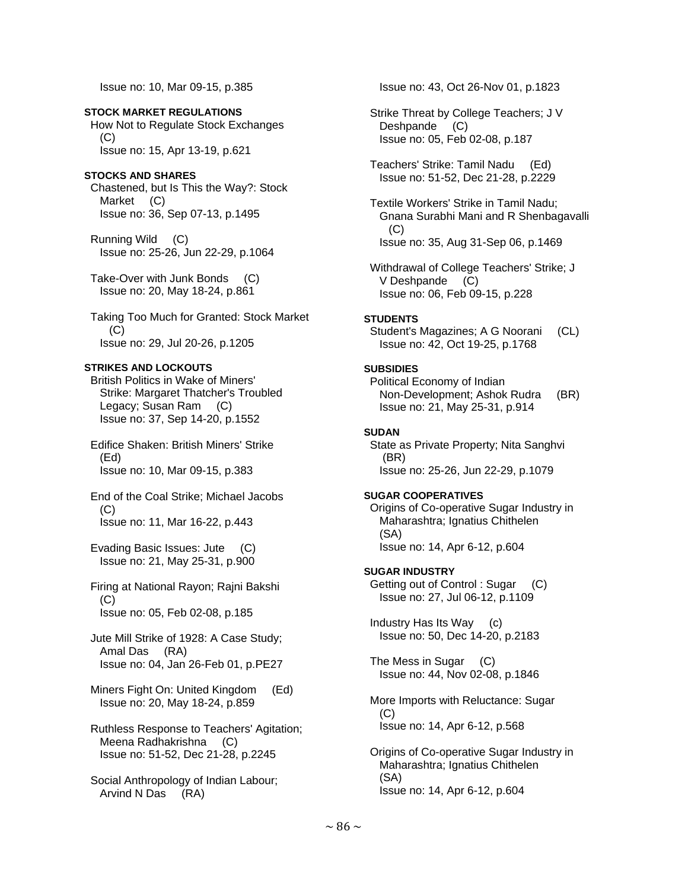Issue no: 10, Mar 09-15, p.385

**STOCK MARKET REGULATIONS**  How Not to Regulate Stock Exchanges  $(C)$ Issue no: 15, Apr 13-19, p.621

## **STOCKS AND SHARES**

 Chastened, but Is This the Way?: Stock Market (C) Issue no: 36, Sep 07-13, p.1495

 Running Wild (C) Issue no: 25-26, Jun 22-29, p.1064

 Take-Over with Junk Bonds (C) Issue no: 20, May 18-24, p.861

 Taking Too Much for Granted: Stock Market (C) Issue no: 29, Jul 20-26, p.1205

## **STRIKES AND LOCKOUTS**

 British Politics in Wake of Miners' Strike: Margaret Thatcher's Troubled Legacy; Susan Ram (C) Issue no: 37, Sep 14-20, p.1552

 Edifice Shaken: British Miners' Strike (Ed) Issue no: 10, Mar 09-15, p.383

 End of the Coal Strike; Michael Jacobs (C) Issue no: 11, Mar 16-22, p.443

 Evading Basic Issues: Jute (C) Issue no: 21, May 25-31, p.900

 Firing at National Rayon; Rajni Bakshi (C) Issue no: 05, Feb 02-08, p.185

 Jute Mill Strike of 1928: A Case Study; Amal Das (RA) Issue no: 04, Jan 26-Feb 01, p.PE27

 Miners Fight On: United Kingdom (Ed) Issue no: 20, May 18-24, p.859

 Ruthless Response to Teachers' Agitation; Meena Radhakrishna (C) Issue no: 51-52, Dec 21-28, p.2245

 Social Anthropology of Indian Labour; Arvind N Das (RA)

Issue no: 43, Oct 26-Nov 01, p.1823

 Strike Threat by College Teachers; J V Deshpande (C) Issue no: 05, Feb 02-08, p.187

 Teachers' Strike: Tamil Nadu (Ed) Issue no: 51-52, Dec 21-28, p.2229

 Textile Workers' Strike in Tamil Nadu; Gnana Surabhi Mani and R Shenbagavalli (C) Issue no: 35, Aug 31-Sep 06, p.1469

 Withdrawal of College Teachers' Strike; J V Deshpande (C) Issue no: 06, Feb 09-15, p.228

## **STUDENTS**

 Student's Magazines; A G Noorani (CL) Issue no: 42, Oct 19-25, p.1768

## **SUBSIDIES**

 Political Economy of Indian Non-Development; Ashok Rudra (BR) Issue no: 21, May 25-31, p.914

## **SUDAN**

 State as Private Property; Nita Sanghvi (BR) Issue no: 25-26, Jun 22-29, p.1079

## **SUGAR COOPERATIVES**

 Origins of Co-operative Sugar Industry in Maharashtra; Ignatius Chithelen (SA) Issue no: 14, Apr 6-12, p.604

## **SUGAR INDUSTRY**

 Getting out of Control : Sugar (C) Issue no: 27, Jul 06-12, p.1109

 Industry Has Its Way (c) Issue no: 50, Dec 14-20, p.2183

 The Mess in Sugar (C) Issue no: 44, Nov 02-08, p.1846

 More Imports with Reluctance: Sugar (C) Issue no: 14, Apr 6-12, p.568

 Origins of Co-operative Sugar Industry in Maharashtra; Ignatius Chithelen (SA) Issue no: 14, Apr 6-12, p.604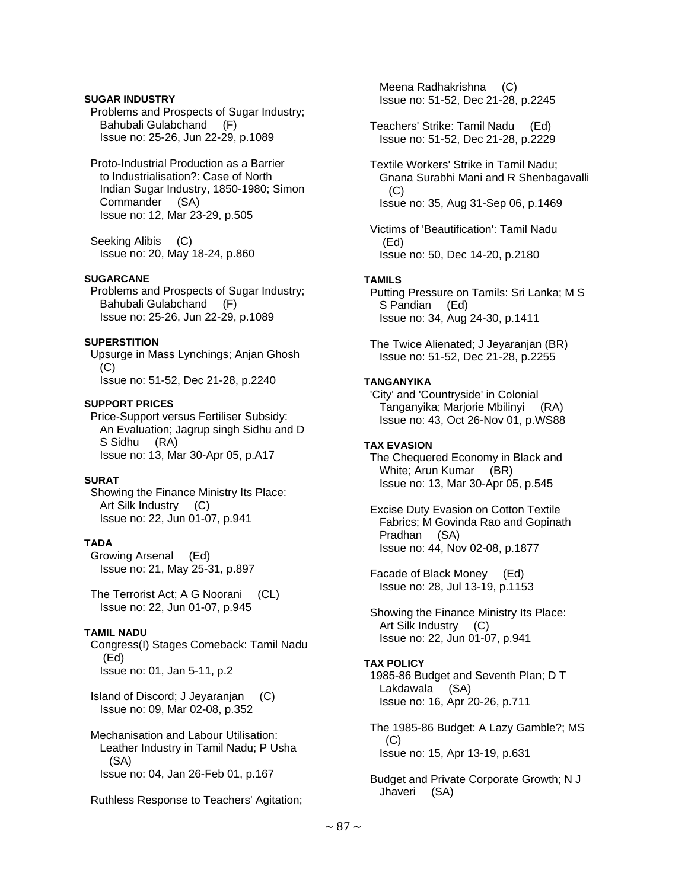## **SUGAR INDUSTRY**

 Problems and Prospects of Sugar Industry; Bahubali Gulabchand (F) Issue no: 25-26, Jun 22-29, p.1089

 Proto-Industrial Production as a Barrier to Industrialisation?: Case of North Indian Sugar Industry, 1850-1980; Simon Commander (SA) Issue no: 12, Mar 23-29, p.505

 Seeking Alibis (C) Issue no: 20, May 18-24, p.860

## **SUGARCANE**

 Problems and Prospects of Sugar Industry; Bahubali Gulabchand (F) Issue no: 25-26, Jun 22-29, p.1089

## **SUPERSTITION**

 Upsurge in Mass Lynchings; Anjan Ghosh (C) Issue no: 51-52, Dec 21-28, p.2240

## **SUPPORT PRICES**

 Price-Support versus Fertiliser Subsidy: An Evaluation; Jagrup singh Sidhu and D S Sidhu (RA) Issue no: 13, Mar 30-Apr 05, p.A17

## **SURAT**

 Showing the Finance Ministry Its Place: Art Silk Industry (C) Issue no: 22, Jun 01-07, p.941

# **TADA**

 Growing Arsenal (Ed) Issue no: 21, May 25-31, p.897

 The Terrorist Act; A G Noorani (CL) Issue no: 22, Jun 01-07, p.945

## **TAMIL NADU**

 Congress(I) Stages Comeback: Tamil Nadu (Ed) Issue no: 01, Jan 5-11, p.2

 Island of Discord; J Jeyaranjan (C) Issue no: 09, Mar 02-08, p.352

 Mechanisation and Labour Utilisation: Leather Industry in Tamil Nadu; P Usha (SA) Issue no: 04, Jan 26-Feb 01, p.167

Ruthless Response to Teachers' Agitation;

 Meena Radhakrishna (C) Issue no: 51-52, Dec 21-28, p.2245

 Teachers' Strike: Tamil Nadu (Ed) Issue no: 51-52, Dec 21-28, p.2229

 Textile Workers' Strike in Tamil Nadu; Gnana Surabhi Mani and R Shenbagavalli (C) Issue no: 35, Aug 31-Sep 06, p.1469

 Victims of 'Beautification': Tamil Nadu (Ed) Issue no: 50, Dec 14-20, p.2180

## **TAMILS**

 Putting Pressure on Tamils: Sri Lanka; M S S Pandian (Ed) Issue no: 34, Aug 24-30, p.1411

 The Twice Alienated; J Jeyaranjan (BR) Issue no: 51-52, Dec 21-28, p.2255

## **TANGANYIKA**

 'City' and 'Countryside' in Colonial Tanganyika; Marjorie Mbilinyi (RA) Issue no: 43, Oct 26-Nov 01, p.WS88

## **TAX EVASION**

 The Chequered Economy in Black and White; Arun Kumar (BR) Issue no: 13, Mar 30-Apr 05, p.545

 Excise Duty Evasion on Cotton Textile Fabrics; M Govinda Rao and Gopinath Pradhan (SA) Issue no: 44, Nov 02-08, p.1877

 Facade of Black Money (Ed) Issue no: 28, Jul 13-19, p.1153

 Showing the Finance Ministry Its Place: Art Silk Industry (C) Issue no: 22, Jun 01-07, p.941

## **TAX POLICY**

 1985-86 Budget and Seventh Plan; D T Lakdawala (SA) Issue no: 16, Apr 20-26, p.711

 The 1985-86 Budget: A Lazy Gamble?; MS (C) Issue no: 15, Apr 13-19, p.631

 Budget and Private Corporate Growth; N J Jhaveri (SA)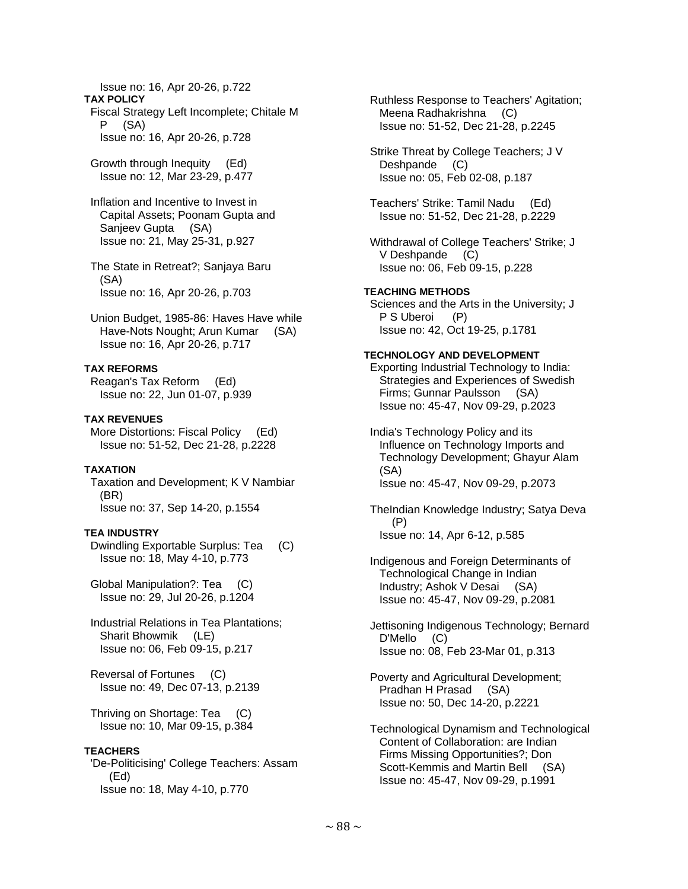Issue no: 16, Apr 20-26, p.722 **TAX POLICY**  Fiscal Strategy Left Incomplete; Chitale M P (SA) Issue no: 16, Apr 20-26, p.728

 Growth through Inequity (Ed) Issue no: 12, Mar 23-29, p.477

 Inflation and Incentive to Invest in Capital Assets; Poonam Gupta and Sanjeev Gupta (SA) Issue no: 21, May 25-31, p.927

 The State in Retreat?; Sanjaya Baru (SA) Issue no: 16, Apr 20-26, p.703

 Union Budget, 1985-86: Haves Have while Have-Nots Nought; Arun Kumar (SA) Issue no: 16, Apr 20-26, p.717

## **TAX REFORMS**

 Reagan's Tax Reform (Ed) Issue no: 22, Jun 01-07, p.939

**TAX REVENUES** 

 More Distortions: Fiscal Policy (Ed) Issue no: 51-52, Dec 21-28, p.2228

## **TAXATION**

 Taxation and Development; K V Nambiar (BR) Issue no: 37, Sep 14-20, p.1554

## **TEA INDUSTRY**

 Dwindling Exportable Surplus: Tea (C) Issue no: 18, May 4-10, p.773

 Global Manipulation?: Tea (C) Issue no: 29, Jul 20-26, p.1204

 Industrial Relations in Tea Plantations; Sharit Bhowmik (LE) Issue no: 06, Feb 09-15, p.217

 Reversal of Fortunes (C) Issue no: 49, Dec 07-13, p.2139

 Thriving on Shortage: Tea (C) Issue no: 10, Mar 09-15, p.384

## **TEACHERS**

 'De-Politicising' College Teachers: Assam (Ed) Issue no: 18, May 4-10, p.770

 Ruthless Response to Teachers' Agitation; Meena Radhakrishna (C) Issue no: 51-52, Dec 21-28, p.2245

 Strike Threat by College Teachers; J V Deshpande (C) Issue no: 05, Feb 02-08, p.187

 Teachers' Strike: Tamil Nadu (Ed) Issue no: 51-52, Dec 21-28, p.2229

 Withdrawal of College Teachers' Strike; J V Deshpande (C) Issue no: 06, Feb 09-15, p.228

#### **TEACHING METHODS**

 Sciences and the Arts in the University; J P S Uberoi (P) Issue no: 42, Oct 19-25, p.1781

## **TECHNOLOGY AND DEVELOPMENT**

 Exporting Industrial Technology to India: Strategies and Experiences of Swedish Firms; Gunnar Paulsson (SA) Issue no: 45-47, Nov 09-29, p.2023

 India's Technology Policy and its Influence on Technology Imports and Technology Development; Ghayur Alam (SA) Issue no: 45-47, Nov 09-29, p.2073

 TheIndian Knowledge Industry; Satya Deva (P) Issue no: 14, Apr 6-12, p.585

 Indigenous and Foreign Determinants of Technological Change in Indian Industry; Ashok V Desai (SA) Issue no: 45-47, Nov 09-29, p.2081

 Jettisoning Indigenous Technology; Bernard D'Mello (C) Issue no: 08, Feb 23-Mar 01, p.313

 Poverty and Agricultural Development; Pradhan H Prasad (SA) Issue no: 50, Dec 14-20, p.2221

 Technological Dynamism and Technological Content of Collaboration: are Indian Firms Missing Opportunities?; Don Scott-Kemmis and Martin Bell (SA) Issue no: 45-47, Nov 09-29, p.1991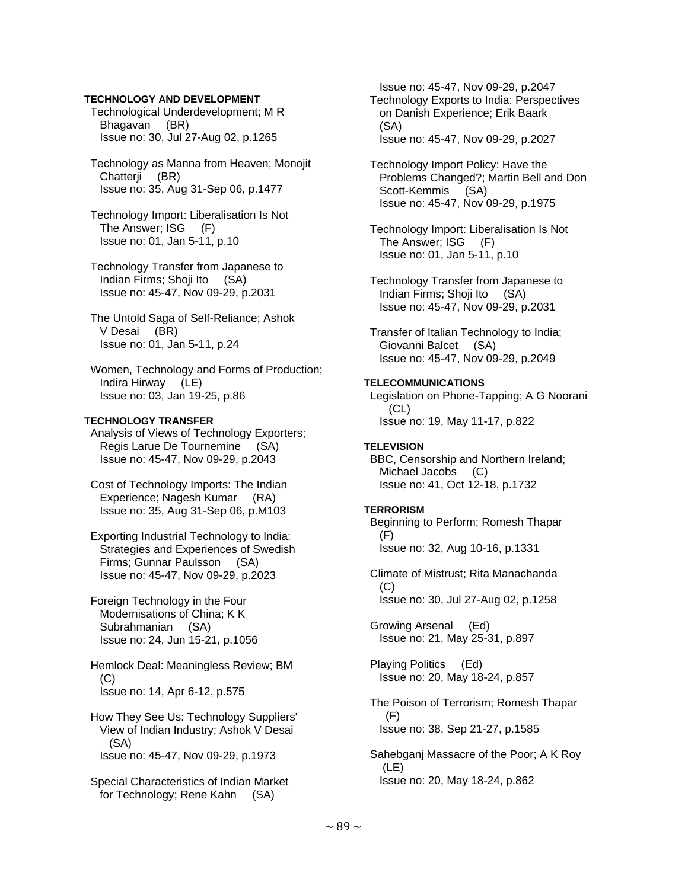## **TECHNOLOGY AND DEVELOPMENT**

 Technological Underdevelopment; M R Bhagavan (BR) Issue no: 30, Jul 27-Aug 02, p.1265

- Technology as Manna from Heaven; Monojit Chatterji (BR) Issue no: 35, Aug 31-Sep 06, p.1477
- Technology Import: Liberalisation Is Not The Answer; ISG (F) Issue no: 01, Jan 5-11, p.10
- Technology Transfer from Japanese to Indian Firms; Shoji Ito (SA) Issue no: 45-47, Nov 09-29, p.2031
- The Untold Saga of Self-Reliance; Ashok V Desai (BR) Issue no: 01, Jan 5-11, p.24
- Women, Technology and Forms of Production; Indira Hirway (LE) Issue no: 03, Jan 19-25, p.86

## **TECHNOLOGY TRANSFER**

 Analysis of Views of Technology Exporters; Regis Larue De Tournemine (SA) Issue no: 45-47, Nov 09-29, p.2043

- Cost of Technology Imports: The Indian Experience; Nagesh Kumar (RA) Issue no: 35, Aug 31-Sep 06, p.M103
- Exporting Industrial Technology to India: Strategies and Experiences of Swedish Firms; Gunnar Paulsson (SA) Issue no: 45-47, Nov 09-29, p.2023
- Foreign Technology in the Four Modernisations of China; K K Subrahmanian (SA) Issue no: 24, Jun 15-21, p.1056

 Hemlock Deal: Meaningless Review; BM (C) Issue no: 14, Apr 6-12, p.575

 How They See Us: Technology Suppliers' View of Indian Industry; Ashok V Desai (SA) Issue no: 45-47, Nov 09-29, p.1973

 Special Characteristics of Indian Market for Technology; Rene Kahn (SA)

 Issue no: 45-47, Nov 09-29, p.2047 Technology Exports to India: Perspectives on Danish Experience; Erik Baark (SA) Issue no: 45-47, Nov 09-29, p.2027

- Technology Import Policy: Have the Problems Changed?; Martin Bell and Don Scott-Kemmis (SA) Issue no: 45-47, Nov 09-29, p.1975
- Technology Import: Liberalisation Is Not The Answer; ISG (F) Issue no: 01, Jan 5-11, p.10
- Technology Transfer from Japanese to Indian Firms; Shoji Ito (SA) Issue no: 45-47, Nov 09-29, p.2031

 Transfer of Italian Technology to India; Giovanni Balcet (SA) Issue no: 45-47, Nov 09-29, p.2049

## **TELECOMMUNICATIONS**

 Legislation on Phone-Tapping; A G Noorani (CL) Issue no: 19, May 11-17, p.822

#### **TELEVISION**

 BBC, Censorship and Northern Ireland; Michael Jacobs (C) Issue no: 41, Oct 12-18, p.1732

#### **TERRORISM**

 Beginning to Perform; Romesh Thapar  $(F)$ Issue no: 32, Aug 10-16, p.1331

 Climate of Mistrust; Rita Manachanda  $(C)$ Issue no: 30, Jul 27-Aug 02, p.1258

 Growing Arsenal (Ed) Issue no: 21, May 25-31, p.897

 Playing Politics (Ed) Issue no: 20, May 18-24, p.857

 The Poison of Terrorism; Romesh Thapar (F) Issue no: 38, Sep 21-27, p.1585

 Sahebganj Massacre of the Poor; A K Roy (LE) Issue no: 20, May 18-24, p.862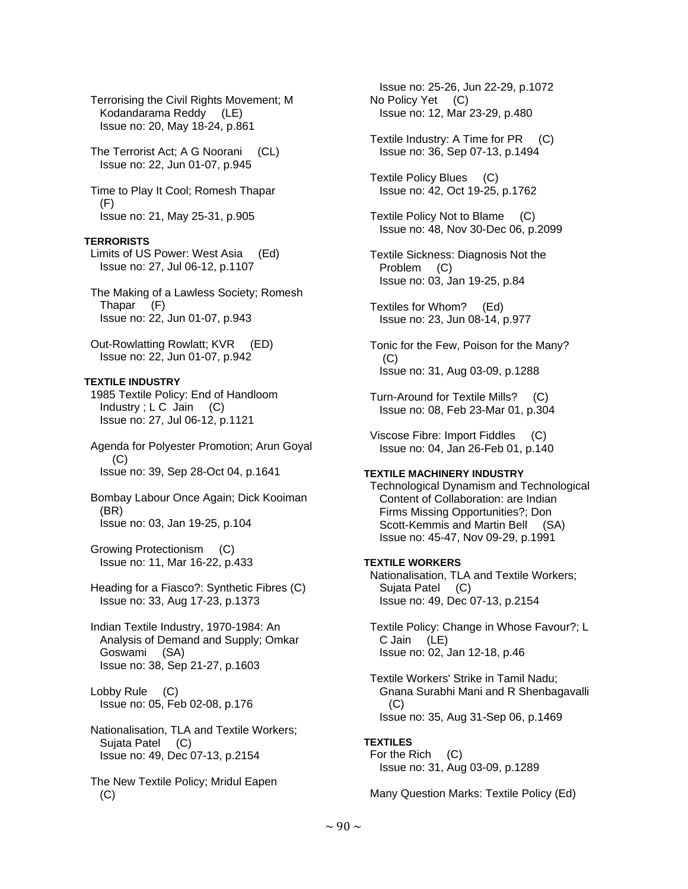Terrorising the Civil Rights Movement; M Kodandarama Reddy (LE) Issue no: 20, May 18-24, p.861

 The Terrorist Act; A G Noorani (CL) Issue no: 22, Jun 01-07, p.945

 Time to Play It Cool; Romesh Thapar (F) Issue no: 21, May 25-31, p.905

## **TERRORISTS**

 Limits of US Power: West Asia (Ed) Issue no: 27, Jul 06-12, p.1107

 The Making of a Lawless Society; Romesh Thapar (F) Issue no: 22, Jun 01-07, p.943

 Out-Rowlatting Rowlatt; KVR (ED) Issue no: 22, Jun 01-07, p.942

## **TEXTILE INDUSTRY**

 1985 Textile Policy: End of Handloom Industry;  $LC$  Jain  $(C)$ Issue no: 27, Jul 06-12, p.1121

 Agenda for Polyester Promotion; Arun Goyal  $(C)$ Issue no: 39, Sep 28-Oct 04, p.1641

 Bombay Labour Once Again; Dick Kooiman (BR) Issue no: 03, Jan 19-25, p.104

 Growing Protectionism (C) Issue no: 11, Mar 16-22, p.433

 Heading for a Fiasco?: Synthetic Fibres (C) Issue no: 33, Aug 17-23, p.1373

 Indian Textile Industry, 1970-1984: An Analysis of Demand and Supply; Omkar Goswami (SA) Issue no: 38, Sep 21-27, p.1603

 Lobby Rule (C) Issue no: 05, Feb 02-08, p.176

 Nationalisation, TLA and Textile Workers; Sujata Patel (C) Issue no: 49, Dec 07-13, p.2154

 The New Textile Policy; Mridul Eapen  $(C)$ 

 Issue no: 25-26, Jun 22-29, p.1072 No Policy Yet (C) Issue no: 12, Mar 23-29, p.480

 Textile Industry: A Time for PR (C) Issue no: 36, Sep 07-13, p.1494

 Textile Policy Blues (C) Issue no: 42, Oct 19-25, p.1762

 Textile Policy Not to Blame (C) Issue no: 48, Nov 30-Dec 06, p.2099

 Textile Sickness: Diagnosis Not the Problem (C) Issue no: 03, Jan 19-25, p.84

 Textiles for Whom? (Ed) Issue no: 23, Jun 08-14, p.977

 Tonic for the Few, Poison for the Many?  $(C)$ Issue no: 31, Aug 03-09, p.1288

 Turn-Around for Textile Mills? (C) Issue no: 08, Feb 23-Mar 01, p.304

 Viscose Fibre: Import Fiddles (C) Issue no: 04, Jan 26-Feb 01, p.140

#### **TEXTILE MACHINERY INDUSTRY**

 Technological Dynamism and Technological Content of Collaboration: are Indian Firms Missing Opportunities?; Don Scott-Kemmis and Martin Bell (SA) Issue no: 45-47, Nov 09-29, p.1991

## **TEXTILE WORKERS**

 Nationalisation, TLA and Textile Workers; Sujata Patel (C) Issue no: 49, Dec 07-13, p.2154

 Textile Policy: Change in Whose Favour?; L C Jain (LE) Issue no: 02, Jan 12-18, p.46

 Textile Workers' Strike in Tamil Nadu; Gnana Surabhi Mani and R Shenbagavalli (C) Issue no: 35, Aug 31-Sep 06, p.1469

## **TEXTILES**

 For the Rich (C) Issue no: 31, Aug 03-09, p.1289

Many Question Marks: Textile Policy (Ed)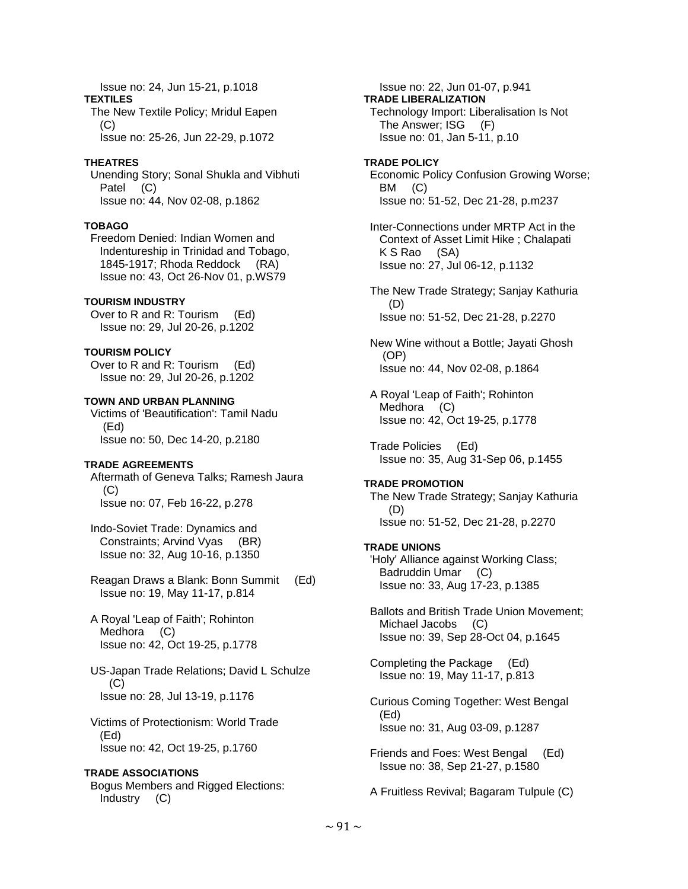Issue no: 24, Jun 15-21, p.1018 **TEXTILES**  The New Textile Policy; Mridul Eapen (C) Issue no: 25-26, Jun 22-29, p.1072

#### **THEATRES**

 Unending Story; Sonal Shukla and Vibhuti Patel (C) Issue no: 44, Nov 02-08, p.1862

## **TOBAGO**

 Freedom Denied: Indian Women and Indentureship in Trinidad and Tobago, 1845-1917; Rhoda Reddock (RA) Issue no: 43, Oct 26-Nov 01, p.WS79

#### **TOURISM INDUSTRY**

 Over to R and R: Tourism (Ed) Issue no: 29, Jul 20-26, p.1202

#### **TOURISM POLICY**

 Over to R and R: Tourism (Ed) Issue no: 29, Jul 20-26, p.1202

**TOWN AND URBAN PLANNING**  Victims of 'Beautification': Tamil Nadu (Ed) Issue no: 50, Dec 14-20, p.2180

## **TRADE AGREEMENTS**

 Aftermath of Geneva Talks; Ramesh Jaura  $(C)$ Issue no: 07, Feb 16-22, p.278

 Indo-Soviet Trade: Dynamics and Constraints; Arvind Vyas (BR) Issue no: 32, Aug 10-16, p.1350

 Reagan Draws a Blank: Bonn Summit (Ed) Issue no: 19, May 11-17, p.814

 A Royal 'Leap of Faith'; Rohinton Medhora (C) Issue no: 42, Oct 19-25, p.1778

 US-Japan Trade Relations; David L Schulze  $(C)$ Issue no: 28, Jul 13-19, p.1176

 Victims of Protectionism: World Trade (Ed) Issue no: 42, Oct 19-25, p.1760

#### **TRADE ASSOCIATIONS**

 Bogus Members and Rigged Elections: Industry (C)

 Issue no: 22, Jun 01-07, p.941 **TRADE LIBERALIZATION**  Technology Import: Liberalisation Is Not The Answer; ISG (F) Issue no: 01, Jan 5-11, p.10

**TRADE POLICY**  Economic Policy Confusion Growing Worse; BM (C) Issue no: 51-52, Dec 21-28, p.m237

 Inter-Connections under MRTP Act in the Context of Asset Limit Hike ; Chalapati K S Rao (SA) Issue no: 27, Jul 06-12, p.1132

 The New Trade Strategy; Sanjay Kathuria (D) Issue no: 51-52, Dec 21-28, p.2270

 New Wine without a Bottle; Jayati Ghosh (OP) Issue no: 44, Nov 02-08, p.1864

 A Royal 'Leap of Faith'; Rohinton Medhora (C) Issue no: 42, Oct 19-25, p.1778

 Trade Policies (Ed) Issue no: 35, Aug 31-Sep 06, p.1455

#### **TRADE PROMOTION**

 The New Trade Strategy; Sanjay Kathuria (D) Issue no: 51-52, Dec 21-28, p.2270

#### **TRADE UNIONS**

 'Holy' Alliance against Working Class; Badruddin Umar (C) Issue no: 33, Aug 17-23, p.1385

 Ballots and British Trade Union Movement; Michael Jacobs (C) Issue no: 39, Sep 28-Oct 04, p.1645

 Completing the Package (Ed) Issue no: 19, May 11-17, p.813

 Curious Coming Together: West Bengal (Ed) Issue no: 31, Aug 03-09, p.1287

 Friends and Foes: West Bengal (Ed) Issue no: 38, Sep 21-27, p.1580

A Fruitless Revival; Bagaram Tulpule (C)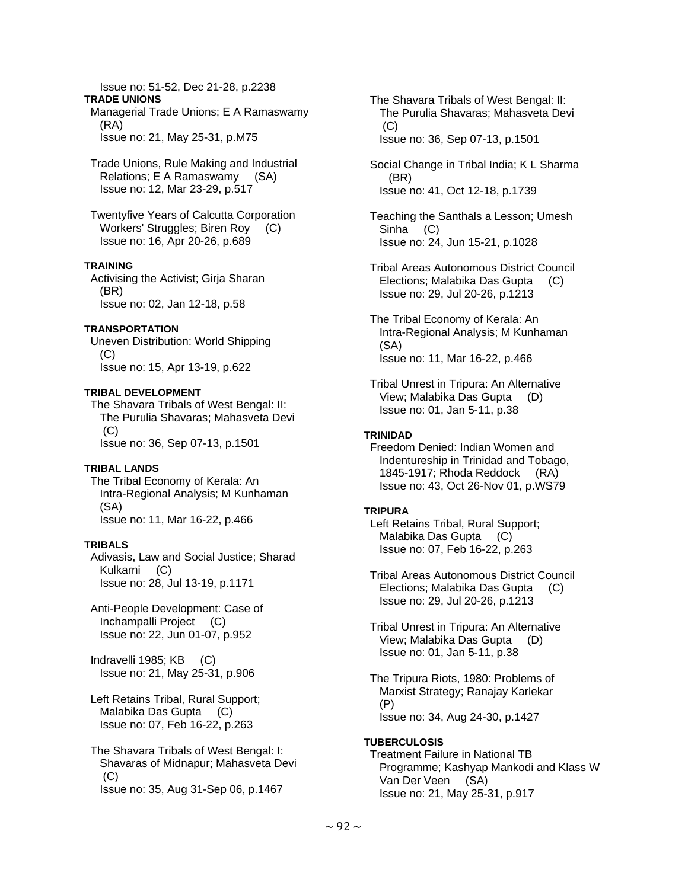Issue no: 51-52, Dec 21-28, p.2238 **TRADE UNIONS**  Managerial Trade Unions; E A Ramaswamy

 (RA) Issue no: 21, May 25-31, p.M75

 Trade Unions, Rule Making and Industrial Relations; E A Ramaswamy (SA) Issue no: 12, Mar 23-29, p.517

 Twentyfive Years of Calcutta Corporation Workers' Struggles; Biren Roy (C) Issue no: 16, Apr 20-26, p.689

## **TRAINING**

 Activising the Activist; Girja Sharan (BR) Issue no: 02, Jan 12-18, p.58

## **TRANSPORTATION**

 Uneven Distribution: World Shipping (C) Issue no: 15, Apr 13-19, p.622

## **TRIBAL DEVELOPMENT**

 The Shavara Tribals of West Bengal: II: The Purulia Shavaras; Mahasveta Devi (C) Issue no: 36, Sep 07-13, p.1501

## **TRIBAL LANDS**

 The Tribal Economy of Kerala: An Intra-Regional Analysis; M Kunhaman (SA) Issue no: 11, Mar 16-22, p.466

## **TRIBALS**

 Adivasis, Law and Social Justice; Sharad Kulkarni (C) Issue no: 28, Jul 13-19, p.1171

 Anti-People Development: Case of Inchampalli Project (C) Issue no: 22, Jun 01-07, p.952

 Indravelli 1985; KB (C) Issue no: 21, May 25-31, p.906

 Left Retains Tribal, Rural Support; Malabika Das Gupta (C) Issue no: 07, Feb 16-22, p.263

 The Shavara Tribals of West Bengal: I: Shavaras of Midnapur; Mahasveta Devi (C) Issue no: 35, Aug 31-Sep 06, p.1467

 The Shavara Tribals of West Bengal: II: The Purulia Shavaras; Mahasveta Devi  $(C)$ Issue no: 36, Sep 07-13, p.1501

 Social Change in Tribal India; K L Sharma (BR) Issue no: 41, Oct 12-18, p.1739

 Teaching the Santhals a Lesson; Umesh Sinha (C) Issue no: 24, Jun 15-21, p.1028

 Tribal Areas Autonomous District Council Elections; Malabika Das Gupta (C) Issue no: 29, Jul 20-26, p.1213

 The Tribal Economy of Kerala: An Intra-Regional Analysis; M Kunhaman (SA) Issue no: 11, Mar 16-22, p.466

# **TRINIDAD**

 Freedom Denied: Indian Women and Indentureship in Trinidad and Tobago, 1845-1917; Rhoda Reddock (RA) Issue no: 43, Oct 26-Nov 01, p.WS79

## **TRIPURA**

 Left Retains Tribal, Rural Support; Malabika Das Gupta (C) Issue no: 07, Feb 16-22, p.263

 Tribal Areas Autonomous District Council Elections; Malabika Das Gupta (C) Issue no: 29, Jul 20-26, p.1213

 Tribal Unrest in Tripura: An Alternative View; Malabika Das Gupta (D) Issue no: 01, Jan 5-11, p.38

 The Tripura Riots, 1980: Problems of Marxist Strategy; Ranajay Karlekar (P) Issue no: 34, Aug 24-30, p.1427

# **TUBERCULOSIS**

 Treatment Failure in National TB Programme; Kashyap Mankodi and Klass W Van Der Veen (SA) Issue no: 21, May 25-31, p.917

Tribal Unrest in Tripura: An Alternative View; Malabika Das Gupta (D) Issue no: 01, Jan 5-11, p.38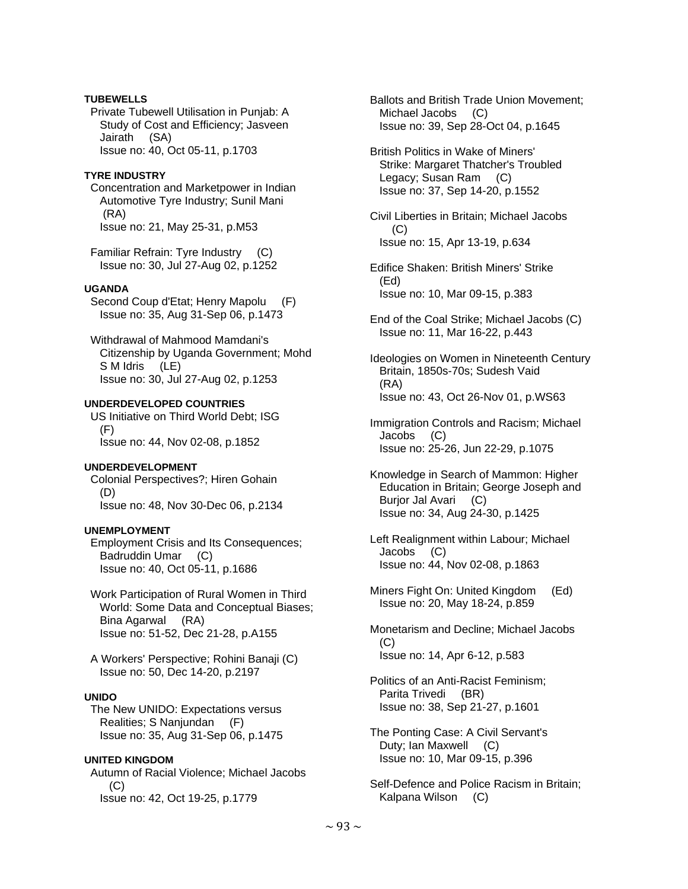## **TUBEWELLS**

 Private Tubewell Utilisation in Punjab: A Study of Cost and Efficiency; Jasveen Jairath (SA) Issue no: 40, Oct 05-11, p.1703

## **TYRE INDUSTRY**

 Concentration and Marketpower in Indian Automotive Tyre Industry; Sunil Mani (RA) Issue no: 21, May 25-31, p.M53

 Familiar Refrain: Tyre Industry (C) Issue no: 30, Jul 27-Aug 02, p.1252

## **UGANDA**

 Second Coup d'Etat; Henry Mapolu (F) Issue no: 35, Aug 31-Sep 06, p.1473

 Withdrawal of Mahmood Mamdani's Citizenship by Uganda Government; Mohd S M Idris (LE) Issue no: 30, Jul 27-Aug 02, p.1253

## **UNDERDEVELOPED COUNTRIES**

 US Initiative on Third World Debt; ISG (F) Issue no: 44, Nov 02-08, p.1852

#### **UNDERDEVELOPMENT**

 Colonial Perspectives?; Hiren Gohain (D) Issue no: 48, Nov 30-Dec 06, p.2134

## **UNEMPLOYMENT**

 Employment Crisis and Its Consequences; Badruddin Umar (C) Issue no: 40, Oct 05-11, p.1686

 Work Participation of Rural Women in Third World: Some Data and Conceptual Biases; Bina Agarwal (RA) Issue no: 51-52, Dec 21-28, p.A155

 A Workers' Perspective; Rohini Banaji (C) Issue no: 50, Dec 14-20, p.2197

## **UNIDO**

 The New UNIDO: Expectations versus Realities; S Nanjundan (F) Issue no: 35, Aug 31-Sep 06, p.1475

## **UNITED KINGDOM**

 Autumn of Racial Violence; Michael Jacobs  $(C)$ Issue no: 42, Oct 19-25, p.1779

 Ballots and British Trade Union Movement; Michael Jacobs (C) Issue no: 39, Sep 28-Oct 04, p.1645

- British Politics in Wake of Miners' Strike: Margaret Thatcher's Troubled Legacy; Susan Ram (C) Issue no: 37, Sep 14-20, p.1552
- Civil Liberties in Britain; Michael Jacobs  $(C)$ Issue no: 15, Apr 13-19, p.634
- Edifice Shaken: British Miners' Strike (Ed) Issue no: 10, Mar 09-15, p.383
- End of the Coal Strike; Michael Jacobs (C) Issue no: 11, Mar 16-22, p.443

 Ideologies on Women in Nineteenth Century Britain, 1850s-70s; Sudesh Vaid (RA) Issue no: 43, Oct 26-Nov 01, p.WS63

- Immigration Controls and Racism; Michael Jacobs (C) Issue no: 25-26, Jun 22-29, p.1075
- Knowledge in Search of Mammon: Higher Education in Britain; George Joseph and Burjor Jal Avari (C) Issue no: 34, Aug 24-30, p.1425
- Left Realignment within Labour; Michael Jacobs (C) Issue no: 44, Nov 02-08, p.1863
- Miners Fight On: United Kingdom (Ed) Issue no: 20, May 18-24, p.859
- Monetarism and Decline; Michael Jacobs (C) Issue no: 14, Apr 6-12, p.583

 Politics of an Anti-Racist Feminism; Parita Trivedi (BR) Issue no: 38, Sep 21-27, p.1601

 The Ponting Case: A Civil Servant's Duty; Ian Maxwell (C) Issue no: 10, Mar 09-15, p.396

 Self-Defence and Police Racism in Britain; Kalpana Wilson (C)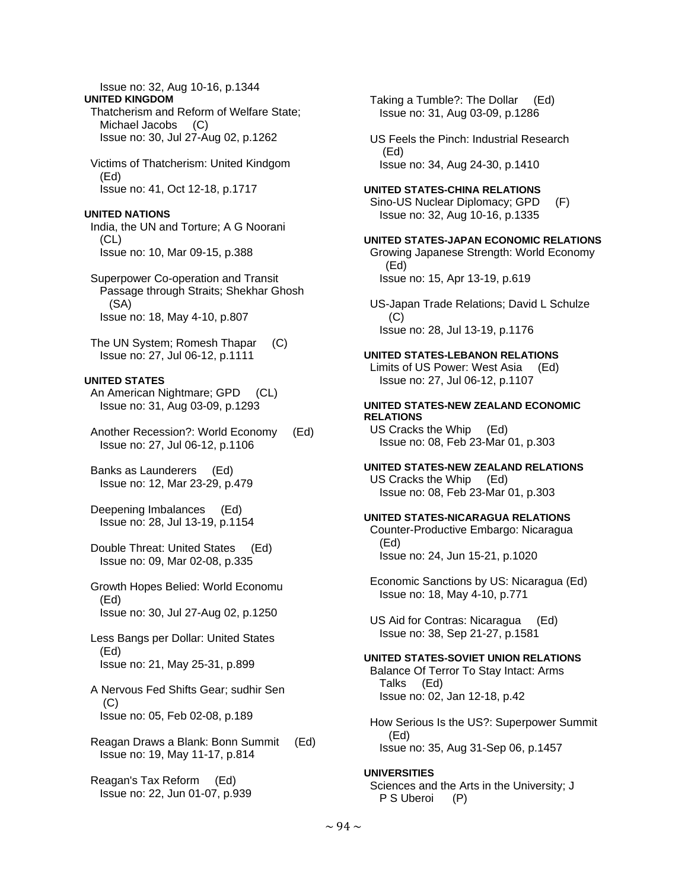Issue no: 32, Aug 10-16, p.1344 Thatcherism and Reform of Welfare State; Michael Jacobs (C) Issue no: 30, Jul 27-Aug 02, p.1262 Victims of Thatcherism: United Kindgom Issue no: 41, Oct 12-18, p.1717 India, the UN and Torture; A G Noorani Issue no: 10, Mar 09-15, p.388 Superpower Co-operation and Transit Passage through Straits; Shekhar Ghosh Issue no: 18, May 4-10, p.807 The UN System; Romesh Thapar (C) Issue no: 27, Jul 06-12, p.1111 An American Nightmare; GPD (CL) Issue no: 31, Aug 03-09, p.1293 Another Recession?: World Economy (Ed) Issue no: 27, Jul 06-12, p.1106 Banks as Launderers (Ed) Issue no: 12, Mar 23-29, p.479 Deepening Imbalances (Ed) Issue no: 28, Jul 13-19, p.1154 Double Threat: United States (Ed) Issue no: 09, Mar 02-08, p.335 Growth Hopes Belied: World Economu Issue no: 30, Jul 27-Aug 02, p.1250 Less Bangs per Dollar: United States Issue no: 21, May 25-31, p.899 A Nervous Fed Shifts Gear; sudhir Sen Issue no: 05, Feb 02-08, p.189 Reagan Draws a Blank: Bonn Summit (Ed) Issue no: 19, May 11-17, p.814 (Ed) (Ed)  $(C)$ **RELATIONS**  US Cracks the Whip (Ed) (Ed) Talks (Ed) (Ed)

 Reagan's Tax Reform (Ed) Issue no: 22, Jun 01-07, p.939

**UNITED KINGDOM** 

(Ed)

 $(CL)$ 

(SA)

**UNITED STATES** 

(Ed)

(Ed)

(C)

**UNITED NATIONS** 

 Taking a Tumble?: The Dollar (Ed) Issue no: 31, Aug 03-09, p.1286

 US Feels the Pinch: Industrial Research Issue no: 34, Aug 24-30, p.1410

#### **UNITED STATES-CHINA RELATIONS**

 Sino-US Nuclear Diplomacy; GPD (F) Issue no: 32, Aug 10-16, p.1335

#### **UNITED STATES-JAPAN ECONOMIC RELATIONS**

 Growing Japanese Strength: World Economy Issue no: 15, Apr 13-19, p.619

 US-Japan Trade Relations; David L Schulze Issue no: 28, Jul 13-19, p.1176

#### **UNITED STATES-LEBANON RELATIONS**

 Limits of US Power: West Asia (Ed) Issue no: 27, Jul 06-12, p.1107

# **UNITED STATES-NEW ZEALAND ECONOMIC**

Issue no: 08, Feb 23-Mar 01, p.303

# **UNITED STATES-NEW ZEALAND RELATIONS**  US Cracks the Whip (Ed)

Issue no: 08, Feb 23-Mar 01, p.303

## **UNITED STATES-NICARAGUA RELATIONS**

 Counter-Productive Embargo: Nicaragua Issue no: 24, Jun 15-21, p.1020

 Economic Sanctions by US: Nicaragua (Ed) Issue no: 18, May 4-10, p.771

 US Aid for Contras: Nicaragua (Ed) Issue no: 38, Sep 21-27, p.1581

#### **UNITED STATES-SOVIET UNION RELATIONS**

 Balance Of Terror To Stay Intact: Arms Issue no: 02, Jan 12-18, p.42

 How Serious Is the US?: Superpower Summit Issue no: 35, Aug 31-Sep 06, p.1457

#### **UNIVERSITIES**

 Sciences and the Arts in the University; J P S Uberoi (P)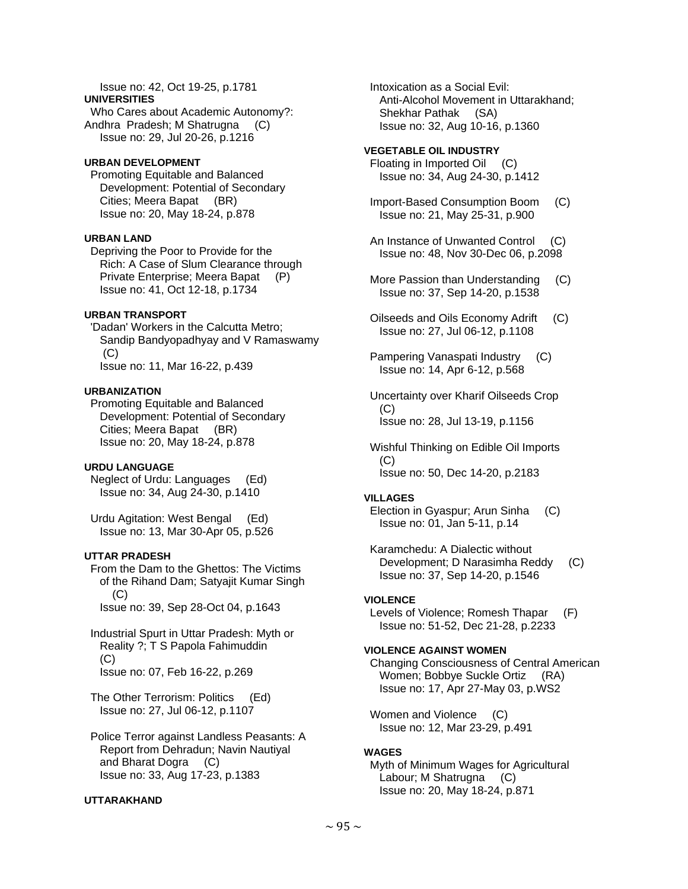#### Issue no: 42, Oct 19-25, p.1781 **UNIVERSITIES**  Who Cares about Academic Autonomy?: Andhra Pradesh; M Shatrugna (C) Issue no: 29, Jul 20-26, p.1216

## **URBAN DEVELOPMENT**

 Promoting Equitable and Balanced Development: Potential of Secondary Cities; Meera Bapat (BR) Issue no: 20, May 18-24, p.878

## **URBAN LAND**

 Depriving the Poor to Provide for the Rich: A Case of Slum Clearance through Private Enterprise; Meera Bapat (P) Issue no: 41, Oct 12-18, p.1734

## **URBAN TRANSPORT**

 'Dadan' Workers in the Calcutta Metro; Sandip Bandyopadhyay and V Ramaswamy (C) Issue no: 11, Mar 16-22, p.439

## **URBANIZATION**

 Promoting Equitable and Balanced Development: Potential of Secondary Cities; Meera Bapat (BR) Issue no: 20, May 18-24, p.878

## **URDU LANGUAGE**

 Neglect of Urdu: Languages (Ed) Issue no: 34, Aug 24-30, p.1410

 Urdu Agitation: West Bengal (Ed) Issue no: 13, Mar 30-Apr 05, p.526

## **UTTAR PRADESH**

 From the Dam to the Ghettos: The Victims of the Rihand Dam; Satyajit Kumar Singh  $(C)$ Issue no: 39, Sep 28-Oct 04, p.1643

 Industrial Spurt in Uttar Pradesh: Myth or Reality ?; T S Papola Fahimuddin (C) Issue no: 07, Feb 16-22, p.269

 The Other Terrorism: Politics (Ed) Issue no: 27, Jul 06-12, p.1107

 Police Terror against Landless Peasants: A Report from Dehradun; Navin Nautiyal and Bharat Dogra (C) Issue no: 33, Aug 17-23, p.1383

## **UTTARAKHAND**

 Intoxication as a Social Evil: Anti-Alcohol Movement in Uttarakhand; Shekhar Pathak (SA) Issue no: 32, Aug 10-16, p.1360

**VEGETABLE OIL INDUSTRY**  Floating in Imported Oil (C) Issue no: 34, Aug 24-30, p.1412

 Import-Based Consumption Boom (C) Issue no: 21, May 25-31, p.900

 An Instance of Unwanted Control (C) Issue no: 48, Nov 30-Dec 06, p.2098

 More Passion than Understanding (C) Issue no: 37, Sep 14-20, p.1538

- Oilseeds and Oils Economy Adrift (C) Issue no: 27, Jul 06-12, p.1108
- Pampering Vanaspati Industry (C) Issue no: 14, Apr 6-12, p.568

 Uncertainty over Kharif Oilseeds Crop  $(C)$ Issue no: 28, Jul 13-19, p.1156

 Wishful Thinking on Edible Oil Imports  $(C)$ Issue no: 50, Dec 14-20, p.2183

## **VILLAGES**

 Election in Gyaspur; Arun Sinha (C) Issue no: 01, Jan 5-11, p.14

 Karamchedu: A Dialectic without Development; D Narasimha Reddy (C) Issue no: 37, Sep 14-20, p.1546

## **VIOLENCE**

 Levels of Violence; Romesh Thapar (F) Issue no: 51-52, Dec 21-28, p.2233

## **VIOLENCE AGAINST WOMEN**

 Changing Consciousness of Central American Women; Bobbye Suckle Ortiz (RA) Issue no: 17, Apr 27-May 03, p.WS2

Women and Violence (C) Issue no: 12, Mar 23-29, p.491

## **WAGES**

 Myth of Minimum Wages for Agricultural Labour; M Shatrugna (C) Issue no: 20, May 18-24, p.871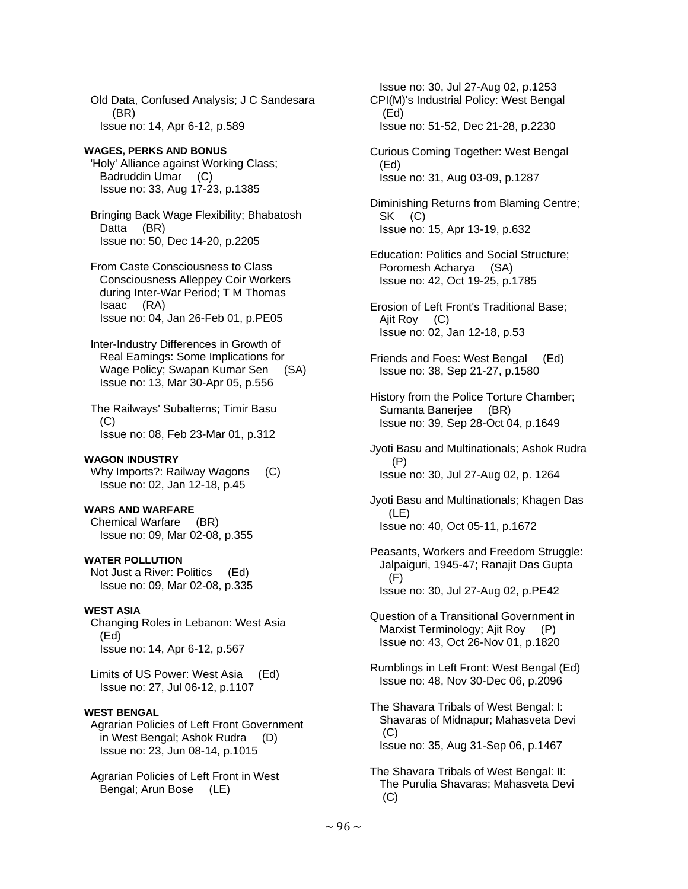Old Data, Confused Analysis; J C Sandesara (BR) Issue no: 14, Apr 6-12, p.589

**WAGES, PERKS AND BONUS**  'Holy' Alliance against Working Class; Badruddin Umar (C) Issue no: 33, Aug 17-23, p.1385

 Bringing Back Wage Flexibility; Bhabatosh Datta (BR) Issue no: 50, Dec 14-20, p.2205

 From Caste Consciousness to Class Consciousness Alleppey Coir Workers during Inter-War Period; T M Thomas Isaac (RA) Issue no: 04, Jan 26-Feb 01, p.PE05

 Inter-Industry Differences in Growth of Real Earnings: Some Implications for Wage Policy; Swapan Kumar Sen (SA) Issue no: 13, Mar 30-Apr 05, p.556

 The Railways' Subalterns; Timir Basu  $(C)$ Issue no: 08, Feb 23-Mar 01, p.312

## **WAGON INDUSTRY**

Why Imports?: Railway Wagons (C) Issue no: 02, Jan 12-18, p.45

#### **WARS AND WARFARE**

 Chemical Warfare (BR) Issue no: 09, Mar 02-08, p.355

#### **WATER POLLUTION**

 Not Just a River: Politics (Ed) Issue no: 09, Mar 02-08, p.335

## **WEST ASIA**

 Changing Roles in Lebanon: West Asia (Ed) Issue no: 14, Apr 6-12, p.567

 Limits of US Power: West Asia (Ed) Issue no: 27, Jul 06-12, p.1107

## **WEST BENGAL**

 Agrarian Policies of Left Front Government in West Bengal; Ashok Rudra (D) Issue no: 23, Jun 08-14, p.1015

 Agrarian Policies of Left Front in West Bengal; Arun Bose (LE)

 Issue no: 30, Jul 27-Aug 02, p.1253 CPI(M)'s Industrial Policy: West Bengal (Ed) Issue no: 51-52, Dec 21-28, p.2230

 Curious Coming Together: West Bengal (Ed) Issue no: 31, Aug 03-09, p.1287

 Diminishing Returns from Blaming Centre; SK (C) Issue no: 15, Apr 13-19, p.632

 Education: Politics and Social Structure; Poromesh Acharya (SA) Issue no: 42, Oct 19-25, p.1785

 Erosion of Left Front's Traditional Base; Ajit Roy (C) Issue no: 02, Jan 12-18, p.53

 Friends and Foes: West Bengal (Ed) Issue no: 38, Sep 21-27, p.1580

 History from the Police Torture Chamber; Sumanta Banerjee (BR) Issue no: 39, Sep 28-Oct 04, p.1649

 Jyoti Basu and Multinationals; Ashok Rudra (P) Issue no: 30, Jul 27-Aug 02, p. 1264

 Jyoti Basu and Multinationals; Khagen Das (LE) Issue no: 40, Oct 05-11, p.1672

 Peasants, Workers and Freedom Struggle: Jalpaiguri, 1945-47; Ranajit Das Gupta (F) Issue no: 30, Jul 27-Aug 02, p.PE42

 Question of a Transitional Government in Marxist Terminology; Ajit Roy (P) Issue no: 43, Oct 26-Nov 01, p.1820

 Rumblings in Left Front: West Bengal (Ed) Issue no: 48, Nov 30-Dec 06, p.2096

 The Shavara Tribals of West Bengal: I: Shavaras of Midnapur; Mahasveta Devi (C) Issue no: 35, Aug 31-Sep 06, p.1467

 The Shavara Tribals of West Bengal: II: The Purulia Shavaras; Mahasveta Devi (C)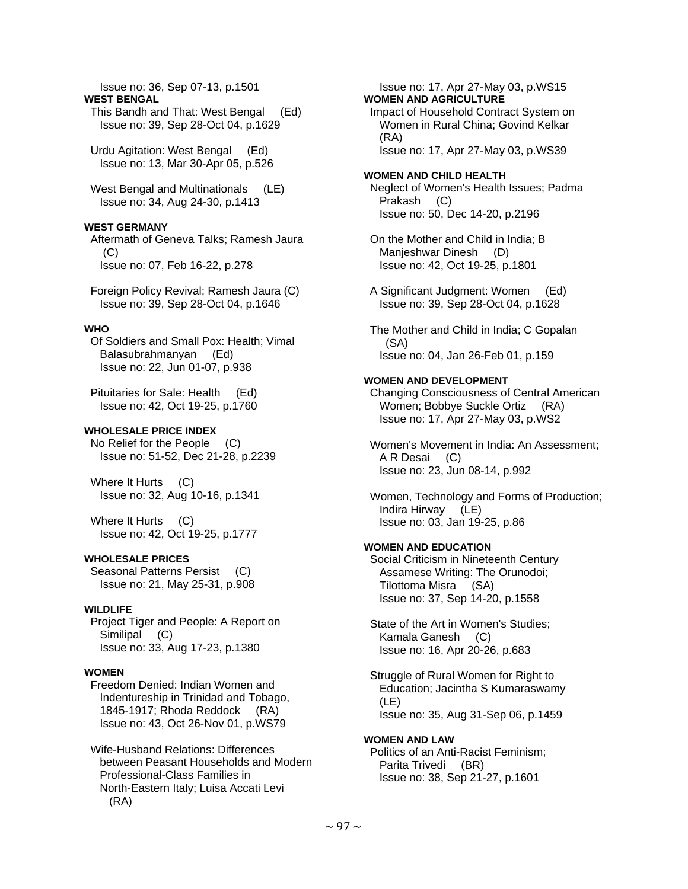Issue no: 36, Sep 07-13, p.1501

**WEST BENGAL** 

 This Bandh and That: West Bengal (Ed) Issue no: 39, Sep 28-Oct 04, p.1629

 Urdu Agitation: West Bengal (Ed) Issue no: 13, Mar 30-Apr 05, p.526

 West Bengal and Multinationals (LE) Issue no: 34, Aug 24-30, p.1413

## **WEST GERMANY**

 Aftermath of Geneva Talks; Ramesh Jaura (C) Issue no: 07, Feb 16-22, p.278

 Foreign Policy Revival; Ramesh Jaura (C) Issue no: 39, Sep 28-Oct 04, p.1646

## **WHO**

 Of Soldiers and Small Pox: Health; Vimal Balasubrahmanyan (Ed) Issue no: 22, Jun 01-07, p.938

 Pituitaries for Sale: Health (Ed) Issue no: 42, Oct 19-25, p.1760

## **WHOLESALE PRICE INDEX**

 No Relief for the People (C) Issue no: 51-52, Dec 21-28, p.2239

 Where It Hurts (C) Issue no: 32, Aug 10-16, p.1341

Where It Hurts (C) Issue no: 42, Oct 19-25, p.1777

## **WHOLESALE PRICES**

 Seasonal Patterns Persist (C) Issue no: 21, May 25-31, p.908

#### **WILDLIFE**

 Project Tiger and People: A Report on Similipal (C) Issue no: 33, Aug 17-23, p.1380

## **WOMEN**

 Freedom Denied: Indian Women and Indentureship in Trinidad and Tobago, 1845-1917; Rhoda Reddock (RA) Issue no: 43, Oct 26-Nov 01, p.WS79

 Wife-Husband Relations: Differences between Peasant Households and Modern Professional-Class Families in North-Eastern Italy; Luisa Accati Levi (RA)

 Issue no: 17, Apr 27-May 03, p.WS15 **WOMEN AND AGRICULTURE**  Impact of Household Contract System on Women in Rural China; Govind Kelkar (RA) Issue no: 17, Apr 27-May 03, p.WS39

#### **WOMEN AND CHILD HEALTH**

 Neglect of Women's Health Issues; Padma Prakash (C) Issue no: 50, Dec 14-20, p.2196

 On the Mother and Child in India; B Manjeshwar Dinesh (D) Issue no: 42, Oct 19-25, p.1801

 A Significant Judgment: Women (Ed) Issue no: 39, Sep 28-Oct 04, p.1628

 The Mother and Child in India; C Gopalan (SA) Issue no: 04, Jan 26-Feb 01, p.159

## **WOMEN AND DEVELOPMENT**

 Changing Consciousness of Central American Women; Bobbye Suckle Ortiz (RA) Issue no: 17, Apr 27-May 03, p.WS2

 Women's Movement in India: An Assessment; A R Desai (C) Issue no: 23, Jun 08-14, p.992

 Women, Technology and Forms of Production; Indira Hirway (LE) Issue no: 03, Jan 19-25, p.86

## **WOMEN AND EDUCATION**

 Social Criticism in Nineteenth Century Assamese Writing: The Orunodoi; Tilottoma Misra (SA) Issue no: 37, Sep 14-20, p.1558

 State of the Art in Women's Studies; Kamala Ganesh (C) Issue no: 16, Apr 20-26, p.683

 Struggle of Rural Women for Right to Education; Jacintha S Kumaraswamy (LE) Issue no: 35, Aug 31-Sep 06, p.1459

#### **WOMEN AND LAW**

 Politics of an Anti-Racist Feminism; Parita Trivedi (BR) Issue no: 38, Sep 21-27, p.1601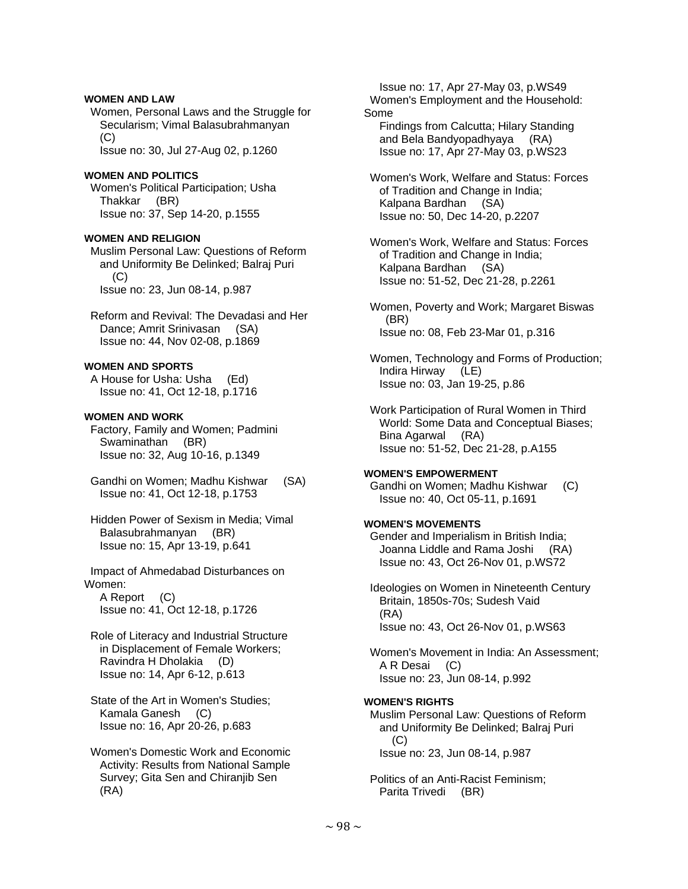## **WOMEN AND LAW**

 Women, Personal Laws and the Struggle for Secularism; Vimal Balasubrahmanyan  $(C)$ 

Issue no: 30, Jul 27-Aug 02, p.1260

## **WOMEN AND POLITICS**

 Women's Political Participation; Usha Thakkar (BR) Issue no: 37, Sep 14-20, p.1555

## **WOMEN AND RELIGION**

 Muslim Personal Law: Questions of Reform and Uniformity Be Delinked; Balraj Puri (C) Issue no: 23, Jun 08-14, p.987

 Reform and Revival: The Devadasi and Her Dance; Amrit Srinivasan (SA) Issue no: 44, Nov 02-08, p.1869

# **WOMEN AND SPORTS**

 A House for Usha: Usha (Ed) Issue no: 41, Oct 12-18, p.1716

## **WOMEN AND WORK**

 Factory, Family and Women; Padmini Swaminathan (BR) Issue no: 32, Aug 10-16, p.1349

- Gandhi on Women; Madhu Kishwar (SA) Issue no: 41, Oct 12-18, p.1753
- Hidden Power of Sexism in Media; Vimal Balasubrahmanyan (BR) Issue no: 15, Apr 13-19, p.641

 Impact of Ahmedabad Disturbances on Women:

 A Report (C) Issue no: 41, Oct 12-18, p.1726

- Role of Literacy and Industrial Structure in Displacement of Female Workers; Ravindra H Dholakia (D) Issue no: 14, Apr 6-12, p.613
- State of the Art in Women's Studies; Kamala Ganesh (C) Issue no: 16, Apr 20-26, p.683

 Women's Domestic Work and Economic Activity: Results from National Sample Survey; Gita Sen and Chiranjib Sen (RA)

 Issue no: 17, Apr 27-May 03, p.WS49 Women's Employment and the Household: Some Findings from Calcutta; Hilary Standing

 and Bela Bandyopadhyaya (RA) Issue no: 17, Apr 27-May 03, p.WS23

 Women's Work, Welfare and Status: Forces of Tradition and Change in India; Kalpana Bardhan (SA) Issue no: 50, Dec 14-20, p.2207

 Women's Work, Welfare and Status: Forces of Tradition and Change in India; Kalpana Bardhan (SA) Issue no: 51-52, Dec 21-28, p.2261

 Women, Poverty and Work; Margaret Biswas (BR) Issue no: 08, Feb 23-Mar 01, p.316

 Women, Technology and Forms of Production; Indira Hirway (LE) Issue no: 03, Jan 19-25, p.86

 Work Participation of Rural Women in Third World: Some Data and Conceptual Biases; Bina Agarwal (RA) Issue no: 51-52, Dec 21-28, p.A155

#### **WOMEN'S EMPOWERMENT**

 Gandhi on Women; Madhu Kishwar (C) Issue no: 40, Oct 05-11, p.1691

## **WOMEN'S MOVEMENTS**

 Gender and Imperialism in British India; Joanna Liddle and Rama Joshi (RA) Issue no: 43, Oct 26-Nov 01, p.WS72

 Ideologies on Women in Nineteenth Century Britain, 1850s-70s; Sudesh Vaid (RA) Issue no: 43, Oct 26-Nov 01, p.WS63

 Women's Movement in India: An Assessment; A R Desai (C) Issue no: 23, Jun 08-14, p.992

## **WOMEN'S RIGHTS**

 Muslim Personal Law: Questions of Reform and Uniformity Be Delinked; Balraj Puri (C) Issue no: 23, Jun 08-14, p.987

 Politics of an Anti-Racist Feminism; Parita Trivedi (BR)